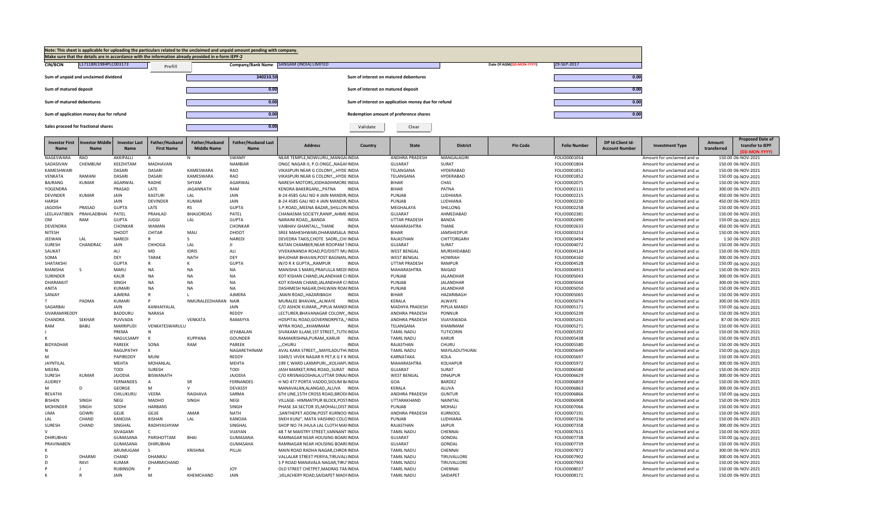

| <b>Investor First</b><br><b>Name</b> | nvestor Middle<br><b>Name</b> | <b>Investor Last</b><br><b>Name</b> | Father/Husband<br><b>First Name</b> | Father/Husband<br><b>Middle Name</b> | <b>Father/Husband Last</b><br>Name | <b>Address</b>                          | Country      | <b>State</b>          | <b>District</b>  | <b>Pin Code</b> | <b>Folio Number</b> | DP Id-Client Id-<br><b>Account Number</b> | <b>Investment Type</b>      | Amount<br>transferred | <b>Proposed Date of</b><br>transfer to IEPF<br>(DD-MON-YYYY) |
|--------------------------------------|-------------------------------|-------------------------------------|-------------------------------------|--------------------------------------|------------------------------------|-----------------------------------------|--------------|-----------------------|------------------|-----------------|---------------------|-------------------------------------------|-----------------------------|-----------------------|--------------------------------------------------------------|
| NAGESWARA                            | RAO                           | AKKIPALLI                           | Α                                   | N                                    | SWAMY                              | NEAR TEMPLE, NOWLURU,, MANGAIINDIA      |              | <b>ANDHRA PRADESH</b> | MANGALAGIRI      |                 | FOLIO0001054        |                                           | Amount for unclaimed and ur |                       | 150.00 06-NOV-2021                                           |
| SADASIVAN                            | CHEMBUM                       | KEEZHITAM                           | <b>MADHAVAN</b>                     |                                      | <b>NAMBIAR</b>                     | ONGC NAGAR-II, P.O.ONGC,, NAGAFINDIA    |              | <b>GUJARAT</b>        | SURAT            |                 | FOLIO0001804        |                                           | Amount for unclaimed and ur |                       | 150.00 06-NOV-2021                                           |
| KAMESHWARI                           |                               | <b>DASARI</b>                       | <b>DASARI</b>                       | KAMESWARA                            | <b>RAO</b>                         | VIKASPURI NEAR G COLONY HYDE INDIA      |              | TELANGANA             | HYDERABAD        |                 | FOLIO0001851        |                                           | Amount for unclaimed and ur |                       | 150.00 06-NOV-2021                                           |
| VENKATA                              | RAMANI                        | DASARI                              | DASARI                              | KAMESWARA                            | RAO                                | VIKASPURI NEAR G COLONY,,, HYDEIINDIA   |              | TELANGANA             | HYDERABAD        |                 | FOLIO0001852        |                                           | Amount for unclaimed and ur |                       | 150.00 06-NOV-2021                                           |
| BAJRANG                              | KUMAR                         | AGARWAL                             | RADHE                               | SHYAM                                | <b>AGARWAL</b>                     | NARESH MOTORS, JODHADIHMORE INDIA       |              | <b>BIHAR</b>          | CHAS             |                 | FOLIO0002075        |                                           | Amount for unclaimed and ur |                       | 150.00 06-NOV-2021                                           |
| YOGENDRA                             |                               | PRASAD                              | LATE                                | <b>JAGANNATH</b>                     | RAM                                | KENDRA BAKERGANJPATNA                   | <b>INDIA</b> | <b>BIHAR</b>          | PATNA            |                 | FOLIO0002131        |                                           | Amount for unclaimed and ur |                       | 300.00 06-NOV-2021                                           |
| <b>DEVINDER</b>                      | KUMAR                         | JAIN                                | <b>KASTURI</b>                      | LAL                                  | <b>JAIN</b>                        | B-24 4585 GALI NO 4 JAIN MANDIR INDIA   |              | PUNJAB                | LUDHIANA         |                 | FOLIO0002215        |                                           | Amount for unclaimed and ur |                       | 450.00 06-NOV-2021                                           |
| <b>HARSH</b>                         |                               | JAIN                                | <b>DEVINDER</b>                     | <b>KUMAR</b>                         | <b>JAIN</b>                        | B-24 4585 GALI NO 4 JAIN MANDIR, INDIA  |              | PUNJAB                | LUDHIANA         |                 | FOLIO0002230        |                                           | Amount for unclaimed and ur |                       | 450.00 06-NOV-2021                                           |
| <b>JAGDISH</b>                       | PRASAD                        | <b>GUPTA</b>                        | LATE                                | <b>RS</b>                            | <b>GUPTA</b>                       | S.P.ROAD,, MEENA BAZAR,, SHILLON INDIA  |              | MEGHALAYA             | SHILLONG         |                 | FOLIO0002258        |                                           | Amount for unclaimed and ur |                       | 150.00 06-NOV-2021                                           |
| LEELAVATIBEN                         | PRAHLADBHAI                   | PATEL                               | PRAHLAD                             | <b>BHAIJORDAS</b>                    | PATEL                              | CHANASMA SOCIETY, RANIP, , AHME INDIA   |              | GUJARAT               | AHMEDABAD        |                 | FOLIO0002381        |                                           | Amount for unclaimed and ur |                       | 150.00 06-NOV-2021                                           |
| <b>OM</b>                            | RAM                           | <b>GUPTA</b>                        | <b>JUGGI</b>                        | LAL                                  | <b>GUPTA</b>                       | NARAINI ROAD,,,BANDA                    | <b>INDIA</b> | <b>UTTAR PRADESH</b>  | BANDA            |                 | FOLIO0002490        |                                           | Amount for unclaimed and ur |                       | 150.00 06-NOV-2021                                           |
| <b>DEVENDRA</b>                      |                               | CHONKAR                             | <b>WAMAN</b>                        |                                      | CHONKAR                            | VAIBHAV GHANTALITHANE                   | <b>INDIA</b> | MAHARASHTRA           | <b>THANE</b>     |                 | FOLIO0002633        |                                           | Amount for unclaimed and ur |                       | 450.00 06-NOV-2021                                           |
| NITESH                               |                               | DHOOT                               | CHITAR                              | MAU                                  | DHOOT                              | SREE MAHESHWARI, DHARAMSALA INDIA       |              | <b>BIHAR</b>          | JAMSHEDPUR       |                 | FOLIO0003253        |                                           | Amount for unclaimed and ur |                       | 150.00 06-NOV-2021                                           |
| <b>JEEWAN</b>                        | LAL                           | <b>NAREDI</b>                       |                                     | -S                                   | <b>NAREDI</b>                      | DEVEDRA TAKIS.CHOTE SADRICHI INDIA      |              | RAJASTHAN             | CHITTORGARH      |                 | FOLIO0003494        |                                           | Amount for unclaimed and ur |                       | 1.50 06-NOV-2021                                             |
| <b>SURESH</b>                        | CHANDRAC                      | JAIN                                | CHHOGA                              | LAL                                  | $\mathbf{H}$                       | RATAN CHAMBER, NEAR ROOPAM TINDIA       |              | <b>GUJARAT</b>        | SURAT            |                 | FOLIO0004072        |                                           | Amount for unclaimed and ur |                       | 150.00 06-NOV-2021                                           |
| SAUKAT                               |                               | ALI                                 | MD                                  | <b>IDRIS</b>                         | ALI                                | VIVEKANANDA ROAD, PO/DISTT MUINDIA      |              | <b>WEST BENGAL</b>    | MURSHIDABAD      |                 | FOLIO0004124        |                                           | Amount for unclaimed and ur |                       | 150.00 06-NOV-2021                                           |
| SOMA                                 |                               | DEY                                 | <b>TARAK</b>                        | <b>NATH</b>                          | <b>DEY</b>                         | BHUDHAR BHAVAN.POST BAGNAN.INDIA        |              | <b>WEST BENGAL</b>    | <b>HOWRAH</b>    |                 | FOLIO0004160        |                                           | Amount for unclaimed and ur |                       | 300.00 06-NOV-2021                                           |
| SHATAKSHI                            |                               | <b>GUPTA</b>                        |                                     |                                      | <b>GUPTA</b>                       | W/O R K GUPTA,,,RAMPUR                  | <b>INDIA</b> | <b>UTTAR PRADESH</b>  | RAMPUR           |                 | FOLIO0004528        |                                           | Amount for unclaimed and ur |                       | 150.00 06-NOV-2021                                           |
| <b>MANISHA</b>                       | $\mathsf{S}$                  | MARU                                | <b>NA</b>                           | <b>NA</b>                            | <b>NA</b>                          | MANISHA S MARG, PRAFULLA MEDI INDIA     |              | MAHARASHTRA           | RAIGAD           |                 | FOLIO0004953        |                                           | Amount for unclaimed and ur |                       | 150.00 06-NOV-2021                                           |
| <b>SURINDER</b>                      |                               | KAUR                                | <b>NA</b>                           | <b>NA</b>                            | <b>NA</b>                          | KOT KISHAN CHAND, JALANDHAR CI INDIA    |              | PUNJAB                | JALANDHAR        |                 | FOLIO0005043        |                                           | Amount for unclaimed and ur |                       | 300.00 06-NOV-2021                                           |
| DHARAMJIT                            |                               | SINGH                               | <b>NA</b>                           | <b>NA</b>                            | <b>NA</b>                          | KOT KISHAN CHAND JALANDHAR CI INDIA     |              | PUNJAB                | <b>JALANDHAR</b> |                 | FOLIO0005044        |                                           | Amount for unclaimed and ur |                       | 300.00 06-NOV-2021                                           |
| ANITA                                |                               | KUMARI                              | <b>NA</b>                           | <b>NA</b>                            | <b>NA</b>                          | DASHMESH NAGAR, DHILWAN ROAIINDIA       |              | PUNJAB                | JALANDHAR        |                 | FOLIO0005050        |                                           | Amount for unclaimed and ur |                       | 150.00 06-NOV-2021                                           |
| SANJAY                               |                               | AJMERA                              |                                     |                                      | <b>AJMERA</b>                      | , MAIN ROAD, HAZARIBAGH                 | <b>INDIA</b> | <b>BIHAR</b>          | HAZARIBAGH       |                 | FOLIO0005065        |                                           | Amount for unclaimed and ur |                       | 150.00 06-NOV-2021                                           |
|                                      | PADMA                         | KUMARI                              |                                     | NMURALEEDHARAN NAIR                  |                                    | MURALEE BHAVAN,,,ALWAYE                 | <b>INDIA</b> | KERALA                | ALWAYE           |                 | FOLIO0005074        |                                           | Amount for unclaimed and ur |                       | 300.00 06-NOV-2021                                           |
| SAGARBAI                             |                               | JAIN                                | KANHAIYALAL                         |                                      | JAIN                               | C/O ASHOK KUMAR, ,, PIPLIA MANDIINDIA   |              | MADHYA PRADESH        | PIPLIA MANDI     |                 | FOLIO0005171        |                                           | Amount for unclaimed and ur |                       | 150.00 06-NOV-2021                                           |
| SIVARAMIREDDY                        |                               | <b>BADDURU</b>                      | <b>NARASA</b>                       |                                      | REDDY                              | LECTURER, BHAVANAGAR COLONY,, INDIA     |              | ANDHRA PRADESH        | PONNUR           |                 | FOLIO0005239        |                                           | Amount for unclaimed and ur |                       | 150.00 06-NOV-2021                                           |
| CHANDRA                              | <b>SEKHAR</b>                 | PUVVADA                             | D                                   | VENKATA                              | RAMAYYA                            | HOSPITAL ROAD, GOVERNORPETA, , INDIA    |              | ANDHRA PRADESH        | VIJAYAWADA       |                 | FOLIO0005241        |                                           | Amount for unclaimed and ur |                       | 87.00 06-NOV-2021                                            |
| RAM                                  | <b>BABU</b>                   | <b>MARRIPUDI</b>                    | VENKATESWARULU                      |                                      |                                    | WYRA ROADKHAMMAM                        | <b>INDIA</b> | TELANGANA             | KHAMMAM          |                 | FOLIO0005271        |                                           | Amount for unclaimed and ur |                       | 150.00 06-NOV-2021                                           |
|                                      |                               | PREMA                               |                                     |                                      | <b>JEYABALAN</b>                   | SIVAKAMI ILLAM.1ST STREETTUTI(INDIA     |              | <b>TAMIL NADU</b>     | TUTICORIN        |                 | FOLIO0005392        |                                           | Amount for unclaimed and ur |                       | 150.00 06-NOV-2021                                           |
|                                      |                               | NAGULSAMY                           | $\mathsf{K}$                        | <b>KUPPANA</b>                       | <b>GOUNDER</b>                     | RAMAKRISHNA, PURAM, , KARUR             | <b>INDIA</b> | <b>TAMIL NADU</b>     | <b>KARUR</b>     |                 | FOLIO0005438        |                                           | Amount for unclaimed and ur |                       | 150.00 06-NOV-2021                                           |
| <b>BIDYADHAR</b>                     |                               | PAREEK                              | SONA                                | RAM                                  | PAREEK                             | "CHURU                                  | <b>INDIA</b> | RAJASTHAN             | CHURU            |                 | FOLIO0005580        |                                           | Amount for unclaimed and ur |                       | 150.00 06-NOV-2021                                           |
|                                      |                               | RAGUPATHY                           | к                                   |                                      | NAGARETHINAM                       | AVAL KARA STREET,,, MAYILADUTHLINDIA    |              | <b>TAMIL NADU</b>     | MAYILADUTHURAI   |                 | FOLIO0005649        |                                           | Amount for unclaimed and ur |                       | 150.00 06-NOV-2021                                           |
| M                                    |                               | PAPIREDDY                           | MUNI                                |                                      | REDDY                              | 1049/1 VIVEK NAGAR R PET, K G F K INDIA |              | KARNATAKA             | KOLA             |                 | FOLIO0005697        |                                           | Amount for unclaimed and ur |                       | 150.00 06-NOV-2021                                           |
| JAYNTILAL                            |                               | <b>MEHTA</b>                        | MOHANLAL                            |                                      | <b>MEHTA</b>                       | 199 C WARD LAXMIPURI,,,KOLHAPLINDIA     |              | MAHARASHTRA           | <b>KOLHAPUR</b>  |                 | FOLIO0005972        |                                           | Amount for unclaimed and ur |                       | 300.00 06-NOV-2021                                           |
| MEERA                                |                               | TODI                                | SURESH                              |                                      | TODI                               | JASH MARKET, RING ROAD, , SURAT INDIA   |              | <b>GUJARAT</b>        | SURAT            |                 | FOLIO0006580        |                                           | Amount for unclaimed and ur |                       | 150.00 06-NOV-2021                                           |
| <b>SURESH</b>                        | <b>KUMAR</b>                  | <b>JAJODIA</b>                      | <b>BISWANATH</b>                    |                                      | <b>JAJODIA</b>                     | C/O KRISNAGOSHALA, UTTAR DINAJ INDIA    |              | <b>WEST BENGAL</b>    | <b>DINAJPUF</b>  |                 | FOLIO0006629        |                                           | Amount for unclaimed and ur |                       | 300.00 06-NOV-2021                                           |
| <b>AUDREY</b>                        |                               | <b>FERNANDES</b>                    | $\overline{A}$                      | <b>SR</b>                            | <b>FERNANDES</b>                   | H NO 477 PORTA VADDO, SIOLIM B/INDIA    |              | GOA                   | <b>BARDEZ</b>    |                 | FOLIO0006859        |                                           | Amount for unclaimed and ur |                       | 150.00 06-NOV-2021                                           |
| M                                    | <sup>D</sup>                  | <b>GEORGE</b>                       | M                                   | $\mathcal{U}$                        | DEVASSY                            | MANAVALAN,ALANGAD,,ALUVA                | <b>INDIA</b> | KERALA                | ALUVA            |                 | FOLIO0006863        |                                           | Amount for unclaimed and ur |                       | 300.00 06-NOV-2021                                           |
| <b>REVATHI</b>                       |                               | CHILUKURU                           | <b>VEERA</b>                        | RAGHAVA                              | SARMA                              | 6TH LINE.15TH CROSS ROAD.BRODI INDIA    |              | <b>ANDHRA PRADESH</b> | <b>GUNTUR</b>    |                 | FOLIO0006866        |                                           | Amount for unclaimed and ur |                       | 150.00 06-NOV-2021                                           |
| <b>BISHEN</b>                        | SINGH                         | NEGI                                | MADHO                               | SINGH                                | NEGI                               | VILLAGE- HIMMATPUR BLOCK, POSTINDIA     |              | UTTARAKHAND           | NAINITAL         |                 | FOLIO0006908        |                                           | Amount for unclaimed and ur |                       | 150.00 06-NOV-2021                                           |
| <b>MOHINDEI</b>                      | SINGH                         | SODHI                               | <b>HARBANS</b>                      |                                      | SINGH                              | PHASE 3A SECTOR 35, MOHALI, DISTINDIA   |              | PUNJAB                | MOHALI           |                 | FOLIO0007066        |                                           | Amount for unclaimed and ur |                       | 150.00 06-NOV-2021                                           |
| <b>UMA</b>                           | <b>GOWRI</b>                  | GEJJE                               | GEJJE                               | AMAR                                 | <b>NATH</b>                        | , SANTHEPET ADONI, POST KURNOOIINDIA    |              | ANDHRA PRADESH        | KURNOOL          |                 | FOLIO0007191        |                                           | Amount for unclaimed and ur |                       | 150.00 06-NOV-2021                                           |
| LAL                                  | CHAND                         | KANOJIA                             | <b>KISHAN</b>                       | LAL                                  | KANOJIA                            | SNEH KUNJ", MATA VAISHNO COLOINDIA      |              | PUNJAB                | LUDHIANA         |                 | FOLIO0007236        |                                           | Amount for unclaimed and ur |                       | 150.00 06-NOV-2021                                           |
| SURESH                               | CHAND                         | SINGHAL                             | RADHYASHYAM                         |                                      | SINGHAL                            | SHOP NO 74 JHULA LAL CLOTH MAFINDIA     |              | RAJASTHAN             | <b>JAIPUR</b>    |                 | FOLIO0007358        |                                           | Amount for unclaimed and ur |                       | 300.00 06-NOV-2021                                           |
|                                      |                               | SIVAGAMI                            | $\epsilon$                          |                                      | VIJAYAN                            | 48 T M MAISTRY STREET, VANNANT INDIA    |              | <b>TAMIL NADU</b>     | CHENNAI          |                 | FOLIO0007615        |                                           | Amount for unclaimed and ur |                       | 150.00 06-NOV-2021                                           |
| <b>DHIRUBHAI</b>                     |                               | <b>GUMASANA</b>                     | PARSHOTTAM                          | <b>BHAI</b>                          | <b>GUMASANA</b>                    | RAMNAGAR NEAR HOUSING BOARLINDIA        |              | <b>GUJARAT</b>        | GONDAL           |                 | FOLIO0007738        |                                           | Amount for unclaimed and ur |                       |                                                              |
|                                      |                               |                                     |                                     |                                      |                                    |                                         |              |                       |                  |                 |                     |                                           |                             |                       | 150.00 06-NOV-2021                                           |
| PRAVINABEN                           |                               | GUMASANA                            | DHIRUBHAI<br>$\varsigma$            |                                      | <b>GUMASAHA</b>                    | RAMNAGAR NEAR HOUSING BOARLINDIA        |              | <b>GUJARAT</b>        | GONDAL           |                 | FOLIO0007739        |                                           | Amount for unclaimed and ur |                       | 150.00 06-NOV-2021                                           |
|                                      | <b>DHARMI</b>                 | ARUMUGAM                            |                                     | <b>KRISHNA</b>                       | PILLAI                             | MAIN ROAD RADHA NAGAR, CHRONINDIA       |              | <b>TAMIL NADU</b>     | CHENNAI          |                 | FOLIO0007872        |                                           | Amount for unclaimed and ur |                       | 300.00 06-NOV-2021                                           |
|                                      |                               | CHAND                               | DHANRAJ                             |                                      |                                    | VALLALAR STREET PERIYA.TIRUVALLINDIA    |              | <b>TAMIL NADU</b>     | TIRUVALLORE      |                 | FOLIO0007902        |                                           | Amount for unclaimed and ur |                       | 300.00 06-NOV-2021                                           |
| D                                    | RAVI                          | <b>KUMAR</b>                        | DHARMICHAND                         |                                      |                                    | S P ROAD MANAVALA NAGAR, TIRU'INDIA     |              | <b>TAMIL NADU</b>     | TIRUVALLORE      |                 | FOLIO0007903        |                                           | Amount for unclaimed and ur |                       | 150.00 06-NOV-2021                                           |
|                                      |                               | <b>RUBINSON</b>                     |                                     | M                                    | <b>JOY</b>                         | OLD STREET CHETPET, MADRAS TANINDIA     |              | <b>TAMIL NADU</b>     | CHENNAI          |                 | FOLIO0008037        |                                           | Amount for unclaimed and ur |                       | 150.00 06-NOV-2021                                           |
|                                      |                               | <b>JAIN</b>                         | M                                   | KHEMCHAND                            | JAIN                               | , VELACHERY ROAD, SAIDAPET MADFINDIA    |              | <b>TAMIL NADU</b>     | SAIDAPET         |                 | FOLIO0008171        |                                           | Amount for unclaimed and ur |                       | 150.00 06-NOV-2021                                           |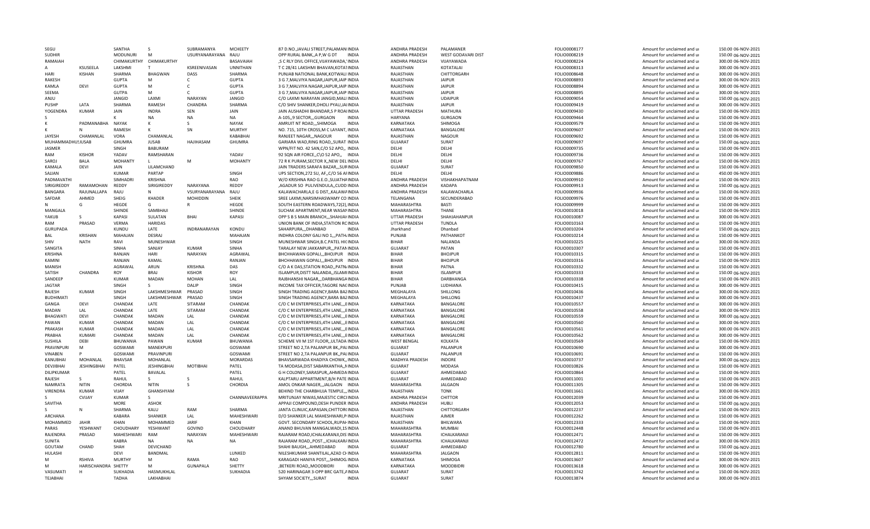| SEGU                      |                     | SANTHA                   | <sub>S</sub>            | SUBRAMANYA          | <b>MCHEETY</b>    | 87 D.NO., JAVALI STREET, PALAMANIINDIA                                        | ANDHRA PRADESH            | PALAMANFR                    | FOLIO0008177                 | Amount for unclaimed and ur                                | 150.00 06-NOV-2021                       |
|---------------------------|---------------------|--------------------------|-------------------------|---------------------|-------------------|-------------------------------------------------------------------------------|---------------------------|------------------------------|------------------------------|------------------------------------------------------------|------------------------------------------|
| <b>SUDHIR</b>             |                     | <b>MODUNURI</b>          | M                       | USURYANARAYANA RAJU |                   | OPP RURAL BANK, A P, W G DT<br>INDIA                                          | ANDHRA PRADESH            | WEST GODAVARI DIST           | FOLIO0008219                 | Amount for unclaimed and ur                                | 150.00 06-NOV-2021                       |
| RAMAIAH                   |                     | CHIMAKURTHY              | CHIMAKURTHY             |                     | BASAVAIAH         | ,S C RLY DIVL OFFICE, VIJAYAWADA, 'INDIA                                      | ANDHRA PRADESH            | VIJAYAWADA                   | FOLIO0008224                 | Amount for unclaimed and ur                                | 300.00 06-NOV-2021                       |
|                           | KSUSFFLA            | LAKSHMI                  | T                       | KSREENIVASAN        | <b>UNNITHAN</b>   | T C 28/41 LAKSHMI BHAVAN, KOTA1INDIA                                          | RAJASTHAN                 | KOTATALAI                    | FOLIO0008313                 | Amount for unclaimed and ur                                | 300.00 06-NOV-2021                       |
| HARI                      | KISHAN              | SHARMA                   | BHAGWAN                 | DASS                | SHARMA            | PUNJAB NATIONAL BANK.KOTWALI INDIA                                            | RAJASTHAN                 | CHITTORGARH                  | FOLIO0008648                 | Amount for unclaimed and ur                                | 300.00 06-NOV-2021                       |
| <b>RAKESH</b>             |                     | <b>GUPTA</b>             | M                       | $\mathsf{C}$        | <b>GUPTA</b>      | 3 G 7, MALVIYA NAGAR, JAIPUR, JAIP INDIA                                      | RAJASTHAN                 | JAIPUR                       | FOLIO0008893                 | Amount for unclaimed and ur                                | 300.00 06-NOV-2021                       |
| KAMLA                     | DEVI                | <b>GUPTA</b>             | M                       | C                   | <b>GUPTA</b>      | 3 G 7, MALVIYA NAGAR, JAIPUR, JAIP INDIA                                      | RAJASTHAN                 | <b>JAIPUR</b>                | FOLIO0008894                 | Amount for unclaimed and ur                                | 300.00 06-NOV-2021                       |
| SEEMA                     |                     | GUTPA                    | M                       | C                   | <b>GUPTA</b>      | 3 G 7, MALVIYA NAGAR, JAIPUR, JAIP INDIA                                      | RAJASTHAN                 | <b>JAIPUR</b>                | FOLIO0008895                 | Amount for unclaimed and ur                                | 300.00 06-NOV-2021                       |
| ANJU                      |                     | JANGID                   | LAXMI                   | <b>NARAYAN</b>      | JANGID            | C/O LAXMI NARAYAN JANGID, MALI INDIA                                          | RAJASTHAN                 | <b>UDAIPUR</b>               | FOLIO0009054                 | Amount for unclaimed and ur                                | 150.00 06-NOV-2021                       |
| PUSHP                     | LATA                | SHARMA                   | RAMESH                  | CHANDRA             | SHARMA            | C/O SHIV SHANKER, DHOLI PYAU, JAIINDIA                                        | RAJASTHAN                 | <b>JAIPUR</b>                | FOLIO0009419                 | Amount for unclaimed and ur                                | 300.00 06-NOV-2021                       |
| YOGENDRA                  | <b>KUMAR</b>        | JAIN                     | <b>INDRA</b>            | SEN                 | JAIN              | JAIN AUSHADHI BHANDAR, SP ROAIINDIA                                           | UTTAR PRADESH             | MATHURA                      | FOLIO0009430                 |                                                            |                                          |
|                           |                     |                          |                         |                     |                   |                                                                               |                           |                              |                              | Amount for unclaimed and ur                                | 150.00 06-NOV-2021                       |
|                           |                     |                          | <b>NA</b>               | <b>NA</b>           | <b>NA</b>         | A-105.9 SECTORGURGAON<br><b>INDIA</b>                                         | HARYANA                   | <b>GURGAON</b>               | FOLIO0009464                 | Amount for unclaimed and ur                                | 150.00 06-NOV-2021                       |
|                           | PADMANABHA          | <b>NAYAK</b>             | к                       | s                   | <b>NAYAK</b>      | <b>INDIA</b><br>AMRUIT NT ROADSHIMOGA                                         | KARNATAKA                 | SHIMOGA                      | FOLIO0009579                 | Amount for unclaimed and ur                                | 150.00 06-NOV-2021                       |
|                           | N                   | RAMESH                   | K                       | SN                  | <b>MURTHY</b>     | NO. 715, 10TH CROSS, M C LAYANT, INDIA                                        | KARNATAKA                 | BANGALORE                    | FOLIO0009607                 | Amount for unclaimed and ur                                | 150.00 06-NOV-2021                       |
| <b>JAYFSH</b>             | CHAMANLAL           | VORA                     | CHAMANLAL               |                     | KABABHAI          | RANJEET NAGAR,,,NAGOUR<br><b>INDIA</b>                                        | RAJASTHAN                 | <b>NAGOUR</b>                | FOLIO0009692                 | Amount for unclaimed and ur                                | 150.00 06-NOV-2021                       |
| MUHAMMADHU!JUSAB          |                     | GHUMRA                   | <b>JUSAB</b>            | <b>HAJIHASAM</b>    | <b>GHUMRA</b>     | GARIARA WAD, RING ROAD, , SURAT INDIA                                         | <b>GUJARAT</b>            | SURAT                        | FOLIO0009697                 | Amount for unclaimed and ur                                | 150.00 06-NOV-2021                       |
| <b>JASMER</b>             |                     | SINGH                    | <b>BABURAM</b>          |                     |                   | WPN/FIT NO. 42 SAN, C/O 52 APO,, INDIA                                        | DELHI                     | DELHI                        | FOLIO0009735                 | Amount for unclaimed and ur                                | 150.00 06-NOV-2021                       |
| RAM                       | <b>KISHOR</b>       | YADAV                    | RAMSHARAN               |                     | YADAV             | 92 SQN AIR FORCE, C\O 52 APO,, INDIA                                          | DFLHI                     | DFLHI                        | FOLIO0009736                 | Amount for unclaimed and ur                                | 150.00 06-NOV-2021                       |
| SAROJ                     | <b>BALA</b>         | <b>MOHANTY</b>           | $\mathsf{L}$            | M                   | <b>MOHANTY</b>    | 72 R K PURAM.SECTOR X. NEW DELINDIA                                           | DELHI                     | DELHI                        | FOLIO0009767                 | Amount for unclaimed and ur                                | 150.00 06-NOV-2021                       |
| KAMALA                    | DEVI                | JAIN                     | LILAMCHAND              |                     |                   | JAIN TRADERS SARAFA BAZAR,,,SURINDIA                                          | GUJARAT                   | SURAT                        | FOLIO0009850                 | Amount for unclaimed and ur                                | 150.00 06-NOV-2021                       |
| SAJJAN                    |                     | <b>KUMAR</b>             | PARTAP                  |                     | SINGH             | UPS SECTION, 272 SU, AF, C/O 56 AFINDIA                                       | DFLHI                     | DFLHI                        | FOLIO0009886                 | Amount for unclaimed and ur                                | 450.00 06-NOV-2021                       |
| PADMAVATHI                |                     | SIMHADRI                 | KRISHNA                 |                     | RAO               | W/O KRISHNA RAO G.E.O., SUJATHAINDIA                                          | ANDHRA PRADESH            | VISHAKHAPATNAM               | FOLIO0009910                 | Amount for unclaimed and ur                                | 150.00 06-NOV-2021                       |
| SIRIGIREDDY               | RAMAMOHAN           | REDDY                    | SIRIGIREDDY             | <b>NARAYANA</b>     | REDDY             | ,AGADUR SO PULIVENDULA,,CUDD.INDIA                                            | ANDHRA PRADESH            | KADAPA                       | FOLIO0009913                 | Amount for unclaimed and ur                                | 150.00 06-NOV-2021                       |
|                           | RAJUNALLAPA         | RAJU                     | N                       | VSURYANARAYANA      |                   |                                                                               | ANDHRA PRADESH            | KALAWACHARLA                 |                              |                                                            |                                          |
| BANGARA                   |                     |                          |                         |                     | RAJU              | KALAWACHARLA,E G DIST,, KALAWAINDIA                                           |                           |                              | FOLIO0009936                 | Amount for unclaimed and ur                                | 150.00 06-NOV-2021                       |
| SAFDAR                    | AHMED               | SHEIG                    | <b>KHADER</b>           | <b>MOHIDDIN</b>     | SHEIK             | SREE LAXMI, NARSIMHASWAMY CO INDIA                                            | TELANGANA                 | SECUNDERABAD                 | FOLIO0009976                 | Amount for unclaimed and ur                                | 150.00 06-NOV-2021                       |
|                           | G                   | HEGDE                    | G                       | R                   | HEGDE             | SOUTH EASTERN ROADWAYS, 72(2), INDIA                                          | MAHARASHTRA               | BASTI                        | FOLIO0009999                 | Amount for unclaimed and ur                                | 150.00 06-NOV-2021                       |
| MANGALA                   |                     | SHINDE                   | SAMBHAII                |                     | SHINDE            | SUCHAK APARTMENT, NEAR WASANINDIA                                             | MAHARASHTRA               | THANE                        | FOLIO0010018                 | Amount for unclaimed and ur                                | 150.00 06-NOV-2021                       |
| YAKUB                     | s                   | KAPASI                   | SULATAN                 | <b>BHAI</b>         | <b>KAPASI</b>     | OPP S B S MAIN BRANCH, , SHAHJAI INDIA                                        | UTTAR PRADESH             | SHAHJAHANPUR                 | FOLIO0010087                 | Amount for unclaimed and ur                                | 300.00 06-NOV-2021                       |
| RAM                       | PRASAD              | VERMA                    | <b>HARIDAS</b>          |                     |                   | UNION BANK OF INDIA, STATION RCINDIA                                          | UTTAR PRADESH             | TUNDLA                       | FOLIO0010163                 | Amount for unclaimed and ur                                | 150.00 06-NOV-2021                       |
| <b>GURUPADA</b>           |                     | KUNDU                    | LATE                    | <b>INDRANARAYAN</b> | KONDU             | SAHARPURA DHANBAD<br><b>INDIA</b>                                             | Jharkhand                 | Dhanbad                      | FOLIO0010204                 | Amount for unclaimed and ur                                | 150.00 06-NOV-2021                       |
| <b>BAL</b>                | <b>KRISHAN</b>      | MAHAJAN                  | DESRAJ                  |                     | MAHAJAN           | INDHRA COLONY GALI NO 1,,,PATH/INDIA                                          | PUNJAB                    | PATHANKOT                    | FOLIO0010214                 | Amount for unclaimed and ur                                | 150.00 06-NOV-2021                       |
| SHIV                      | <b>NATH</b>         | RAVI                     | MUNESHWAR               |                     | SINGH             | MUNESHWAR SINGH, B.C. PATEL HICINDIA                                          | <b>BIHAR</b>              | NALANDA                      | FOLIO0010225                 | Amount for unclaimed and ur                                | 300.00 06-NOV-2021                       |
| SANGITA                   |                     | <b>SINHA</b>             | SANJAY                  | <b>KUMAR</b>        | <b>SINHA</b>      | TARALAY NEW JAKKANPUR PATANINDIA                                              | <b>GUJARAT</b>            | PATAN                        | FOLIO0010307                 | Amount for unclaimed and ur                                | 150.00 06-NOV-2021                       |
| <b>KRISHNA</b>            |                     | RANJAN                   | HARI                    | NARAYAN             | AGRAWAL           | BHCHHAWAN GOPALI,,, BHOJPUR INDIA                                             | <b>BIHAR</b>              | <b>BHOJPUR</b>               | FOLIO0010315                 | Amount for unclaimed and ur                                | 150.00 06-NOV-2021                       |
| <b>KAMINI</b>             |                     | RANJAN                   | KAMAL                   |                     | RANJAN            | BHCHHAWAN GOPALI,,, BHOJPUR INDIA                                             | <b>BIHAR</b>              | <b>BHOJPUR</b>               | FOLIO0010316                 | Amount for unclaimed and ur                                | 150.00 06-NOV-2021                       |
| <b>MANISH</b>             |                     | AGRAWAL                  | ARUN                    | KRISHNA             | DAS               | C/O A K DAS, STATION ROAD, , PATN/INDIA                                       | <b>BIHAR</b>              | PATNA                        | FOLIO0010332                 | Amount for unclaimed and ur                                | 150.00 06-NOV-2021                       |
| SATISH                    | CHANDRA             | <b>ROY</b>               | <b>BRAJ</b>             | <b>KISHOR</b>       | ROY               | ISLAMPUR, DISTT NALANDA, , ISLAMI INDIA                                       | <b>BIHAR</b>              | <b>ISLAMPUR</b>              |                              |                                                            | 150.00 06-NOV-2021                       |
|                           |                     |                          |                         |                     |                   |                                                                               |                           |                              | FOLIO0010333                 | Amount for unclaimed and ur                                |                                          |
| SANDEEP                   |                     | <b>KUMAR</b>             | MADAN                   | <b>MOHAN</b>        | LAL               | RAJBHANSHI NAGAR,,,DARBHANGAINDIA                                             | <b>BIHAR</b>              | DARBHANGA                    | FOLIO0010338                 | Amount for unclaimed and ur                                | 150.00 06-NOV-2021                       |
| <b>JAGTAR</b>             |                     | SINGH                    | S                       | DALIP               | SINGH             | INCOME TAX OFFICER, TAGORE NACINDIA                                           | PUNJAB                    | LUDHIANA                     | FOLIO0010415                 | Amount for unclaimed and ur                                | 300.00 06-NOV-2021                       |
| RAJESH                    | KUMAR               | <b>SINGH</b>             | LAKSHMESHWAR            | PRASAD              | SINGH             | SINGH TRADING AGENCY, BARA BAZINDIA                                           | MEGHALAYA                 | SHILLONG                     | FOLIO0010436                 | Amount for unclaimed and ur                                | 300.00 06-NOV-2021                       |
| <b>BUDHIMAT</b>           |                     | SINGH                    | LAKSHMESHWAR            | PRASAD              | SINGH             | SINGH TRADING AGENCY, BARA BAZINDIA                                           | MEGHALAYA                 | SHILLONG                     | FOLIO0010437                 | Amount for unclaimed and ur                                | 300.00 06-NOV-2021                       |
| GANGA                     | DEVI                | CHANDAK                  | LATE                    | SITARAM             | CHANDAK           | C/O C M ENTERPRISES, 4TH LANE, ,, EINDIA                                      | KARNATAKA                 | BANGALORE                    | FOLIO0010557                 | Amount for unclaimed and ur                                | 300.00 06-NOV-2021                       |
| MADAN                     | LAL                 | CHANDAK                  | LATE                    | SITARAM             | CHANDAK           | C/O C M ENTERPRISES, 4TH LANE, ,, EINDIA                                      | KARNATAKA                 | BANGALORE                    | FOLIO0010558                 | Amount for unclaimed and ur                                | 300.00 06-NOV-2021                       |
| <b>BHAGWATI</b>           | <b>DEVI</b>         | CHANDAK                  | <b>MADAN</b>            |                     | CHANDAK           | C/O C M ENTERPRISES, 4TH LANE, ,, EINDIA                                      |                           |                              |                              |                                                            |                                          |
| PAWAN                     | KUMAR               |                          |                         | LAL                 |                   |                                                                               | KARNATAKA                 | <b>BANGALORE</b>             | FOLIO0010559                 | Amount for unclaimed and ur                                | 300.00 06-NOV-2021                       |
| PRAKASH                   |                     | CHANDAK                  | MADAN                   | LAL                 | CHANDAK           | C/O C M ENTERPRISES, 4TH LANE, ,, EINDIA                                      | KARNATAKA                 | BANGALORE                    | FOLIO0010560                 | Amount for unclaimed and ur                                | 300.00 06-NOV-2021                       |
| PRABHA                    | <b>KUMAR</b>        | CHANDAK                  | MADAN                   | LAL                 | CHANDAK           | C/O C M ENTERPRISES, 4TH LANE, ,, EINDIA                                      | KARNATAKA                 | BANGALORE                    | FOLIO0010561                 | Amount for unclaimed and ur                                |                                          |
|                           |                     |                          |                         |                     |                   |                                                                               |                           |                              |                              |                                                            | 300.00 06-NOV-2021                       |
|                           | <b>KUMARI</b>       | CHANDAK                  | <b>MADAN</b>            | LAL                 | CHANDAK           | C/O C M ENTERPRISES.4TH LANEEINDIA                                            | KARNATAKA                 | <b>BANGALORE</b>             | FOLIO0010562                 | Amount for unclaimed and ur                                | 300.00 06-NOV-2021                       |
| <b>SUSHILA</b>            | DEBI                | BHUWANIA                 | PAWAN                   | <b>KUMAR</b>        | <b>BHUWANIA</b>   | SCHEME VII M 1ST FLOOR,, ULTADA INDIA                                         | <b>WEST BENGAL</b>        | <b>KOLKATA</b>               | FOLIO0010569                 | Amount for unclaimed and ur                                | 150.00 06-NOV-2021                       |
| PRAVINPURI                | M                   | GOSWAMI                  | MANEKPURI               |                     | GOSWAMI           | STREET NO 2, TA PALANPUR BK,, PALINDIA                                        | <b>GUJARAT</b>            | PALANPUR                     | FOLIO0010690                 | Amount for unclaimed and ur                                | 300.00 06-NOV-2021                       |
| <b>VINABEN</b>            |                     | GOSWAMI                  | PRAVINPURI              |                     | GOSWAMI           | STREET NO 2, TA PALANPUR BK,, PALINDIA                                        | GUJARAT                   | PALANPUR                     | FOLIO0010691                 | Amount for unclaimed and ur                                | 150.00 06-NOV-2021                       |
| KANUBHAI                  | MOHANLAL            | <b>BHAVSAR</b>           | MOHANLAL                |                     | <b>MORARDAS</b>   | BHAVSARWADA KHADIYA CHOWK,, INDIA                                             | MADHYA PRADESH            | <b>INDORE</b>                | FOLIO0010737                 | Amount for unclaimed and ur                                | 300.00 06-NOV-2021                       |
| DEVJIBHAI                 | <b>JESHINGBHAI</b>  | PATEL                    | <b>JESHINGBHAI</b>      | MOTIBHAI            | PATEL             | TA MODASA, DIST SABARKANTHA,, NINDIA                                          | <b>GUJARAT</b>            | MODASA                       | FOLIO0010826                 | Amount for unclaimed and ur                                | 150.00 06-NOV-2021                       |
| DILIPKUMAR                |                     | PATEL                    | BAVALAL                 |                     | PATEL             | G H COLONEY, SARASPUR, , AHMEDAINDIA                                          | <b>GUJARAT</b>            | AHMEDABAD                    | FOLIO0010864                 | Amount for unclaimed and ur                                | 150.00 06-NOV-2021                       |
| RAJESH                    | S.                  | RAHUL                    | S.                      |                     | RAHUL             | KALPTARU APPARTMENT, B/H PATE INDIA                                           | <b>GUJARAT</b>            | AHMEDABAD                    | FOLIO0011001                 | Amount for unclaimed and ur                                | 150.00 06-NOV-2021                       |
| NAMRATA                   | <b>NITIN</b>        | CHORDIA                  | <b>NITIN</b>            | -S                  | CHORDIA           | AMOL ONKAR NAGER,,,JALGAON INDIA                                              | MAHARASHTRA               | <b>JALGAON</b>               | FOLIO0011305                 | Amount for unclaimed and ur                                | 150.00 06-NOV-2021                       |
| VIRENDRA                  | <b>KUMAR</b>        | VIJAY                    | GHANSHYAM               |                     |                   | BEHIND THE CHARBHUJA TEMPLE,,, INDIA                                          | RAJASTHAN                 | <b>TONK</b>                  | FOLIO0011661                 | Amount for unclaimed and ur                                | 300.00 06-NOV-2021                       |
|                           | <b>CVIJAY</b>       | <b>KUMAR</b>             | S.                      |                     | CHANNAVEERAPPA    | MRITUNJAY NIWAS, MAJESTIC CIRCLINDIA                                          | ANDHRA PRADESH            | <b>CHITTOR</b>               | FOLIO0012039                 | Amount for unclaimed and ur                                | 150.00 06-NOV-2021                       |
| SAVITHA                   |                     | <b>MORE</b>              | <b>ASHOK</b>            |                     |                   | APPAJI COMPOUND, DESH PUNDER INDIA                                            | ANDHRA PRADESH            | <b>HUBLI</b>                 | FOLIO0012053                 | Amount for unclaimed and ur                                | 150.00 06-NOV-2021                       |
| S.                        | N                   | SHARMA                   | KALU                    | <b>RAM</b>          | SHARMA            | JANTA CLINUIC, KAPASAN, CHITTOR(INDIA                                         | RAJASTHAN                 | CHITTORGARH                  | FOLIO0012237                 | Amount for unclaimed and ur                                | 150.00 06-NOV-2021                       |
| ARCHANA                   |                     | KABARA                   | SHANKER                 | LAL                 | MAHESHWARI        | D/O SHANKER LAL MAHESHWARI, PINDIA                                            | RAJASTHAN                 | AJMER                        | FOLIO0012262                 | Amount for unclaimed and ur                                | 150.00 06-NOV-2021                       |
| MOHAMMFD                  | <b>JAHIR</b>        | KHAN                     | MOHAMMED                | JARIF               | KHAN              | GOVT. SECONDARY SCHOOL, RUPAHINDIA                                            | RAJASTHAN                 | BHILWARA                     | FOLIO0012333                 | Amount for unclaimed and ur                                | 150.00 06-NOV-2021                       |
| PARAS                     | YESHWANT            |                          |                         | GOVIND              | CHOUDHARY         | ANAND BHUVAN MANGALWADI.1SINDIA                                               | MAHARASHTRA               | <b>MUMBAI</b>                |                              |                                                            | 150.00 06-NOV-2021                       |
|                           |                     | CHOUDHARY                | YESHWANT                |                     | <b>MAHFSHWARI</b> |                                                                               |                           |                              | FOLIO0012448                 | Amount for unclaimed and ur                                |                                          |
| RAJENDRA<br><b>SUNITA</b> | PRASAD              | MAHESHWARI               | RAM<br><b>NA</b>        | NARAYAN             | <b>NA</b>         | RAJARAM ROAD, ICHALKARANJI, DIS'INDIA                                         | MAHARASHTRA               | ICHALKARANJI<br>ICHALKARANJI | FOLIO0012471                 | Amount for unclaimed and ur                                | 150.00 06-NOV-2021                       |
|                           |                     | KABRA                    |                         | <b>NA</b>           |                   | RAJARAM ROAD,, POST.,, ICHALKAR/INDIA                                         | MAHARASHTRA               |                              | FOLIO0012472                 | Amount for unclaimed and ur                                | 300.00 06-NOV-2021                       |
| GOUTAM                    | CHAND               | SHAH                     | DEVICHAND               |                     |                   | SHAHI BAUGH,,,AHMEDABAD<br><b>INDIA</b>                                       | <b>GUJARAT</b>            | AHMEDABAD                    | FOLIO0012780                 | Amount for unclaimed and ur                                | 150.00 06-NOV-2021                       |
| HULASHI                   |                     | DEVI                     | <b>BANDMAL</b>          |                     | LUNKED            | NILESHKUMAR SHANTILAL, AZAD CI-INDIA                                          | MAHARASHTRA               | <b>JALGAON</b>               | FOLIO0012811                 | Amount for unclaimed and ur                                | 150.00 06-NOV-2021                       |
| м                         | <b>RSHIVA</b>       | <b>MURTHY</b>            | М                       | RAMA                | RAO               | KARAGADI HANIYA POST,,,SHIMOG.INDIA                                           | KARNATAKA                 | SHIMOGA                      | FOLIO0013607                 | Amount for unclaimed and ur                                | 300.00 06-NOV-2021                       |
| м                         | HARISCHANDRA SHETTY |                          | м                       | <b>GUNAPALA</b>     | SHETTY            | ,BETKERI ROAD,,MOODBIDRI<br><b>INDIA</b>                                      | KARNATAKA                 | <b>MOODBIDR</b>              | FOLIO0013618                 | Amount for unclaimed and ur                                | 300.00 06-NOV-2021                       |
| VASUMATI<br>TEJABHAI      | н                   | SUKHADIA<br><b>TADHA</b> | HASMUKHLAL<br>LAKHABHAI |                     | SUKHADIA          | 520 HARINAGAR 3-OPP BRC GATE, AINDIA<br><b>INDIA</b><br>SHYAM SOCIETY,,,SURAT | GUJARAT<br><b>GUJARAT</b> | SURAT<br>SURAT               | FOLIO0013742<br>FOLIO0013874 | Amount for unclaimed and ur<br>Amount for unclaimed and ur | 150.00 06-NOV-2021<br>300.00 06-NOV-2021 |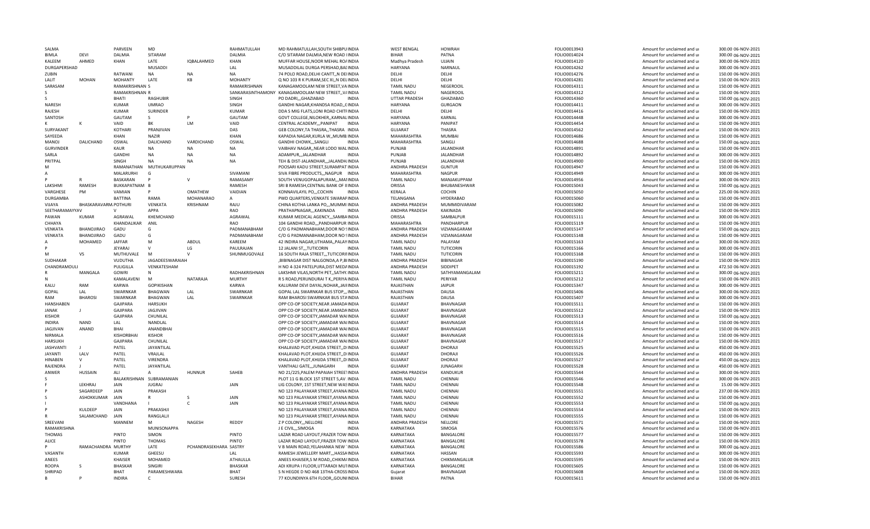| SALMA            |                      | <b>PARVFFN</b>               | MD                           |                        | RAHMATULLAH                  | MD RAHMATULLAH, SOUTH SHIBPUINDIA                                         | <b>WEST BENGAL</b>      | <b>HOWRAH</b>      | FOLIO0013943                 | Amount for unclaimed and ur                                | 300.00 06-NOV-2021                       |
|------------------|----------------------|------------------------------|------------------------------|------------------------|------------------------------|---------------------------------------------------------------------------|-------------------------|--------------------|------------------------------|------------------------------------------------------------|------------------------------------------|
| <b>BIMLA</b>     | DEVI                 | DALMIA                       | SITARAM                      |                        | DALMIA                       | C/O SITARAM DALMIA, NEW ROAD IINDIA                                       | <b>BIHAR</b>            | PATNA              | FOLIO0014024                 | Amount for unclaimed and ur                                | 300.00 06-NOV-2021                       |
| KALEEM           | AHMED                | KHAN                         | LATE                         | IQBALAHMED             | KHAN                         | MUFFAR HOUSE NOOR MEHAL ROAINDIA                                          | Madhya Pradesh          | UJJAIN             | FOLIO0014120                 | Amount for unclaimed and ur                                | 300.00 06-NOV-2021                       |
| DURGAPERSHAD     |                      |                              | MUSADDI                      |                        | LAL                          | MUSADDILAL DURGA PERSHAD, BALINDIA                                        | <b>HARYANA</b>          | NARNAUL            | FOLIO0014262                 | Amount for unclaimed and ur                                | 300.00 06-NOV-2021                       |
| ZUBIN            |                      | RATWANI                      | NA                           | <b>NA</b>              | NA                           | 74 POLO ROAD, DELHI CANTT,, N DEIINDIA                                    | DELHI                   | DELHI              | FOLIO0014276                 | Amount for unclaimed and ur                                | 150.00 06-NOV-2021                       |
| LALIT            | <b>MOHAN</b>         | <b>MOHANTY</b>               | LATE                         | KB                     | <b>MOHANTY</b>               | Q NO 103 R K PURAM, SEC XI, N DELINDIA                                    | DELHI                   | DELHI              | FOLIO0014281                 | Amount for unclaimed and ur                                | 150.00 06-NOV-2021                       |
| SARASAM          |                      | RAMAKRISHNAN S               |                              |                        | RAMAKRISHNAN                 | KANAGAMOOLAM NEW STREET.VAINDIA                                           | <b>TAMIL NADU</b>       | NEGEROOIL          | FOLIO0014311                 | Amount for unclaimed and ur                                | 150.00 06-NOV-2021                       |
|                  |                      | RAMAKRISHNAN R               |                              |                        |                              | SANKARASINTHAMONY KANAGAMOOLAM NEW STREET,, V/INDIA                       | <b>TAMIL NADU</b>       | NAGEROOIL          | FOLIO0014312                 | Amount for unclaimed and ur                                | 150.00 06-NOV-2021                       |
|                  |                      | BHATI                        | <b>RAGHUBIR</b>              |                        | SINGH                        | PO DADRI,,,GHAZIABAD<br><b>INDIA</b>                                      | UTTAR PRADESH           | GHAZIABAD          | FOLIO0014360                 | Amount for unclaimed and ur                                | 150.00 06-NOV-2021                       |
| NARESH           |                      | <b>KUMAR</b>                 | <b>UMRAO</b>                 |                        | SINGH                        | GANDHI NAGAR, KHANDSA ROAD, , CINDIA                                      | <b>HARYANA</b>          | <b>GURGAON</b>     | FOLIO0014411                 | Amount for unclaimed and ur                                | 300.00 06-NOV-2021                       |
| RAJESH           |                      | <b>KUMAR</b>                 | <b>SURINDER</b>              |                        | <b>KUMAR</b>                 | DDA S MIG FLATS, LONI ROAD CHITFINDIA                                     | DELHI                   | DELHI              | FOLIO0014416                 | Amount for unclaimed and ur                                | 150.00 06-NOV-2021                       |
| SANTOSH          |                      | GAUTAM                       | S.                           |                        | <b>GAUTAM</b>                | GOVT COLLEGE, NILOKHER, , KARNAL INDIA                                    | <b>HARYANA</b>          | KARNAL             | FOLIO0014448                 | Amount for unclaimed and ur                                | 300.00 06-NOV-2021                       |
|                  |                      | VAID                         | ВK                           | <b>LM</b>              | VAID                         | CENTRAL ACADEMY,,,PANIPAT<br><b>INDIA</b>                                 | <b>HARYANA</b>          | PANIPAT            | FOLIO0014454                 | Amount for unclaimed and ur                                | 150.00 06-NOV-2021                       |
| SURYAKANT        |                      | KOTHARI                      | PRANJIVAN                    |                        | DAS                          | GEB COLONY, TA THASRA, , THASRA INDIA                                     | <b>GUJARAT</b>          | <b>THASRA</b>      | FOLIO0014562                 | Amount for unclaimed and ur                                | 150.00 06-NOV-2021                       |
| SAYEEDA          |                      | KHAN                         | <b>NAZIR</b>                 |                        | KHAN                         | KAPADIA NAGAR, KURLA W,, MUMB. INDIA                                      | MAHARASHTRA             | <b>MUMBAI</b>      | FOLIO0014686                 | Amount for unclaimed and ur                                | 150.00 06-NOV-2021                       |
| <b>MANOJ</b>     | DALICHAND            | OSWAL                        | DALICHAND                    | VARDICHAND             | OSWAL                        | GANDHI CHOWK,,,SANGLI<br><b>INDIA</b>                                     | MAHARASHTRA             | SANGLI             | FOLIO0014688                 | Amount for unclaimed and ur                                | 150.00 06-NOV-2021                       |
| <b>GURVINDER</b> |                      | KAUR                         | <b>NA</b>                    | <b>NA</b>              | NA                           | VAIBHAV NAGAR, NEAR LODO WALINDIA                                         | PUNJAB                  | <b>JALANDHAR</b>   | FOLIO0014891                 | Amount for unclaimed and ur                                | 150.00 06-NOV-2021                       |
| SARLA            |                      | <b>GANDHI</b>                | <b>NA</b>                    | <b>NA</b>              | <b>NA</b>                    | ADAMPUR,,,JALANDHAR<br><b>INDIA</b>                                       | PUNJAB                  | JALANDHAR          | FOLIO0014892                 | Amount for unclaimed and ur                                | 300.00 06-NOV-2021                       |
| PRITPAL          |                      | SINGH                        | <b>NA</b>                    | <b>NA</b>              | <b>NA</b>                    | TEH & DIST-JALANDHAR,,,JALANDH.INDIA                                      | PUNJAB                  | <b>JALANDHAR</b>   | FOLIO0014900                 | Amount for unclaimed and ur                                | 150.00 06-NOV-2021                       |
| м                |                      | RAMANATHAN                   | MUTHUKARUPPAN                |                        |                              | POOSARI KADU STREET, SURAMPAT INDIA                                       | ANDHRA PRADESH          | <b>GUNTUR</b>      | FOLIO0014947                 | Amount for unclaimed and ur                                | 150.00 06-NOV-2021                       |
|                  |                      | MALARURHI                    | G                            |                        | SIVAMANI                     | SIVA FIBRE PRODUCTS,,, NAGPUR INDIA                                       | MAHARASHTRA             | <b>NAGPUR</b>      | FOLIO0014949                 | Amount for unclaimed and ur                                | 300.00 06-NOV-2021                       |
|                  |                      | BASKARAN                     |                              | $\mathsf{v}$           | RAMASAMY                     | SOUTH VENUGOPALAPURAM,,,MAIINDIA                                          | <b>TAMIL NADU</b>       | MANJAKUPPAM        | FOLIO0014956                 | Amount for unclaimed and ur                                | 300.00 06-NOV-2021                       |
| LAKSHMI          | RAMESH               | BUKKAPATNAM B                |                              |                        | RAMESH                       | SRI B RAMESH, CENTNAL BANK OF IIINDIA                                     | ORISSA                  | BHUBANESHWAR       | FOLIO0015043                 | Amount for unclaimed and ur                                | 150.00 06-NOV-2021                       |
| VARGHESE         | PM                   | VAMIAN                       |                              | OMATHEW                | VAIDIAN                      | KONNAVILAYIL PO,,,COCHIN<br><b>INDIA</b>                                  | KERALA                  | <b>COCHIN</b>      | FOLIO0015050                 | Amount for unclaimed and ur                                | 225.00 06-NOV-2021                       |
| <b>DURGAMBA</b>  |                      | <b>BATTINA</b>               | RAMA                         | <b>MOHANARAO</b>       | $\overline{A}$               | PWD QUARTERS, VENKATE SWARAPINDIA                                         | TELANGANA               | HYDERABAD          | FOLIO0015060                 | Amount for unclaimed and ur                                | 150.00 06-NOV-2021                       |
| <b>VIJAYA</b>    | BHASKARAVARM POTHURI |                              | VENKATA                      | KRISHNAM               | RAJU                         | CHINA KOTHA LANKA PO,,, MUMMI INDIA                                       | ANDHRA PRADESH          | MUMMIDIVARAM       | FOLIO0015082                 | Amount for unclaimed and ur                                | 150.00 06-NOV-2021                       |
| SEETHARAMAYYAV   |                      | $\mathsf{V}$                 | APPA                         |                        | RAO                          | PRATHAPNAGAR,,,KAKINADA<br>INDIA                                          | ANDHRA PRADESH          | KAKINADA           | FOLIO0015090                 | Amount for unclaimed and ur                                | 150.00 06-NOV-2021                       |
| PAWAN            | <b>KUMAR</b>         | AGRAWAL                      | KHEMCHAND                    |                        | AGRAWAL                      | KUMAR MEDICAL AGENCY,,,SAMBAINDIA                                         | ORISSA                  | SAMBALPUR          | FOLIO0015111                 | Amount for unclaimed and ur                                | 300.00 06-NOV-2021                       |
| CHHAYA           |                      | KHANDALIKAR                  | ANIL                         |                        | <b>RAO</b>                   | 104 GANDHI ROAD,,,PANDHARPUR INDIA                                        | MAHARASHTRA             | PANDHARPUR         | FOLIO0015119                 | Amount for unclaimed and ur                                | 150.00 06-NOV-2021                       |
| VENKATA          | BHANOJIRAO           | GADU                         | G                            |                        | PADMANABHAM                  | C/O G PADMANABHAM, DOOR NO SINDIA                                         | ANDHRA PRADESH          | VIZIANAGARAM       | FOLIO0015147                 | Amount for unclaimed and ur                                | 150.00 06-NOV-2021                       |
| VENKATA          | BHANOJIRAO           | GADU                         | G                            |                        | PADMANABHAM                  | C/O G PADMANABHAM, DOOR NO SINDIA                                         | ANDHRA PRADESH          | VIZIANAGARAM       | FOLIO0015148                 | Amount for unclaimed and ur                                | 150.00 06-NOV-2021                       |
|                  | MOHAMED              | <b>JAFFAR</b>                | M                            | ABDUL                  | KAREEM                       | 42 INDIRA NAGAR, UTHAMA,, PALAYINDIA                                      | <b>TAMIL NADU</b>       | PALAYAM            | FOLIO0015163                 | Amount for unclaimed and ur                                | 300.00 06-NOV-2021                       |
|                  |                      | <b>JEYARAJ</b>               | $\mathsf{V}$                 | LG                     | PAULRAJAN                    | 12 JALANI ST,,,TUTICORIN<br><b>INDIA</b>                                  | <b>TAMIL NADU</b>       | <b>TUTICORIN</b>   | FOLIO0015166                 | Amount for unclaimed and ur                                | 300.00 06-NOV-2021                       |
| м                | VS                   | MUTHUVALE                    | M                            |                        | SHUNMUGOVALE                 | 16 SOUTH RAJA STREET,,,TUTICORINIDIA                                      | <b>TAMIL NADU</b>       | <b>TUTICORIN</b>   | FOLIO0015168                 | Amount for unclaimed and ur                                | 150.00 06-NOV-2021                       |
| SUDHAKAR         |                      | VUDUTHA                      | JAGADEESWARAIAH              |                        |                              | BIBINAGAR DIST NALGONDA, A P, BIINDIA                                     | ANDHRA PRADESH          | <b>BIBINAGAR</b>   | FOLIO0015190                 | Amount for unclaimed and ur                                | 150.00 06-NOV-2021                       |
| CHANDRAMOULI     |                      | PULIGILLA                    | VENKATESHAM                  |                        |                              | H NO 4-324 PATELPURA, DIST MEDAINDIA                                      | ANDHRA PRADESH          | SIDDIPFT           | FOLIO0015192                 | Amount for unclaimed and ur                                | 472.50 06-NOV-2021                       |
|                  |                      |                              |                              |                        |                              |                                                                           |                         |                    |                              |                                                            |                                          |
|                  | MANGALA              | GOWRI                        | N                            |                        | RADHAKRISHNAN                | LAKSHMI VILAS, NORTH PET,, SATHY. INDIA                                   | <b>TAMIL NADU</b>       | SATHYAMANGALAM     | FOLIO0015211                 | Amount for unclaimed and ur                                | 300.00 06-NOV-2021                       |
|                  |                      | KAMALAVENI                   | M                            | NATARAJA               | <b>MURTHY</b>                | R S ROAD, PERUNDURAI T K,, PERIYA INDIA                                   | <b>TAMIL NADU</b>       | PFRIYAR            | FOLIO0015212                 | Amount for unclaimed and ur                                | 150.00 06-NOV-2021                       |
| KALU             | RAM                  | KARWA                        | <b>GOPIKISHAN</b>            |                        | <b>KARWA</b>                 | KALURAM DEVI DAYAL, NOHAR, , JAII INDIA                                   | RAJASTHAN               | <b>JAIPUR</b>      | FOLIO0015347                 | Amount for unclaimed and ur                                | 300.00 06-NOV-2021                       |
| GOPAL            | LAL                  | SWARNKAR                     | <b>BHAGWAN</b>               | LAL                    | SWARNKAR                     | GOPAL LAL SWARNKAR BUS STOP,,, INDIA                                      | RAJASTHAN               | DAUSA              | FOLIO0015406                 | Amount for unclaimed and ur                                | 300.00 06-NOV-2021                       |
| RAM              | <b>BHAROSI</b>       | SWARNKAR                     | <b>BHAGWAN</b>               | LAL                    | SWARNKAR                     | RAM BHAROSI SWARNKAR BUS STAINDIA                                         | RAJASTHAN               | DAUSA              | FOLIO0015407                 | Amount for unclaimed and ur                                | 300.00 06-NOV-2021                       |
| HANSHABEN        |                      | GAJIPARA                     | HARSUKH                      |                        |                              | OPP CO-OP SOCIETY, NEAR JAMADAINDIA                                       | <b>GUJARAT</b>          | BHAVNAGAR          | FOLIO0015511                 | Amount for unclaimed and ur                                | 150.00 06-NOV-2021                       |
| <b>JANAK</b>     |                      | GAJIPARA                     | <b>JAGJIVAN</b>              |                        |                              | OPP CO-OP SOCIETY, NEAR JAMADAINDIA                                       | <b>GUJARAT</b>          | BHAVNAGAR          | FOLIO0015512                 | Amount for unclaimed and ur                                | 150.00 06-NOV-2021                       |
| KISHOR           |                      | <b>GAJIPARA</b>              | CHUNILAL                     |                        |                              | OPP CO-OP SOCIETY.JAMADAR WAIINDIA                                        | GUJARAT                 | <b>BHAVNAGAR</b>   | FOLIO0015513                 | Amount for unclaimed and ur                                | 150.00 06-NOV-2021                       |
| INDIRA           | <b>NAND</b>          | LAL                          | NANDLAL                      |                        |                              | OPP CO-OP SOCIETY, JAMADAR WAIINDIA                                       | <b>GUJARAT</b>          | <b>BHAVNAGAR</b>   | FOLIO0015514                 | Amount for unclaimed and ur                                | 150.00 06-NOV-2021                       |
| <b>JAGJIVAN</b>  | ANAND                | BHAI                         | ANANDBHAI                    |                        |                              | OPP CO-OP SOCIETY, JAMADAR WAIINDIA                                       | <b>GUJARAT</b>          | BHAVNAGAR          | FOLIO0015515                 | Amount for unclaimed and ur                                | 150.00 06-NOV-2021                       |
| NIRMALA          |                      | KISHORBHAI                   | KISHOR                       |                        |                              | OPP CO-OP SOCIETY, JAMADAR WAIINDIA                                       | <b>GUJARAT</b>          | BHAVNAGAR          | FOLIO0015516                 | Amount for unclaimed and ur                                | 150.00 06-NOV-2021                       |
| HARSUKH          |                      | <b>GAJIPARA</b>              | CHUNILAL                     |                        |                              | OPP CO-OP SOCIETY, JAMADAR WAIINDIA                                       | <b>GUJARAT</b>          | <b>BHAVNAGAR</b>   | FOLIO0015517                 | Amount for unclaimed and ur                                | 150.00 06-NOV-2021                       |
| <b>JASHVANT</b>  |                      | PATEL                        | JAYANTILAL                   |                        |                              | KHALAVAD PLOT, KHIJDA STREET,, DIINDIA                                    | <b>GUJARAT</b>          | DHORAJI            | FOLIO0015525                 | Amount for unclaimed and ur                                | 450.00 06-NOV-2021                       |
| <b>JAYANTI</b>   | LALV                 | PATEL                        | VRAJLAL                      |                        |                              | KHALAVAD PLOT, KHIJDA STREET, , DIINDIA                                   | <b>GUJARAT</b>          | DHORAJI            | FOLIO0015526                 | Amount for unclaimed and ur                                | 450.00 06-NOV-2021                       |
| HINABEN          | $\mathsf{v}$         | PATEL                        | VIRENDRA                     |                        |                              | KHALAVAD PLOT, KHIJDA STREET, , DIINDIA                                   | <b>GUJARAT</b>          | DHORAJI            | FOLIO0015527                 | Amount for unclaimed and ur                                | 450.00 06-NOV-2021                       |
| RAIFNDRA         |                      | PATEL                        | JAYANTILAL                   |                        |                              | VANTHALI GATEJUNAGARH<br><b>INDIA</b>                                     | GUJARAT                 | <b>JUNAGARH</b>    | FOLIO0015528                 | Amount for unclaimed and ur                                | 450.00 06-NOV-2021                       |
| ANWER            | <b>HUSSAIN</b>       | ALI                          | А                            | HUNNUR                 | SAHEB                        | NO 21/225, PALEM PAPAIAH STREETINDIA                                      | ANDHRA PRADESH          | KANDUKUR           | FOLIO0015544                 | Amount for unclaimed and ur                                | 300.00 06-NOV-2021                       |
|                  |                      |                              | BALAKRISHNAN SUBRAMANIAN     |                        |                              | PLOT 11 G BLOCK 1ST STREET 5, AV . INDIA                                  | <b>TAMIL NADU</b>       | CHENNAI            | FOLIO0015546                 | Amount for unclaimed and ur                                | 300.00 06-NOV-2021                       |
|                  | LEKHRAJ              | JAIN                         | <b>JUGRAJ</b>                |                        | JAIN                         | LIG COLONY, 1ST STREET, NEW WASINDIA                                      | <b>TAMIL NADU</b>       | CHENNAI            | FOLIO0015548                 | Amount for unclaimed and ur                                | 15.00 06-NOV-2021                        |
|                  | SAGARDEEP            | JAIN                         | PRAKASH                      |                        |                              | NO 123 PALAYAKAR STREET, AYANA INDIA                                      | <b>TAMIL NADU</b>       | CHENNAI            | FOLIO0015551                 | Amount for unclaimed and ur                                | 237.00 06-NOV-2021                       |
|                  | ASHOKKUMAR           | JAIN                         | R                            |                        | JAIN                         | NO 123 PALAYAKAR STREET, AYANA INDIA                                      | <b>TAMIL NADU</b>       | CHENNAI            | FOLIO0015552                 | Amount for unclaimed and ur                                | 150.00 06-NOV-2021                       |
|                  |                      | VANDHANA                     |                              | $\mathsf{C}$           | JAIN                         | NO 123 PALAYAKAR STREET, AYANA INDIA                                      | <b>TAMIL NADU</b>       | CHENNAI            | FOLIO0015553                 | Amount for unclaimed and ur                                | 150.00 06-NOV-2021                       |
|                  | KULDEEP              | JAIN                         | PRAKASHJI                    |                        |                              | NO 123 PALAYAKAR STREET.AYANA INDIA                                       | <b>TAMIL NADU</b>       | CHENNAI            | FOLIO0015554                 | Amount for unclaimed and ur                                | 150.00 06-NOV-2021                       |
|                  | SALAMCHAND           | <b>JAIN</b>                  | RANGLALJI                    |                        |                              | NO 123 PALAYAKAR STREET, AYANA INDIA                                      | <b>TAMIL NADU</b>       | CHENNAI            | FOLIO0015555                 | Amount for unclaimed and ur                                | 150.00 06-NOV-2021                       |
| SREEVANI         |                      | MANNEM                       | M                            | NAGESH                 | REDDY                        | Z P COLONY,,, NELLORE<br><b>INDIA</b>                                     | ANDHRA PRADESH          | NELLORE            | FOLIO0015571                 | Amount for unclaimed and ur                                | 150.00 06-NOV-2021                       |
| RAMAKRISHNA      |                      |                              | MUNISONAPPA                  |                        |                              | J E CIVIL, SIMOGA<br>INDIA                                                | KARNATAKA               | SIMOGA             | FOLIO0015576                 | Amount for unclaimed and ur                                | 150.00 06-NOV-2021                       |
| <b>THOMAS</b>    |                      | PINTO                        | SIMON                        |                        | PINTO                        | LAZAR ROAD LAYOUT, FRAZER TOW INDIA                                       | KARNATAKA               | BANGALORE          | FOLIO0015577                 | Amount for unclaimed and ur                                | 150.00 06-NOV-2021                       |
| ALICE            |                      | <b>PINTO</b>                 | <b>THOMAS</b>                |                        | PINTO                        | LAZAR ROAD LAYOUT.FRAZER TOW INDIA                                        | KARNATAKA               | BANGALORE          | FOLIO0015578                 | Amount for unclaimed and ur                                | 150.00 06-NOV-2021                       |
|                  | RAMACHANDRA MURTHY   |                              | LATE                         | PCHANDRASEKHARA SASTRY |                              | V B MAIN ROAD, YELAHANKA NEW 1INDIA                                       | KARNATAKA               | BANGALORE          | FOLIO0015586                 | Amount for unclaimed and ur                                | 300.00 06-NOV-2021                       |
| VASANTH          |                      | <b>KUMAR</b>                 | GHEESU                       |                        | LAL                          | RAMESH JEWELLERY MART,,,HASSAINDIA                                        | KARNATAKA               | HASSAN             | FOLIO0015593                 | Amount for unclaimed and ur                                | 300.00 06-NOV-2021                       |
| ANEES            |                      | <b>KHAISER</b>               | MOHAMED                      |                        | ATHAULLA                     | ANEES KHAISER, S M ROAD,, CHIKM/INDIA                                     | KARNATAKA               | CHIKMANGALUR       | FOLIO0015595                 | Amount for unclaimed and ur                                | 150.00 06-NOV-2021                       |
| ROOPA            |                      | <b>BHASKAR</b>               | SINGIRI                      |                        | <b>BHASKAR</b>               | ADI KRUPA I FLOOR, UTTARADI MUTINDIA                                      | KARNATAKA               | BANGALORE          | FOLIO0015605                 | Amount for unclaimed and ur                                | 150.00 06-NOV-2021                       |
| SHRIPAD<br>R.    |                      | <b>BHAT</b><br><b>INDIRA</b> | PARAMESHWARA<br>$\mathsf{C}$ |                        | <b>BHAT</b><br><b>SURESH</b> | S N HEGDE D NO 468 13THA-CROSSINDIA<br>77 KOUNDINYA 6TH FLOOR, GOUNIINDIA | Gujarat<br><b>BIHAR</b> | BHAVNAGAR<br>PATNA | FOLIO0015608<br>FOLIO0015611 | Amount for unclaimed and ur<br>Amount for unclaimed and ur | 150.00 06-NOV-2021<br>150.00 06-NOV-2021 |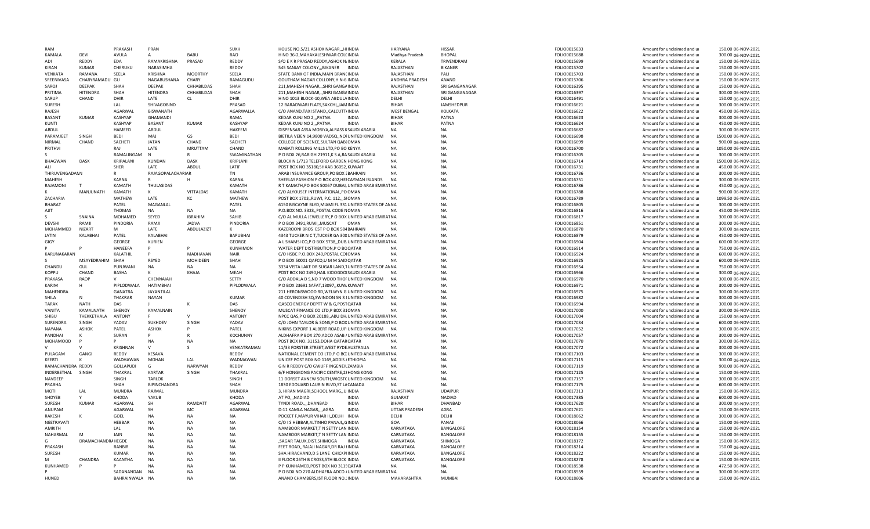| RAM                   |                    | PRAKASH          | PRAN              |                | <b>SUKH</b>     | HOUSE NO.5/21 ASHOK NAGAR,,,HIINDIA                     | HARYANA              | HISSAR            | FOLIO0015633 | Amount for unclaimed and ur | 150.00 06-NOV-2021  |
|-----------------------|--------------------|------------------|-------------------|----------------|-----------------|---------------------------------------------------------|----------------------|-------------------|--------------|-----------------------------|---------------------|
| KAMALA                | DEVI               | AVULA            | А                 | BABU           | RAO             | H NO 36-2, MAHAKALESHWAR COLCINDIA                      | Madhya Pradesh       | <b>BHOPAL</b>     | FOLIO0015688 | Amount for unclaimed and ur | 300.00 06-NOV-2021  |
| ADI                   | REDDY              | EDA              | RAMAKRISHNA       | PRASAD         | REDDY           | S/O E K R PRASAD REDDY, ASHOK N/INDIA                   | KERALA               | TRIVENDRAM        | FOLIO0015699 | Amount for unclaimed and ur | 150.00 06-NOV-2021  |
| <b>KIRAN</b>          | <b>KUMAR</b>       | CHERUKU          | NARASIMHA         |                | REDDY           | 545 SANJAY COLONY,,,BIKANER INDIA                       | RAJASTHAN            | <b>BIKANER</b>    | FOLIO0015702 | Amount for unclaimed and ur | 150.00 06-NOV-2021  |
| VENKATA               | RAMANA             | SEELA            | KRISHNA           | <b>MOORTHY</b> | SEELA           | STATE BANK OF INDIA, MAIN BRANCINDIA                    | RAJASTHAN            | PALI              | FOLIO0015703 | Amount for unclaimed and ur | 150.00 06-NOV-2021  |
| SREENIVASA            | CHARYRAMADU GU     |                  | NAGABUSHANA       | CHARY          | RAMAGUDU        | GOUTHAM NAGAR COLLONY, H N-6 INDIA                      | ANDHRA PRADESH       | ANAND             | FOLIO0015706 | Amount for unclaimed and ur | 150.00 06-NOV-2021  |
| SAROJ                 | <b>DEEPAK</b>      | SHAH             | <b>DFFPAK</b>     | CHHABILDAS     | SHAH            | 211, MAHESH NAGAR, ,, SHRI GANGAINDIA                   | RAJASTHAN            | SRI GANGANAGAR    | FOLIO0016395 | Amount for unclaimed and ur | 150.00 06-NOV-2021  |
| PRITIMA               | HITENDRA           | SHAH             | <b>HITENDRA</b>   | CHHABILDAS     | SHAH            | 211, MAHESH NAGAR,,, SHRI GANGAINDIA                    | RAJASTHAN            | SRI GANGANAGAR    | FOLIO0016397 | Amount for unclaimed and ur | 300.00 06-NOV-2021  |
| SARUP                 | CHAND              | DHIR             | LATE              | <b>CL</b>      | DHIR            | H NO 1013 BLOCK-10, WEA ABDULAINDIA                     | DELHI                | DELHI             | FOLIO0016491 | Amount for unclaimed and ur | 150.00 06-NOV-2021  |
| <b>SURESH</b>         |                    | LAL              | SHIVAGOBIND       |                | PRASAD          | 12 BARADWARI FLATS, SAKCHI, JAMINDIA                    | <b>BIHAR</b>         | <b>JAMSHEDPUR</b> | FOLIO0016621 | Amount for unclaimed and ur | 300.00 06-NOV-2021  |
| RAJESH                |                    | <b>AGARWAL</b>   | <b>BISWANATH</b>  |                | AGARWALLA       | C/O ANAND, TAXI STAND, , CALCUTT/INDIA                  | <b>WEST BENGAL</b>   | KOLKATA           | FOLIO0016622 | Amount for unclaimed and ur | 450.00 06-NOV-2021  |
| <b>BASANT</b>         | KUMAR              | <b>KASHYAP</b>   | <b>GHAMANDI</b>   |                | RAMA            | KEDAR KUNJ NO 2,,, PATNA<br><b>INDIA</b>                | <b>BIHAR</b>         | PATNA             | FOLIO0016623 | Amount for unclaimed and ur | 300.00 06-NOV-2021  |
| KUNTI                 |                    | <b>KASHYAP</b>   | <b>BASANT</b>     | <b>KUMAR</b>   | <b>KASHYAP</b>  | KEDAR KUNJ NO 2,,, PATNA<br><b>INDIA</b>                | <b>BIHAR</b>         | PATNA             | FOLIO0016624 | Amount for unclaimed and ur | 450.00 06-NOV-2021  |
| ABDUL                 |                    | HAMEED           | ABDUL             |                | <b>HAKFFM</b>   | DISPENSAR ASSA MORIYA, ALRASS KSAUDI ARABIA             | <b>NA</b>            | <b>NA</b>         | FOLIO0016682 | Amount for unclaimed and ur | 300.00 06-NOV-2021  |
| <b>PARAMJEET</b>      | SINGH              | BEDI             | MAI               | GS             | <b>BEDI</b>     | BIETILA VEIEN 14,9800 VADSQ,, NOI UNITED KINGDOM        | <b>NA</b>            | <b>NA</b>         | FOLIO0016698 | Amount for unclaimed and ur | 1500.00 06-NOV-2021 |
| NIRMAL                | CHAND              | SACHETI          | <b>JATAN</b>      | CHAND          | SACHETI         | COLLEGE OF SCIENCE, SULTAN QAB(OMAN                     | <b>NA</b>            | NA                | FOLIO0016699 | Amount for unclaimed and ur | 900.00 06-NOV-2021  |
| PRITHVI               |                    | RAJ              | LATE              | MRUTTAM        | CHAND           | MABATI ROLLING MILLS LTD, PO BO KENYA                   | <b>NA</b>            | NA                | FOLIO0016700 | Amount for unclaimed and ur | 1050.00 06-NOV-2021 |
|                       |                    | RAMALINGAM       | $\mathsf{N}$      | R              | SWAMINATHAN     | P O BOX 26, RABIGH 21911, K S A, RASAUDI ARABIA         | <b>NA</b>            | <b>NA</b>         | FOLIO0016705 | Amount for unclaimed and ur | 300.00 06-NOV-2021  |
| BHAGWAN               | <b>DASK</b>        | KRIPALANI        | <b>KUNDAN</b>     | <b>DASK</b>    | KRIPLANI        | BLOCK N 1/713 TELEFORD GARDEN HONG KONG                 | <b>NA</b>            | <b>NA</b>         | FOLIO0016714 | Amount for unclaimed and ur | 1500.00 06-NOV-2021 |
| ALI                   |                    | SHER             | LATE              | ABDUL          | LATIF           | POST BOX NO 35180, SHAAB 36052, KUWAIT                  | <b>NA</b>            | <b>NA</b>         | FOLIO0016731 | Amount for unclaimed and ur | 450.00 06-NOV-2021  |
| <b>THIRUVENGADANN</b> |                    |                  | RAJAGOPALACHARIAR |                | <b>TN</b>       | ARAB INSURANCE GROUP, PO BOX 2 BAHRAIN                  | <b>NA</b>            | <b>NA</b>         | FOLIO0016736 | Amount for unclaimed and ur | 300.00 06-NOV-2021  |
| <b>MAHFSH</b>         |                    | <b>KARNA</b>     |                   | H              | <b>KARNA</b>    | SHEELAS FASHION P O BOX 402, HEI CAYMAN ISLANDS         | <b>NA</b>            | <b>NA</b>         | FOLIO0016751 | Amount for unclaimed and ur | 300.00 06-NOV-2021  |
| RAJAMONI              |                    | KAMATH           | THULASIDAS        |                | KAMATH          | R T KAMATH, PO BOX 50067 DUBAI, UNITED ARAB EMIRAT NA   |                      | <b>NA</b>         | FOLIO0016786 | Amount for unclaimed and ur | 450.00 06-NOV-2021  |
|                       | MANJUNATH          | KAMATH           | K                 | VITTALDAS      | KAMATH          | C/O ALYOUSEF INTERNATIONAL, PO OMAN                     | <b>NA</b>            | <b>NA</b>         | FOLIO0016788 | Amount for unclaimed and ur | 900.00 06-NOV-2021  |
| ZACHARIA              |                    | MATHEW           | LATE              | КC             | MATHEW          | POST BOX 1703, RUWI, P.C. 112, SIOMAN                   | <b>NA</b>            | NA                | FOLIO0016789 | Amount for unclaimed and ur | 1099.50 06-NOV-2021 |
| <b>BHARAT</b>         |                    | PATEL            | MAGANLAL          |                | PATEL           | 6150 BISCAYNE BLYD, MIAMI FL 331 UNITED STATES OF ANNA  |                      | <b>NA</b>         | FOLIO0016805 | Amount for unclaimed and ur | 300.00 06-NOV-2021  |
| AJIT                  |                    | <b>THOMAS</b>    | NA                | NA             | NA              | P.O.BOX NO. 3323, POSTAL CODE NOMAN                     | <b>NA</b>            | <b>NA</b>         | FOLIO0016816 | Amount for unclaimed and ur | 450.00 06-NOV-2021  |
|                       | SNAINA             | MOHAMED          | SEYED             | <b>IBRAHIM</b> | SAHIB           | C/O AL MULLA JEWELLERY, P O BOX UNITED ARAB EMIRAT NA   |                      | <b>NA</b>         | FOLIO0016817 | Amount for unclaimed and ur | 300.00 06-NOV-2021  |
| <b>DFVSHI</b>         | RAMJI              | PINDORIA         | RAMJI             | <b>JADVA</b>   | PINDORIA        | P O BOX 3491, RUWI, , MUSCAT<br>OMAN                    | <b>NA</b>            | <b>NA</b>         | FOLIO0016851 | Amount for unclaimed and ur | 300.00 06-NOV-2021  |
| MOHAMMFD              | NIZART             | M                | LATE              | ABDULAZIZT     | $\kappa$        | KAZEROONI BROS EST P O BOX 584 BAHRAIN                  | <b>NA</b>            | <b>NA</b>         | FOLIO0016870 | Amount for unclaimed and ur | 300.00 06-NOV-2021  |
| <b>JATIN</b>          | KALABHAI           | PATEL            | KALABHAI          |                | <b>BAPUBHAI</b> | 4343 TUCKER N C T, TUCKER GA 300 UNITED STATES OF AN NA |                      | <b>NA</b>         | FOLIO0016879 | Amount for unclaimed and ur | 450.00 06-NOV-2021  |
| GIGY                  |                    | GEORGE           | KURIEN            |                | GEORGE          | A L SHAMSI CO,P O BOX 5738, DUB UNITED ARAB EMIRAT NA   |                      | <b>NA</b>         | FOLIO0016904 | Amount for unclaimed and ur | 600.00 06-NOV-2021  |
|                       |                    | HANEEFA          | P                 |                | <b>KUNHIMON</b> | WATER DEPT DISTRIBUTION, P O BOQATAR                    | <b>NA</b>            | NA                | FOLIO0016914 | Amount for unclaimed and ur | 750.00 06-NOV-2021  |
| KARUNAKARAN           |                    | KALATHIL         | P                 | MADHAVAN       | <b>NAIR</b>     | C/O HSBC P.O.BOX 240, POSTAL COIOMAN                    | <b>NA</b>            | <b>NA</b>         | FOLIO0016924 | Amount for unclaimed and ur | 600.00 06-NOV-2021  |
|                       | MSAYEDRAHIM        | SHAH             | RSYED             | MOHIDEEN       | SHAH            | P O BOX 50001 QAFCO,U M M SAIDQATAR                     | <b>NA</b>            | <b>NA</b>         | FOLIO0016925 | Amount for unclaimed and ur | 600.00 06-NOV-2021  |
| CHANDU                | GUL                | PUNJWANI         | NA                | <b>NA</b>      | <b>NA</b>       | 3334 VISTA LAKE DR SUGAR LAND, TUNITED STATES OF ANNA   |                      | <b>NA</b>         | FOLIO0016954 | Amount for unclaimed and ur | 750.00 06-NOV-2021  |
| KOPPU                 | CHAND              | <b>BASHA</b>     |                   | KHAIA          | <b>MEAH</b>     | POST BOX NO 2490, HAIL KIOOGDOISAUDI ARABIA             | <b>NA</b>            | <b>NA</b>         | FOLIO0016966 | Amount for unclaimed and ur | 300.00 06-NOV-2021  |
| PRAKASA               | <b>RAOP</b>        |                  | CHENNAIAH         |                | SETTY           | C/O ADDALA D S, NO 7 WOOD THOFUNITED KINGDOM            | <b>NA</b>            | <b>NA</b>         | FOLIO0016970 | Amount for unclaimed and ur | 300.00 06-NOV-2021  |
| KARIM                 | н                  | PIPLODWALA       | HATIMBHAI         |                | PIPLODWALA      | P O BOX 23691 SAFAT,13097,,KUW,KUWAIT                   | <b>NA</b>            | <b>NA</b>         | FOLIO0016971 | Amount for unclaimed and ur | 300.00 06-NOV-2021  |
| MAHENDRA              |                    | GANATRA          | <b>JAYANTILAL</b> |                |                 | 211 HERONSWOOD RD, WELWYN G UNITED KINGDOM              | <b>NA</b>            | NA                | FOLIO0016975 | Amount for unclaimed and ur | 300.00 06-NOV-2021  |
| SHILA                 | N                  | THAKRAR          | NAYAN             |                | <b>KUMAR</b>    | 40 COVENDISH SQ, SWINDON SN 3 {UNITED KINGDOM           | <b>NA</b>            | <b>NA</b>         | FOLIO0016982 | Amount for unclaimed and ur | 300.00 06-NOV-2021  |
| <b>TARAK</b>          | <b>NATH</b>        | DAS              |                   | K              | DAS             | QASCO ENERGY DEPTT W & G, POSTQATAR                     | <b>NA</b>            | <b>NA</b>         | FOLIO0016994 | Amount for unclaimed and ur | 300.00 06-NOV-2021  |
| VANITA                | KAMALNATH          | SHENOY           | KAMALNAIN         |                | SHENOY          | MUSCAT FINANCE CO LTD,P BOX 310MAN                      | <b>NA</b>            | <b>NA</b>         | FOLIO0017000 | Amount for unclaimed and ur | 300.00 06-NOV-2021  |
| SHIBU                 | THEKKETHALA        | ANTONY           | F.                |                | <b>ANTONY</b>   | NPCC QAS, P O BOX 20188, ABU DH UNITED ARAB EMIRATNA    |                      | <b>NA</b>         | FOLIO0017004 | Amount for unclaimed and u  | 150.00 06-NOV-2021  |
| SURENDRA              | SINGH              | YADAV            | SUKHDEV           | SINGH          | YADAV           | C/O JOHN TAYLOR & SONS, P O BOXUNITED ARAB EMIRAT NA    |                      | <b>NA</b>         | FOLIO0017034 | Amount for unclaimed and ur | 600.00 06-NOV-2021  |
| NAYANA                | ASHOK              | PATEL            | <b>ASHOK</b>      | P              | PATEL           | NIKINS EXPORT 1 ALBERT ROAD, UPIUNITED KINGDOM NA       |                      | <b>NA</b>         | FOLIO0017052 | Amount for unclaimed and ur | 300.00 06-NOV-2021  |
| PANDHAI               |                    | SURAN            | Þ                 |                | KOCHUNNY        | ALDHAFRA P BOX 270, ADCO ASAB / UNITED ARAB EMIRAT NA   |                      | NA                | FOLIO0017057 | Amount for unclaimed and ur | 300.00 06-NOV-2021  |
| <b>MOHAMOOD</b>       |                    |                  | NA                | <b>NA</b>      | <b>NA</b>       | POST BOX NO. 31153, DOHA QATAR QATAR                    | <b>NA</b>            | NA                | FOLIO0017070 | Amount for unclaimed and ur | 300.00 06-NOV-2021  |
|                       |                    | KRISHNAN         | $\mathsf{v}$      | <sub>S</sub>   | VENKATRAMAN     | 11/33 FORSTER STREET, WEST RYDE AUSTRALIA               | <b>NA</b>            | <b>NA</b>         | FOLIO0017072 | Amount for unclaimed and ur | 300.00 06-NOV-2021  |
| PULAGAM               | GANGI              | REDDY            | KESAVA            |                | REDDY           | NATIONAL CEMENT CO LTD, P O BO'UNITED ARAB EMIRATNA     |                      | <b>NA</b>         | FOLIO0017103 | Amount for unclaimed and ur | 300.00 06-NOV-2021  |
| KFFRTI                |                    | WADHAWAN         | <b>MOHAN</b>      | LAL            | WADMAWAN        | UNICEF POST BOX NO 1169, ADDIS / ETHIOPIA               | <b>NA</b>            | <b>NA</b>         | FOLIO0017115 | Amount for unclaimed and ur | 300.00 06-NOV-2021  |
| RAMACHANDRA REDDY     |                    | <b>GOLLAPUDI</b> | G                 | <b>NARWYAN</b> | REDDY           | G N R REDDY C/O GWUFF INGENEILZAMBIA                    | <b>NA</b>            | NΔ                | FOLIO0017119 | Amount for unclaimed and ur | 900.00 06-NOV-2021  |
| INDERBETHAL           | SINGH              | THAKRAL          | <b>KARTAR</b>     | SINGH          | THAKRAI         | 6/F HONGKONG PACIFIC CENTRE, 28 HONG KONG               | <b>NA</b>            | <b>NA</b>         | FOLIO0017125 | Amount for unclaimed and ur | 150.00 06-NOV-2021  |
| NAVDEEP               |                    | SINGH            | <b>TARLOK</b>     |                | SINGH           | 11 DORSET AVNEW SOUTH, WIGSTCUNITED KINGDOM             | <b>NA</b>            | <b>NA</b>         | FOLIO0017157 | Amount for unclaimed and ur | 300.00 06-NOV-2021  |
| PRABHA                |                    | SHAH             | BIPINCHANDRA      |                | SHAH            | 1830 EDOUARD LAURIN BLVD, ST LACANADA                   | <b>NA</b>            | <b>NA</b>         | FOLIO0017175 | Amount for unclaimed and ur | 600.00 06-NOV-2021  |
| MOTI                  | LAL                | <b>MUNDRA</b>    | RAJMAL            |                | <b>MUNDRA</b>   | 3, HIRAN MAGRI, SCHOOL MARG, UINDIA                     | RAJASTHAN            | <b>UDAIPUF</b>    | FOLIO0017313 | Amount for unclaimed and ur | 150.00 06-NOV-2021  |
| SHOYEB                | Y                  | KHODA            | YAKUB             |                | KHODA           | AT PO,,, NADIAD<br><b>INDIA</b>                         | <b>GUJARAT</b>       | NADIAD            | FOLIO0017385 | Amount for unclaimed and ur | 600.00 06-NOV-2021  |
| <b>SURESH</b>         | KUMAR              | AGARWAL          | SH                | RAMDATT        | AGARWAL         | TYNDI ROAD,,,,DHANBAD<br><b>INDIA</b>                   | <b>BIHAR</b>         | DHANBAD           | FOLIO0017620 | Amount for unclaimed and ur | 300.00 06-NOV-2021  |
| ANUPAM                |                    | <b>AGARWAL</b>   | SH                | MC             | <b>AGARWAL</b>  | D-11 KAMLA NAGAR,,,,AGRA<br><b>INDIA</b>                | <b>UTTAR PRADESH</b> | AGRA              | FOLIO0017621 | Amount for unclaimed and ur | 150.00 06-NOV-2021  |
| RAKESH                |                    | GOEL             | NA                | <b>NA</b>      | <b>NA</b>       | POCKET F, MAYUR VIHAR II, , DELHI INDIA                 | DFLHI                | DELHI             | FOLIO0018062 | Amount for unclaimed and ur | 300.00 06-NOV-2021  |
| NEETRAVATI            |                    | <b>HEBBAR</b>    | NA                | <b>NA</b>      | NA              | C/O I S HEBBAR, ALTINHO PANAJI, GINDIA                  | GOA                  | PANAJI            | FOLIO0018066 | Amount for unclaimed and ur | 150.00 06-NOV-2021  |
| AMRITH                |                    | LAL              | <b>NA</b>         | <b>NA</b>      | <b>NA</b>       | NAMBOOR MARKET,T N SETTY LAN INDIA                      | KARNATAKA            | BANGALORE         | FOLIO0018154 | Amount for unclaimed and ur | 150.00 06-NOV-2021  |
| NAHARMAL              | M                  | JAIN             | NA                | <b>NA</b>      | <b>NA</b>       | NAMBOOR MARKET,T N SETTY LAN INDIA                      | KARNATAKA            | BANGALORE         | FOLIO0018155 | Amount for unclaimed and ur | 150.00 06-NOV-2021  |
| G                     | DRAMACHANDRA HEGDE |                  | NA                | <b>NA</b>      | <b>NA</b>       | .SAGAR TALUK.DIST.SHIMOGA<br><b>INDIA</b>               | KARNATAKA            | SHIMOGA           | FOLIO0018172 | Amount for unclaimed and ur | 150.00 06-NOV-2021  |
| PRAKASH               |                    | RANBIR           | <b>NA</b>         | <b>NA</b>      | <b>NA</b>       | FEET ROAD, RAJAJI NAGAR, DR RAJ HNDIA                   | KARNATAKA            | BANGALORE         | FOLIO0018214 | Amount for unclaimed and ur | 150.00 06-NOV-2021  |
| <b>SURESH</b>         |                    | <b>KUMAR</b>     | <b>NA</b>         | <b>NA</b>      | <b>NA</b>       | SHA HIRACHAND, D S LANE CHICKPIINDIA                    | KARNATAKA            | BANGALORE         | FOLIO0018222 | Amount for unclaimed and ur | 150.00 06-NOV-2021  |
| м                     | CHANDRA            | KAANTHA          | <b>NA</b>         | <b>NA</b>      | <b>NA</b>       | II FLOOR 26TH B CROSS, 5TH BLOCK INDIA                  | KARNATAKA            | BANGALORE         | FOLIO0018278 | Amount for unclaimed and ur | 150.00 06-NOV-2021  |
| KUNHAMED              |                    |                  | <b>ΝΑ</b>         | <b>NA</b>      | <b>NA</b>       | P P KUNHAMED, POST BOX NO 3115QATAR                     | <b>NA</b>            | NA                | FOLIO0018538 | Amount for unclaimed and ur | 472.50 06-NOV-2021  |
|                       |                    | SADANANDAN       | <b>NA</b>         | <b>NA</b>      | <b>NA</b>       | P O BOX NO 270 ALDHAFRA ADCO / UNITED ARAB EMIRAT NA    |                      | <b>NA</b>         | FOLIO0018559 | Amount for unclaimed and ur | 300.00 06-NOV-2021  |
| HUNED                 |                    | BAHRAINWALA NA   |                   | <b>NA</b>      | <b>NA</b>       | ANAND CHAMBERS, IST FLOOR NO.1INDIA                     | MAHARASHTRA          | <b>MUMBAI</b>     | FOLIO0018606 | Amount for unclaimed and ur | 150.00 06-NOV-2021  |
|                       |                    |                  |                   |                |                 |                                                         |                      |                   |              |                             |                     |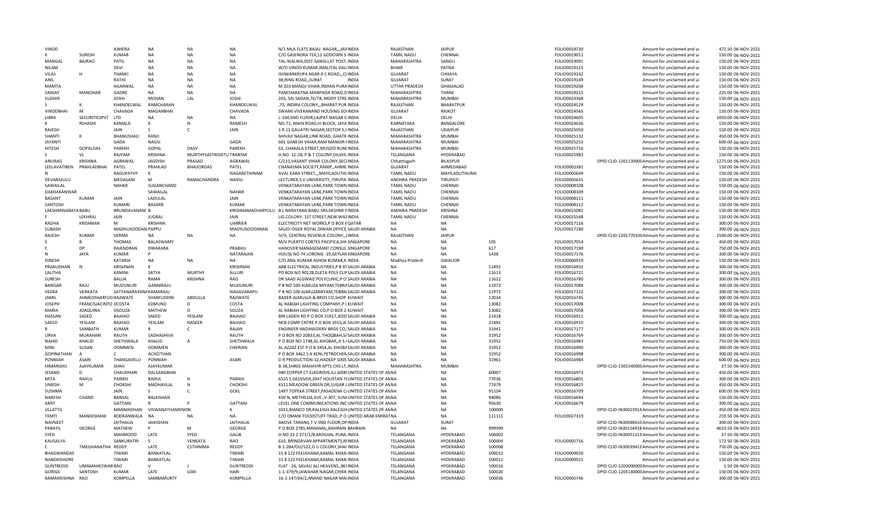| VINOD                        |                       | AJMERA                 | <b>NA</b>                   | <b>NA</b>                          | <b>NA</b>            | N/1 MLA FLATS BAJAJ NAGAR,,,JAIFINDIA                                                       | RAJASTHAN                   | <b>JAIPUR</b>                |                | FOLIO0018730                 | Amount for unclaimed and ur                                                     | 472.50 06-NOV-2021                        |
|------------------------------|-----------------------|------------------------|-----------------------------|------------------------------------|----------------------|---------------------------------------------------------------------------------------------|-----------------------------|------------------------------|----------------|------------------------------|---------------------------------------------------------------------------------|-------------------------------------------|
|                              | <b>SURFSH</b>         | <b>KUMAR</b>           | <b>NA</b>                   | <b>NA</b>                          | <b>NA</b>            | C/O GAJENDRA TEX, 11 GODOWN S'INDIA                                                         | <b>TAMIL NADU</b>           | CHENNAL                      |                | FOLIO0019011                 | Amount for unclaimed and ur                                                     | 150.00 06-NOV-2021                        |
| MANGAL                       | <b>BAJRAO</b>         | PATIL                  | NA                          | NA                                 | <b>NA</b>            | TAL-WALWA, DIST-SANGLI, AT POST, INDIA                                                      | MAHARASHTRA                 | SANGLI                       |                | FOLIO0019091                 | Amount for unclaimed and ur                                                     | 150.00 06-NOV-2021                        |
| <b>NILAM</b>                 |                       | DEVI                   | <b>NA</b>                   | <b>NA</b>                          | NA                   | W/O VINOD KUMAR, IMALITAL DALIINDIA                                                         | <b>BIHAR</b>                | PATNA                        |                | FOLIO0019115                 | Amount for unclaimed and ur                                                     | 150.00 06-NOV-2021                        |
| VILAS                        | H                     | <b>THANK</b>           | <b>NA</b>                   | <b>NA</b>                          | <b>NA</b>            | ISHWARKRUPA NEAR A C ROAD, , CHNDIA                                                         | <b>GUJARAT</b>              | CHHAYA                       |                | FOLIO0019142                 | Amount for unclaimed and ur                                                     | 150.00 06-NOV-2021                        |
| ANIL                         |                       | RATHI                  | <b>NA</b>                   | <b>NA</b>                          | <b>NA</b>            | 38, RING ROAD, , SURAT<br><b>INDIA</b>                                                      | GUJARAT                     | SURAT                        |                | FOLIO0019149                 | Amount for unclaimed and ur                                                     | 150.00 06-NOV-2021                        |
| MAMTA                        |                       | AGARWAL                | <b>NA</b>                   | <b>NA</b>                          | <b>NA</b>            | M 203 MANOJ VIHAR, INDIAN PURA INDIA                                                        | UTTAR PRADESH               | GHAGIALAD                    |                | FOLIO0019206                 | Amount for unclaimed and ur                                                     | 150.00 06-NOV-2021                        |
| SANJAY                       | MANOHAR               | GADRE                  | <b>NA</b>                   | <b>NA</b>                          | NA                   | PANCHARATNA MANPADA ROAD, OINDIA                                                            | MAHARASHTRA                 | THANE                        |                | FOLIO0019215                 | Amount for unclaimed and ur                                                     | 225.00 06-NOV-2021                        |
| <b>SUDHIR</b>                |                       | <b>JOSHI</b>           | <b>MOHAN</b>                | LAL                                | <b>JOSHI</b>         | 203, SAI SADAN, 76/78, MODY STRE INDIA                                                      | MAHARASHTRA                 | MUMBAI                       |                | FOLIO0024368                 | Amount for unclaimed and ur                                                     | 150.00 06-NOV-2021                        |
|                              | K                     | KHANDELWAL             | RAMCHARAN                   |                                    | KHANDELWAL           | ,75, INDIRA COLONY,,,BHARAT PUR INDIA                                                       | RAJASTHAN                   | <b>BHARATPUR</b>             |                | FOLIO0024529                 | Amount for unclaimed and ur                                                     | 150.00 06-NOV-2021                        |
| VINODBHAI                    | M                     | CHAVADA                | MAGANBHAI                   |                                    | CHAVADA              | SWAMI VIVEKANAND HOUSING SO(INDIA                                                           | GUJARAT                     | RAJKOT                       |                | FOLIO0024565                 | Amount for unclaimed and ur                                                     | 150.00 06-NOV-2021                        |
| LIBRA                        | SECURITIESPVT         | LTD                    | <b>NA</b>                   | <b>NA</b>                          | <b>NA</b>            | L-104, IIND FLOOR, LAJPAT NAGAR II INDIA                                                    | DFLHI                       | DELHI                        |                | FOLIO0024605                 | Amount for unclaimed and ur                                                     | 1050.00 06-NOV-2021                       |
|                              | <b>RSHASH</b>         | KAMALA                 | к                           | $\mathsf{N}$                       | RAMESH               | NO.71, MAIN ROAD, III BLOCK, JAYA INDIA                                                     | KARNATAKA                   | BANGALORE                    |                | FOLIO0024636                 | Amount for unclaimed and ur                                                     | 150.00 06-NOV-2021                        |
| RAJESH                       |                       | <b>JAIN</b>            | $\mathsf{S}$                | $\mathsf{C}$                       | <b>JAIN</b>          | 1 R 11 GAUATRI NAGAR, SECTOR 5, HNDIA                                                       | RAJASTHAN                   | <b>UDAIPUR</b>               |                | FOLIO0025050                 | Amount for unclaimed and ur                                                     | 150.00 06-NOV-2021                        |
| SHANTI                       |                       | BHANUSHALI<br>GADA     | KANJI<br><b>NAGS</b>        |                                    | GADA                 | SHIVAJI NAGAR, LINK ROAD, GHATK INDIA                                                       | MAHARASHTRA                 | <b>MUMBAI</b>                |                | FOLIO0025132                 | Amount for unclaimed and ur                                                     | 450.00 06-NOV-2021                        |
| <b>JAYANTI</b>               |                       | PAREKH                 | GOPAL                       | <b>DASV</b>                        | PAREKH               | 601 GANESH VIHAR, RAM MANDIR FINDIA                                                         | MAHARASHTRA                 | <b>MUMBAI</b><br>MUMBAI      |                | FOLIO0025253                 | Amount for unclaimed and ur                                                     | 600.00 06-NOV-2021<br>150.00 06-NOV-2021  |
| HITESH                       | GOPALDAS<br>VI        | RAJYAM                 | <b>KRISHNA</b>              |                                    |                      | 61, CHAKALA STREET, MUSZID BUNLINDIA                                                        | MAHARASHTRA                 |                              |                | FOLIO0025750                 | Amount for unclaimed and ur                                                     |                                           |
| ANURAG                       | <b>KRISHNA</b>        | AGRAWAL                | <b>JAGDISH</b>              | MURTHYSASTRISISTU TRANSM<br>PRASAD | AGRAWAL              | H.NO. 12-28, P & T COLONY, DILKHLINDIA<br>C/131, VASANT VIHAR COLONY, SECLINDIA             | TELANGANA                   | HYDERABAD<br><b>BILASPUR</b> |                | FOLIO0025983                 | Amount for unclaimed and ur<br>DPID-CLID-120113000C Amount for unclaimed and ur | 150.00 06-NOV-2021<br>1275.00 06-NOV-2021 |
| LEELAVATIBEN                 | PRAHLADBHAI           | PATEL                  | PRAHLAD                     | <b>BHAIJORDAS</b>                  | PATEL                | CHANASMA SOCIETY, RANIP, , AHME INDIA                                                       | Chhattisgarh<br>GUJARAT     | AHMEDABAD                    |                | FOLIO0002381                 | Amount for unclaimed and ur                                                     | 150.00 06-NOV-2021                        |
|                              |                       | RAGUPATHY              | K                           |                                    | NAGARETHINAM         | AVAL KARA STREET,,, MAYILADUTHUNDIA                                                         | <b>TAMIL NADU</b>           | MAYILADUTHURAI               |                | FOLIO0005649                 | Amount for unclaimed and ur                                                     | 150.00 06-NOV-2021                        |
| DEVARAJULU                   |                       | MEDASANI               | M                           | RAMACHANDRA                        | NAIDU                | LECTURER, SV UNIVERSITY, TIRUPA INDIA                                                       | ANDHRA PRADESH              | TIRUPATI                     |                | FOLIO0005655                 | Amount for unclaimed and ur                                                     | 150.00 06-NOV-2021                        |
| SAWAILAL                     |                       | <b>NAHAR</b>           | SUGANCHAND                  |                                    |                      | VENKATARAYAN LANE, PARK TOWN INDIA                                                          | <b>TAMIL NADU</b>           | CHENNAI                      |                | FOLIO0008108                 | Amount for unclaimed and ur                                                     | 150.00 06-NOV-2021                        |
| DAKHAKANWAR                  |                       |                        | SAWAILAL                    |                                    | <b>NAHAR</b>         | VENKATARAYAN LANE.PARK TOWN INDIA                                                           | <b>TAMIL NADU</b>           | CHENNAI                      |                | FOLIO0008109                 | Amount for unclaimed and ur                                                     | 150.00 06-NOV-2021                        |
| <b>BASANT</b>                | KUMAR                 | <b>JAIN</b>            | LADULAL                     |                                    | JAIN                 | VENKATARAYAN LANE, PARK TOWN INDIA                                                          | <b>TAMIL NADU</b>           | CHENNAL                      |                | FOLIO0008111                 | Amount for unclaimed and ur                                                     | 150.00 06-NOV-2021                        |
| SANTOSH                      |                       | KUMARI                 | BASARB                      |                                    | <b>KUMAR</b>         | VENKATARAYAN LANE, PARK TOWN INDIA                                                          | <b>TAMIL NADU</b>           | CHENNAI                      |                | FOLIO0008112                 | Amount for unclaimed and ur                                                     | 150.00 06-NOV-2021                        |
| LAKSHMINARAYA BABU           |                       | BRUNDAVANAM B          |                             |                                    |                      | KRISHNAMACHARYULU B L NARAYANA BABU SRILAKSHMI NINDIA                                       | ANDHRA PRADESH              | <b>KRISHNA</b>               |                | FOLIO0015081                 | Amount for unclaimed and ur                                                     | 150.00 06-NOV-2021                        |
|                              | LEKHRAJ               | <b>JAIN</b>            | <b>JUGRAJ</b>               |                                    | <b>JAIN</b>          | LIG COLONY, 1ST STREET, NEW WASINDIA                                                        | <b>TAMIL NADU</b>           | CHENNAI                      |                | FOLIO0015548                 | Amount for unclaimed and ur                                                     | 150.00 06-NOV-2021                        |
| RADHA                        | KRISHNAN              | M                      | <b>KRISHNA</b>              |                                    | <b>UARRIEF</b>       | ELECTRICITY NET WORKS, P O BOX 6QATAR                                                       | <b>NA</b>                   | <b>NA</b>                    |                | FOLIO0017116                 | Amount for unclaimed and ur                                                     | 300.00 06-NOV-2021                        |
| SUBASH                       |                       | MADHUSOODAN, PAPPU     |                             |                                    | <b>MADYUSOODANAN</b> | SAUDI OGER ROYAL DIWAN OFFICE SAUDI ARABIA                                                  | NΑ                          | NA                           |                | FOLIO0017180                 | Amount for unclaimed and ur                                                     | 300.00 06-NOV-2021                        |
| RAJESH                       | <b>KUMAR</b>          | VFRMA                  | NA                          | <b>NA</b>                          | <b>NA</b>            | IV/II, CENTRAL REVENUE COLONY, JINDIA                                                       | RAJASTHAN                   | <b>JAIPUR</b>                |                |                              | DPID-CLID-120177010CAmount for unclaimed and ur                                 | 1500.00 06-NOV-2021                       |
|                              | R                     | <b>THOMAS</b>          | <b>BALASWAMY</b>            |                                    |                      | M/V PUERTO CORTES PACIFICA.SHI SINGAPORE                                                    | <b>NA</b>                   | NA                           | 105            | FOLIO0017054                 | Amount for unclaimed and ur                                                     | 450.00 06-NOV-2021                        |
| C                            | DP                    | RAJENDRAN              | <b>DWAKARA</b>              |                                    | PRABHU               | HANOVER MANAGEMANT CONSUL SINGAPORE                                                         | <b>NA</b>                   | NA                           | 617            | FOLIO0017190                 | Amount for unclaimed and ur                                                     | 750.00 06-NOV-2021                        |
| $\mathsf{N}$                 | <b>JAYA</b>           | <b>KUMAR</b>           |                             |                                    | NATARAJAN            | HOUSE NO 74 LORONG -19.GEYLANSINGAPORE                                                      | <b>NA</b>                   | <b>NA</b>                    | 1438           | FOLIO0017176                 | Amount for unclaimed and ur                                                     | 300.00 06-NOV-2021                        |
| <b>DINESH</b>                |                       | KATARIA                | <b>NA</b>                   | <b>NA</b>                          | <b>NA</b>            | C/O ANIL KUMAR ASHOK KUMAR, KIINDIA                                                         | Madhya Pradesh              | <b>GWALIOR</b>               |                | FOLIO0006919                 | Amount for unclaimed and ur                                                     | 150.00 06-NOV-2021                        |
| PRABUDHAN                    | N                     | KRISHNAN               | K                           |                                    | KRISHNAN             | ABB ELECTRICAL INDUSTRIES, P B 87SAUDI ARABIA                                               | <b>NA</b>                   | <b>NA</b>                    | 11492          | FOLIO0016932                 | Amount for unclaimed and ur                                                     | 300.00 06-NOV-2021                        |
| LALITHA                      |                       | KAMINI                 | SATYA                       | <b>MURTHY</b>                      | ALLURI               | PO BOX NO 90128, DLETA POLY CLINSAUDI ARABIA                                                | NA                          | <b>NA</b>                    | 11613          | FOLIO0016721                 | Amount for unclaimed and ur                                                     | 300.00 06-NOV-2021                        |
| SURESH                       |                       | BALIJA                 | RAMA                        | <b>KRISHNA</b>                     | <b>RAO</b>           | DR SAAD ALGWAIZ POLYCLINIC, P O SAUDI ARABIA                                                | NA                          | <b>NA</b>                    | 11622          | FOLIO0016780                 | Amount for unclaimed and ur                                                     | 300.00 06-NOV-2021                        |
| <b>BANGAR</b>                | RAIU                  | <b>MUDUNURI</b>        | GANNIRAJU                   |                                    | <b>MUDUNURI</b>      | P B NO 100 ALMUZA MIYAM.TEBRASAUDI ARABIA                                                   | <b>NA</b>                   | <b>NA</b>                    | 11972          | FOLIO0017088                 | Amount for unclaimed and u                                                      | 300.00 06-NOV-2021                        |
| <b>VFFRA</b>                 | VFNKATA               | SATYANARAYANA KAMARAJU |                             |                                    | NAGAVARAPU           | P B NO 100 ALMUZAMIYAM, TEBRAISAUDI ARABIA                                                  | <b>NA</b>                   | <b>NA</b>                    | 11972          | FOLIO0017122                 | Amount for unclaimed and ur                                                     | 300.00 06-NOV-2021                        |
| JAMIL                        | AHMEDSHARFUD RAJIWATE |                        | SHARFUDDIN                  | ABDULLA                            | RAJIWATE             | BADER ALMULLA & BROS CO, SHOP KUWAIT                                                        | <b>NA</b>                   | <b>NA</b>                    | 13034          | FOLIO0016745                 | Amount for unclaimed and ur                                                     | 300.00 06-NOV-2021                        |
| <b>JOSEPH</b>                | FRANCISJACINTO DCOSTA |                        | EDMUND                      | D                                  | COSTA                | AL RABIAH LIGHTING COMPANY, P CKUWAIT                                                       | NΔ                          | <b>NA</b>                    | 13082          | FOLIO0017008                 | Amount for unclaimed and ur                                                     | 300.00 06-NOV-2021                        |
| MARIA                        | <b>JOAQUINA</b>       | <b>DSOUZA</b>          | MATHEW                      | D                                  | SOUZA                | AL RABIAH LIGHTING CO,P O BOX 2 KUWAIT                                                      | <b>NA</b>                   | <b>NA</b>                    | 13082          | FOLIO0017058                 | Amount for unclaimed and ur                                                     | 300.00 06-NOV-2021                        |
| HASSAN                       | SAEED                 | BAJHAO                 | SAEED                       | YESLAM                             | <b>BAJHAO</b>        | BIN LADEN RD P O BOX 31917, JEDDSAUDI ARABIA                                                | <b>NA</b>                   | <b>NA</b>                    | 21418          | FOLIO0016911                 | Amount for unclaimed and ur                                                     | 300.00 06-NOV-2021                        |
| SAEED                        | YESLAM                | <b>BAJHAO</b>          | YESLAM                      | NASEER                             | BAJHAO               | NCB COMP CNTRE P O BOX 3555, JE SAUDI ARABIA                                                | <b>NA</b>                   | <b>NA</b>                    | 21481          | FOLIO0016910                 | Amount for unclaimed and ur                                                     | 300.00 06-NOV-2021                        |
|                              | SAMBATH               | <b>KUMAR</b>           | $\mathsf{R}$                | $\mathsf{C}$                       | RAJAN                | ENGINEER HADIHAIDERV BROS CO, ISAUDI ARABIA                                                 | <b>NA</b>                   | <b>NA</b>                    | 31941          | FOLIO0017177                 | Amount for unclaimed and ur                                                     | 300.00 06-NOV-2021                        |
| <b>URVA</b>                  | <b>MURAHARI</b>       | RAUTH                  | SADHASHIVA                  |                                    | RAUTH                | P O BOX NO 20833, AL THOQBAH, SASAUDI ARABIA                                                | <b>NA</b>                   | <b>NA</b>                    | 31952          | FOLIO0016769                 | Amount for unclaimed and ur                                                     | 300.00 06-NOV-2021                        |
| <b>NAHID</b>                 | KHALID                | SHETHWALA              | KHALID                      | A                                  | SHETHWALA            | P O BOX NO 1748, AL-KHOBAR, , K S / SAUDI ARABIA                                            | <b>NA</b>                   | <b>NA</b>                    | 31952          | FOLIO0016983                 | Amount for unclaimed and ur                                                     | 750.00 06-NOV-2021                        |
| <b>MIN</b>                   | SUSAN                 | <b>OOMMEN</b>          | <b>OOMMEN</b>               |                                    | CHERIAN              | AL AZZAZ EST P O B 3454, AL KHOBASAUDI ARABIA                                               | <b>NA</b><br>N <sub>A</sub> | <b>NA</b>                    | 31952          | FOLIO0016990                 | Amount for unclaimed and ur<br>Amount for unclaimed and u                       | 300.00 06-NOV-2021                        |
| <b>GOPINATHAN</b><br>PONNIAH | <b>ASARI</b>          | THANGAVELU             | <b>ACHCITHAN</b><br>PONNIAH |                                    | ASARI                | P O BOX 3462 S A KENI, PETROCHENSAUDI ARABIA<br>D R PRODUCTION-12, HADEEP 1005 SAUDI ARABIA | N <sub>A</sub>              | <b>NA</b><br><b>NA</b>       | 31952<br>31961 | FOLIO0016998<br>FOLIO0016984 |                                                                                 | 300.00 06-NOV-2021                        |
| HIMANSHU                     | AJAYKUMAR             | SHAH                   | AJAYKUMAR                   |                                    |                      | B-38, SHREE MAHAVIR APTS CHS LT, INDIA                                                      | MAHARASHTRA                 | <b>MUMBAI</b>                |                |                              | Amount for unclaimed and ur                                                     | 600.00 06-NOV-2021<br>37.50 06-NOV-2021   |
| JESANG                       | D                     | CHAUDHARI              | DALSANGBHAI                 |                                    |                      | 940 COPPER CT ELKGROVE, ILL 6000 UNITED STATES OF AN NA                                     |                             | NA                           | 60007          | FOLIO0016973                 | DPID-CLID-130154000CAmount for unclaimed and ur<br>Amount for unclaimed and ur  | 450.00 06-NOV-2021                        |
| <b>MITA</b>                  | RAHUL                 | PARIKH                 | RAHUL                       | H                                  | PARIKH               | 6525 S GESSIVER, 2047 HOUSTAN TIUNITED STATES OF AN NA                                      |                             | <b>NA</b>                    | 77036          | FOLIO0016801                 | Amount for unclaimed and ur                                                     | 300.00 06-NOV-2021                        |
| <b>UMESH</b>                 | M                     | CHOKSHI                | MADHAVLAL                   | N                                  | CHOKSHI              | 4511 MEADOW GREEN DR, SUGAR LUNITED STATES OF AN NA                                         |                             | <b>NA</b>                    | 77479          | FOLIO0016825                 | Amount for unclaimed and ur                                                     | 450.00 06-NOV-2021                        |
| SUSHMA                       |                       | <b>JAIN</b>            | S                           | $\mathsf{C}$                       | GOEL                 | 1497 TOPEKA STREET, PASADENA C/UNITED STATES OF ANNA                                        |                             | <b>NA</b>                    | 91104          | FOLIO0016709                 | Amount for unclaimed and ur                                                     | 600.00 06-NOV-2021                        |
| NARESH                       | CHAND                 | <b>BANSAL</b>          | BALKISHAN                   |                                    |                      | 450 N. METHILDA AVE., V-307. SUNIUNITED STATES OF AN NA                                     |                             | <b>NA</b>                    | 94086          | FOLIO0016694                 | Amount for unclaimed and ur                                                     | 150.00 06-NOV-2021                        |
| AMIT                         |                       | GATTANI                | $\mathsf{R}$                |                                    | GATTANI              | LEVEL ONE COMMUNICATIONS INC UNITED STATES OF ANNA                                          |                             | <b>NA</b>                    | 95630          | FOLIO0016679                 | Amount for unclaimed and ur                                                     | 300.00 06-NOV-2021                        |
| ULLATTIL                     |                       | MANMADHAN              | VISWANATHAMENON             |                                    | K                    | 1011, BIANCO DR, RALEIGH, RALEIGH UNITED STATES OF AN NA                                    |                             | <b>NA</b>                    | 100000         |                              | DPID-CLID-IN30023914 Amount for unclaimed and ur                                | 450.00 06-NOV-2021                        |
| TEMTI                        | MANEKSHAW             | BODKANWALA             | <b>NA</b>                   | <b>NA</b>                          | <b>NA</b>            | C/O OMANI FOODSTUFF TRAD,,P O UNITED ARAB EMIRAT NA                                         |                             | <b>NA</b>                    | 111111         | FOLIO0027319                 | Amount for unclaimed and ur                                                     | 259.50 06-NOV-2021                        |
| <b>NAVNEET</b>               |                       | <b>JAITHALIA</b>       | <b>JAIKISHAN</b>            |                                    | <b>JAITHALIA</b>     | ABOVE TARANG TV IIND FLOOR, OP INDIA                                                        | <b>GUJARAT</b>              | SURAT                        |                |                              | DPID-CLID-IN30048410 Amount for unclaimed and ur                                | 300.00 06-NOV-2021                        |
| PARAYIL                      | GEORGE                | MATHEW                 | P                           | M                                  | <b>GEORGE</b>        | P O BOX 2785, MANAMA,, BAHRAIN BAHRAIN                                                      | <b>NA</b>                   | <b>NA</b>                    | 999999         |                              | DPID-CLID-IN30154918 Amount for unclaimed and ur                                | 4633.50 06-NOV-2021                       |
| SYED                         |                       | <b>MAHMOOD</b>         | LATE                        | SYED                               | GALIB                | H NO 23 2 371/1/B, MOGHAL PURA, INDIA                                                       | TELANGANA                   | HYDERABAD                    | 500002         |                              | DPID-CLID-IN30051313 Amount for unclaimed and ur                                | 37.50 06-NOV-2021                         |
| KAUSALYA                     |                       | SANKURATRI             | S.                          | <b>VFNKATA</b>                     | RAO                  | 610, BRINDAVAN APPARTMENTS, REINDIA                                                         | TELANGANA                   | HYDERABAD                    | 500004         | FOLIO0005756                 | Amount for unclaimed and ur                                                     | 172.50 06-NOV-2021                        |
|                              | TMEGHANATHA REDDY     |                        | LATF                        | CSTHIMMA                           | <b>REDDY</b>         | 8-1-284/OU/522,O U COLONY, SHAI INDIA                                                       | TELANGANA                   | HYDERABAD                    | 500008         |                              | DPID-CLID-IN30039413 Amount for unclaimed and ur                                | 750.00 06-NOV-2021                        |
| BHAGWANDAS                   |                       | <b>TIWAR</b>           | BANKATLAL                   |                                    | <b>TIWAR</b>         | 15 8 122 FEELKHANA, KAMAL KHAN INDIA                                                        | TELANGANA                   | HYDERABAD                    | 500012         | FOLIO0009920                 | Amount for unclaimed and ur                                                     | 150.00 06-NOV-2021                        |
| NANDKISHORE                  |                       | <b>TIWAR</b>           | BANKATLAL                   |                                    | <b>TIWAR</b>         | 15 8 122 FEELKHANA, KAMAL KHAN INDIA                                                        | TELANGANA                   | HYDERABAD                    | 500012         | FOLIO0009921                 | Amount for unclaimed and ur                                                     | 150.00 06-NOV-2021                        |
| <b>GUNTREDDI</b>             | UMAMAHESWAR RAO       |                        | $\vee$                      |                                    | <b>GUNTREDDI</b>     | FLAT - 26, SAVALI ALI HEAVENS, BEHNDIA                                                      | TELANGANA                   | HYDERABAD                    | 500016         |                              | DPID-CLID-120300000C Amount for unclaimed and ur                                | 1.50 06-NOV-2021                          |
| GORIGE                       | SANTOSH               | KUMAR                  | LATE                        | GSRI                               | HARI                 | 1-1-379/9, JAWAHAR NAGAR, CHIKK INDIA                                                       | TELANGANA                   | HYDFRABAD                    | 500020         |                              | DPID-CLID-120514000CAmount for unclaimed and ur                                 | 150.00 06-NOV-2021                        |
| RAMAKRISHNA                  | <b>RAO</b>            | KOMPELLA               | SAMBAMURTY                  |                                    | KOMPELLA             | 16-2-147/64/2, ANAND NAGAR MALINDIA                                                         | TELANGANA                   | HYDERABAD                    | 500036         | FOLIO0005746                 | Amount for unclaimed and ur                                                     | 300.00 06-NOV-2021                        |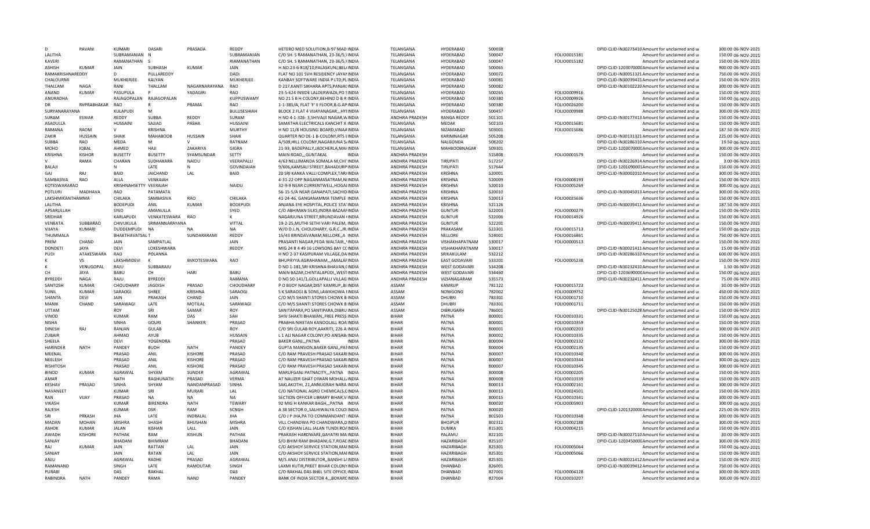| D                | PAVANI         | <b>KUMARI</b>         | <b>DASARI</b>     | PRASADA         | <b>REDDY</b>      | HETERO MED SOLUTION, B-97 MAD INDIA         | TFLANGANA             | HYDERABAD            | 500038 |              | DPID-CLID-IN30273410 Amount for unclaimed and ur | 300.00 06-NOV-2021 |
|------------------|----------------|-----------------------|-------------------|-----------------|-------------------|---------------------------------------------|-----------------------|----------------------|--------|--------------|--------------------------------------------------|--------------------|
| LALITHA          |                | SUBRAMANIAN N         |                   |                 | SUBRAMANIAN       | C/O SH. S RAMANATHAN, 23-36/5, INDIA        | TELANGANA             | HYDERABAD            | 500047 | FOLIO0015181 | Amount for unclaimed and ur                      | 150.00 06-NOV-2021 |
| <b>KAVERI</b>    |                | RAMANATHAN S          |                   |                 | RIAMANATHAN       | C/O SH. S RAMANATHAN, 23-36/5, INDIA        | TELANGANA             | HYDERABAD            | 500047 | FOLIO0015182 | Amount for unclaimed and ur                      | 150.00 06-NOV-2021 |
| ASHISH           | <b>KUMAR</b>   | JAIN                  | SUBHASH           | KUMAR           | JAIN              | H.NO.23-6-818/10, PALASKUNJ, BEL/INDIA      | TELANGANA             | HYDERABAD            | 500065 |              | DPID-CLID-120307000CAmount for unclaimed and ur  | 900.00 06-NOV-2021 |
| RAMAKRISHNAREDDY |                | $\mathsf{D}$          | PULLAREDDY        |                 | DADI              | FLAT NO 101 SVH RESIDENCY JAYAMNDIA         | TELANGANA             | HYDERABAD            | 500072 |              | DPID-CLID-IN30051321 Amount for unclaimed and ur | 750.00 06-NOV-2021 |
| CHALOURMI        |                | MUKHERJEE             | KALYAN            |                 | MUKHERJEE         | KANBAY SOFTWARE INDIA P LTD, PLINDIA        | TELANGANA             | HYDERABAD            | 500081 |              | DPID-CLID-IN30039415 Amount for unclaimed and ur | 150.00 06-NOV-2021 |
| THALLAM          | <b>NAGA</b>    | RANI                  | THALLAM           | NAGARNARAYANA   | <b>RAC</b>        | D 217, KANTI SIKHARA APTS, PANJACINDIA      | TELANGANA             | HYDERABAD            | 500082 |              | DPID-CLID-IN30102220 Amount for unclaimed and ur | 300.00 06-NOV-2021 |
|                  |                |                       |                   |                 |                   |                                             |                       |                      |        |              |                                                  |                    |
| ANAND            | <b>KUMAR</b>   | PASUPULA              |                   | YADAGIRI        | <b>RAC</b>        | 23-5-624 INSIDE LALDERWAZA.PO SINDIA        | TFLANGANA             | HYDERABAD            | 500265 | FOLIO0009916 | Amount for unclaimed and ur                      | 150.00 06-NOV-2021 |
| ANURADHA         |                | RAJAGOPALAN           | RAJAGOPALAN       |                 | KUPPUSWAMY        | NO 21 S B H COLONY, BEHIND D B R INDIA      | TELANGANA             | HYDERABAD            | 500380 | FOLIO0009926 | Amount for unclaimed and ur                      | 150.00 06-NOV-2021 |
| DR               | RVPRABHAKAR    | <b>RAO</b>            |                   | PRAMA           | RAO               | 1-1-385/A, FLAT 'F' II FLOOR, B.G. AP INDIA | TELANGANA             | HYDERABAD            | 500380 | FOLIO0026200 | Amount for unclaimed and ur                      | 150.00 06-NOV-2021 |
| SURYANARAYANA    |                | KULAPUDI              | M                 |                 | BULLISESHIAH      | BLOCK 2 FLAT 4 VIJAYANAGAR,,,HYIINDIA       | TELANGANA             | <b>HYDERABAD</b>     | 500457 | FOLIO0009988 | Amount for unclaimed and ur                      | 300.00 06-NOV-2021 |
| SURAM            | ESWAR          | REDDY                 | SUBBA             | REDDY           | SURAM             | H NO 4-1-326-3, SHIVAJJI NAGAR, WINDIA      | ANDHRA PRADESH        | <b>RANGA REDDY</b>   | 501101 |              | DPID-CLID-IN30177413 Amount for unclaimed and ur | 150.00 06-NOV-2021 |
| ASADULLA         |                | <b>HUSSAINI</b>       | SAJJAD            | PASHA           | <b>HUSSAINI</b>   | SAMATHA ELECTRICALS KANCHIT X INDIA         | TELANGANA             | <b>MEDAK</b>         | 502103 | FOLIO0015681 | Amount for unclaimed and ur                      | 150.00 06-NOV-2021 |
| RAMANA           | RAOM           | $\mathsf{V}$          | KRISHNA           |                 | <b>MURTHY</b>     | H NO 11/8 HOUSING BOARD, VINAA INDIA        | TELANGANA             | NIZAMABAD            | 503001 | FOLIO0015686 | Amount for unclaimed and ur                      | 187.50 06-NOV-2021 |
| ZAKIR            | <b>HUSSAIN</b> | SHAIK                 | <b>MAHABOOB</b>   | <b>HUSSAIN</b>  | <b>SHAIK</b>      | QUARTER NO DE-1 B-COLONY, RTS EINDIA        | TELANGANA             | KARIMNAGAR           | 505208 |              | DPID-CLID-IN30131321 Amount for unclaimed and ur | 225.00 06-NOV-2021 |
|                  | RAO            | <b>MEDA</b>           | M                 | $\mathsf{V}$    | RATNAM            |                                             |                       |                      |        |              |                                                  |                    |
| SUBBA            |                |                       |                   |                 |                   | A/509, HILL COLONY, NAGARJUNA S/INDIA       | TELANGANA             | NALGONDA             | 508202 |              | DPID-CLID-IN30286310 Amount for unclaimed and ur | 19.50 06-NOV-2021  |
| MOHD             | <b>IQBAL</b>   | AHMED                 | HAJI              | ZAKARIYA        | GIGRA             | 21-93, BADEPALLY, JADCHERLA, MAHNDIA        | TELANGANA             | MAHBOOBNAGAR         | 509301 |              | DPID-CLID-120307000CAmount for unclaimed and ur  | 300.00 06-NOV-2021 |
| <b>KRISHNA</b>   | <b>KISHOR</b>  | <b>BUSETTY</b>        | <b>BUSETTY</b>    | SYAMSUNDAR      | SETTY             | MAIN ROAD,,,GUNTAKAL<br><b>INDIA</b>        | ANDHRA PRADESH        |                      | 515808 | FOLIO0001579 | Amount for unclaimed and ur                      | 150.00 06-NOV-2021 |
|                  | RAMA           | CHARAN                | SUDHAKARA         | NAIDU           | VEERAPALLI        | 4/63 NELLIMANDA SOMALA M.CHITINDIA          | ANDHRA PRADESH        | <b>TIRUPATI</b>      | 517257 |              | DPID-CLID-IN30226914 Amount for unclaimed and ur | 3.00 06-NOV-2021   |
| BALAJI           |                | N                     | LATE              | N               | <b>GOVINDAIAH</b> | 9/606, KAMSALI STREET, BAHADURP INDIA       | ANDHRA PRADESH        | TIRLIPATI            | 517644 |              | DPID-CLID-1201090001Amount for unclaimed and ur  | 150.00 06-NOV-2021 |
| GAJ              | RAJ            | BAID                  | <b>JAICHAND</b>   | LAL             | BAID              | 20 SRI KANKA VALLI COMPLEX, TAR/INDIA       | ANDHRA PRADESH        | <b>KRISHNA</b>       | 520001 |              | DPID-CLID-IN30002010 Amount for unclaimed and ur | 300.00 06-NOV-2021 |
| SAMBASIVA        | RAO            | ALLA                  | VENKAIAH          |                 |                   | 4-31-22 OPP NAGANMASATRAM, NIINDIA          | ANDHRA PRADESH        | <b>KRISHNA</b>       | 520009 | FOLIO0008193 | Amount for unclaimed and ur                      | 150.00 06-NOV-2021 |
| KOTFSWARARAC     |                | KRISHNAHSETTY         | VFFRAIAH          |                 | NAIDU             | 32-9-9 NEAR CURRENTWELL, HOGAIINDIA         | ANDHRA PRADESH        | <b>KRISHNA</b>       | 520010 | FOLIO0005269 | Amount for unclaimed and ur                      | 300.00 06-NOV-2021 |
|                  |                |                       |                   |                 |                   |                                             |                       |                      |        |              |                                                  |                    |
| POTLURI          | <b>MADHAVA</b> | <b>RAO</b>            | PATAMATA          |                 |                   | 56-15-5/A NEAR GANAPATI, SACHID INDIA       | ANDHRA PRADESH        | <b>KRISHNA</b>       | 520010 |              | DPID-CLID-IN30045013 Amount for unclaimed and ur | 300.00 06-NOV-2021 |
| LAKSHMIKANTHAMMA |                | CHILAKA               | SAMBASIVA         | RAO             | CHILAKA           | 41-24-46, GANGANAMMA TEMPLE INDIA           | ANDHRA PRADESH        | KRISHNA              | 520013 | FOLIO0025636 | Amount for unclaimed and ur                      | 150.00 06-NOV-2021 |
| LALITHA          |                | <b>BODEPUDI</b>       | ANIL              | KUMAR           | <b>BODEPUDI</b>   | ANJANA EYE HOSPITAL, POLICE STA1INDIA       | ANDHRA PRADESH        | <b>KRISHNA</b>       | 521126 |              | DPID-CLID-IN30039411 Amount for unclaimed and ur | 187.50 06-NOV-2021 |
| APSARULLAH       |                | SYED                  | AMANULLA          |                 | SYED              | C/O ABHIMAN SILKS.INDRA BAZAAFINDIA         | ANDHRA PRADESH        | <b>GUNTUR</b>        | 522003 | FOLIO0000279 | Amount for unclaimed and u                       | 150.00 06-NOV-2021 |
| SRIDHAR          |                | KARLAPUDI             | VENKATESWARA      | <b>RAO</b>      | К                 | NAGARJUNA STREET, BRUNDAVAN (INDIA          | ANDHRA PRADESH        | <b>GUNTUR</b>        | 522006 | FOLIO0014926 | Amount for unclaimed and ur                      | 150.00 06-NOV-2021 |
| VENKATA          | SUBBARAO       | CHIVUKULA             | SRIMANNARAYANA    |                 | VITTAL            | 19-2-25, MUTHI SETHI VARI PALEM, INDIA      | <b>ANDHRA PRADESH</b> | <b>GUNTUR</b>        | 522201 |              | DPID-CLID-IN30039411 Amount for unclaimed and ur | 150.00 06-NOV-2021 |
| VIJAYA           | KUMARI         | DUDDEMPUDI            | <b>NA</b>         |                 | <b>NA</b>         | W/O D.L.N. CHOUDHARY, G.R.C., JR. INDIA     | ANDHRA PRADESH        | PRAKASAM             | 523301 | FOLIO0015713 | Amount for unclaimed and ur                      | 150.00 06-NOV-2021 |
| THUMMALA         |                | <b>BHAKTHAVATSALT</b> |                   | SUNDARARAMI     | REDDY             | 15/43 BRINDAVANAM, NELLORE, , A IINDIA      | ANDHRA PRADESH        | NELLORE              | 524001 | FOLIO0016861 | Amount for unclaimed and ur                      | 750.00 06-NOV-2021 |
|                  |                |                       |                   |                 |                   |                                             |                       |                      |        |              |                                                  |                    |
| PREM             | CHAND          | JAIN                  | SAMPATLAL         |                 | JAIN              | PRASANTI NAGAR, PEDA WALTAIR,, INDIA        | ANDHRA PRADESH        | VISHAKHAPATNAM       | 530017 | FOLIO0000513 | Amount for unclaimed and ur                      | 150.00 06-NOV-2021 |
| <b>DONDETI</b>   | <b>JAYA</b>    | DEVI                  | <b>LOKESHWARA</b> |                 | REDDY             | MIG 24 B 4 49 16 LOWSONS BAY CCINDIA        | ANDHRA PRADESH        | VISHAKHAPATNAM       | 530017 |              | DPID-CLID-IN30021411 Amount for unclaimed and ur | 15.00 06-NOV-2021  |
| PUDI             | ATAKESWARA     | RAO                   | POLANNA           |                 |                   | H NO 2-37 KASIPURAM VILLAGE.DAINDIA         | <b>ANDHRA PRADESH</b> | SRIKAKULAM           | 532212 |              | DPID-CLID-IN30286310 Amount for unclaimed and ur | 600.00 06-NOV-2021 |
|                  | <b>VS</b>      | LAKSHMIDEVI           | K                 | BVKOTESWARA     | RAO               | BHUPAYYA AGRAHANAM,,,AMALAFINDIA            | ANDHRA PRADESH        | <b>EAST GODAVARI</b> | 533201 | FOLIO0005238 | Amount for unclaimed and u                       | 150.00 06-NOV-2021 |
|                  | VENUGOPAL      | RAIU                  | SUBBARAJU         |                 |                   | D NO 1-181, SRI KRISHNA BHAVAN, (INDIA      | ANDHRA PRADESH        | WEST GODAVARI        | 534208 |              | DPID-CLID-IN30232410 Amount for unclaimed and ur | 1.50 06-NOV-2021   |
| CН               | <b>JAYA</b>    | <b>BABU</b>           | CH                | HARI            | <b>BABU</b>       | MAIN BAZAR, CHINTALAPUDI, , WESTINDIA       | ANDHRA PRADESH        | <b>WEST GODAVARI</b> | 534460 |              | DPID-CLID-120369000CAmount for unclaimed and ur  | 150.00 06-NOV-2021 |
| <b>BYREDD</b>    | <b>NAGA</b>    | RAJU                  | <b>BYREDDI</b>    |                 | RAMANA            | D NO 50-141/1, GOLLAPALLI VILLAG INDIA      | ANDHRA PRADESH        | VIZIANAGARAM         | 535573 |              | DPID-CLID-IN30232411Amount for unclaimed and ur  | 75.00 06-NOV-2021  |
| SANTOSH          | <b>KUMAF</b>   | CHOUDHARY             | <b>JAGDISH</b>    | PRASAD          | CHOUDHARY         | P O BIJOY NAGAR, DIST KAMRUP,, BI INDIA     | ASSAM                 | <b>KAMRUP</b>        | 781122 | FOLIO0015723 | Amount for unclaimed and ur                      | 30.00 06-NOV-2021  |
| <b>SUNIL</b>     | <b>KUMAR</b>   | SARAOGI               | SHREE             | <b>KRISHNA</b>  | SARAOGI           | S K SARAOGI & SONS, LAWKHOWA FINDIA         | ASSAM                 | NOWGONG              | 782002 | FOLIO0009752 | Amount for unclaimed and ur                      | 450.00 06-NOV-2021 |
|                  |                |                       |                   |                 |                   |                                             |                       | <b>DHUBRI</b>        | 783301 |              |                                                  |                    |
| <b>SHANTA</b>    | DEVI           | JAIN                  |                   |                 |                   |                                             |                       |                      |        |              |                                                  |                    |
| MANIK            |                |                       | PRAKASH           | CHAND           | JAIN              | C/O M/S SHANTI STORES CHOWK BINDIA          | ASSAM                 |                      |        | FOLIO0001710 | Amount for unclaimed and ur                      | 150.00 06-NOV-2021 |
|                  | CHAND          | SARAWAGI              | LATE              | MOTILAL         | SARAWAGI          | C/O M/S SHANTI STORES CHOWK BINDIA          | ASSAM                 | <b>DHUBRI</b>        | 783301 | FOLIO0001711 | Amount for unclaimed and ur                      | 150.00 06-NOV-2021 |
| <b>UTTAM</b>     |                | <b>ROY</b>            | SRI               | SAMAR           | <b>ROY</b>        | SANITAPARA, PO SANTIPARA, DIBRU INDIA       | ASSAM                 | DIBRUGARH            | 786001 |              | DPID-CLID-IN30125028 Amount for unclaimed and ur | 150.00 06-NOV-2021 |
| VINOD            |                | <b>KUMAR</b>          | RAM               | DAS             | SAH               | SHIV SHAKTI BHAWAN, FREE PRESS INDIA        | <b>BIHAR</b>          | PATNA                | 800001 | FOLIO0010331 | Amount for unclaimed and ur                      | 150.00 06-NOV-2021 |
| <b>NISHA</b>     |                | SINHA                 | <b>GOURI</b>      | SHANKER         | PRASAD            | PRABHA NIKETAN KANOOLALL ROA INDIA          | <b>BIHAR</b>          | PATNA                | 800001 | FOLIO0010359 | Amount for unclaimed and u                       | 150.00 06-NOV-2021 |
| <b>DINESH</b>    |                |                       |                   |                 |                   |                                             | <b>BIHAR</b>          |                      |        |              |                                                  |                    |
|                  | RAJ            | RANJAN                | <b>GULAB</b>      |                 | ROY               | C/O SRI GULAB ROY, AAKRITI, 226 A. INDIA    |                       | PATNA                | 800001 | FOLIO0002203 | Amount for unclaimed and ur                      | 300.00 06-NOV-2021 |
| ZUBAIR           |                | AHMAD                 | AYUB              |                 | <b>HUSSAIN</b>    | L 1 ALI NAGAR COLONY, PO ANISAB/INDIA       | <b>BIHAR</b>          | PATNA                | 800002 | FOLIO0010335 | Amount for unclaimed and ur                      | 150.00 06-NOV-2021 |
| SHEELA           |                | DEVI                  | YOGENDRA          |                 | PRASAD            | <b>BAKER GANJ,,, PATNA</b><br>INDIA         | <b>BIHAR</b>          | PATNA                | 800004 | FOLIO0002132 | Amount for unclaimed and ur                      | 300.00 06-NOV-2021 |
| <b>HARINDER</b>  | <b>NATH</b>    | PANDEY                | <b>BUDH</b>       | <b>NATH</b>     | PANDEY            | GUPTA MANSION, BAKER GANJ, , PA1INDIA       | <b>BIHAR</b>          | PATNA                | 800004 | FOLIO0002135 | Amount for unclaimed and u                       | 150.00 06-NOV-2021 |
| MEENAL           |                | PRASAD                | ANIL              | <b>KISHORE</b>  | PRASAD            | C/O RAM PRAVESH PRASAD SAKARIINDIA          | <b>BIHAR</b>          | PATNA                | 800007 | FOLIO0010340 | Amount for unclaimed and ur                      | 300.00 06-NOV-2021 |
| NEELESH          |                | PRASAD                | ANIL              | <b>KISHORE</b>  | PRASAD            | C/O RAM PRAVESH PRASAD SAKARIINDIA          | <b>BIHAR</b>          | PATNA                | 800007 | FOLIO0010344 | Amount for unclaimed and ur                      | 300.00 06-NOV-2021 |
| <b>RISHITOSH</b> |                | PRASAD                | ANIL              | <b>KISHORE</b>  | PRASAD            | C/O RAM PRAVESH PRASAD SAKARIINDIA          | <b>BIHAR</b>          | PATNA                | 800007 | FOLIO0010345 | Amount for unclaimed and ur                      | 300.00 06-NOV-2021 |
| <b>BINOD</b>     | <b>KUMAR</b>   | AGRAWAL               | SHYAM             | SUNDER          | AGRAWAL           | MARUFGANJ PATNACITY,,,PATNA INDIA           | RIHAR                 | PATNA                | 800008 | FOLIO0002205 | Amount for unclaimed and ur                      | 150.00 06-NOV-2021 |
| AMAR             |                | <b>NATH</b>           |                   |                 | <b>VERMA</b>      |                                             | <b>BIHAR</b>          | PATNA                |        |              |                                                  |                    |
|                  |                |                       | RAGHUNATH         | PRASAD          |                   | AT NAUZER GHAT DIWAN MOHALL INDIA           |                       |                      | 800008 | FOLIO0010339 | Amount for unclaimed and ur                      | 150.00 06-NOV-2021 |
| <b>KESHAV</b>    | PRASAD         | SINHA                 | SHYAM             | NANDANPRASAD    | SINHA             | SAKLAKOTHI, 21, ANNUGRAH NARAINDIA          | <b>BIHAR</b>          | PATNA                | 800013 | FOLIO0002161 | Amount for unclaimed and ur                      | 300.00 06-NOV-2021 |
| NAVANEET         |                | <b>KUMAR</b>          | SRI               | <b>MURARI</b>   | LAL               | C/O NATIONAL AGRO CHEMICALS, CINDIA         | <b>BIHAR</b>          | PATNA                | 800013 | FOLIO0024501 | Amount for unclaimed and ur                      | 150.00 06-NOV-2021 |
| RAN              | VIJAY          | PRASAD                | <b>NA</b>         | <b>NA</b>       | <b>NA</b>         | SECTION OFFICER LIBRARY BIHAR, V INDIA      | <b>BIHAR</b>          | PATNA                | 800015 | FOLIO0010341 | Amount for unclaimed and ur                      | 300.00 06-NOV-2021 |
| VIKASH           |                | <b>KUMAR</b>          | <b>BIRENDRA</b>   | <b>NATH</b>     | <b>TEWARY</b>     | 92 MIG H KANKAR BAGH,,, PATNA INDIA         | <b>BIHAR</b>          | PATNA                | 800020 | FOLIO0005903 | Amount for unclaimed and ur                      | 300.00 06-NOV-2021 |
| RAJESH           |                | KUMAR                 | <b>DSR</b>        | RAM             | <b>SCNGH</b>      | A 38 SECTOR 0, SALHIWALYA COLOIINDIA        | <b>BIHAR</b>          | PATNA                | 800020 |              | DPID-CLID-120132000CAmount for unclaimed and ur  | 225.00 06-NOV-2021 |
| SRI              | PRKASH         | <b>JHA</b>            | LATE              | <b>INDRALAL</b> | <b>JHA</b>        | C/O J P JHA.PA TO COMMANDANT IINDIA         | <b>BIHAR</b>          | PATNA                | 801503 | FOLIO0010348 | Amount for unclaimed and u                       | 300.00 06-NOV-2021 |
| MADAN            | <b>MOHAN</b>   | <b>MISHRA</b>         | SHASHI            | BHUSHAN         | <b>MISHRA</b>     | VILL CHANDWA PO CHANDWARA, DINDIA           | <b>BIHAR</b>          | <b>BHOJPUR</b>       | 802312 | FOLIO0002188 | Amount for unclaimed and ur                      | 300.00 06-NOV-2021 |
| ASHOK            | <b>KUMAR</b>   | <b>JALAN</b>          | KISHAN            | LALL            | JAIN              | C/O KISHAN LALL JALAN TUNDI ROAINDIA        | <b>BIHAR</b>          | <b>DUMKA</b>         | 815301 | FOLIO0004215 |                                                  | 150.00 06-NOV-2021 |
|                  |                |                       |                   |                 |                   |                                             |                       |                      |        |              | Amount for unclaimed and ur                      |                    |
| AWADH            | <b>KISHORE</b> | PATHAK                | RAM               | KISHUN          | PATHAK            | PRAKASH HARDWARE, GAYATRI MAINDIA           | <b>BIHAR</b>          | PALAMU               | 822101 |              | DPID-CLID-IN30027110 Amount for unclaimed and ur | 30.00 06-NOV-2021  |
| SANJAY           |                | BHADANI               | <b>BHIMRAM</b>    |                 | BHADANI           | S/O BHIM RAM BHADANI, G.T. ROACINDIA        | <b>BIHAR</b>          | HAZARIBAGH           | 825107 |              | DPID-CLID-120345000CAmount for unclaimed and ur  | 300.00 06-NOV-2021 |
| RAJ              | <b>KUMAR</b>   | JAIN                  | RATTAN            | LAL             | JAIN              | C/O AKSHOY SERVICE STATION, MAIINDIA        | <b>BIHAR</b>          | HAZARIBAGH           | 825301 | FOLIO0005064 | Amount for unclaimed and ur                      | 150.00 06-NOV-2021 |
| SANJAY           |                | JAIN                  | <b>RATAN</b>      | LAL             | JAIN              | C/O AKSHOY SERVICE STATION, MAIINDIA        | <b>BIHAR</b>          | HAZARIBAGH           | 825301 | FOLIO0005066 | Amount for unclaimed and ur                      | 150.00 06-NOV-2021 |
| ANIU             |                | AGRAWAL               | RADHE             | PRASAD          | AGRAWAL           | M/S ANJU DISTRIBUTORBANSHI L/INDIA          | <b>BIHAR</b>          | HAZARIBAGH           | 825301 |              | DPID-CLID-IN30021412 Amount for unclaimed and ur | 150.00 06-NOV-2021 |
| RAMANAND         |                | <b>SINGF</b>          | LATE              | RAMOUTAR        | SINGH             | LAXMI KUTIR.PREET BIHAR COLONYINDIA         | RIHAR                 | DHANBAD              | 826001 |              | DPID-CLID-IN30039412 Amount for unclaimed and ur | 750.00 06-NOV-2021 |
| PURABI           |                | DAS                   | RAKHAL            |                 | DAS               | C/O RAKHAL DAS BHEL SITE OFFICE, INDIA      | <b>BIHAR</b>          | DHANBAD              | 827001 | FOLIO0004128 | Amount for unclaimed and ur                      | 300.00 06-NOV-2021 |
| RABINDRA         | <b>NATH</b>    | PANDEY                | RAMA              | <b>NAND</b>     | PANDEY            | BANK OF INDIA SECTOR 4,,,BOKARCINDIA        | <b>BIHAR</b>          | DHANBAD              | 827004 | FOLIO0010207 | Amount for unclaimed and ur                      | 300.00 06-NOV-2021 |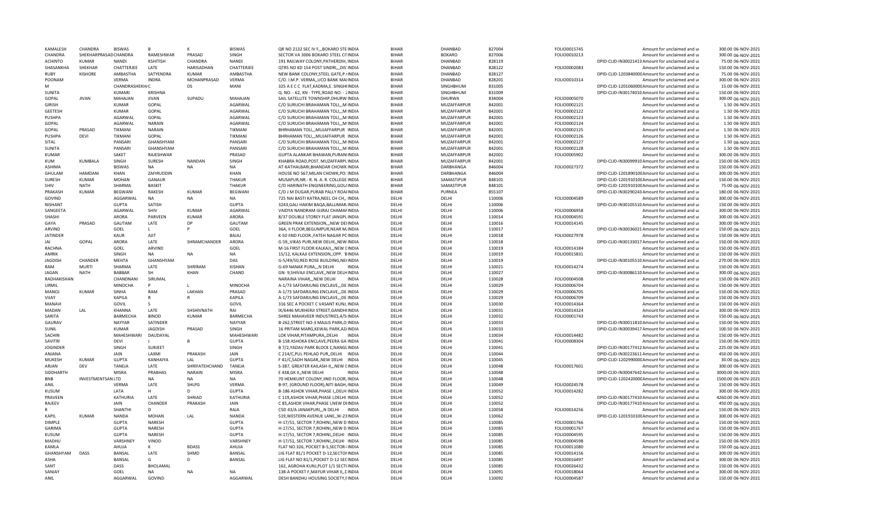| KAMALFSH        | CHANDRA                  | <b>BISWAS</b>  |                 |                | <b>BISWAS</b>     | QR NO 2132 SEC IV F., BOKARO STE INDIA      | <b>BIHAR</b> | DHANBAD          | 827004 | FOLIO0015745 | Amount for unclaimed and ur                      | 300.00 06-NOV-2021  |
|-----------------|--------------------------|----------------|-----------------|----------------|-------------------|---------------------------------------------|--------------|------------------|--------|--------------|--------------------------------------------------|---------------------|
| CHANDRA         | SHEKHARPRASAD CHANDRA    |                | RAMESHWAR       | PRASAD         | SINGH             | SECTOR VA 3006 BOKARO STEEL CITINDIA        | <b>BIHAR</b> | BOKARO           | 827006 | FOLIO0010213 | Amount for unclaimed and ur                      | 300.00 06-NOV-2021  |
| <b>ACHINTO</b>  | <b>KUMAR</b>             | <b>NANDI</b>   | KSHITISH        | CHANDRA        | <b>NANDI</b>      | 191 RAILWAY COLONY, PATHERDIH, INDIA        | <b>BIHAR</b> | DHANBAD          | 828119 |              | DPID-CLID-IN30021413 Amount for unclaimed and ur | 75.00 06-NOV-2021   |
| SHASANKHA       | SHEKHAR                  | CHATTERJEE     | LATE            | HARISADHAN     | CHATTERJEE        | QTRS NO KD 154 POST SINDRI, , DIS INDIA     | <b>BIHAR</b> | DHANBAD          | 828122 | FOLIO0002083 | Amount for unclaimed and ur                      | 150.00 06-NOV-2021  |
| <b>RUBY</b>     | <b>KISHORE</b>           | AMBASTHA       | SATYENDRA       | <b>KUMAR</b>   | AMBASTHA          | NEW BANK COLONY, STEEL GATE, P. (INDIA      | <b>BIHAR</b> | DHANBAD          | 828127 |              | DPID-CLID-120384000C Amount for unclaimed and ur | 75.00 06-NOV-2021   |
| POONAM          |                          | VERMA          | <b>INDRA</b>    | MOHANPRASAD    | VERMA             | C/O. I.M.P. VERMA,, UCO BANK MAIINDIA       | <b>BIHAR</b> | DHANBAD          | 828201 | FOLIO0010314 | Amount for unclaimed and ur                      | 300.00 06-NOV-2021  |
|                 |                          | CHANDRASHEKH/C |                 | DS             | MANI              | 325 A E C C FLAT, KADMA, E. SINGHIINDIA     | <b>BIHAR</b> | SINGHBHUM        | 831005 |              | DPID-CLID-120106000CAmount for unclaimed and ur  | 15.00 06-NOV-2021   |
| <b>SUNITA</b>   |                          | <b>KUMARI</b>  | <b>KRISHNA</b>  |                |                   | Q. NO. - 62, XN - TYPE, ROAD NO. - 2INDIA   | <b>BIHAR</b> | <b>SINGHBHUM</b> | 831009 |              | DPID-CLID-IN30174010 Amount for unclaimed and ur | 150.00 06-NOV-2021  |
| GOPAL           | <b>JIVAN</b>             | MAHAJAN        | <b>JIVAN</b>    | SUPADU         | MAHAJAN           | SAIL SATELLITE TOWNSHIP, DHURW INDIA        | <b>BIHAR</b> | DHURWA           | 834004 | FOLIO0005070 | Amount for unclaimed and ur                      | 300.00 06-NOV-2021  |
| <b>GIRISH</b>   |                          | <b>KUMAR</b>   | GOPAL           |                | AGARWAL           | C/O SURUCHI BRAHAMAN TOLI,,,M INDIA         | <b>BIHAR</b> | MUZAFFARPUR      | 842001 | FOLIO0002121 | Amount for unclaimed and ur                      | 1.50 06-NOV-2021    |
| <b>GEETESH</b>  |                          | <b>KUMAR</b>   | GOPAL           |                | AGARWAL           | C/O SURUCHI BRAHAMAN TOLI,,,M INDIA         | <b>BIHAR</b> | MUZAFFARPUR      | 842001 | FOLIO0002122 | Amount for unclaimed and ur                      | 1.50 06-NOV-2021    |
| PUSHPA          |                          | AGARWAL        | GOPAL           |                | AGARWAL           | C/O SURUCHI BRAHAMAN TOLI,,,M INDIA         | <b>BIHAR</b> | MUZAFFARPUR      | 842001 | FOLIO0002123 | Amount for unclaimed and u                       | 1.50 06-NOV-2021    |
|                 |                          |                |                 |                |                   |                                             |              |                  |        |              |                                                  |                     |
| GOPAL           |                          | AGARWAL        | <b>NARAIN</b>   |                | AGARWAL           | C/O SURUCHI BRAHAMAN TOLI,,,M INDIA         | <b>BIHAR</b> | MUZAFFARPUR      | 842001 | FOLIO0002124 | Amount for unclaimed and ur                      | 1.50 06-NOV-2021    |
| GOPAL           | PRASAD                   | TIKMANI        | <b>NARAIN</b>   |                | TIKMANI           | BHRHAMAN TOLI,,, MUJAFFARPUR INDIA          | <b>BIHAR</b> | MUZAFFARPUR      | 842001 | FOLIO0002125 | Amount for unclaimed and ur                      | 1.50 06-NOV-2021    |
| PUSHPA          | DEVI                     | TIKMANI        | GOPAL           |                | TIKMANI           | BHRHAMAN TOLI,,,MUJAFFARPUR INDIA           | <b>BIHAR</b> | MUZAFFARPUR      | 842001 | FOLIO0002126 | Amount for unclaimed and ur                      | 1.50 06-NOV-2021    |
| SITAL           |                          | PANSARI        | GHANSHYAM       |                | PANSARI           | C/O SURUCHI BRAHAMAN TOLI,,,M INDIA         | <b>BIHAR</b> | MUZAFFARPUR      | 842001 | FOLIO0002127 | Amount for unclaimed and ur                      | 1.50 06-NOV-2021    |
| SUNITA          |                          | PANSARI        | GHANSHYAM       |                | PANSARI           | C/O SURUCHI BRAHAMAN TOLI,,,M INDIA         | <b>BIHAR</b> | MUZAFFARPUR      | 842001 | FOLIO0002128 | Amount for unclaimed and ur                      | 1.50 06-NOV-2021    |
| <b>KUMAR</b>    |                          | SAKET          | RAJESHWAR       |                | PRASAD            | GUPTA ALANKAR BHAWAN, PURANIINDIA           | <b>BIHAR</b> | MUZAFFARPUR      | 842001 | FOLIO0005902 | Amount for unclaimed and ur                      | 300.00 06-NOV-2021  |
| KUM             | <b>KUMBALA</b>           | SINGH          | SURESH          | <b>NANDAN</b>  | SINGH             | KHABRA ROAD.POST, MUZAFFARPLINDIA           | <b>BIHAR</b> | MUZAFFARPUR      | 842001 |              | DPID-CLID-IN30099910 Amount for unclaimed and ur | 150.00 06-NOV-2021  |
| <b>ASHIMA</b>   |                          | <b>BISWAS</b>  | <b>NA</b>       | <b>NA</b>      | <b>NA</b>         | AT-KATHALBARI, BHANDAR CHOWK INDIA          | <b>BIHAR</b> | DARBHANGA        | 846004 | FOLIO0027372 | Amount for unclaimed and ur                      | 150.00 06-NOV-2021  |
| GHULAM          | HAMDANI                  | KHAN           | ZAFIRUDDIN      |                | KHAN              | HOUSE NO 567, MILAN CHOWK, PO: INDIA        | <b>BIHAR</b> | DARBHANGA        | 846004 |              | DPID-CLID-120189010CAmount for unclaimed and ur  | 300.00 06-NOV-2021  |
| <b>SURESH</b>   | <b>KUMAR</b>             | <b>MOHAN</b>   | GANAUR          |                | THAKUR            | MUSAPUR, NR. - R. N. A. R. COLLEGE INDIA    | <b>BIHAR</b> | SAMASTIPUR       | 848101 |              | DPID-CLID-120191010CAmount for unclaimed and ur  | 150.00 06-NOV-2021  |
| SHIV            | <b>NATH</b>              | SHARMA         | <b>BASKIT</b>   |                | THAKUR            | C/O HARINATH ENGINEERING, GOL/INDIA         | <b>RIHAR</b> | SAMASTIPUR       | 848101 |              | DPID-CLID-120191010CAmount for unclaimed and ur  | 75.00 06-NOV-2021   |
| PRAKASH         | <b>KUMAR</b>             | <b>BEGWANI</b> | RAKESH          | <b>KUMAR</b>   | <b>BEGWANI</b>    | C/O J M DUGAR, PURAB PALLY ROAIINDIA        | <b>BIHAR</b> | <b>PURNEA</b>    | 855107 |              | DPID-CLID-IN30290243 Amount for unclaimed and ur | 180.00 06-NOV-2021  |
| GOVIND          |                          | AGGARWAL       | <b>NA</b>       | <b>NA</b>      | <b>NA</b>         | 725 NAI BASTI KATRA, NEEL CH CH,, IINDIA    | DELHI        | DELHI            | 110006 | FOLIO0004589 | Amount for unclaimed and ur                      | 300.00 06-NOV-2021  |
| NISHANT         |                          | <b>GUPTA</b>   | SATISH          |                | <b>GUPTA</b>      | 3243, GALI HAKIM BAQA, BALLIMAR, INDIA      | DELHI        | DELHI            | 110006 |              | DPID-CLID-IN30105510 Amount for unclaimed and ur | 150.00 06-NOV-2021  |
|                 |                          |                |                 |                |                   |                                             |              |                  |        |              |                                                  |                     |
| SANGEETA        |                          | AGARWAL        | SHIV            | KUMAR          | AGARWAL           | VAIDYA NANDRAM GIJRAJ CHAMAFINDIA           | DELHI        | DELHI            | 110006 | FOLIO0006958 | Amount for unclaimed and ur                      | 300.00 06-NOV-2021  |
| SHASHI          |                          | ARORA          | PARVEEN         | <b>KUMAR</b>   | ARORA             | 8/37 DOUBLE STOREY FLAT JANGPLINDIA         | DELHI        | DELHI            | 110014 | FOLIO0004591 | Amount for unclaimed and ur                      | 300.00 06-NOV-2021  |
| GAYA            | PRASAD                   | GAUTAM         | LATE            | DP             | GAUTAM            | GREEN PRAK EXTENSION, "NEW DELINDIA         | DELHI        | DFLHI            | 110016 | FOLIO0014145 | Amount for unclaimed and ur                      | 300.00 06-NOV-2021  |
| <b>ARVIND</b>   |                          | GOEL           | $\mathbf{L}$    |                | GOEL              | 36A. II FLOOR.BEGUMPUR.NEAR M.INDIA         | DELHI        | DELHI            | 110017 |              | DPID-CLID-IN30036021 Amount for unclaimed and ur | 150.00 06-NOV-2021  |
| <b>JATINDER</b> |                          | <b>KAUR</b>    | AIIT            |                | <b>BAJAJ</b>      | K-50 IIND FLOOR., FATEH NAGAR PCINDIA       | DFLHI        | DELHI            | 110018 | FOLIO0027978 | Amount for unclaimed and ur                      | 150.00 06-NOV-2021  |
| JAI             | GOPAL                    | ARORA          | LATE            | SHRAMCHANDER   | ARORA             | G 59, VIKAS PURI, NEW DELHI, NEW INDIA      | DELHI        | DELHI            | 110018 |              | DPID-CLID-IN30133017 Amount for unclaimed and ur | 150.00 06-NOV-2021  |
| RACHNA          |                          | GOEL           | ARVIND          |                | GOEL              | M-16 FIRST FLOOR KALKAJI, ,NEW CINDIA       | DELHI        | DELHI            | 110019 | FOLIO0014184 | Amount for unclaimed and ur                      | 150.00 06-NOV-2021  |
| AMRIK           |                          | <b>SINGH</b>   | <b>NA</b>       | <b>NA</b>      | <b>NA</b>         | 15/12, KALKAJI EXTENSION, OPP. `BINDIA      | DELHI        | DELHI            | 110019 | FOLIO0015831 | Amount for unclaimed and ur                      | 150.00 06-NOV-2021  |
| JAGDISH         | CHANDER                  | MEHTA          | GHANSHYAM       |                | DAS               | G-5/49/50,RED ROSE BUILDING, NEHNDIA        | DELHI        | DELHI            | 110019 |              | DPID-CLID-IN30105510 Amount for unclaimed and ur | 270.00 06-NOV-2021  |
| RAM             | MURT                     | SHARMA         | LATE            | SHRIRAM        | <b>KISHAN</b>     | G-69 NANAK PURA,,,N DELHI<br><b>INDIA</b>   | DELHI        | DELHI            | 110021 | FOLIO0014274 | Amount for unclaimed and ur                      | 150.00 06-NOV-2021  |
| <b>JAGAN</b>    | <b>NATH</b>              | <b>BABBAR</b>  | <b>SH</b>       | <b>KHAN</b>    | CHAND             | GN-9.SHIVAJI ENCLAVENEW DELHINDIA           | DELHI        | DELHI            | 110027 |              | DPID-CLID-IN30086110 Amount for unclaimed and ur | 300.00 06-NOV-2021  |
| RADHAKISHAN     |                          | CHANDNANI      | SIRUMAL         |                |                   | NARAINA VIHAR,,,NEW DELHI<br><b>INDIA</b>   | DFLHI        | DFLHI            | 110028 | FOLIO0004508 | Amount for unclaimed and ur                      | 150.00 06-NOV-2021  |
| <b>URMIL</b>    |                          | MINOCHA        | <b>D</b>        |                | MINOCHA           | A-1/73 SAFDARJUNG ENCLAVE,,,DE INDIA        | DELHI        | DELHI            | 110029 | FOLIO0006704 | Amount for unclaimed and ur                      | 150.00 06-NOV-2021  |
| MANO.           | KUMAR                    | <b>SINHA</b>   | RAM             | LAKHAN         | PRASAD            |                                             | DFLHI        | DFLHI            | 110029 | FOLIO0006705 |                                                  | 150.00 06-NOV-2021  |
|                 |                          |                | $\mathbb{R}$    |                |                   | A-1/73 SAFDARJUNG ENCLAVE,,,DE INDIA        |              |                  |        |              | Amount for unclaimed and ur                      |                     |
| VIJAY           |                          | KAPILA         |                 |                | <b>KAPILA</b>     | A-1/73 SAFDARJUNG ENCLAVE,,,DE INDIA        | DELHI        | DELHI            | 110029 | FOLIO0006709 | Amount for unclaimed and ur                      | 150.00 06-NOV-2021  |
| <b>MANAV</b>    |                          | GOVIL          |                 |                | GOVIL             | 316 SEC A POCKET C VASANT KUNJ, INDIA       | DELHI        | DELHI            | 110030 | FOLIO0014364 | Amount for unclaimed and ur                      | 150.00 06-NOV-2021  |
| MADAN           | LAL                      | KHANNA         | LATE            | SHSHIVNATH     | RAI               | IX/6446 MUKHERJI STREET, GANDHIINDIA        | DELHI        | DELHI            | 110031 | FOLIO0014324 | Amount for unclaimed and ur                      | 300.00 06-NOV-2021  |
| SARITA          |                          | BARMECHA       | <b>BINOD</b>    | <b>KUMAR</b>   | BARMECHA          | SHREE MAHAVEER INDUSTRIES, 4/5/INDIA        | DELHI        | DELHI            | 110032 | FOLIO0001743 | Amount for unclaimed and ur                      | 150.00 06-NOV-2021  |
| GAURAV          |                          | NAYYAR         | SATINDER        |                | <b>NAYYAR</b>     | B-262, STREET NO-3 MAJLIS PARK, O INDIA     | DFLHI        | DELHI            | 110033 |              | DPID-CLID-IN30011810 Amount for unclaimed and ur | 150.00 06-NOV-2021  |
| SUNIL           |                          | <b>KUMAR</b>   | JAGDISH         | PRASAD         | SINGH             | 16 PRITAM MARG, KEWAL PARK, AZ/INDIA        | DELHI        | DELHI            | 110033 |              | DPID-CLID-IN30039417 Amount for unclaimed and ur | 100.50 06-NOV-2021  |
| SACHIN          |                          | MAHESHWARI     | DAUDAYAL        |                | <b>MAHESHWARI</b> | LOK VIHAR, PITAMPURA, , DELHI INDIA         | DFLHI        | DELHI            | 110034 | FOLIO0014482 | Amount for unclaimed and ur                      | 150.00 06-NOV-2021  |
| SAVITRI         |                          | <b>DEVI</b>    |                 |                | <b>GUPTA</b>      | <b>B-158 ASHOKA ENCLAVE, PEERA GAIINDIA</b> | DELHI        | DELHI            | 110041 | FOLIO0008304 | Amount for unclaimed and ur                      | 150.00 06-NOV-2021  |
| <b>JOGINDER</b> |                          | SINGH          | SURJEET         |                | <b>SINGH</b>      | B 7/2, YADAV PARK BLOCK C, NANGLINDIA       | DELHI        | DELHI            | 110041 |              | DPID-CLID-IN30177412 Amount for unclaimed and u  | 225.00.06-NOV-2021  |
| ANJANA          |                          | JAIN           | LAXMI           | PRAKASH        | JAIN              | C 214/C, PUL PEHLAD PUR, , DELHI INDIA      | DELHI        | DELHI            | 110044 |              | DPID-CLID-IN30223611 Amount for unclaimed and ur | 450.00 06-NOV-2021  |
| MUKESH          | <b>KUMAR</b>             | <b>GUPTA</b>   | KANHAIYA        | LAI            | <b>GUPTA</b>      | F 41/C, SADH NAGAR, NEW DELHI INDIA         | DELHI        | DELHI            | 110045 |              | DPID-CLID-120299000CAmount for unclaimed and ur  | 30.00 06-NOV-2021   |
| ARIAN           | DFV                      | TANEJ/         | LATF            | SHRIFATEHCHAND | TANEJA            | S-387, GREATER KAILASH-II,,, NEW CINDIA     | DFLHI        | DFLHI            | 110048 | FOLIO0017601 | Amount for unclaimed and ur                      | 300.00 06-NOV-2021  |
| SIDDHARTH       |                          | <b>MISRA</b>   | PRABHAS         | <b>NARAIN</b>  | <b>MISRA</b>      | E 438.GK IINEW DELHI<br><b>INDIA</b>        | DELHI        | DELHI            | 110048 |              | DPID-CLID-IN30047642 Amount for unclaimed and ur | 3000.00 06-NOV-2021 |
| <b>BNB</b>      | <b>INVESTMENTSAN LTD</b> |                | <b>NA</b>       | <b>NA</b>      | <b>NA</b>         | 70 HEMKUNT COLONY, IIND FLOOR, INDIA        | DELHI        | DELHI            | 110048 |              | DPID-CLID-120242000CAmount for unclaimed and ur  | 1500.00 06-NOV-2021 |
| ANIL            |                          | VERMA          | LATE            | SHLPG          | <b>VFRMA</b>      | B-97, (GROUND FLOOR), NITI BAGH, INDIA      | DELHI        | DFLHI            | 110049 | FOLIO0024578 | Amount for unclaimed and ur                      | 150.00 06-NOV-2021  |
| KUSUM           |                          | LATA           |                 |                | <b>GUPTA</b>      |                                             | DFLHI        | DELHI            |        |              | Amount for unclaimed and u                       |                     |
|                 |                          |                | H               | D              |                   | B-186 ASHOK VIHAR, PHASE I, DELHIINDIA      |              |                  | 110052 | FOLIO0014282 |                                                  | 300.00 06-NOV-2021  |
| PRAVEEN         |                          | KATHURIA       | LATE            | SHRIAD         | KATHURIA          | C 119, ASHOK VIHAR, PHASE I, DELHI INDIA    | DELHI        | DELHI            | 110052 |              | DPID-CLID-IN30177410 Amount for unclaimed and ur | 4260.00 06-NOV-2021 |
| RAJEEV          |                          | JAIN           | CHANDER         | PRAKASH        | JAIN              | C 85, ASHOK VIHAR, PHASE I, NEW DIINDIA     | DFLHI        | DFLHI            | 110052 |              | DPID-CLID-IN30177410 Amount for unclaimed and ur | 450.00 06-NOV-2021  |
|                 |                          | SHANTHI        | D               |                | RAJA              | C5D 43/A JANAKPURI,,,N DELHI INDIA          | DELHI        | DELHI            | 110058 | FOLIO0014256 | Amount for unclaimed and u                       | 150.00 06-NOV-2021  |
| <b>KAPIL</b>    | <b>KUMAR</b>             | <b>NANDA</b>   | <b>MOHAN</b>    | LAL            | <b>NANDA</b>      | 519, WESTERN AVENUE LANE,, W-23INDIA        | DELHI        | DELHI            | 110062 |              | DPID-CLID-120191010CAmount for unclaimed and ur  | 300.00 06-NOV-2021  |
| <b>DIMPLE</b>   |                          | <b>GUPTA</b>   | <b>NARESH</b>   |                | <b>GUPTA</b>      | H-17/51, SECTOR 7, ROHINI,, NEW D INDIA     | DELHI        | DELHI            | 110085 | FOLIO0001766 | Amount for unclaimed and ur                      | 150.00 06-NOV-2021  |
| GARIMA          |                          | <b>GUPTA</b>   | NARESH          |                | <b>GUPTA</b>      | H-17/51, SECTOR 7, ROHINI, NEW D INDIA      | DELHI        | DFLHI            | 110085 | FOLIO0001767 | Amount for unclaimed and ur                      | 150.00 06-NOV-2021  |
| KUSUM           |                          | <b>GUPTA</b>   | <b>NARESH</b>   |                | <b>GUPTA</b>      | H-17/51, SECTOR 7, ROHINI, DELHI INDIA      | DFLHI        | DELHI            | 110085 | FOLIO0004595 | Amount for unclaimed and ur                      | 150.00 06-NOV-2021  |
| MADHU           |                          | VARSHNEY       | VINOD           |                | VARSHNEY          | H-17/51, SECTOR 7, ROHINI, DELHI INDIA      | DELHI        | DELHI            | 110085 | FOLIO0004598 | Amount for unclaimed and ur                      | 150.00 06-NOV-2021  |
| KAMLA           |                          | AHUJA          | к               | <b>BDASS</b>   | AHUJA             | FLAT NO.326, POCKET B-5, SECTOR-IINDIA      | DELHI        | DELHI            | 110085 | FOLIO0011080 | Amount for unclaimed and ur                      | 150.00 06-NOV-2021  |
| GHANSHYAM       | <b>DASS</b>              | BANSAL         | LATE            | <b>SHMD</b>    | BANSAL            | LIG FLAT 81/1 POCKET D-12, SECTOFINDIA      | DFLHI        | DFLHI            | 110085 | FOLIO0014156 | Amount for unclaimed and ur                      | 300.00 06-NOV-2021  |
| <b>ASHA</b>     |                          | <b>BANSAL</b>  | G               | n.             | <b>BANSAL</b>     | LIG FLAT NO 81/1, POCKET D-12 SECINDIA      | DFLHI        | DFLHI            | 110085 | FOLIO0016497 | Amount for unclaimed and ur                      | 300.00 06-NOV-2021  |
| SANT            |                          | DASS           | <b>BHOLAMAL</b> |                |                   | 162, AGROHA KUNJ, PLOT 1/1 SECT(INDIA       | DFLHI        | DELHI            | 110085 | FOLIO0026432 | Amount for unclaimed and ur                      | 150.00 06-NOV-2021  |
| SANJAY          |                          | GOEL           | <b>NA</b>       | <b>NA</b>      | <b>NA</b>         | 138-A POCKET F, MAYUR VIHAR II, , DINDIA    | DELHI        | DELHI            | 110091 | FOLIO0018064 | Amount for unclaimed and ur                      | 300.00 06-NOV-2021  |
|                 |                          | AGGARWAL       | GOVIND          |                | AGGARWAL          | DESH BANDHU HOUSING SOCIETY, FINDIA         | DELHI        | DELHI            | 110092 | FOLIO0004587 | Amount for unclaimed and ur                      | 150.00 06-NOV-2021  |
| ANIL            |                          |                |                 |                |                   |                                             |              |                  |        |              |                                                  |                     |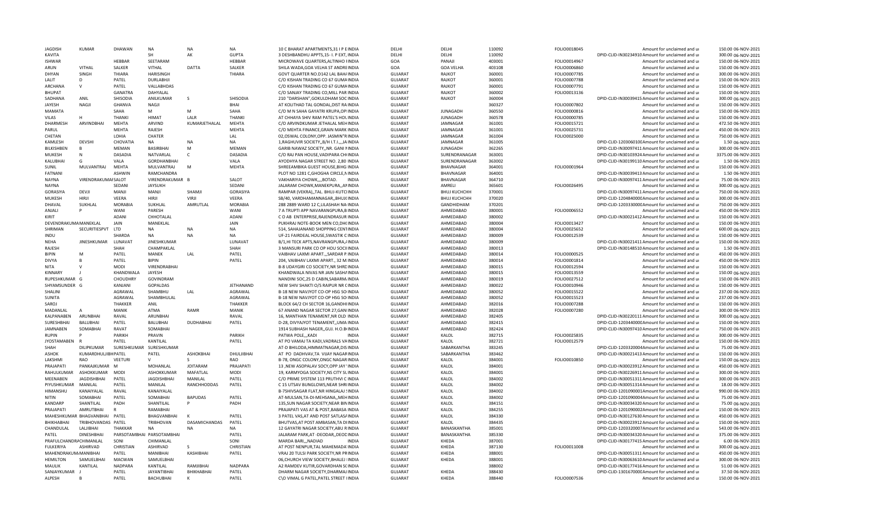| <b>JAGDISH</b>                   | KUMAR                         | DHAWAN                  | <b>NA</b>                     | <b>NA</b>                | <b>NA</b>               | 10 C BHARAT APARTMENTS, 31 I P EINDIA                                       | DFLHI                            | DFLHI                          | 110092           | FOLIO0018045                 | Amount for unclaimed and ur                                                                          | 150.00 06-NOV-2021                       |
|----------------------------------|-------------------------------|-------------------------|-------------------------------|--------------------------|-------------------------|-----------------------------------------------------------------------------|----------------------------------|--------------------------------|------------------|------------------------------|------------------------------------------------------------------------------------------------------|------------------------------------------|
| KAVITA                           |                               |                         | <b>SH</b>                     | AK                       | <b>GUPTA</b>            | 3 DESHBANDHU APPTS, 15- I. P EXT, INDIA                                     | DELHI                            | DELHI                          | 110092           |                              | DPID-CLID-IN30234910 Amount for unclaimed and ur                                                     | 300.00 06-NOV-2021                       |
| <b>ISHWAR</b>                    |                               | HEBBAR                  | SEETARAM                      |                          | HEBBAR                  | MICROWAVE QUARTERS, ALTINHO IINDIA                                          | GOA                              | PANAJI                         | 403001           | FOLIO0014967                 | Amount for unclaimed and ur                                                                          | 150.00 06-NOV-2021                       |
| ARUN                             | VITHAL                        | SALKER                  | VITHAL                        | DATTA                    | SALKER                  | SHILA WADA, GOA VELHA ST ANDREINDIA                                         | GOA                              | <b>GOA VELHA</b>               | 403108           | FOLIO0006860                 | Amount for unclaimed and ur                                                                          | 150.00 06-NOV-2021                       |
| DHYAN                            | SINGH                         | THIARA                  | HARISINGH                     |                          | THIARA                  | GOVT QUARTER NO.D142 LAL BAH/INDIA                                          | <b>GUJARAT</b>                   | RAJKOT                         | 360001           | FOLIO0007785                 | Amount for unclaimed and ur                                                                          | 300.00 06-NOV-2021                       |
| LALIT                            | D                             | PATEL                   | DURLABHJI                     |                          |                         | C/O KISHAN TRADING CO 67 GUMAINDIA                                          | <b>GUJARAT</b>                   | RAJKOT                         | 360001           | FOLIO0007788                 | Amount for unclaimed and ur                                                                          | 150.00 06-NOV-2021                       |
| ARCHANA                          | $\mathsf{v}$                  | <b>PATFL</b>            | VALLABHDAS                    |                          |                         | C/O KISHAN TRADING CO 67 GUMAINDIA                                          | <b>GUJARAT</b>                   | RAIKOT                         | 360001           | FOLIO0007791                 | Amount for unclaimed and ur                                                                          | 150.00 06-NOV-2021                       |
| <b>BHUPAT</b>                    |                               | <b>GANATRA</b>          | DAHYALAL                      |                          |                         | C/O SANJAY TRADING CO.MILL PAR INDIA                                        | <b>GUJARAT</b>                   | RAJKOT                         | 360002           | FOLIO0013136                 | Amount for unclaimed and ur                                                                          | 150.00 06-NOV-2021                       |
| SADHANA                          | ANIL                          | SHISODIA                | ANILKUMAR                     | -S                       | SHISODIA                | 210 "DARSHAN", GOKULDHAM SOC INDIA                                          | <b>GUJARAT</b>                   | RAJKOT                         | 360004           |                              | DPID-CLID-IN30039415 Amount for unclaimed and ur                                                     | 300.00 06-NOV-2021                       |
| <b>JAYESH</b>                    | NAGJI                         | <b>GHANVA</b>           | NAGJI                         |                          | BHAI                    | AT KOLITHAD TAL GONDAL, DIST RAINDIA                                        | <b>GUJARAT</b>                   |                                | 360327           | FOLIO0007802                 | Amount for unclaimed and ur                                                                          | 150.00 06-NOV-2021                       |
| MAMATA                           |                               | SAHA                    | M                             | M                        | SAHA                    | C/O M N SAHA GAYATRI KRUPA, OPIINDIA                                        | GUJARAT                          | <b>JUNAGADH</b>                | 360550           | FOLIO0000816                 | Amount for unclaimed and ur                                                                          | 150.00 06-NOV-2021                       |
| <b>VILAS</b>                     | н                             | <b>THANKI</b>           | HIMAT                         | LALR                     | <b>THANKI</b>           | AT CHHAYA SHIV RAM PATEL'S HOLINDIA                                         | <b>GUJARAT</b>                   | <b>JUNAGADH</b>                | 360578           | FOLIO0000785                 | Amount for unclaimed and ur                                                                          | 150.00 06-NOV-2021                       |
| <b>DHARMESH</b>                  | ARVINDBHAI                    | <b>MEHTA</b>            | <b>ARVIND</b>                 | KUMARJETHALAL            | MEHTA                   | C/O ARVINDKUMAR JETHALAL MEHINDIA                                           | <b>GUJARAT</b>                   | <b>JAMNAGAR</b>                | 361001           | FOLIO0015721                 | Amount for unclaimed and ur                                                                          | 472.50 06-NOV-2021                       |
| PARUL                            |                               | MEHTA                   | RAJESH                        |                          | MEHTA                   | C/O MEHTA FINANCE, GRAIN MARK INDIA                                         | <b>GUJARAT</b>                   | JAMNAGAR                       | 361001           | FOLIO0025731                 | Amount for unclaimed and ur                                                                          | 450.00 06-NOV-2021                       |
| CHETAN                           | <b>DEVSHI</b>                 | LOHIA<br>CHOVATIA       | CHATER<br><b>NA</b>           | <b>NA</b>                | LAL<br><b>NA</b>        | 02, OSWAL COLONY, OPP. JASMIN"RINDIA                                        | <b>GUJARAT</b>                   | JAMNAGAR                       | 361004<br>361005 | FOLIO0025000                 | Amount for unclaimed and ur                                                                          | 750.00 06-NOV-2021                       |
| KAMLESH                          |                               |                         |                               | M                        |                         | 1, RAGHUVIR SOCIETY, B/H I.T.I., JAINDIA                                    | <b>GUJARAT</b>                   | JAMNAGAR                       |                  |                              | DPID-CLID-120306010CAmount for unclaimed and ur                                                      | 1.50 06-NOV-2021                         |
| BILKISHBEN                       | N                             | MEMAN<br><b>DASADIA</b> | <b>BASIRBHAI</b><br>NATVARLAL | $\mathsf{C}$             | MEMAN<br><b>DASADIA</b> | GARIB NAWAZ SOCIETY,, NR. GANI MNDIA                                        | <b>GUJARAT</b>                   | <b>JUNAGADH</b>                | 362265<br>363001 |                              | DPID-CLID-IN30097411 Amount for unclaimed and ur<br>DPID-CLID-IN30103924 Amount for unclaimed and ur | 300.00 06-NOV-2021                       |
| <b>MUKESH</b><br>KALUBHAI        | G                             | VALA                    | <b>GORDHANBHAI</b>            |                          | VALA                    | C/O RAJ PAN HOUSE, VADIPARA CH(INDIA<br>AYODHYA NAGAR STREET NO. 2.80 INDIA | <b>GUJARAT</b><br>GUJARAT        | SURENDRANAGAR<br>SURENDRANAGAR | 363002           |                              | DPID-CLID-IN30199110 Amount for unclaimed and ur                                                     | 3375.00 06-NOV-2021<br>1.50 06-NOV-2021  |
| <b>SUNIL</b>                     | MULVANTRAJ                    | MEHTA                   | MULVANTRAJ                    | M                        | MEHTA                   |                                                                             | GUJARAT                          | <b>BHAVNAGAR</b>               |                  |                              | Amount for unclaimed and u                                                                           | 150.00 06-NOV-2021                       |
| <b>FATNANI</b>                   |                               | <b>ASHWIN</b>           |                               |                          |                         | SHREEAMBIKA GUEST HOUSE, BIHG INDIA                                         |                                  |                                | 364001           | FOLIO0001964                 |                                                                                                      |                                          |
|                                  |                               |                         | RAMCHANDRA                    |                          |                         | PLOT NO 1281 C, GHOGHA CIRCLE, NINDIA                                       | <b>GUJARAT</b>                   | BHAVNAGAR                      | 364001           |                              | DPID-CLID-IN30039413 Amount for unclaimed and ur                                                     | 1.50 06-NOV-2021                         |
| <b>NAYNA</b><br><b>NAYNA</b>     | VIRENDRAKUMAI SALOT           | SFDAN                   | VIRENDRAKUMAR B               |                          | SALOT<br><b>SFDANI</b>  | VAKHARIYA CHOWK,,,,BOTAD.<br>INDIA                                          | <b>GUJARAT</b>                   | BHAVNAGAR<br>AMRFLI            | 364710<br>365601 |                              | DPID-CLID-IN30097411 Amount for unclaimed and ur                                                     | 75.00 06-NOV-2021<br>300.00 06-NOV-2021  |
|                                  |                               |                         | <b>JAYSUKH</b>                | SHAMJI                   |                         | JALARAM CHOWK, MANEKPURA, , ANINDIA                                         | <b>GUJARAT</b>                   |                                |                  | FOLIO0026495                 | Amount for unclaimed and ur                                                                          |                                          |
| <b>GORASIYA</b>                  | DEVJI<br>HIRII                | MANJI                   | MANJI                         |                          | GORASIYA                | RAMPAR (VEKRA),,TAL. BHUJ-KUTCIINDIA                                        | GUJARAT                          | <b>ВНИЈ КИСНСНН</b>            | 370001           |                              | DPID-CLID-IN30097411 Amount for unclaimed and ur                                                     | 750.00 06-NOV-2021                       |
| <b>MUKESH</b>                    |                               | VEERA<br><b>MORABIA</b> | HIRJI                         | VIRJI<br><b>AMRUTLAI</b> | VEERA<br><b>MORABIA</b> | SB/40, VARDHAMANNAGAR, BHUJ(INDIA                                           | <b>GUJARAT</b>                   | <b>ВНИЈ КИСНСНН</b>            | 370020           |                              | DPID-CLID-120484000CAmount for unclaimed and ur<br>DPID-CLID-120333000CAmount for unclaimed and ur   | 300.00 06-NOV-2021                       |
| DHAVAL                           | SUKHLAL                       | <b>WAN</b>              | SUKHLAL                       |                          |                         | 288 2889 WARD 12 C,LILASHAH NA INDIA                                        | <b>GUJARAT</b>                   | GANDHIDHAM                     | 370201           |                              |                                                                                                      | 750.00 06-NOV-2021                       |
| ANJALI<br>KIRIT                  |                               |                         | PARESH                        |                          | WANI                    | 7 A TRUPTI APP NAVARANGPURA.B INDIA                                         | GUJARAT                          | AHMEDABAD<br>AHMFDABAD         | 380001           | FOLIO0006552                 | Amount for unclaimed and u                                                                           | 450.00 06-NOV-2021<br>150.00 06-NOV-2021 |
|                                  |                               | <b>ADANI</b>            | CHHOTALAL                     |                          | ADANI                   | C O AB ENTERPRISE, RAJENDRASUR INDIA                                        | <b>GUJARAT</b>                   |                                | 380002           |                              | DPID-CLID-IN30021412 Amount for unclaimed and ur                                                     |                                          |
| DEVENDRAKUMA MANEKLAL<br>SHRIMAN | SECURITIESPVT                 | JAIN<br>LTD             | MANEKLAL<br><b>NA</b>         | <b>NA</b>                | JAIN<br><b>NA</b>       | PUKHRAJ NOTE-BOOK MEN CO, DH(INDIA<br>514, SAHAJANAND SHOPPING CENTINDIA    | <b>GUJARAT</b><br><b>GUJARAT</b> | AHMEDABAD<br>AHMEDABAD         | 380004<br>380004 | FOLIO0013427<br>FOLIO0025652 | Amount for unclaimed and ur<br>Amount for unclaimed and ur                                           | 150.00 06-NOV-2021<br>600.00 06-NOV-2021 |
|                                  |                               |                         | <b>NA</b>                     | <b>NA</b>                | <b>NA</b>               |                                                                             |                                  |                                | 380009           |                              |                                                                                                      |                                          |
| <b>INDU</b>                      |                               | SHARDA                  |                               |                          |                         | UF-21 FAIRDEAL HOUSE, SWASTIK C INDIA                                       | <b>GUJARAT</b>                   | AHMEDABAD                      |                  | FOLIO0012539                 | Amount for unclaimed and ur                                                                          | 150.00 06-NOV-2021                       |
| <b>NEHA</b>                      | JINESHKUMAR LUNAVAT           | SHAH                    | JINESHKUMAR<br>CHAMPAKLAL     |                          | LUNAVAT<br>SHAH         | B/1,HI TECK APTS, NAVRANGPURA, / INDIA                                      | <b>GUJARAT</b>                   | AHMEDABAD                      | 380009           |                              | DPID-CLID-IN30021411 Amount for unclaimed and ur                                                     | 150.00 06-NOV-2021                       |
| RAJESH<br><b>BIPIN</b>           | M                             | PATEL                   | MANEK                         | LAL                      | PATEL                   | 3 MANSURI PARK CO OP HOU SOCIIINDIA<br>VAIBHAV LAXMI APARTSARDAR P.INDIA    | <b>GUJARAT</b><br>GUJARAT        | AHMEDABAD<br>AHMEDABAD         | 380013<br>380014 | FOLIO0000525                 | DPID-CLID-IN30148510 Amount for unclaimed and ur<br>Amount for unclaimed and u                       | 1.50 06-NOV-2021<br>450.00 06-NOV-2021   |
| <b>DIVYA</b>                     |                               | PATEL                   | RIPIN                         |                          | PATEL                   | 204, VAIBHAV LAXMI APART., 32 M.INDIA                                       | GUJARAT                          | AHMEDABAD                      | 380014           | FOLIO0001814                 | Amount for unclaimed and ur                                                                          | 450.00 06-NOV-2021                       |
| <b>NITA</b>                      |                               | <b>MODI</b>             | VIRENDRABHAI                  |                          |                         | B-8 UDAYGIRI CO SOCIETY, NR SHRDINDIA                                       | <b>GUJARAT</b>                   | AHMEDABAD                      | 380015           | FOLIO0012594                 | Amount for unclaimed and ur                                                                          | 150.00 06-NOV-2021                       |
| KINNARY                          |                               | KHANDWALA               | JAYESH                        |                          |                         | KHANDWALA NIVAS NR JAIN SASHAINDIA                                          | <b>GUJARAT</b>                   | AHMEDABAD                      | 380015           | FOLIO0013559                 | Amount for unclaimed and ur                                                                          | 150.00 06-NOV-2021                       |
| RUPESHKUMAR G                    |                               | CHOUDHRY                | GOVINDRAM                     |                          |                         | NANDINI SOC,25 D CABIN, SABARM/INDIA                                        | GUJARAT                          | AHMEDABAD                      | 380019           | FOLIO0027512                 | Amount for unclaimed and ur                                                                          | 150.00 06-NOV-2021                       |
| SHYAMSUNDER G                    |                               | KANJANI                 | <b>GOPALDAS</b>               |                          | JETHANAND               | NEW SHIV SHAKTI O/S RAIPUR NR CINDIA                                        | GUJARAT                          | AHMEDABAD                      | 380022           | FOLIO0010946                 | Amount for unclaimed and ur                                                                          | 150.00 06-NOV-2021                       |
| SHALINI                          |                               | AGRAWAL                 | SHAMBHU                       | LAL                      | AGRAWAL                 | B-18 NEW NAVJYOT CO-OP HSG SO INDIA                                         | <b>GUJARAT</b>                   | AHMEDABAD                      | 380052           | FOLIO0015522                 | Amount for unclaimed and ur                                                                          | 237.00 06-NOV-2021                       |
| SUNITA                           |                               | AGRAWAL                 | SHAMBHULAL                    |                          | AGRAWAL                 | B-18 NEW NAVJYOT CO-OP HSG SO INDIA                                         | <b>GUJARAT</b>                   | AHMEDABAD                      | 380052           | FOLIO0015523                 | Amount for unclaimed and ur                                                                          | 237.00 06-NOV-2021                       |
| SAROJ                            |                               | <b>THAKKER</b>          | ANIL                          |                          | THAKKER                 | BLOCK 64/2 CH SECTOR 16, GANDHIINDIA                                        | <b>GUJARAT</b>                   | AHMEDABAD                      | 382016           | FOLIO0007288                 | Amount for unclaimed and ur                                                                          | 150.00 06-NOV-2021                       |
| MADANLAL                         | $\overline{A}$                | MANIK                   | ATMA                          | RAMR                     | MANIK                   | 67 ANAND NAGAR SECTOR 27, GANIINDIA                                         | <b>GUJARAT</b>                   | AHMFDABAD                      | 382028           | FOLIO0007280                 | Amount for unclaimed and ur                                                                          | 300.00 06-NOV-2021                       |
| KALPANARFN                       | ARUNBHAI                      | RAVAL                   | ARUNBHA                       |                          | <b>RAVAL</b>            | 16, MANTHAN TENAMENT, NR OLD INDIA                                          | GUJARAT                          | AHMEDABAD                      | 382405           |                              | DPID-CLID-IN30220111 Amount for unclaimed and ur                                                     | 300.00 06-NOV-2021                       |
| SURESHBHAI                       | BALUBHAI                      | PATEL                   | BALUBHAI                      | <b>DUDHABHAI</b>         | PATEL                   | D-28, DIVYAJYOT TENAMENT, UMA INDIA                                         | <b>GUJARAT</b>                   | AHMEDABAD                      | 382415           |                              | DPID-CLID-120344000C Amount for unclaimed and ur                                                     | 150.00 06-NOV-2021                       |
| <b>JAMNABEN</b>                  | SOMABHAI                      | RAVAT                   | SOMABHAI                      |                          |                         | 1914 SUBHASH NAGER, GUJ. H.O.B(INDIA                                        | GUJARAT                          | AHMEDABAD                      | 382424           |                              | DPID-CLID-IN30097410 Amount for unclaimed and u                                                      | 750.00 06-NOV-2021                       |
| <b>RUPIN</b>                     |                               | PARIKH                  | PRAVIN                        |                          | PARIKH                  | PATWA POLE,,,KADI<br><b>INDIA</b>                                           | <b>GUJARAT</b>                   | KALOL                          | 382715           | FOLIO0025835                 | Amount for unclaimed and ur                                                                          | 300.00 06-NOV-2021                       |
| <b>JYOSTAMABEN</b>               |                               | <b>PATFL</b>            | KANTILAL                      |                          | PATEL                   | AT PO VAMAJ TA KADI, VADRALS VAINDIA                                        | <b>GUJARAT</b>                   | KALOL                          | 382721           | FOLIO0012579                 | Amount for unclaimed and ur                                                                          | 150.00 06-NOV-2021                       |
| <b>SHAH</b>                      | DILIPKUMAR                    | SURESHKUMAR             | SURESHKUMAR                   |                          |                         | AT-D BHILODA.HIMMATNAGAR.DISINDIA                                           | GUJARAT                          | SABARKANTHA                    | 383245           |                              | DPID-CLID-1203320004Amount for unclaimed and ur                                                      | 75.00 06-NOV-2021                        |
| ASHOK                            | KUMARDHULJIBHPATEL            |                         | PATEL                         | ASHOKBHAI                | DHULIIBHAI              | AT PO DADHVAV, TA VIJAY NAGARINDIA                                          | <b>GUJARAT</b>                   | SABARKANTHA                    | 383462           |                              | DPID-CLID-IN30021413 Amount for unclaimed and ur                                                     | 150.00 06-NOV-2021                       |
| LAKSHMI                          | <b>RAO</b>                    | VFFTURI                 |                               |                          | <b>RAO</b>              | B-78, ONGC COLONY, ONGC NAGAR INDIA                                         | <b>GUJARAT</b>                   | KALOL                          | 384001           | FOLIO0010850                 | Amount for unclaimed and ur                                                                          | 150.00 06-NOV-2021                       |
| PRAJAPATI                        | PANKAJKUMAR M                 |                         | MOHANLAL                      | <b>JOITARAM</b>          | PRAJAPATI               | 13 ,NEW ASOPALAV SOCY,OPP JAY 'INDIA                                        | <b>GUJARAT</b>                   | KALOL                          | 384001           |                              | DPID-CLID-IN30023912 Amount for unclaimed and ur                                                     | 450.00 06-NOV-2021                       |
| RAHULKUMAF                       | ASHOKKUMAR                    | MOD                     | ASHOKKUMAR                    | MAFATLAL                 | <b>MODI</b>             | 19, KARMYOGA SOCIETY, NS CITY SLINDIA                                       | GUJARAT                          | KALOL                          | 384001           |                              | DPID-CLID-IN30226911 Amount for unclaimed and ur                                                     | 300.00 06-NOV-2021                       |
| MEENABEN                         | <b>JAGDISHBHAI</b>            | PATEL                   | <b>JAGDISHBHAI</b>            | MANILAL                  | PATEL                   | C/O PRIME SYSTEM 113 PRUTHVI CINDIA                                         | <b>GUJARAT</b>                   | KALOL                          | 384002           |                              | DPID-CLID-IN30051311 Amount for unclaimed and ur                                                     | 300.00 06-NOV-2021                       |
| PIYUSHKUMAR                      | MANILAL                       | PATEL                   | MANILAL                       | RANCHHODDAS              | PATEL                   | C 15 UTSAV BUNGLOWS, NEAR SHRIINDIA                                         | GUJARAT                          | KALOL                          | 384002           |                              | DPID-CLID-IN30051314 Amount for unclaimed and ur                                                     | 18.00 06-NOV-2021                        |
| HIMANSHU                         | KANAIYALAL                    | RAVAL                   | KANAIYALAL                    |                          |                         | B-7SHIVSAGAR FLAT, NR HINGALAJ SINDIA                                       | <b>GUJARAT</b>                   | KALOL                          | 384002           |                              | DPID-CLID-1201090001Amount for unclaimed and ur                                                      | 990.00 06-NOV-2021                       |
| NITIN                            | SOMABHAI                      | PATEL                   | SOMABHAI                      | <b>BAPUDAS</b>           | PATEL                   | AT-MULSAN, TA-DI-MEHSANA,, MEHINDIA                                         | <b>GUJARAT</b>                   | KALOL                          | 384002           |                              | DPID-CLID-1201090004Amount for unclaimed and ur                                                      | 75.00 06-NOV-2021                        |
| <b>KANDARP</b>                   | SHANTILAL                     | PADH                    | SHANTILAL                     |                          | PADH                    | 135, SUN NAGAR SOCIETY, NEAR BININDIA                                       | <b>GUJARAT</b>                   | KALOL                          | 384151           |                              | DPID-CLID-IN30034320 Amount for unclaimed and ur                                                     | 75.00 06-NOV-2021                        |
| PRAIAPATI                        | AMRUTBHAI                     |                         | RAMARHAI                      |                          |                         | PRAJAPATI VAS AT & POST, BABASA INDIA                                       | <b>GUJARAT</b>                   | KALOL                          | 384255           |                              | DPID-CLID-1201090002Amount for unclaimed and ur                                                      | 150.00 06-NOV-2021                       |
|                                  | MAHESHKUMAR BHAGVANBHAI PATEL |                         | BHAGVANBHAI                   |                          | PATEL                   | 3 PATEL VAS.AT AND POST SATLASAINDIA                                        | GUJARAT                          | KALOL                          | 384330           |                              | DPID-CLID-IN30127630 Amount for unclaimed and ur                                                     | 450.00 06-NOV-2021                       |
| <b>BHIKHABHAI</b>                | TRIBHOVANDAS PATEL            |                         | <b>TRIBHOVAN</b>              | DASAMICHANDAS            | PATEL                   | BHUTVAS, AT POST AMBASAN, TA DIINDIA                                        | GUJARAT                          | KALOL                          | 384435           |                              | DPID-CLID-IN30023912 Amount for unclaimed and ur                                                     | 150.00 06-NOV-2021                       |
| CHANDULAL                        | LALJIBHAI                     | THAKKAR                 | <b>NA</b>                     | <b>NA</b>                | <b>NA</b>               | 12 GAYATRI NAGAR SOCIETY, ABU RINDIA                                        | GUJARAT                          | BANASKANTHA                    | 385001           |                              | DPID-CLID-1203320007Amount for unclaimed and ur                                                      | 543.00 06-NOV-2021                       |
| PATEL                            | <b>DINESHBHAI</b>             |                         | PARSOTAMBHAI PARSOTAMBHAI     |                          | PATEL                   | JALARAM PARK, AT - DEODAR, , DEODINDIA                                      | <b>GUJARAT</b>                   | BANASKANTHA                    | 385330           |                              | DPID-CLID-IN30034320 Amount for unclaimed and ur                                                     | 375.00 06-NOV-2021                       |
| PRAFULCHANDRA CHIMANLAL          |                               | SONI                    | CHIMANLAL                     |                          | SONI                    | MARDA BARI,,,NADIAD<br><b>INDIA</b>                                         | GUJARAT                          | <b>KHFDA</b>                   | 387001           |                              | DPID-CLID-IN30177415 Amount for unclaimed and ur                                                     | 6.00 06-NOV-2021                         |
| <b>FULKERIYA</b>                 | <b>ASHIRVAD</b>               | CHRISTIAN               | ASHIRVAD                      | -S                       | CHRISTIAN               | AT POST NENPUR, TAL MAHEMADA'INDIA                                          | <b>GUJARAT</b>                   | KHEDA                          | 387130           | FOLIO0011008                 | Amount for unclaimed and ur                                                                          | 300.00 06-NOV-2021                       |
| MAHENDRAKUM, MANIBHAI            |                               | PATEL                   | MANIBHAI                      | KASHIBHAI                | PATEL                   | VRAJ 20 TULSI PARK SOCIETY, NR PRINDIA                                      | <b>GUJARAT</b>                   | KHEDA                          | 388001           |                              | DPID-CLID-IN30051311 Amount for unclaimed and ur                                                     | 450.00 06-NOV-2021                       |
|                                  |                               |                         |                               |                          |                         |                                                                             |                                  |                                |                  |                              |                                                                                                      |                                          |
| <b>HFMILTON</b>                  | SAMUELBHAI                    | <b>MACWAN</b>           | SAMUELBHAI                    |                          |                         | 06. CHURCH VIEW SOCIETY. BHALEJ IINDIA                                      | <b>GUJARAT</b>                   | KHEDA                          | 388001           |                              | DPID-CLID-IN30063610 Amount for unclaimed and ur                                                     | 300.00 06-NOV-2021                       |
| MAULIK                           | KANTILAL                      | <b>NADPARA</b>          | KANTILAL                      | RAMIIRHAI                | <b>NADPARA</b>          | A2 RAMDEV KUTIR, GOVARDHAN SCINDIA                                          | <b>GUJARAT</b>                   |                                | 388002           |                              | DPID-CLID-IN30177416 Amount for unclaimed and ur                                                     | 51.00 06-NOV-2021                        |
| SANJAYKUMAR                      |                               | <b>PATFL</b>            | <b>JAYANTIBHAI</b>            | <b>BHIKHABHA</b>         | <b>PATFL</b>            | DHARM NAGAR SOCIETY, DHARMAJ INDIA                                          | <b>GUJARAT</b>                   | KHFDA                          | 388430           |                              | DPID-CLID-130167000CAmount for unclaimed and ur                                                      | 37.50 06-NOV-2021                        |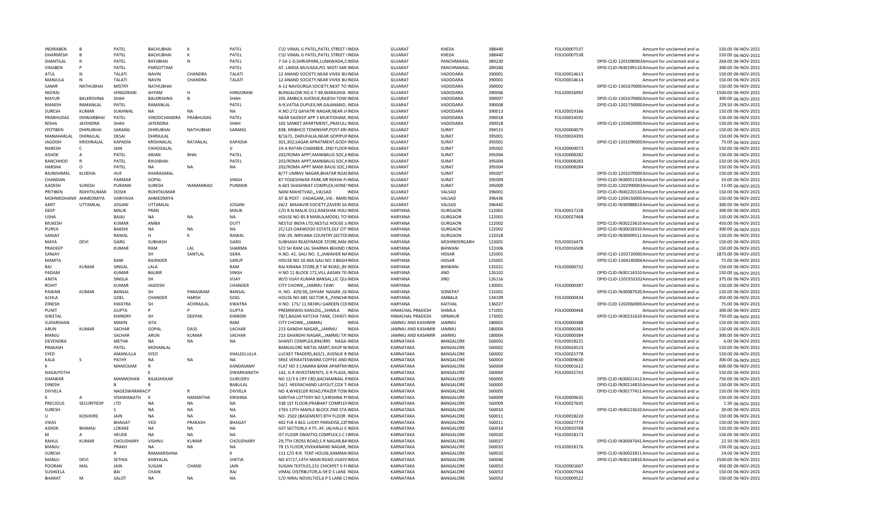| <b>INDIRABEN</b>          | B                 | PATEL            | <b>BACHUBHA</b>           |                 | PATEL                    | C\O VIMAL G PATEL.PATEL STREET IINDI/                                           | <b>GUJARAT</b>         | KHEDA                         | 388440           | FOLIO0007537                 | Amount for unclaimed and u                                 | 150.00 06-NOV-2021                       |
|---------------------------|-------------------|------------------|---------------------------|-----------------|--------------------------|---------------------------------------------------------------------------------|------------------------|-------------------------------|------------------|------------------------------|------------------------------------------------------------|------------------------------------------|
| <b>DHARMESH</b>           | B                 | PATEL            | <b>BACHUBHAI</b>          | K               | PATEL                    | C\O VIMAL G PATEL.PATEL STREET IINDIA                                           | <b>GUJARAT</b>         | KHEDA                         | 388440           | FOLIO0007538                 | Amount for unclaimed and ur                                | 150.00 06-NOV-2021                       |
| SHANTILAL                 |                   | PATEL            | RAYJIBHAI                 | N               | PATEL                    | 7-54-1-D, SHRIJIPARK, LUNAWADA, DINDIA                                          | <b>GUJARAT</b>         | <b>PANCHMAHAL</b>             | 389230           |                              | DPID-CLID-1201090003Amount for unclaimed and ur            | 264.00 06-NOV-2021                       |
| VINABEN                   | D                 | PATEL            | PARSOTTAM                 |                 | PATEL                    | AT. LIMDA MUVADA, PO. MOTI SAR INDIA                                            | <b>GUJARAT</b>         | PANCHMAHAL                    | 389260           |                              | DPID-CLID-IN30199110 Amount for unclaimed and ur           | 300.00 06-NOV-2021                       |
| ATUL                      | N                 | <b>TALATI</b>    | <b>NAVIN</b>              | CHANDRA         | <b>TALATI</b>            | 12 ANAND SOCIETY, NEAR VIVEK BUINDIA                                            | <b>GUJARAT</b>         | VADODARA                      | 390001           | FOLIO0014613                 | Amount for unclaimed and ur                                | 150.00 06-NOV-2021                       |
| MANJULA                   | N                 | TALATI           | <b>NAVIN</b>              | CHANDRA         | <b>TALATI</b>            | 12 ANAND SOCIETY, NEAR VIVEK BUINDIA                                            | <b>GUJARAT</b>         | VADODARA                      | 390001           | FOLIO0014614                 | Amount for unclaimed and ur                                | 150.00 06-NOV-2021                       |
| SAMIR                     | NATHUBHAI         | <b>MISTRY</b>    | <b>NATHUBHAI</b>          |                 |                          | A-12 NAVDURGA SOCIETY, NEXT TO INDIA                                            | <b>GUJARAT</b>         | VADODARA                      | 390002           |                              | DPID-CLID-130167000CAmount for unclaimed and ur            | 150.00 06-NOV-2021                       |
| NEERAJ                    |                   | <b>HINGORANI</b> | SHYAM                     | н               | HINGORANI                | BUNGALOW NO.6 T-49, WARASHIA INDIA                                              | <b>GUJARAT</b>         | VADODARA                      | 390006           | FOLIO0016992                 | Amount for unclaimed and ur                                | 1500.00 06-NOV-2021                      |
| MAYUR                     | BALKRISHNA        | SHAH             | BALKRISHNA                | B               | SHAH                     | 205 AMBICA AVENUE, RAJESH TOWIINDIA                                             | <b>GUJARAT</b>         | VADODARA                      | 390007           |                              | DPID-CLID-130167000CAmount for unclaimed and ur            | 300.00 06-NOV-2021                       |
| <b>MANISH</b>             | RAMANLAL          | PATFL            | RAMANLAL                  |                 | PATEL                    | A-9, VATSA DUPLEX, NR. GAJANAND, IINDIA                                         | <b>GUJARAT</b>         | VADODARA                      | 390008           |                              | DPID-CLID-120175000CAmount for unclaimed and ur            | 229.50 06-NOV-2021                       |
| <b>SURESH</b>             | <b>KUMAR</b>      | SUKHWAL          | <b>NA</b>                 | <b>NA</b>       | <b>NA</b>                | H.NO.272 GAYATRI NAGAR, NEAR JAINDIA                                            | GUJARAT                | VADODARA                      | 390013           | FOLIO0019166                 | Amount for unclaimed and ur                                | 150.00 06-NOV-2021                       |
| PRABHUDAS                 | <b>ISHWARBHAI</b> | PATEL            | VINODCHANDRA              | PRABHUDAS       | PATEL                    | NEAR SAIDEEP APP 3 MUKTIDHAM, INDIA                                             | <b>GUJARAT</b>         | VADODARA                      | 390018           | FOLIO0014592                 | Amount for unclaimed and ur                                | 150.00 06-NOV-2021                       |
| <b>NISHA</b>              | <b>JAYENDRA</b>   | SHAH             | <b>JAYENDRA</b>           |                 | SHAH                     | 102 SANKET APARTMENTPRAFULLINDIA                                                | <b>GUJARAT</b>         | VADODARA                      |                  |                              | DPID-CLID-120382000CAmount for unclaimed and ur            | 150.00 06-NOV-2021                       |
|                           |                   |                  |                           |                 |                          |                                                                                 |                        |                               | 390018           |                              |                                                            |                                          |
| <b>JYOTIBEN</b>           | <b>DHIRUBHAI</b>  | SARANG           | <b>DHIRUBHAI</b>          | NATHUBHAI       | SARANG                   | 838, KRIBHCO TOWNSHIP, POST KRI INDIA                                           | <b>GUJARAT</b>         | <b>SURAT</b>                  | 394515           | FOLIO0004079                 | Amount for unclaimed and ur                                | 150.00 06-NOV-2021                       |
| MANAHARLAL                | DHIRAJLAL         | DESAI            | DHIRAJLAL                 |                 |                          | 8/1671, DARUFALIA, NEAR GOPIPUFINDIA                                            | <b>GUJARAT</b>         | <b>SURAT</b>                  | 395001           | FOLIO0024393                 | Amount for unclaimed and ur                                | 150.00 06-NOV-2021                       |
| <b>JAGDISH</b>            | KRISHNALAL        | KAPADIA          | KRISHNALAL                | <b>RATANLAL</b> | <b>KAPADIA</b>           | 301,302,SAGAR APRATMENT,GODHINDIA                                               | <b>GUJARAT</b>         | SURAT                         | 395001           |                              | DPID-CLID-120109000C Amount for unclaimed and ur           | 75.00 06-NOV-2021                        |
| <b>NARESH</b>             | $\mathsf{C}$      | <b>JAIN</b>      | CHHOGALAL                 |                 | $\mathbf{H}$             | 19-A RATAN CHAMBER, 2ND FLOOFINDIA                                              | <b>GUJARAT</b>         | SURAT                         | 395002           | FOLIO0004073                 | Amount for unclaimed and ur                                | 150.00 06-NOV-2021                       |
| ASHOK                     | Α                 | PATEL            | ARJAN                     | BHAI            | PATEL                    | 202/ROMA APPT, MANIBAUG SOC, KINDIA                                             | GUJARAT                | SURAT                         | 395004           | FOLIO0008282                 | Amount for unclaimed and ur                                | 150.00 06-NOV-2021                       |
| RANCHHOD                  | $\mathsf{R}$      | PATEL            | RAVJIBHAI                 |                 | PATEL                    | 202/ROMA APPT, MANIBAUG SOC, KINDIA                                             | <b>GUJARAT</b>         | SURAT                         | 395004           | FOLIO0008283                 | Amount for unclaimed and ur                                | 150.00 06-NOV-2021                       |
| <b>HARSHA</b>             | $\Omega$          | PATEL            | NA                        | NA              | NA                       | 202/ROMA APPT MANI BAUG SOC, IINDIA                                             | <b>GUJARAT</b>         | SURAT                         | 395004           | FOLIO0008284                 | Amount for unclaimed and ur                                | 150.00 06-NOV-2021                       |
| RAJNISHMAL                | KLODHA            | <b>HUF</b>       | KHARAGMAL                 |                 |                          | B/77 UMRAV NAGAR, BHATAR ROAIINDIA                                              | <b>GUJARAT</b>         | SURAT                         | 395007           |                              | DPID-CLID-120107000CAmount for unclaimed and ur            | 150.00 06-NOV-2021                       |
| CHANDAN                   |                   | PARMAR           | GOPAL                     |                 | SINGH                    | 87 YOGESHWAR PARK, NR REKHA P/INDIA                                             | <b>GUJARAT</b>         | SURAT                         | 395009           |                              | DPID-CLID-IN30051318 Amount for unclaimed and ur           | 33.00 06-NOV-2021                        |
| AADESH                    | SURESH            | PURANIK          | <b>SURESH</b>             | WAMANRAO        | PURANIK                  | A 601 SHASHWAT COMPLEX, HONE\INDIA                                              | <b>GUJARAT</b>         | SURAT                         | 395009           |                              | DPID-CLID-1202990003Amount for unclaimed and ur            | 15.00 06-NOV-2021                        |
| PRITIBEN                  | <b>ROHITKUMAR</b> | <b>DOSHI</b>     | <b>ROHITKUMAR</b>         |                 |                          | NANI MAHETVADVALSAD<br><b>INDIA</b>                                             | <b>GUJARAT</b>         | VALSAD                        | 396001           |                              | DPID-CLID-IN30220110 Amount for unclaimed and ur           | 150.00 06-NOV-2021                       |
| MOHMEDHANIF               | AHMEDMIYA         | VARIYAVA         | AHMEDMIYA                 |                 |                          |                                                                                 | <b>GUJARAT</b>         | VALSAD                        | 396436           |                              | DPID-CLID-120415000CAmount for unclaimed and ur            | 150.00 06-NOV-2021                       |
| <b>AMIT</b>               |                   |                  |                           |                 |                          | AT & POST : VADAGAM,, VIA : MARCINDIA                                           |                        |                               |                  |                              |                                                            |                                          |
|                           | UTTAMLAL          | <b>JOGANI</b>    | UTTAMLAL                  |                 | <b>JOGANI</b>            | 26/2 MAHAVIR SOCIETY, ZAVERI SA INDIA                                           | <b>GUJARAT</b>         | VALSAD                        | 396445           |                              | DPID-CLID-IN30088814 Amount for unclaimed and ur           | 300.00 06-NOV-2021                       |
| DEEP                      |                   | MALIK            | PRAN                      |                 | <b>MALIK</b>             | C/O R.N.MALIK 012, RAKSHAK HOU: INDIA                                           | <b>HARYANA</b>         | <b>GURGAON</b>                | 122001           | FOLIO0017158                 | Amount for unclaimed and ur                                | 300.00 06-NOV-2021                       |
| <b>USHA</b>               |                   | BAJAJ            | NA                        | <b>NA</b>       | <b>NA</b>                | HOUSE NO 85 8 MARLA, MODEL TO INDIA                                             | <b>HARYANA</b>         | <b>GURGAON</b>                | 122001           | FOLIO0027468                 | Amount for unclaimed and ur                                | 150.00 06-NOV-2021                       |
| <b>MUKESH</b>             |                   | <b>KUMAR</b>     | AMBA                      |                 | DUTT                     | NESTLE INDIA LTD, NESTLE HOUSE J/INDIA                                          | <b>HARYANA</b>         | <b>GURGAON</b>                | 122002           |                              | DPID-CLID-IN30223610 Amount for unclaimed and ur           | 450.00 06-NOV-2021                       |
| PURVA                     |                   | <b>BAKSHI</b>    | NA                        | <b>NA</b>       | <b>NA</b>                | 2C/123 OAKWOOD ESTATE, DLF CIT INDIA                                            | <b>HARYANA</b>         | <b>GURGAON</b>                | 122002           |                              | DPID-CLID-IN30018310 Amount for unclaimed and ur           | 300.00 06-NOV-2021                       |
| SANJAY                    |                   | RAWAL            | H                         | K               | RAWAL                    | DW-29, NIRVANA COUNTRY, SECTOIINDIA                                             | <b>HARYANA</b>         | <b>GURGAON</b>                | 122018           |                              | DPID-CLID-IN30009511 Amount for unclaimed and ur           | 150.00 06-NOV-2021                       |
| <b>MAYA</b>               | DEVI              | GARG             | SUBHASH                   |                 | GARG                     | SUBHASH READYMADE STORE, MAI INDIA                                              | <b>HARYANA</b>         | MOHINDERGARH                  | 123001           | FOLIO0016475                 | Amount for unclaimed and ur                                | 150.00 06-NOV-2021                       |
| PRADEEP                   |                   | <b>KUMAR</b>     | RAM                       | LAL             | SHARMA                   | S/O SH RAM LAL SHARMA BEHIND LINDIA                                             | <b>HARYANA</b>         | BHIWANI                       | 123306           | FOLIO0016508                 | Amount for unclaimed and ur                                | 150.00 06-NOV-2021                       |
| SANJAY                    |                   |                  | SH                        | SANTLAL         | GERA                     | H.NO. 41, GALI NO. 3, JAWAHER NAINDIA                                           | <b>HARYANA</b>         | <b>HISSAR</b>                 | 125001           |                              | DPID-CLID-120372000CAmount for unclaimed and ur            | 1875.00 06-NOV-2021                      |
| MAMTA                     |                   | RANI             | RAJINDER                  |                 | SARUP                    | HOUSE NO 10 40A GALI NO 3 BAGHINDIA                                             | <b>HARYANA</b>         | <b>HISSAR</b>                 | 125001           |                              | DPID-CLID-1304140006 Amount for unclaimed and ur           | 75.00 06-NOV-2021                        |
| RAI                       | KUMAR             | SINGAL           | <b>LALA</b>               |                 | RAM                      | RAJ KIRANA STORE, B T M ROAD, BHINDIA                                           | <b>HARYANA</b>         | <b>BHIWANI</b>                | 125021           | FOLIO0006732                 | Amount for unclaimed and ur                                | 150.00 06-NOV-2021                       |
| PADAM                     |                   | <b>KUMAR</b>     | <b>BALBIR</b>             |                 | SINGH                    | H NO 11 BLOCK 172, VILL AASAN TEIINDIA                                          | <b>HARYANA</b>         | <b>JIND</b>                   | 126102           |                              | DPID-CLID-IN30114310 Amount for unclaimed and ur           | 150.00 06-NOV-2021                       |
| ANITA                     |                   | SINGLA           | SH                        |                 | VIJAY                    | W/O VIJAY KUMAR BANSAL, LIC QU/INDIA                                            | HARYANA                | JIND                          | 126116           |                              | DPID-CLID-1201910102Amount for unclaimed and ur            | 375.00 06-NOV-2021                       |
| ROHIT                     |                   | KUMAR            | <b>JAGDISH</b>            |                 | CHANDER                  | CITY CHOWK,,,JAMMU TAWI<br><b>INDIA</b>                                         | <b>HARYANA</b>         |                               | 130001           | FOLIO0000387                 | Amount for unclaimed and ur                                | 150.00 06-NOV-2021                       |
|                           |                   |                  |                           |                 |                          |                                                                                 |                        |                               |                  |                              |                                                            |                                          |
| PAWAN                     | KUMAR             | BANSAL           | SH                        | PARASRAM        | BANSAL                   | H. NO. 429/30,, SHYAM NAGAR., G(INDIA                                           | <b>HARYANA</b>         | SONEPAT                       | 131001           |                              | DPID-CLID-IN30087020 Amount for unclaimed and ur           | 150.00 06-NOV-2021                       |
| <b>ACHLA</b>              |                   | GOEL             |                           | HARSH           |                          |                                                                                 | <b>HARYANA</b>         | AMBALA                        | 134109           |                              |                                                            |                                          |
| <b>DINESH</b>             |                   |                  | CHANDER                   |                 | GOEL                     | HOUSE NO 685 SECTOR 9,,, PANCHKINDIA                                            |                        |                               |                  | FOLIO0000434                 | Amount for unclaimed and ur                                | 450.00 06-NOV-2021                       |
|                           |                   | <b>KWATRA</b>    | SH                        | ACHRAJLAL       | <b>KWATRA</b>            | H NO- 175/11.NEHRU GARDEN COLINDIA                                              | <b>HARYANA</b>         | KAITHAL                       | 136027           |                              | DPID-CLID-120206000CAmount for unclaimed and ur            | 75.00 06-NOV-2021                        |
| PUNIT                     |                   | <b>GUPTA</b>     | P                         |                 | <b>GUPTA</b>             | PREMNIWAS KANLOG,,,SHIMLA<br><b>INDIA</b>                                       | HIMACHAL PRADESH       | SHIMLA                        | 171001           | FOLIO0000468                 | Amount for unclaimed and ur                                | 300.00 06-NOV-2021                       |
| SHEETAL                   |                   | <b>KHINDRY</b>   | SH                        | <b>DEEPAK</b>   | KHINDRI                  | 78/1, BAZAR KATCHA TANK, CHHOT. INDIA                                           | HIMACHAL PRADESH       | SIRMAUR                       | 173001           |                              | DPID-CLID-IN30231610 Amount for unclaimed and ur           | 750.00 06-NOV-2021                       |
| SUDARSHAN                 |                   | MAKIN            | SITA                      |                 | RAM                      | CITY CHOWK,,,JAMMU<br><b>INDIA</b>                                              | JAMMU AND KASHMIR      | <b>JAMMU</b>                  | 180001           | FOLIO0000388                 | Amount for unclaimed and ur                                | 150.00 06-NOV-2021                       |
| ARUN                      | <b>KUMAR</b>      | SACHAR           | GOPAL                     | <b>DASS</b>     | SACHAR                   | 213 GANDHI NAGAR,,,JAMMU<br><b>INDIA</b>                                        | JAMMU AND KASHMIR      | JAMMU                         | 180004           | FOLIO0000383                 | Amount for unclaimed and ur                                | 150.00 06-NOV-2021                       |
| MANJU                     |                   | SACHAR           | ARUN                      | <b>KUMAR</b>    | SACHAR                   | 213 GHANDHI NAGAR,,,JAMMU TA'INDIA                                              | JAMMU AND KASHMIR      | JAMMU                         | 180004           | FOLIO0000384                 | Amount for unclaimed and ur                                | 300.00 06-NOV-2021                       |
| DEVENDRA                  |                   | METHA            | <b>NA</b>                 | <b>NA</b>       |                          |                                                                                 |                        | <b>BANGALORE</b>              | 560002           |                              |                                                            |                                          |
| PRAKASH                   |                   | PATEL            | MOHANLAL                  |                 | NA                       | SHANTI COMPLEX, 894/895 NAGAIINDIA<br>BANGALORE METAL MART, SHOP NIINDIA        | KARNATAKA<br>KARNATAKA | <b>BANGALORE</b>              | 560002           | FOLIO0018221<br>FOLIO0024523 | Amount for unclaimed and ur<br>Amount for unclaimed and ur | 6.00 06-NOV-2021<br>150.00 06-NOV-2021   |
|                           |                   |                  |                           |                 |                          |                                                                                 |                        |                               |                  |                              |                                                            |                                          |
| SYED                      |                   | AMANULLA         | SYED                      |                 | KHALEELULLA<br><b>NA</b> | LUCKEY TRADERS, 465/1, AVENUE R INDIA                                           | KARNATAKA              | <b>BANGALORE</b>              | 560002           | FOLIO0025778                 | Amount for unclaimed and ur                                | 150.00 06-NOV-2021                       |
| KALA                      | S                 | PATHY            | NA                        | <b>NA</b>       |                          | SREE VENKATESWARA COFFEE AND INDIA                                              | <b>KARNATAKA</b>       | BANGALORE                     | 560003           | FOLIO0009630                 | Amount for unclaimed and ur                                | 300.00 06-NOV-2021                       |
|                           |                   | MANICKAM         | $\mathsf{R}$              |                 | KANDASAMY                | FLAT NO 3 CANARA BANK APARTMIINDIA                                              | KARNATAKA              | BANGALORE                     | 560004           | FOLIO0001612                 | Amount for unclaimed and ur                                | 600.00 06-NOV-2021                       |
| NAGAJYOTHI                |                   |                  |                           |                 | <b>DWARKANATH</b>        | 142, G R INVESTMENTS, G R PLAZA, INDIA                                          | KARNATAKA              | <b>BANGALORE</b>              | 560004           | FOLIO0025743                 | Amount for unclaimed and ur                                | 150.00 06-NOV-2021                       |
| SHANKAR                   |                   | MANMOHAN         | RAJASHEKAR                |                 | <b>GURUDEV</b>           | NO 12/3 6 CRY CRD, BACHAMMAL RINDIA                                             | <b>KARNATAKA</b>       | BANGALORE                     | 560005           |                              | DPID-CLID-IN30021412 Amount for unclaimed and ur           | 750.00 06-NOV-2021                       |
| <b>DINESH</b>             |                   |                  |                           |                 | <b>BABULAL</b>           | 54/1 HEERACHAND LAYOUT, COX TIINDIA                                             | KARNATAKA              | BANGALORE                     | 560005           |                              | DPID-CLID-IN30214810 Amount for unclaimed and ur           | 150.00 06-NOV-2021                       |
| <b>DIVVELA</b>            |                   | NAGESWARARAOP    |                           |                 | <b>DIVVELA</b>           | NO 4, WHEELER ROAD, FRAZER TOWINDIA                                             | KARNATAKA              | BANGALORE                     | 560005           |                              | DPID-CLID-IN30177411 Amount for unclaimed and ur           | 150.00 06-NOV-2021                       |
|                           | $\Delta$          | VISHWANATH       | K                         | <b>NANANTHA</b> | <b>KRISHNA</b>           | SARITHA LOTTERY NO 5, KRISHNA PIINDIA                                           | KARNATAKA              | <b>BANGALORE</b>              | 560009           | FOLIO0009635                 | Amount for unclaimed and u                                 | 150.00 06-NOV-2021                       |
| <b>PRECIOUS</b>           | SECURITIESP       | LTD              | <b>NA</b>                 | NA              | NA                       | 338 1ST FLOOR, PRABHAT COMPLEXINDIA                                             | KARNATAKA              | <b>BANGALORE</b>              | 560009           | FOLIO0027635                 | Amount for unclaimed and ur                                | 1.50 06-NOV-2021                         |
| SURESH                    |                   | S.               | <b>NA</b>                 | <b>NA</b>       | <b>NA</b>                | 2765 13TH MAIN,E BLOCK 2ND STAINDIA                                             | KARNATAKA              | <b>BANGALORE</b>              | 560010           |                              | DPID-CLID-IN30223610 Amount for unclaimed and ur           | 30.00 06-NOV-2021                        |
| $\mathbf{H}$              | KOSHORE           | JAIN             | <b>NA</b>                 | NΔ              | <b>NA</b>                | NO-2502 (BASEMENT) 8TH FLOOR INDIA                                              | KARNATAKA              | <b>BANGALORE</b>              | 560011           | FOLIO0018220                 | Amount for unclaimed and ur                                | 150.00 06-NOV-2021                       |
| <b>VIKAS</b>              |                   | <b>BHAGAT</b>    | VED                       | PRAKASH         | <b>BHAGAT</b>            | 402 FLR 4 BLG LUCKY PARADISE, 22 NINDIA                                         | KARNATAKA              | <b>BANGALORE</b>              | 560011           | FOLIO0027774                 | Amount for unclaimed and ur                                | 150.00 06-NOV-2021                       |
| ASHOK                     | BHIMAJI           | LOKARE           | NA                        | NA              | NA                       | GST SECTION,E 4 ITI, AF, JALHALLI E INDIA                                       | KARNATAKA              | BANGALORE                     | 560014           | FOLIO0010768                 | Amount for unclaimed and ur                                | 150.00 06-NOV-2021                       |
| M                         | $\mathsf{A}$      | <b>HEUDE</b>     | <b>NA</b>                 | <b>NA</b>       | NA                       | IST FLOOR SWASTIQ COMPLEX, S C FINDIA                                           | KARNATAKA              | BANGALORE                     | 560020           | FOLIO0018173                 | Amount for unclaimed and ur                                | 150.00 06-NOV-2021                       |
| RAHUL                     | <b>KUMAR</b>      | CHOUDHARY        | VISHNU                    | <b>KUMAR</b>    | CHOUDHARY                | 29,7TH CROSS ROAD, SR NAGAR, BAINDIA                                            | KARNATAKA              | <b>BANGALORE</b>              | 560027           |                              | DPID-CLID-IN30047641 Amount for unclaimed and ur           | 22.50 06-NOV-2021                        |
| MANJU                     |                   | PRAKH            | <b>NA</b>                 | <b>NA</b>       | <b>NA</b>                |                                                                                 |                        |                               |                  |                              | Amount for unclaimed and ur                                |                                          |
|                           |                   |                  |                           |                 |                          | 78 1S FLOOR, VIVEKANAND NAGAR, INDIA                                            | KARNATAKA              | BANGALORE                     | 560033           | FOLIO0018176                 |                                                            | 150.00 06-NOV-2021                       |
| SURESH                    |                   |                  | RAMAKRISHNA               |                 |                          | 111 C/O R.R. TENT HOUSE, KAMMAIINDIA                                            | KARNATAKA              | BANGALORE                     | 560033           |                              | DPID-CLID-IN30023911 Amount for unclaimed and ur           | 24.00 06-NOV-2021                        |
| MANJU                     | <b>DFVI</b>       | <b>SETHIA</b>    | KANYALAL                  |                 | SHETIA                   | NO 67/17.14TH MAIN ROAD. VIJAYAINDIA                                            | <b>KARNATAKA</b>       | <b>BANGALORE</b>              | 560040           |                              | DPID-CLID-IN30214810 Amount for unclaimed and ur           | 1500.00 06-NOV-2021                      |
| POORAN                    | MAL               | <b>JAIN</b>      | SUGAN                     | CHAND           | <b>JAIN</b>              | SUGAN TEXTILES, 231 CHICKPET II FIINDIA                                         | KARNATAKA              | BANGALORE                     | 560053           | FOLIO0001607                 | Amount for unclaimed and ur                                | 450.00 06-NOV-2021                       |
| SUSHEELA<br><b>BHARAT</b> | M                 | RAI<br>SALOT     | <b>CHAIN</b><br><b>NA</b> | <b>NA</b>       | RAJ<br><b>NA</b>         | VIMAL DISTRBUTOR, A-59 D S LANE INDIA<br>C/O NIRAJ NOVELTIES, 6 P S LANE CHNDIA | KARNATAKA<br>KARNATAKA | BANGALORE<br><b>BANGALORE</b> | 560053<br>560053 | FOLIO0007564<br>FOLIO0009522 | Amount for unclaimed and ur<br>Amount for unclaimed and ur | 150.00 06-NOV-2021<br>150.00 06-NOV-2021 |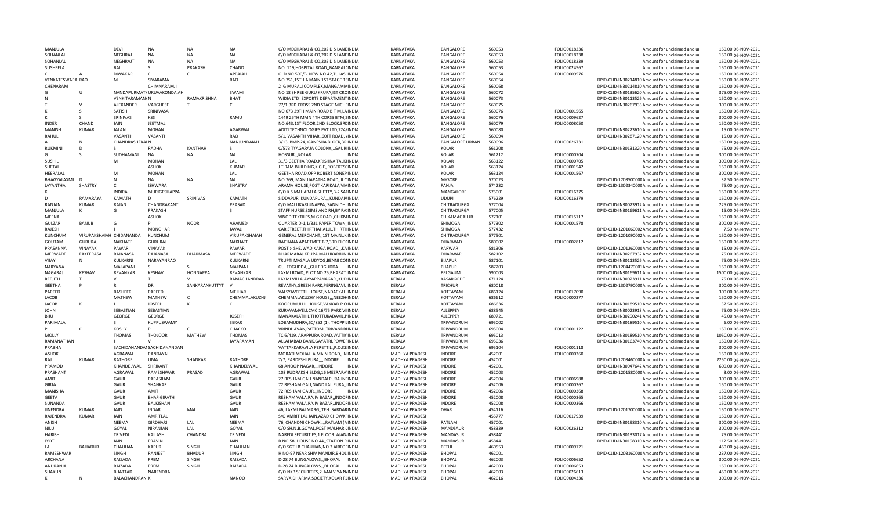| MANJULA          |                          | <b>DFVI</b>                             | NA                          | <b>NA</b>      | NA             | C/O MEGHARAJ & CO, 202 D S LANE INDIA                                         | KARNATAKA                        | BANGALORE                      | 560053           | FOLIO0018236                 | Amount for unclaimed and ur                                | 150.00 06-NOV-2021                       |
|------------------|--------------------------|-----------------------------------------|-----------------------------|----------------|----------------|-------------------------------------------------------------------------------|----------------------------------|--------------------------------|------------------|------------------------------|------------------------------------------------------------|------------------------------------------|
| SOHANLAL         |                          | <b>NEGHRAJ</b>                          | <b>NA</b>                   | <b>NA</b>      | <b>NA</b>      | C/O MEGHARAJ & CO, 202 D S LANE INDIA                                         | KARNATAKA                        | <b>BANGALORE</b>               | 560053           | FOLIO0018238                 | Amount for unclaimed and ur                                | 150.00 06-NOV-2021                       |
| SOHANLAL         |                          | NEGHRAJTI                               | <b>NA</b>                   | <b>NA</b>      | <b>NA</b>      | C/O MEGHARAJ & CO, 202 D S LANEINDIA                                          | KARNATAKA                        | BANGALORE                      | 560053           | FOLIO0018239                 | Amount for unclaimed and ur                                | 150.00 06-NOV-2021                       |
| SUSHEELA         |                          | RAI                                     |                             | PRAKASH        | CHAND          | NO. 119. HOSPITAL ROAD BANGAL(INDIA                                           | KARNATAKA                        | BANGALORE                      | 560053           | FOLIO0024567                 | Amount for unclaimed and ur                                | 150.00 06-NOV-2021                       |
|                  |                          | <b>DIWAKAR</b>                          | $\mathsf{C}$                |                | APPAIAH        | OLD NO.500/B, NEW NO.42, TULASI INDIA                                         | KARNATAKA                        | BANGALORE                      | 560054           | FOLIO0009576                 | Amount for unclaimed and ur                                | 150.00 06-NOV-2021                       |
| VENKATESWARA RAO |                          | M                                       | SIVARAMA                    |                | RAO            | NO 751,15TH A MAIN 1ST STAGE 1SINDIA                                          | KARNATAKA                        | BANGALORE                      | 560054           |                              | DPID-CLID-IN30214810 Amount for unclaimed and ur           | 150.00 06-NOV-2021                       |
| CHENARAM         |                          |                                         | CHIMNARAMJI                 |                |                | 2 G MURALI COMPLEX.MANGAMNINDIA                                               | KARNATAKA                        | BANGALORE                      | 560068           |                              | DPID-CLID-IN30214810 Amount for unclaimed and ur           | 150.00 06-NOV-2021                       |
| G                | $\cup$                   |                                         | NANDAPURMATI URUVAKONDAIAH  |                | SWAMI          | NO 18 SHREE GURU KRUPA, IST CROINDIA                                          | KARNATAKA                        | BANGALORE                      | 560072           |                              | DPID-CLID-IN30135620 Amount for unclaimed and ur           | 375.00 06-NOV-2021                       |
|                  |                          | <b>VENKITARAMAN/N</b>                   |                             | RAMAKRISHNA    | <b>BHAT</b>    | WIDIA LTD EXPORTS DEPARTMENT INDIA                                            | KARNATAKA                        | <b>BANGALORE</b>               | 560073           |                              | DPID-CLID-IN30113526 Amount for unclaimed and ur           | 150.00 06-NOV-2021                       |
|                  |                          | ALEXANDER                               | VARGHESE                    |                | $\mathsf{C}$   | 77/1,3RD CROSS 2ND STAGE MICHEINDIA                                           | KARNATAKA                        | <b>BANGALORE</b>               | 560075           |                              | DPID-CLID-IN30267933 Amount for unclaimed and ur           | 300.00 06-NOV-2021                       |
|                  |                          | SATISH                                  | SRINIVASA                   |                |                | NO 673 29TH MAIN ROAD B T M, LAINDIA                                          | KARNATAKA                        | BANGALORE                      | 560076           | FOLIO0001565                 | Amount for unclaimed and ur                                | 150.00 06-NOV-2021                       |
|                  |                          | SRINIVAS                                | KSS                         |                | RAMU           | 1449 25TH MAIN 4TH CORSS BTM, 2INDIA                                          | KARNATAKA                        | BANGALORE                      | 560076           | FOLIO0009627                 | Amount for unclaimed and ur                                | 300.00 06-NOV-2021                       |
| <b>INDER</b>     | CHAND                    | JAIN                                    | <b>JEETMAL</b>              |                |                | NO.643,1ST FLOOR,2ND BLOCK,3REINDIA                                           | KARNATAKA                        | BANGALORE                      | 560079           | FOLIO0008050                 | Amount for unclaimed and ur                                | 150.00 06-NOV-2021                       |
| <b>MANISH</b>    | <b>KUMAR</b>             | <b>JALAN</b>                            | <b>MOHAN</b>                |                | <b>AGARWAL</b> | ADITI TECHNOLOGIES PVT LTD, 224/INDIA                                         | KARNATAKA                        | <b>BANGALORE</b>               | 560080           |                              | DPID-CLID-IN30223610 Amount for unclaimed and ur           | 15.00 06-NOV-2021                        |
| RAHUL            |                          | VASANTH                                 | VASANTH                     |                | <b>RAO</b>     | 5/1, VASANTH VIHAR,, 60FT ROAD, /INDIA                                        | KARNATAKA                        | BANGALORE                      | 560094           |                              | DPID-CLID-IN30287120 Amount for unclaimed and ur           | 15.00 06-NOV-2021                        |
|                  |                          | CHANDRASHEKAI N                         |                             |                | NANJUNDAIAH    | 3/13, BMP-24, GANESHA BLOCK, 3R: INDIA                                        | KARNATAKA                        | <b>BANGALORE URBAN</b>         | 560096           | FOLIO0026731                 | Amount for unclaimed and ur                                | 150.00 06-NOV-2021                       |
| RUKMINI          | D                        | $\mathcal{S}$                           | RADHA                       | KANTHAH        | S              | C/573 TYAGARAJA COLONY,,,GAURIINDIA                                           | KARNATAKA                        | <b>KOLAR</b>                   | 561208           |                              | DPID-CLID-IN30131320 Amount for unclaimed and ur           | 75.00 06-NOV-2021                        |
| G.               |                          | SUDHAMANI                               | <b>NA</b>                   | <b>NA</b>      | <b>NA</b>      | HOSSUR,,,KOLAR<br><b>INDIA</b>                                                | KARNATAKA                        | KOLAR                          | 561212           | FOLIO0000704                 | Amount for unclaimed and ur                                | 300.00 06-NOV-2021                       |
| <b>SUSHIL</b>    |                          | M                                       | MOHAN                       |                | LAL            | 31/3 GEETHA ROAD.KRISHNA TALKIINDIA                                           | KARNATAKA                        | <b>KOLAR</b>                   | 563122           | FOLIO0000705                 | Amount for unclaimed and ur                                | 300.00 06-NOV-2021                       |
| SHETAL           |                          |                                         | ASHOK                       |                | <b>KUMAR</b>   | J T RAM BUILDING, K G F,, ROBERTSCINDIA                                       | KARNATAKA                        | <b>KOLAR</b>                   | 563124           | FOLIO0001542                 | Amount for unclaimed and ur                                | 150.00 06-NOV-2021                       |
| HEERALAL         |                          | M                                       | <b>MOHAN</b>                |                | LAL            | GEETHA ROAD, OPP ROBERT SONEP INDIA                                           | KARNATAKA                        | <b>KOLAR</b>                   | 563124           | FOLIO0001567                 | Amount for unclaimed and ur                                | 300.00 06-NOV-2021                       |
| BHAGYALAXMI      |                          | N                                       | <b>NA</b>                   | <b>NA</b>      | <b>NA</b>      | NO.769, MANUJAPATHA ROAD,, II CINDIA                                          | KARNATAKA                        | <b>MYSORE</b>                  | 570023           |                              | DPID-CLID-120350000C Amount for unclaimed and ur           | 37.50 06-NOV-2021                        |
| <b>JAYANTHA</b>  | SHASTRY                  | $\mathsf{C}$                            | <b>ISHWARA</b>              |                | SHASTRY        | ARAMA HOUSE, POST KARIKALA, VIAINDIA                                          | KARNATAKA                        | PANJA                          | 574232           |                              | DPID-CLID-130234000CAmount for unclaimed and ur            | 75.00 06-NOV-2021                        |
|                  |                          | <b>INDIRA</b>                           | MURIGESHAPPA                |                |                | C/O K S MAHABALA SHETTY, B-2 SAFINDIA                                         | KARNATAKA                        | MANGALORE                      | 575001           | FOLIO0016375                 | Amount for unclaimed and ur                                | 150.00 06-NOV-2021                       |
| D                | RAMARAYA                 | KAMATH                                  | D                           | SRINIVAS       | KAMATH         | SIDDAPUR KUNDAPURA,,,KUNDAPIINDIA                                             | KARNATAKA                        | <b>UDUPI</b>                   | 576229           | FOLIO0016379                 | Amount for unclaimed and ur                                | 150.00 06-NOV-2021                       |
| RANJAN           | <b>KUMAR</b>             | RAJAN                                   | CHANDRAKANT                 |                | PRASAD         | C/O MALLIKARJUNAPPA, SANNIDHI INDIA                                           | KARNATAKA                        | CHITRADURGA                    | 577004           |                              | DPID-CLID-IN30023912 Amount for unclaimed and ur           | 225.00 06-NOV-2021                       |
| MANJULA          | к                        | G                                       | PRAKASH                     |                | <sub>S</sub>   | STAFF NURSE, SSIMS AND RH, BY PA! INDIA                                       | KARNATAKA                        | CHITRADURGA                    | 577005           |                              | DPID-CLID-IN30169611 Amount for unclaimed and ur           | 15.00 06-NOV-2021                        |
| MEENA            |                          |                                         | ASHOK                       |                |                | VINOD TEXTILES, M G ROAD, , CHIKMINDIA                                        | KARNATAKA                        | CHIKAMAGALUR                   | 577101           | FOLIO0015717                 | Amount for unclaimed and ur                                | 150.00 06-NOV-2021                       |
| <b>GULZAR</b>    | <b>BANUB</b>             | G                                       |                             | <b>NOOR</b>    | AHAMED         | QUARTER D-1,1/331 PAPER TOWN, INDIA                                           | KARNATAKA                        | SHIMOGA                        | 577302           | FOLIO0001578                 | Amount for unclaimed and ur                                | 300.00 06-NOV-2021                       |
| RAJESH           |                          |                                         | <b>MONOHAR</b>              |                | <b>JAVALI</b>  | CAR STREET, THIRTHAHALLI, , THIRTHINDIA                                       | KARNATAKA                        | SHIMOGA                        | 577432           |                              | DPID-CLID-1201060002Amount for unclaimed and ur            | 7.50 06-NOV-2021                         |
| KUNCHUM          | VIRUPAKSHAIAH CHIDANANDA |                                         | KUNCHUM                     |                | VIRUPAKSHAIAH  | GENERAL MERCHANT,,1ST MAIN,,K.INDIA                                           | KARNATAKA                        | CHITRADURGA                    | 577501           |                              | DPID-CLID-1201090002Amount for unclaimed and ur            | 150.00 06-NOV-2021                       |
| GOUTAM           | <b>GURURAJ</b>           | NAKHATE                                 | <b>GURURAJ</b>              |                | NAKHATE        | RACHANA APARTMET, T-7,3RD FLO(INDIA                                           | KARNATAKA                        | DHARWAD                        | 580002           | FOLIO0002812                 | Amount for unclaimed and ur                                | 150.00 06-NOV-2021                       |
| PRASANNA         | VINAYAK                  | PAWAR                                   | <b>VINAYAK</b>              |                | PAWAR          | POST :- SHEJWAD, KAIGA ROAD, ,, KAINDIA                                       | KARNATAKA                        | KARWAR                         | 581306           |                              | DPID-CLID-120126000CAmount for unclaimed and u             | 15.00 06-NOV-2021                        |
| MERWADE          | FAKEERASA                | RAJANASA                                | RAJANASA                    | DHARMASA       | MERWADE        | DHARMARAJ KRUPA, MALLIKARJUN INDIA                                            | KARNATAKA                        | <b>DHARWAR</b>                 | 582102           |                              | DPID-CLID-IN30267932 Amount for unclaimed and ur           | 75.00 06-NOV-2021                        |
| VIJAY            | N                        | KULKARNI                                | NARAYANRAO                  |                | KULKARNI       | TRUPTI MASALA UDYOG, BENNI CONINDIA                                           | KARNATAKA                        | <b>BIJAPUR</b>                 | 587101           |                              | DPID-CLID-IN30113526 Amount for unclaimed and ur           | 75.00 06-NOV-2021                        |
| NARYANA          |                          | MALAPANI                                | -S                          |                | MALPANI        | GULEDGUDDA,,,GULEDGUDDA<br>INDIA                                              | KARNATAKA                        | <b>BIJAPUR</b>                 | 587203           |                              | DPID-CLID-1204470001Amount for unclaimed and ur            | 150.00 06-NOV-2021                       |
| NAGARAI          | KESHAV                   | <b>REVANKAR</b>                         | KESHAV                      | HONNAPPA       | REVANKAR       | LAXMI ROAD, PLOT NO 25, BHARAT INDIA                                          | KARNATAKA                        | BELGAUM                        | 590003           |                              | DPID-CLID-IN30169611 Amount for unclaimed and ur           | 1500.00 06-NOV-2021                      |
| REEJITH          |                          | $\mathsf{V}$                            | T.                          | $\mathsf{V}$   | RAMACHANDRAN   | LAXMI VILLA, AYYAPPANAGAR, , KUD INDIA                                        | KERALA                           | KASARGODE                      | 671124           |                              | DPID-CLID-IN30023911 Amount for unclaimed and ur           | 75.00 06-NOV-2021                        |
| GEETHA           | D                        |                                         | DR                          | SANKARANKUTTYT | $\mathbf{v}$   | REVATHY, GREEN PARK, PERINGAVU INDIA                                          | KERALA                           | <b>TRICHUR</b>                 | 680018           |                              | DPID-CLID-130279000CAmount for unclaimed and ur            | 300.00 06-NOV-2021                       |
| PAREED           |                          | <b>BASHEER</b>                          | PAREED                      |                | MEJHAR         | VALSYAVEETTIL HOUSE, NADACKAL INDIA                                           | KERALA                           | KOTTAYAM                       | 686124           | FOLIO0017090                 | Amount for unclaimed and ur                                | 300.00 06-NOV-2021                       |
| JACOB            |                          | MATHEW                                  | MATHEW                      | $\mathsf{C}$   | CHEMMALAKUZHJ  | CHEMMALAKUZHY HOUSE,,,NEEZHIINDIA                                             | KERALA                           | KOTTAYAM                       | 686612           | FOLIO0000277                 | Amount for unclaimed and ur                                | 150.00 06-NOV-2021                       |
| JACOB            | к                        |                                         | <b>JOSEPH</b>               | к              | C              | KOORUMULLIL HOUSE, VAKKAD POINDIA                                             | KERALA                           | KOTTAYAM                       | 686636           |                              | DPID-CLID-IN30189510 Amount for unclaimed and ur           | 37.50 06-NOV-2021                        |
| <b>JOHN</b>      |                          | SEBASTIAN                               | SEBASTIAN                   |                |                | KURAVAMVELI, CMC 16/75 PARK VIIINDIA                                          | KERALA                           | ALLEPPEY                       | 688545           |                              | DPID-CLID-IN30023913 Amount for unclaimed and ur           | 75.00 06-NOV-2021                        |
| <b>BIJU</b>      |                          | <b>GEORGE</b>                           | GEORGE                      |                | <b>JOSEPH</b>  | MANAKALATHIL THOTTUKADAVIL.PINDIA                                             | KERALA                           | ALLEPPEY                       | 689721           |                              | DPID-CLID-IN30290241 Amount for unclaimed and ur           | 45.00 06-NOV-2021                        |
| PARIMALA         |                          | -S.                                     | KUPPUSWAMY                  |                | <b>SEKAR</b>   | LOBAMUDHRA, 50/852 (1), THOPPILINDIA                                          | KERALA                           | TRIVANDRUM                     | 695002           |                              | DPID-CLID-IN30189510 Amount for unclaimed and ur           | 6.00 06-NOV-2021                         |
| D                | $\mathsf{C}$             | KOSHY                                   | Þ                           |                | CHACKO         | VRINDHAVAN, PATTOM, , TRIVANDRIINDIA                                          | KERALA                           | TRIVANDRUM                     | 695004           | FOLIO0001122                 | Amount for unclaimed and ur                                | 150.00 06-NOV-2021                       |
| MOLLY            |                          | <b>THOMAS</b>                           | THOLOOR                     | MATHEW         | <b>THOMAS</b>  | TC 6/419, ARAPPURA ROAD, VATTIY INDIA                                         | KERALA                           | TRIVANDRUM                     | 695013           |                              | DPID-CLID-IN30189510 Amount for unclaimed and ur           | 1050.00 06-NOV-2021                      |
| RAMANATHAN       |                          |                                         | $\mathsf{V}$                |                | JAYARAMAN      | ALLAHABAD BANK, GAYATRI, POWEFINDIA                                           | KERALA                           | TRIVANDRUM                     | 695036           |                              | DPID-CLID-IN30163740 Amount for unclaimed and ur           | 150.00 06-NOV-2021                       |
| PRABHA           |                          |                                         | SACHIDANANDAI SACHIDANANDAN |                |                | VATTAKKARAVILA PERETTIL,, P.O.KE INDIA                                        | KERALA                           | TRIVANDRUM                     | 695104           | FOLIO0001118                 | Amount for unclaimed and ur                                | 300.00 06-NOV-2021                       |
| ASHOK            |                          | AGRAWAL                                 | RANDAYAL                    |                |                | MORATI MOHALLA, MAIN ROAD,, IN INDIA                                          | MADHYA PRADESH                   | <b>INDORE</b>                  | 452001           | FOLIO0000360                 | Amount for unclaimed and ur                                | 150.00 06-NOV-2021                       |
| RAI              | <b>KUMAR</b>             | <b>RATHORE</b>                          | <b>UMA</b>                  | <b>SHANKAR</b> | <b>RATHORE</b> | 7/7, PARDESHI PURA,,,,INDORE<br>INDIA                                         | MADHYA PRADESH                   | INDORE                         | 452001           |                              | DPID-CLID-120346000CAmount for unclaimed and ur            | 2250.00 06-NOV-2021                      |
| PRAMOD           |                          | KHANDELWAL                              | SHRIKANT                    |                | KHANDELWAL     | 68 ANOOP NAGAR,,,INDORE<br><b>INDIA</b>                                       | MADHYA PRADESH                   | <b>INDORE</b>                  | 452001           |                              | DPID-CLID-IN30047642 Amount for unclaimed and ur           | 600.00 06-NOV-2021                       |
| PRASHANT         |                          | AGRAWAL                                 | RAMESHWAR                   | PRASAD         | AGRAWAL        | 103 RUDRAKSH BLDG,16 MEERAPA INDIA                                            | MADHYA PRADESH                   | <b>INDORF</b>                  | 452003           |                              | DPID-CLID-120158000CAmount for unclaimed and ur            | 3.00 06-NOV-2021                         |
| AMIT             |                          | GAUR                                    | PARASRAM                    |                | GAUR           | 27 RESHAM GALI NANDALPURA, INCINDIA                                           | MADHYA PRADESH                   | <b>INDORE</b>                  | 452004           | FOLIO0006988                 | Amount for unclaimed and ur                                | 300.00 06-NOV-2021                       |
| GIRJA            |                          | GAUR                                    | SHANKAR                     |                | GAUR           | 72 RESHAM GALI, NAND LAL PURA,, INDIA                                         | MADHYA PRADESH                   | <b>INDORE</b>                  | 452006           | FOLIO0000367                 | Amount for unclaimed and ur                                | 150.00 06-NOV-2021                       |
| MANISHA          |                          | GAUR                                    | AMIT                        |                | GAUR           | 72 RESHAM GAUR,,, INDORE<br><b>INDIA</b>                                      | MADHYA PRADESH                   | <b>INDORE</b>                  | 452006           | FOLIO0000368                 | Amount for unclaimed and ur                                | 150.00 06-NOV-2021                       |
| <b>GEETA</b>     |                          | GAUR                                    | BHAFIGIRATH                 |                | GAUR           | RESHAM VALA, RAJIV BAZAR, , INDOFINDIA                                        | MADHYA PRADESH                   | INDORE                         | 452008           | FOLIO0000365                 | Amount for unclaimed and ur                                | 150.00 06-NOV-2021                       |
| SUNANDA          |                          | GAUR                                    | BALKISHAN                   |                | GAUR           | RESHAM VALA, RAJIV BAZAR, , INDOFINDIA                                        | MADHYA PRADESH                   | INDORE                         | 452008           | FOLIO0000366                 | Amount for unclaimed and ur                                | 150.00 06-NOV-2021                       |
| <b>JINFNDRA</b>  | <b>KUMAR</b>             | <b>JAIN</b>                             | <b>INDAR</b>                | MAL            | JAIN           | 46, LAXMI BAI MARG, TEH. SARDARINDIA                                          | MADHYA PRADESH                   | DHAR                           | 454116           |                              | DPID-CLID-120170000CAmount for unclaimed and ur            | 150.00 06-NOV-2021                       |
| RAJENDRA         | <b>KUMAR</b>             | JAIN                                    | AMRITLAL                    |                | JAIN           | S/O AMRIT LAL JAIN, AZAD CHOWK INDIA                                          | MADHYA PRADESH                   |                                | 455777           | FOLIO0017939                 | Amount for unclaimed and ur                                | 150.00 06-NOV-2021                       |
| ANISH            |                          | <b>NEEMA</b>                            | GIRDHARI                    | LAL            | NEEMA          | 76, CHANDNI CHOWK,,,,RATLAM (NINDIA                                           | MADHYA PRADESH                   | RATLAM                         | 457001           |                              | DPID-CLID-IN30198310 Amount for unclaimed and ur           | 300.00 06-NOV-2021                       |
| NILU             |                          | GOYAL                                   | NIRANJAN                    | LAL            | GOYAL          | C/O SH.N.B.GOYAL, POST MALHAR (INDIA                                          | MADHYA PRADESH                   | MANDSAUR                       | 458339           | FOLIO0026312                 | Amount for unclaimed and ur                                | 300.00 06-NOV-2021                       |
| <b>HARISH</b>    |                          | TRIVEDI                                 | KAILASH                     | CHANDRA        | <b>TRIVEDI</b> | NAREDI SECURITIES,1 FLOOR AJAN INDIA                                          | MADHYA PRADESH                   | MANDASUR                       | 458441           |                              | DPID-CLID-IN30133017 Amount for unclaimed and ur           | 75.00 06-NOV-2021                        |
| <b>JYOTI</b>     |                          | <b>JAIN</b>                             | PRAVIN                      |                | <b>JAIN</b>    | B.NO.58, HOUSE NO.44,, STATION RINDIA                                         | MADHYA PRADESH                   | MANDASUR                       | 458441           |                              | DPID-CLID-IN30198310 Amount for unclaimed and ur           | 112.50 06-NOV-2021                       |
| LAL.             | <b>BAHADUR</b>           | CHAUHAN                                 | <b>KAPUR</b>                | SINGH          | CHAUHAN        | C/O SGT LB CHAUHAN, NO.3 AIRFOFINDIA                                          | MADHYA PRADESH                   | <b>BETUL</b>                   | 460553           | FOLIO0009721                 | Amount for unclaimed and ur                                | 450.00 06-NOV-2021                       |
| RAMESHWAR        |                          | SINGH                                   | RANJEET                     | <b>BHADUR</b>  | SINGH          | H NO-97 NEAR SHIV MANDIR, BHOL INDIA                                          | MADHYA PRADESH                   | <b>BHOPAL</b>                  | 462001           |                              | DPID-CLID-120316000CAmount for unclaimed and ur            | 237.00 06-NOV-2021                       |
| <b>ARCHANA</b>   |                          |                                         |                             |                |                |                                                                               |                                  |                                |                  |                              |                                                            |                                          |
|                  |                          | RAIZADA                                 | PREM                        | <b>SINGH</b>   |                |                                                                               |                                  | <b>BHOPAL</b>                  |                  |                              |                                                            | 300.00 06-NOV-2021                       |
|                  |                          |                                         |                             |                | RAIZADA        | D-28 74 BUNGALOWS,,,BHOPAL INDIA<br><b>INDIA</b>                              | MADHYA PRADESH                   | <b>BHOPAI</b>                  | 462003           | FOLIO0006652                 | Amount for unclaimed and ur                                |                                          |
| ANURANJA         |                          | RAIZADA                                 | PREM                        | SINGH          | RAIZADA        | D-28 74 BUNGALOWS,,,BHOPAL                                                    | MADHYA PRADESH                   |                                | 462003           | FOLIO0006653                 | Amount for unclaimed and ur                                | 150.00 06-NOV-2021                       |
| SHAKUN           | N                        | <b>BHATTAD</b><br><b>BALACHANDRAN K</b> | NARENDRA                    |                | <b>NANOO</b>   | C/O NKB SECURITIES, 2, MALVIYA N/INDIA<br>SARVA DHARMA SOCIETY, KOLAR R(INDIA | MADHYA PRADESH<br>MADHYA PRADESH | <b>BHOPAL</b><br><b>BHOPAL</b> | 462003<br>462016 | FOLIO0026613<br>FOLIO0004336 | Amount for unclaimed and ur<br>Amount for unclaimed and ur | 450.00 06-NOV-2021<br>300.00 06-NOV-2021 |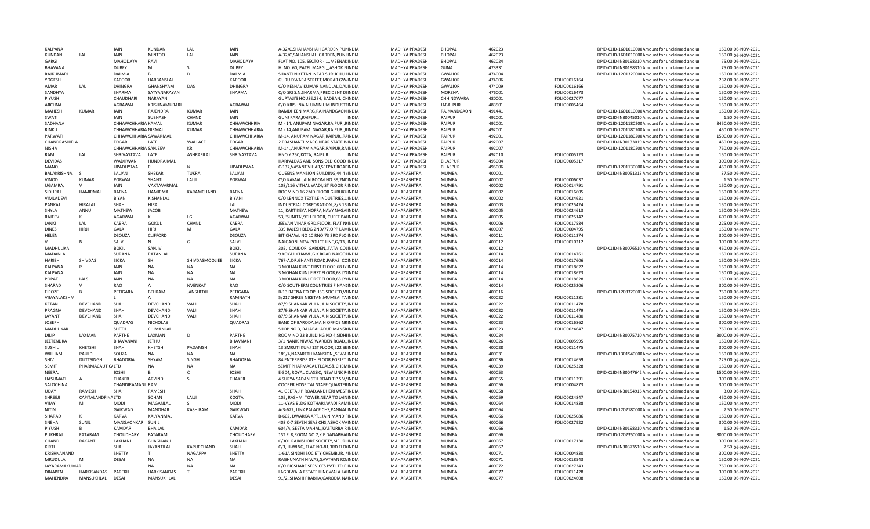| KALPANA            |                                  | JAIN                  | KUNDAN          | LAL               | JAIN             | A-32/C, SHAHANSHAH GARDEN, PUNINDIA     | <b>MADHYA PRADESH</b> | <b>BHOPAL</b>   | 462023 |              | DPID-CLID-160101000CAmount for unclaimed and u   | 150.00 06-NOV-2021  |
|--------------------|----------------------------------|-----------------------|-----------------|-------------------|------------------|-----------------------------------------|-----------------------|-----------------|--------|--------------|--------------------------------------------------|---------------------|
| KUNDAN             | LAL                              | JAIN                  | <b>MINTOO</b>   | LAL               | JAIN             | A-32/C, SAHANSHAH GARDEN, PUNJ INDIA    | MADHYA PRADESH        | <b>BHOPAL</b>   | 462023 |              | DPID-CLID-160101000CAmount for unclaimed and ur  | 150.00 06-NOV-2021  |
| GARGI              |                                  | MAHODAYA              | RAVI            |                   | <b>MAHODAYA</b>  | FLAT NO. 105, SECTOR - 1, MEENAKINDIA   | MADHYA PRADESH        | <b>BHOPAL</b>   | 462024 |              | DPID-CLID-IN30198310 Amount for unclaimed and ur | 75.00 06-NOV-2021   |
| <b>BHAVANA</b>     |                                  | <b>DUBFY</b>          | м               |                   | <b>DUBFY</b>     | H. NO. 60, PATEL MARG, "ASHOK NINDIA    | MADHYA PRADESH        | GUNA            | 473331 |              | DPID-CLID-IN30198310 Amount for unclaimed and ur | 75.00 06-NOV-2021   |
| RAJKUMARI          |                                  | <b>DALMIA</b>         | B               | D                 | DALMIA           | SHANTI NIKETAN NEAR SURUCHI, HINDIA     | MADHYA PRADESH        | <b>GWALIOR</b>  | 474004 |              | DPID-CLID-120132000CAmount for unclaimed and ur  | 150.00 06-NOV-2021  |
| YOGESH             |                                  | <b>KAPOOR</b>         | HARBANSLAL      |                   | <b>KAPOOR</b>    | GURU DWARA STREET, MORAR GW. INDIA      | MADHYA PRADESH        | <b>GWALIOR</b>  | 474006 | FOLIO0016164 | Amount for unclaimed and ur                      | 237.00 06-NOV-2021  |
| AMAR               | LAL                              | DHINGRA               | GHANSHYAM       | DAS               | <b>DHINGRA</b>   | C/O KESHAV KUMAR NANDLAL.DALINDIA       | MADHYA PRADESH        | <b>GWALIOR</b>  | 474009 | FOLIO0016166 | Amount for unclaimed and ur                      | 150.00 06-NOV-2021  |
| SANDHYA            |                                  | SHARMA                | SATYANARAYAN    |                   | SHARMA           | C/O SRI S.N.SHARMA, PRECIDENT DIINDIA   | MADHYA PRADESH        | <b>MORENA</b>   | 476001 | FOLIO0016473 | Amount for unclaimed and ur                      | 150.00 06-NOV-2021  |
| PIYUSH             |                                  | CHAUDHARI             | NARAYAN         |                   |                  | GUPTAJI'S HOUSE, 234, BADBAN, , CHINDIA | MADHYA PRADESH        | CHHINDWARA      | 480001 | FOLIO0027077 | Amount for unclaimed and ur                      | 150.00 06-NOV-2021  |
| ARCHNA             |                                  | AGRAWAL               | KRISHNAMURARI   |                   | AGRAWAL          | C/O KRISHNA ALUMINIUM INDUSTFINDIA      | MADHYA PRADESH        | <b>JABALPUR</b> | 483501 | FOLIO0005464 | Amount for unclaimed and ur                      | 150.00 06-NOV-2021  |
| MAHESH             | <b>KUMAR</b>                     | <b>JAIN</b>           | RAJENDRA        | <b>KUMAR</b>      | JAIN             | RAMDHEEN MARG, RAJNANDGAON INDIA        | MADHYA PRADESH        | RAJNANDGAON     | 491441 |              | DPID-CLID-160101000CAmount for unclaimed and ur  | 150.00 06-NOV-2021  |
| SWATI              |                                  | JAIN                  | SUBHASH         | CHAND             | JAIN             | GUNJ PARA.RAIPUR.<br><b>INDIA</b>       | MADHYA PRADESH        | <b>RAIPLIR</b>  | 492001 |              | DPID-CLID-IN30045010 Amount for unclaimed and ur | 1.50 06-NOV-2021    |
| SADHANA            |                                  | CHHAWCHHARIA KAMAL    |                 | <b>KUMAR</b>      | CHHAWCHHRIA      | M - 14, ANUPAM NAGAR, RAIPUR, , RINDIA  | MADHYA PRADESH        | <b>RAIPUR</b>   | 492001 |              | DPID-CLID-120118020CAmount for unclaimed and ur  | 3450.00 06-NOV-2021 |
| RINKU              |                                  | CHHAWCHHARIA NIRMAL   |                 | <b>KUMAR</b>      | CHHAWCHHARIA     | M - 14, ANUPAM NAGAR, RAIPUR, , RINDIA  | MADHYA PRADESH        | RAIPUR          | 492001 |              | DPID-CLID-120118020CAmount for unclaimed and ur  | 450.00 06-NOV-2021  |
| PARWATI            |                                  | CHHAWCHHARIA SAWARMAL |                 |                   | CHHAWCHHARIA     | M-14, ANUPAM NAGAR, RAIPUR, RAINDIA     | MADHYA PRADESH        | RAIPUR          | 492001 |              | DPID-CLID-120118020CAmount for unclaimed and ur  | 1500.00 06-NOV-2021 |
| CHANDRASHIELA      |                                  | EDGAR                 | LATE            | WALLACE           | EDGAR            | 2 PRASHANTI MARG, NEAR STATE BJINDIA    | MADHYA PRADESH        | <b>RAIPUR</b>   | 492007 |              | DPID-CLID-IN30133019 Amount for unclaimed and ur | 450.00 06-NOV-2021  |
| NISHA              |                                  | CHHAWCHHARIA SANJEEV  |                 | KR                | CHHAWCHHARIA     | M-14,, ANUPAM NAGAR, RAIPUR, RAINDIA    | MADHYA PRADESH        | RAIPUR          | 492007 |              | DPID-CLID-120118020CAmount for unclaimed and ur  | 750.00 06-NOV-2021  |
| RAM                | LAL                              | SHRIVASTAVA           | LATE            | <b>ASHRAFILAL</b> | SHRIVASTAVA      | HNO Y 250 KOTA  RAIPUR<br><b>INDIA</b>  | MADHYA PRADESH        | <b>RAIPUR</b>   | 492010 | FOLIO0005123 | Amount for unclaimed and u                       | 150.00 06-NOV-2021  |
| <b>DEVIDAS</b>     |                                  | WADHWANI              | HUNDRAJMAL      |                   |                  | HARPALDAS AND SONS, OLD GOOD INDIA      | MADHYA PRADESH        | <b>BILASPUR</b> | 495004 | FOLIO0005217 | Amount for unclaimed and u                       | 300.00 06-NOV-2021  |
| <b>MANOJ</b>       |                                  | UPADHYAYA             | $\mathsf{R}$    | $\mathsf{N}$      | <b>UPADHYAYA</b> | C-137, VASANT VIHAR, SEEPAT ROALINDIA   | MADHYA PRADESH        | <b>BILASPUR</b> | 495006 |              | DPID-CLID-120113000CAmount for unclaimed and ur  | 450.00 06-NOV-2021  |
| <b>BALAKRISHNA</b> |                                  | SALIAN                | SHEKAR          | <b>TUKRA</b>      | SALIAN           | QUEENS MANSION BUILDING, 44 4 / INDIA   | MAHARASHTRA           | MUMBAI          | 400001 |              | DPID-CLID-IN30051313 Amount for unclaimed and ur | 37.50 06-NOV-2021   |
| VINOD              | KUMAR                            | PORWAL                | SHANTI          | LALJI             | PORWAL           | C\O KAMAL JAIN, ROOM NO.39, 2NC INDIA   | MAHARASHTRA           | MUMBAI          | 400002 | FOLIO0006037 | Amount for unclaimed and ur                      | 1.50 06-NOV-2021    |
| UGAMRAJ            | $\mathsf{V}$                     | <b>JAIN</b>           | VAKTAVARMAL     |                   |                  | 108/116 VITHAL WADI, IST FLOOR R INDIA  | MAHARASHTRA           | <b>MUMBAI</b>   | 400002 | FOLIO0014791 | Amount for unclaimed and ur                      | 150.00 06-NOV-2021  |
| SIDHRAJ            | HAMIRMAL                         | <b>BAFNA</b>          | HAMIRMAL        | KARAMCHAND        | <b>BAFNA</b>     | ROOM NO 16 2MD FLOOR GURUKUINDIA        | MAHARASHTRA           | <b>MUMBAI</b>   | 400002 | FOLIO0016605 | Amount for unclaimed and ur                      | 150.00 06-NOV-2021  |
| VIMLADEVI          |                                  | <b>BIYANI</b>         | KISHANLAL       |                   | <b>BIYANI</b>    | C/O LENNOX TEXTILE INDUSTRIES, 1 INDIA  | MAHARASHTRA           | <b>MUMBAI</b>   | 400002 | FOLIO0024621 | Amount for unclaimed and ur                      | 150.00 06-NOV-2021  |
| PANKAI             | HIRALAL                          | SHAH                  | <b>HIRA</b>     |                   | LAL              | INDUSTRIAL CORPORATION, 8/B 1S INDIA    | MAHARASHTRA           | MUMBAI          | 400003 | FOLIO0025424 | Amount for unclaimed and ur                      | 150.00 06-NOV-2021  |
| SHYLA              | ANNU                             | MATHEW                | <b>JACOB</b>    |                   | <b>MATHEW</b>    | 11, KARTIKEYA NOFRA, NAVY NAGAIINDIA    | MAHARASHTRA           | MUMBAI          | 400005 | FOLIO0024613 | Amount for unclaimed and ur                      | 150.00 06-NOV-2021  |
| RAJEEV             | ĸ                                | <b>AGARWAL</b>        | ĸ               | LG                | AGARWAL          | 53, 'SUNITA', 9TH FLOOR, CUFFE PAIINDIA | MAHARASHTRA           | MUMBAI          | 400005 | FOLIO0025142 | Amount for unclaimed and ur                      | 600.00 06-NOV-2021  |
| <b>JANKI</b>       | LAL                              | <b>KABRA</b>          | <b>GOKUL</b>    | CHAND             | <b>KABRA</b>     | JEEVAN VIHAR.GRD.FLOOR. FLAT N(INDIA    | MAHARASHTRA           | <b>MUMBAI</b>   | 400006 | FOLIO0017584 | Amount for unclaimed and ur                      | 225.00 06-NOV-2021  |
| <b>DINESH</b>      | HIRII                            | GALA                  | HIR II          | M                 | GALA             | 339 RAJESH BLDG 2ND/77,OPP LANINDIA     | MAHARASHTRA           | MUMBAI          | 400007 | FOLIO0004795 | Amount for unclaimed and ur                      | 150.00 06-NOV-2021  |
| HELEN              |                                  | <b>DSOUZA</b>         | CLIFFORD        |                   | DSOUZA           | BIT CHAWL NO 10 RNO 73 3RD FLO INDIA    | MAHARASHTRA           | <b>MUMBAI</b>   | 400011 | FOLIO0011374 | Amount for unclaimed and ur                      | 300.00 06-NOV-2021  |
|                    |                                  | SALVI                 | N               | G                 | SALVI            | NAIGAON, NEW POLICE LINE, G/13, INDIA   | MAHARASHTRA           | <b>MUMBAI</b>   | 400012 | FOLIO0010212 | Amount for unclaimed and ur                      | 300.00 06-NOV-2021  |
| MADHULIKA          |                                  | <b>BOKIL</b>          | SANJIV          |                   | <b>BOKIL</b>     | 302, CONDOR GARDEN, TATA COLINDIA       | MAHARASHTRA           | MUMBAI          | 400012 |              | DPID-CLID-IN30076510 Amount for unclaimed and ur | 450.00 06-NOV-2021  |
| MADANLAI           |                                  | SURANA                | RATANLAL        |                   | <b>SURANA</b>    | 9 KOYAJI CHAWL, GK ROAD NAIGO/INDIA     | MAHARASHTRA           | MUMBAI          | 400014 | FOLIO0014761 | Amount for unclaimed and ur                      | 150.00 06-NOV-2021  |
| HARISH             | <b>SHIVDAS</b>                   | <b>SICKA</b>          | SH              | SHIVDASMOOLIEE    | <b>SICKA</b>     | 767-A, DR. GHANTI ROAD, PARASI COINDIA  | MAHARASHTRA           | <b>MUMBAI</b>   | 400014 | FOLIO0017606 | Amount for unclaimed and ur                      | 150.00 06-NOV-2021  |
| KALPANA            |                                  | JAIN                  | <b>NA</b>       | <b>NA</b>         | <b>NA</b>        | 3 MOHAN KUNT FIRST FLOOR, 68 JY INDIA   | MAHARASHTRA           | MUMBAI          | 400014 | FOLIO0018622 | Amount for unclaimed and ur                      | 150.00 06-NOV-2021  |
| KALPANA            |                                  | JAIN                  | <b>NA</b>       | <b>NA</b>         | <b>NA</b>        | 3 MOHAN KUNJ FIRST FLOOR, 68 JY(INDIA   | MAHARASHTRA           | MUMBAI          | 400014 | FOLIO0018623 | Amount for unclaimed and ur                      | 150.00 06-NOV-2021  |
| POPAT              | LALS                             | JAIN                  | NA              | <b>NA</b>         | NA               | 3 MOHAN KUNJ FIRST FLOOR, 68 JY(INDIA   | MAHARASHTRA           | <b>MUMBAI</b>   | 400014 | FOLIO0018628 | Amount for unclaimed and ur                      | 150.00 06-NOV-2021  |
| SHARAD             | $\mathsf{V}$                     | RAO                   | $\overline{A}$  | <b>NVFNKAT</b>    | RAO              | C/O SOUTHERN COUNTRIES FINAN(INDIA      | MAHARASHTRA           | MUMBAI          | 400014 | FOLIO0025206 | Amount for unclaimed and ur                      | 300.00 06-NOV-2021  |
| <b>FIROZE</b>      |                                  | PETIGARA              | BEHRAM          | JANSHEDJI         | PETIGARA         | B-13 RATNA CO OP HSG SOC LTD, VIINDIA   | MAHARASHTRA           | <b>MUMBAI</b>   | 400016 |              | DPID-CLID-1203320001Amount for unclaimed and ur  | 750.00 06-NOV-2021  |
| VIJAYALAKSHMI      |                                  |                       | A               |                   | RAMNATH          | 5/217 SHREE NIKETAN, MUMBAI TA INDIA    | MAHARASHTRA           | <b>MUMBAI</b>   | 400022 | FOLIO0011281 | Amount for unclaimed and ur                      | 150.00 06-NOV-2021  |
| KETAN              | DEVCHAND                         | SHAH                  | DEVCHAND        | VALJI             | SHAH             | 87/9 SHANKAR VILLA JAIN SOCIETY, INDIA  | MAHARASHTRA           | MUMBAI          | 400022 | FOLIO0011478 | Amount for unclaimed and ur                      | 150.00 06-NOV-2021  |
| PRAGNA             | DEVCHAND                         | SHAH                  | DEVCHAND        | VALII             | SHAH             | 87/9 SHANKAR VILLA JAIN SOCIETY, INDIA  | MAHARASHTRA           | MUMBAI          | 400022 | FOLIO0011479 | Amount for unclaimed and ur                      | 150.00 06-NOV-2021  |
| <b>JAYANT</b>      | DEVCHAND                         | SHAH                  | DEVCHAND        | VALII             | SHAH             | 87/9 SHANKAR VILLA JAIN SOCIETY, INDIA  | MAHARASHTRA           | MUMBAI          | 400022 | FOLIO0011480 | Amount for unclaimed and ur                      | 150.00 06-NOV-2021  |
| <b>JOSEPH</b>      |                                  | QUADRAS               | <b>NICHOLAS</b> |                   | QUADRAS          | BANK OF BARODA, MAIN OFFICE NRINDIA     | MAHARASHTRA           | <b>MUMBAI</b>   | 400023 | FOLIO0016862 | Amount for unclaimed and ur                      | 300.00 06-NOV-2021  |
| MADHUKAR           |                                  | SHETH                 | CHIMANLAL       |                   |                  | SHOP NO.3, RAJABAHADUR MANSI(INDIA      | MAHARASHTRA           | MUMBAI          | 400023 | FOLIO0024647 | Amount for unclaimed and ur                      | 750.00 06-NOV-2021  |
| <b>DILIP</b>       | LAXMAN                           | PARTHE                | LAXMAN          | D                 | PARTHE           | ROOM NO 23 BUILDING NO 4.SIDHIINDIA     | MAHARASHTRA           | <b>MUMBAI</b>   | 400024 |              | DPID-CLID-IN30075710 Amount for unclaimed and u  | 3000.00 06-NOV-2021 |
| JEETENDRA          |                                  | BHAVANANI             | <b>JETHU</b>    |                   | RHAVNANI         | 3/1 NANIK NIWAS WARDEN ROAD. INDIA      | MAHARASHTRA           | <b>MUMBAI</b>   | 400026 | FOLIO0005995 | Amount for unclaimed and u                       | 150.00 06-NOV-2021  |
| <b>SUSHIL</b>      | KHFTSHI                          | SHAH                  | KHETSHI         | PADAMSHI          | SHAH             | 13 SMRUTI KUNJ 1ST FLOOR, 222 SEINDIA   | MAHARASHTRA           | MUMBAI          | 400028 | FOLIO0011475 | Amount for unclaimed and ur                      | 300.00 06-NOV-2021  |
| WILLIAM            | PAULD                            | SOUZA                 | <b>NA</b>       | <b>NA</b>         | <b>NA</b>        | 189/4, NAZARETH MANSION, , SEWA INDIA   | MAHARASHTRA           | <b>MUMBAI</b>   | 400031 |              | DPID-CLID-130154000CAmount for unclaimed and ur  | 150.00 06-NOV-2021  |
| <b>SHIV</b>        | <b>DUTTSINGH</b>                 | <b>BHADORIA</b>       | SHYAM           | SINGH             | <b>BHADORIA</b>  | 84 ENTERPRISE 8TH FLOOR, FORJET INDIA   | MAHARASHTRA           | <b>MUMBAI</b>   | 400036 | FOLIO0014659 | Amount for unclaimed and ur                      | 225.00 06-NOV-2021  |
| SEMIT              | PHARMACAUTIC/ LTD                |                       | <b>NA</b>       | <b>NA</b>         | NA               | SEMIT PHARMACAUTLCALS& CHEMINDIA        | MAHARASHTRA           | <b>MUMBAI</b>   | 400039 | FOLIO0025328 | Amount for unclaimed and ur                      | 150.00 06-NOV-2021  |
| NEERAJ             |                                  | <b>JOSHI</b>          | B               | C                 | <b>JOSHI</b>     | E-304, ROYAL CLASSIC, NEW LINK RINDIA   | MAHARASHTRA           | <b>MUMBAI</b>   | 400053 |              | DPID-CLID-IN30047642 Amount for unclaimed and ur | 1500.00 06-NOV-2021 |
| HASUMATI           | $\mathsf{A}$                     | THAKER                | ARVIND          |                   | THAKER           | 4 SURYA SADAN 6TH ROAD T P S V, INDIA   | MAHARASHTRA           | MUMBAI          | 400055 | FOLIO0011291 | Amount for unclaimed and ur                      | 300.00 06-NOV-2021  |
| SALOCHINA          |                                  | CHANDIRAMANI RAM      |                 |                   |                  | COOPER HOSPITAL STAFF QUARTERINDIA      | MAHARASHTRA           | <b>MUMBAI</b>   | 400056 | FOLIO0004873 | Amount for unclaimed and u                       | 300.00 06-NOV-2021  |
| UDAY               | RAMESH                           | SHAH                  | RAMESH          |                   | SHAH             | 41 GEETA, J P ROAD, ANDHERI WEST INDIA  | MAHARASHTRA           | MUMBAI          | 400058 |              | DPID-CLID-IN30154916 Amount for unclaimed and ur | 3.00 06-NOV-2021    |
| SHRFFJ             | <b>CAPITALANDFINALTD</b>         |                       | SOHAN           | LALJI             | <b>KOGTA</b>     | 105, RASHMI TOWER, NEAR TO JAININDIA    | MAHARASHTRA           | MUMBAI          | 400059 | FOLIO0024847 | Amount for unclaimed and ur                      | 450.00 06-NOV-2021  |
| VIJAY              | M                                | <b>MODI</b>           | MAGANLAL        | $\zeta$           | MODI             | 11-VYAS BLDG KOTHARI, WADI RAMINDIA     | MAHARASHTRA           | <b>MUMBAI</b>   | 400064 | FOLIO0014838 | Amount for unclaimed and ur                      | 150.00 06-NOV-2021  |
| <b>NITIN</b>       |                                  | GAIKWAD               | <b>MANOHAR</b>  | KASHIRAM          | GAIKWAD          | A-3-622, LINK PALACE CHS, PANNAL INDIA  | MAHARASHTRA           | <b>MUMBAI</b>   | 400064 |              | DPID-CLID-120218000CAmount for unclaimed and ur  | 7.50 06-NOV-2021    |
| SHARAD             | ĸ                                | <b>KARVA</b>          | KALYANMAL       |                   | KARVA            | B-602, DWARKA APT., JAIN MANDIFINDIA    | MAHARASHTRA           | <b>MUMBAI</b>   | 400066 | FOLIO0025086 | Amount for unclaimed and ur                      | 150.00 06-NOV-2021  |
| SNEHA              | SUNIL                            | MANGAONKAR            | SUNIL           |                   |                  | 403 C-7 SEVEN SEAS CHS, ASHOK VAINDIA   | MAHARASHTRA           | <b>MUMBAI</b>   | 400066 | FOLIO0027922 | Amount for unclaimed and ur                      | 300.00 06-NOV-2021  |
| PIYUSH             |                                  | <b>KAMDAR</b>         | <b>BHAILAL</b>  |                   | <b>KAMDAR</b>    | 604/A. SEETA MAHAL. KASTURBA R INDIA    | MAHARASHTRA           | MUMBAI          | 400066 |              | DPID-CLID-IN30198310 Amount for unclaimed and ur | 1.50 06-NOV-2021    |
| PUKHRAI            | FATARAM                          | CHOUDHARY             | FATARAM         |                   | CHOUDHARY        | 1ST FLR, ROOM NO 2, K E DANABHAIINDIA   | MAHARASHTRA           | MUMBAI          | 400066 |              | DPID-CLID-120235000CAmount for unclaimed and ur  | 3000.00 06-NOV-2021 |
| CHAND              | RAKANT                           | LAKHANI               | BHAGUANJI       |                   | LAKHANI          | C/301 RAJKISHORE SOCIETY, MEURIHNDIA    | MAHARASHTRA           | <b>MUMBAI</b>   | 400067 | FOLIO0017130 | Amount for unclaimed and ur                      | 300.00 06-NOV-2021  |
| KIRTI              |                                  | <b>SHAH</b>           | JAYANTILAL      | KAPURCHAND        | SHAH             | C/3, H-WING, FLAT NO-81,3RD FLO(INDIA   | MAHARASHTRA           | MUMBAI          | 400067 |              | DPID-CLID-IN30373510 Amount for unclaimed and ur | 7.50 06-NOV-2021    |
| KRISHNANAND        |                                  | SHETTY                |                 | <b>NAGAPPA</b>    | SHETTY           | 1-61A SINDHI SOCIETY, CHEMBUR,, NINDIA  | MAHARASHTRA           | MUMBAI          | 400071 | FOLIO0004830 | Amount for unclaimed and u                       | 300.00 06-NOV-2021  |
| MRUDULA            | M                                | <b>DFSAI</b>          | NA              | <b>NA</b>         | <b>NA</b>        | RAGHUNATH NIWAS, GAVTHAN ROJINDIA       | MAHARASHTRA           | <b>MUMBAI</b>   | 400071 | FOLIO0018543 | Amount for unclaimed and ur                      | 150.00 06-NOV-2021  |
| JAYARAMAKUMAR      |                                  |                       | <b>NA</b>       | <b>NA</b>         | <b>NA</b>        | C/O BIGSHARE SERVICES PVT LTD,E INDIA   | MAHARASHTRA           | <b>MUMBAI</b>   | 400072 | FOLIO0027343 | Amount for unclaimed and ur                      | 750.00 06-NOV-2021  |
| <b>DINABEN</b>     | HARKISANDAS PAREKH<br>MANSUKHLAL |                       | HARKISANDAS     | T                 | PAREKH           | LAGDIWALA ESTATE HINGWALA LAIINDIA      | MAHARASHTRA           | <b>MUMBAI</b>   | 400077 | FOLIO0011428 | Amount for unclaimed and ur                      | 300.00 06-NOV-2021  |
| <b>MAHFNDRA</b>    |                                  | <b>DESA</b>           | MANSUKHLAL      |                   | <b>DESAI</b>     | 91/2, SHASHI PRABHA, GARODIA NAINDIA    | MAHARASHTRA           | MUMBAI          | 400077 | FOLIO0024608 | Amount for unclaimed and ur                      | 150.00 06-NOV-2021  |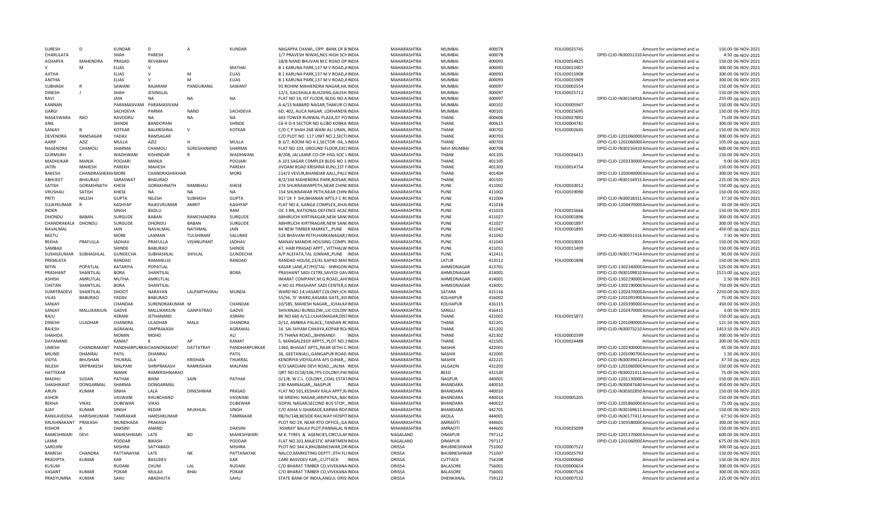| SURESH              | D                 | <b>KUNDAR</b>            | D                | $\overline{A}$   | <b>KUNDAR</b>        | NAGAPPA CHAWL, OPP. BANK OF BINDIA       | MAHARASHTRA | MUMBA              | 400078 | FOLIO0025745 | Amount for unclaimed and ur                                | 150.00 06-NOV-2021  |
|---------------------|-------------------|--------------------------|------------------|------------------|----------------------|------------------------------------------|-------------|--------------------|--------|--------------|------------------------------------------------------------|---------------------|
| CHARULATA           |                   | <b>SHAH</b>              | PARESH           |                  |                      | 1/7 PRAVESH NIWAS, NES HIGH SCHINDIA     | MAHARASHTRA | MUMBAI             | 400078 |              | DPID-CLID-IN30051310 Amount for unclaimed and ur           | 4.50 06-NOV-2021    |
| <b>ACHARYA</b>      | MAHFNDRA          | PRASAD                   | REVABHAI         |                  |                      | 18/B NAND BHUVAN M C ROAD OP INDIA       | MAHARASHTRA | <b>MUMBAI</b>      | 400093 | FOLIO0014825 | Amount for unclaimed and ur                                | 150.00 06-NOV-2021  |
| v                   | м                 | <b>ELIAS</b>             | $\mathsf{V}$     |                  | MATHAI               | B 1 KARUNA PARK, 137 M V ROAD, AINDIA    | MAHARASHTRA | MUMBAI             | 400093 | FOLIO0015907 | Amount for unclaimed and ur                                | 300.00 06-NOV-2021  |
| AJITHA              |                   | <b>ELIAS</b>             | $\vee$           | M                | <b>ELIAS</b>         | B 1 KARUNA PARK.137 M V ROAD.AINDIA      | MAHARASHTRA | <b>MUMBAI</b>      | 400093 | FOLIO0015908 | Amount for unclaimed and ur                                | 300.00 06-NOV-2021  |
| ANITHA              |                   | <b>ELIAS</b>             | $\mathsf{V}$     | M                | <b>ELIAS</b>         | B 1 KARUNA PARK, 137 M V ROAD, AINDIA    | MAHARASHTRA | <b>MUMBAI</b>      | 400093 | FOLIO0015909 | Amount for unclaimed and ur                                | 300.00 06-NOV-2021  |
| <b>SUBHASH</b>      |                   | SAWANI                   | RAJARAM          | PANDURANG        | SAWANT               | 91 ROHINI MAHIENDRA NAGAR, HA INDIA      | MAHARASHTRA | <b>MUMBAI</b>      | 400097 | FOLIO0002554 | Amount for unclaimed and ur                                | 150.00 06-NOV-2021  |
| <b>DINESH</b>       |                   | SHAH                     | JESINGLAL        |                  |                      | 12/3, GAUSHALA BUILDING, GAUSH INDIA     | MAHARASHTRA | <b>MUMBAI</b>      | 400097 | FOLIO0025712 | Amount for unclaimed and ur                                | 150.00 06-NOV-2021  |
| RAVI                |                   | <b>JAIN</b>              | <b>NA</b>        | <b>NA</b>        | <b>NA</b>            | FLAT NO 14, IST FLOOR, BLDG NO AINDIA    | MAHARASHTRA | <b>MUMBAI</b>      | 400097 |              | DPID-CLID-IN30154918 Amount for unclaimed and ur           | 255.00 06-NOV-2021  |
| <b>KANNAN</b>       |                   | PARAMASIVAM              | PARAMASIVAM      |                  |                      | A-4/13 NABARD NAGAR, THAKUR C(INDIA      | MAHARASHTRA | <b>MUMBAI</b>      | 400101 | FOLIO0005947 | Amount for unclaimed and ur                                | 150.00 06-NOV-2021  |
| GARGI               |                   | SACHDEVA                 | PARMA            | <b>NAND</b>      | SACHDEVA             | 6D, 402, ALICA NAGAR, LOKHANDVINDIA      | MAHARASHTRA | <b>MUMBAI</b>      | 400101 | FOLIO0025695 | Amount for unclaimed and ur                                | 150.00 06-NOV-2021  |
| NAGESWARA           | RAO               | RAVOORU                  | <b>NA</b>        | <b>NA</b>        | <b>NA</b>            | 603 TOWER RUNWAL PLAZA, IST POINDIA      | MAHARASHTRA | <b>THANF</b>       | 400606 | FOLIO0027892 | Amount for unclaimed and ur                                | 75.00 06-NOV-2021   |
| ANIL                |                   | SHINDE                   | BANDOPANI        |                  | SHINDE               | C6-9 O-4 SECTOR NO 6,CBD KONKA INDIA     | MAHARASHTRA | <b>THANE</b>       | 400615 | FOLIO0004781 | Amount for unclaimed and ur                                | 300.00 06-NOV-2021  |
| SANJAY              | B                 | <b>KOTKAR</b>            | BALKRISHNA       | $\mathsf{V}$     | <b>KOTKAR</b>        | C/O C P SHAH 268 WANI ALI URAN, INDIA    | MAHARASHTRA | <b>THANE</b>       | 400702 | FOLIO0002645 | Amount for unclaimed and ur                                | 150.00 06-NOV-2021  |
| DEVENDRA            | RAMSAGAR          | YADAV                    | RAMSAGAR         |                  |                      | C/O PLOT NO. 117 UNIT NO.2, SECT(INDIA   | MAHARASHTRA | <b>THANF</b>       | 400703 |              | DPID-CLID-120106000C Amount for unclaimed and ur           | 300.00 06-NOV-2021  |
| AARIF               | <b>AZIZ</b>       | MULLA                    | AZIZ             | н                | MULLA                | B-3/7, ROOM NO 4:1, SECTOR -04, , VINDIA | MAHARASHTRA | <b>THANF</b>       | 400703 |              | DPID-CLID-120106000C Amount for unclaimed and ur           | 105.00 06-NOV-2021  |
| NAGENDRA            | CHAMOLI           | SHARMA                   | CHAMOLI          | SURESHANAND      | SHARMA               | FLAT NO 103, GROUND FLOOR, EXCIINDIA     | MAHARASHTRA | <b>NAVI MUMBAI</b> | 400708 |              | DPID-CLID-IN30216410 Amount for unclaimed and ur           | 600.00 06-NOV-2021  |
| <b>GURMUKH</b>      | К                 | WADHWANI                 | KISHINDAR        |                  | WADHWANI             | B/208, JAI LAXMI CO-OP-HSG-SOC LINDIA    | MAHARASHTRA | <b>THANE</b>       | 401105 | FOLIO0026415 | Amount for unclaimed and ur                                | 150.00 06-NOV-2021  |
| <b>MADHUKAR</b>     | MANJA             | <b>POOJARI</b>           | MANJA            |                  | POOJARI              | A 101 SAGAR COMPLEX BLDG NO 1 INDIA      | MAHARASHTRA | <b>THANF</b>       | 401105 |              | DPID-CLID-120333000CAmount for unclaimed and ur            | 9.00 06-NOV-2021    |
| <b>JATIN</b>        | <b>MAHESH</b>     | PAREKH                   | MAHESH           |                  | PAREKH               | JIVDANI ROAD KRISHNA KUNJ, 1ST FINDIA    | MAHARASHTRA | <b>THANF</b>       | 401303 | FOLIO0014754 | Amount for unclaimed and ur                                | 150.00 06-NOV-2021  |
| <b>RAKFSH</b>       | CHANDRASHEKH/MORE |                          | CHANDRASHEKHAR   |                  | <b>MORE</b>          | 114/3 VEVUR, BHANDAR AALI, , PALGINDIA   | MAHARASHTRA | <b>THANE</b>       | 401404 |              | DPID-CLID-120304000C Amount for unclaimed and ur           | 300.00 06-NOV-2021  |
| ABHIJEET            | <b>BHAURAO</b>    | SARASWAT                 | <b>BHAURAO</b>   |                  |                      | B/2/104 MAHENDRA PARK.BOISAR.INDIA       | MAHARASHTRA | <b>THANE</b>       | 401501 |              | DPID-CLID-IN30154915 Amount for unclaimed and ur           | 225.00 06-NOV-2021  |
| <b>SATISH</b>       | GORAKHNATH        | <b>KHESE</b>             | GORAKHNATH       | RAMRHAU          | <b>KHESE</b>         | 274 SHUKRAWARPETH, NEAR CHINCINDIA       | MAHARASHTRA | PUNF               | 411002 | FOLIO0010012 | Amount for unclaimed and ur                                | 150.00 06-NOV-2021  |
| VRUSHALI            | SATISH            | KHESE                    | <b>NA</b>        | <b>NA</b>        | <b>NA</b>            | 154 SHUKRAWAR PETH, NEAR CHIN INDIA      | MAHARASHTRA | <b>PUNE</b>        | 411002 | FOLIO0019090 | Amount for unclaimed and ur                                | 150.00 06-NOV-2021  |
| PRITI               | NILESH            | <b>GUPTA</b>             | NILESH           | SUBHASH          | <b>GUPTA</b>         | 917 19 F SHUBHANAN APTS,F C RCINDIA      | MAHARASHTRA | PUNF               | 411004 |              | DPID-CLID-IN30018311 Amount for unclaimed and ur           | 37.50 06-NOV-2021   |
| SUJAYKUMAR          |                   | <b>KASHYAP</b>           | RAJEEVKUMAR      | AMRIT            | <b>KASHYAP</b>       | FLAT NO 4, GANGA COMPLEX, KHAIINDIA      | MAHARASHTRA | PUNE               | 411018 |              | DPID-CLID-120447000CAmount for unclaimed and ur            | 30.00 06-NOV-2021   |
| <b>INDER</b>        |                   | SINGH                    | <b>BADLU</b>     |                  | RAM                  | OC 3 BN,, NATIONAL DEFENCE ACALINDIA     | MAHARASHTRA | PUNE               | 411023 | FOLIO0015666 | Amount for unclaimed and ur                                | 150.00 06-NOV-2021  |
| DHONDU              | <b>BABAN</b>      | <b>SURGUDE</b>           | BABAN            | RAMCHANDRA       | SURGUDE              | ABHIRUCHI KIRTINAGAR, NEW SANCINDIA      | MAHARASHTRA | PUNE               | 411027 | FOLIO0001896 | Amount for unclaimed and ur                                | 300.00 06-NOV-2021  |
| CHANDRAKALA         | DHONDU            | <b>SURGUDE</b>           | DHONDU           | BABAN            | SURGUDE              | ABHIRUCHI KIRTINAGAR, NEW SANCINDIA      | MAHARASHTRA | PUNE               | 411027 | FOLIO0001897 | Amount for unclaimed and ur                                | 300.00 06-NOV-2021  |
| NAVALMAL            |                   | <b>JAIN</b>              | NAVALMAL         | NATHMAL          | <b>JAIN</b>          | 84 NEW TIMBER MARKET,,,PUNE INDIA        | MAHARASHTRA | PUNF               | 411042 | FOLIO0001895 | Amount for unclaimed and ur                                | 450.00 06-NOV-2021  |
| NEETU               |                   | <b>MORE</b>              | LAXMAN           | <b>TULSHIRAM</b> | SALUNKE              | 524 BHAVANI PETH, HARKANAGAR, IINDIA     | MAHARASHTRA | <b>PUNE</b>        | 411042 |              | DPID-CLID-IN30051316 Amount for unclaimed and ur           | 7.50 06-NOV-2021    |
| REKHA               | PRAFULLA          | <b>JADHAV</b>            | PRAFULLA         | VISHNUPANT       | <b>JADHAV</b>        | MANAV MANDIR HOUSING COMPLINDIA          | MAHARASHTRA | <b>PUNE</b>        | 411043 | FOLIO0010003 | Amount for unclaimed and ur                                | 150.00 06-NOV-2021  |
| SAMBAIL             |                   | SHINDE                   | <b>BABURAO</b>   |                  | SHINDE               | 47. HARI PRASAD APPT., VITTHALW INDIA    | MAHARASHTRA | PUNF               | 411051 | FOLIO0011400 | Amount for unclaimed and ur                                | 150.00 06-NOV-2021  |
| SUSHILKUMAR         | SUBHASHLAL        | <b>GUNDECHA</b>          | SUBHASHLAL       | SHIVLAL          | <b>GUNDECHA</b>      | A/P ALEFATA.TAL JUNNARPUNE INDIA         | MAHARASHTRA | PUNF               | 412411 |              | DPID-CLID-IN30177414 Amount for unclaimed and ur           | 90.00 06-NOV-2021   |
| PREMLATA            |                   | RANDAD                   | RAMANUJJI        |                  | RANDAD               | RANDAD HOUSE, 23/41 KAPAD MAFINDIA       | MAHARASHTRA | LATUR              | 413512 | FOLIO0001898 | Amount for unclaimed and ur                                | 150.00 06-NOV-2021  |
| NITIN               | POPATLAL          | KATARIYA                 | POPATLAL         |                  |                      | KASAR LANE, AT/PO/TAL - SHRIGON INDIA    | MAHARASHTRA | AHMEDNAGAR         | 413701 |              | DPID-CLID-130234000CAmount for unclaimed and ur            | 525.00 06-NOV-2021  |
| PRASHANT            | SHANTILAL         | <b>BORA</b>              | SHANTILAL        |                  | <b>BORA</b>          | PRASHANT SADI CETRE, SAVEDI GAVINDIA     | MAHARASHTRA | AHMFDNAGAR         | 414001 |              | DPID-CLID-IN30109810 Amount for unclaimed and ur           | 1515.00 06-NOV-2021 |
| ASHISH              | AMRUTLAL          | MUTHA                    | AMRUTLAL         |                  |                      | IMARAT COMPANY, M.G.ROAD, , AHIINDIA     | MAHARASHTRA | AHMEDNAGAR         | 414001 |              | DPID-CLID-130219000CAmount for unclaimed and ur            | 1.50 06-NOV-2021    |
| CHETAN              | SHANTILAL         | <b>BORA</b>              | SHANTILAI        |                  |                      | H NO 61 PRASHANT SADI CENTER, GINDIA     | MAHARASHTRA | AHMEDNAGAR         | 414001 |              | DPID-CLID-130219000CAmount for unclaimed and ur            | 750.00 06-NOV-2021  |
| <b>SUMITRADEVI</b>  | SHANTILAL         | DHOOT                    | <b>NARAYAN</b>   | LALPARTHVIRAJ    | <b>MUNDA</b>         | WARD NO.14.VASANT COLONY.ICH.INDIA       | MAHARASHTRA | SATARA             | 415116 |              | DPID-CLID-120247000CAmount for unclaimed and ur            | 2250.00 06-NOV-2021 |
| VILAS               | <b>BABURAO</b>    | YADAV                    | <b>BABURAO</b>   |                  |                      | 55/56, 'D' WARD, KASABA GATE,, KOINDIA   | MAHARASHTRA | <b>KOLHAPUR</b>    | 416002 |              | DPID-CLID-120109190CAmount for unclaimed and ur            | 75.00 06-NOV-2021   |
| SANJAY              |                   | CHANDAK                  | SURENDRAKUMAR M  |                  | CHANDAK              | 10/585, MAHESH NAGAR,,,ICHALKAINDIA      | MAHARASHTRA | <b>KOLHAPUR</b>    | 416115 |              | DPID-CLID-120339000CAmount for unclaimed and ur            | 450.00 06-NOV-2021  |
| SANJAY              | MALLIKARJUN       | GADVE                    | MALLIKARJUN      | <b>GANPATRAO</b> | GADVE                | SHIVANJALI BUNGLOW,, LIC COLON' INDIA    | MAHARASHTRA | SANGLI             | 416415 |              | DPID-CLID-120247000CAmount for unclaimed and ur            | 3.00 06-NOV-2021    |
| RAJU                |                   | ASRANI                   | JETHANAND        |                  | ASRANI               | BK NO 660 A/12, ULHASNAGAR, DISTINDIA    | MAHARASHTRA | THANE              | 421002 | FOLIO0015872 | Amount for unclaimed and ur                                | 150.00 06-NOV-2021  |
| <b>DINESH</b>       | LILADHAR          | CHANDRA                  | LILADHAR         | MALJI            | CHANDRA              | D/12, AMBIKA PALACE,, TANDAN RCINDIA     | MAHARASHTRA | <b>THANE</b>       | 421201 |              | DPID-CLID-120109000CAmount for unclaimed and ur            | 121.50 06-NOV-2021  |
| RAJESH              |                   | AGRAWAL                  | OMPRAKASH        |                  | AGRAWAL              | 16 SAI SHYAM CHHAYA, KOPAR ROJINDIA      | MAHARASHTRA | THANE              | 421202 |              | DPID-CLID-IN30073210 Amount for unclaimed and ur           | 1453.50 06-NOV-2021 |
| SHAHIDA             |                   | <b>MOMIN</b>             | MOHD             |                  | ALI.                 | 75 THANA ROAD,,,BHIWANDI<br><b>INDIA</b> | MAHARASHTRA | <b>THANF</b>       | 421302 | FOLIO0002599 | Amount for unclaimed and ur                                | 300.00 06-NOV-2021  |
| DAYANAND            |                   | KAMAT                    | к                | AP               | KAMAT                | 5, MANGALDEEP APPTS., PLOT NO.1INDIA     | MAHARASHTRA | <b>THANE</b>       | 421501 | FOLIO0024488 | Amount for unclaimed and ur                                | 300.00 06-NOV-2021  |
| <b>UMESH</b>        | CHANDRAKANT       | PANDHARPURKAICHANDRAKANT |                  | DATTATRAY        | PANDHARPURKAR        | 1360, BHAGAT APTS, NEAR SETHI C.INDIA    | MAHARASHTRA | <b>NASHIK</b>      | 422001 |              | DPID-CLID-120230000C Amount for unclaimed and ur           | 45.00 06-NOV-2021   |
| MILIND              | DHANRAJ           | PATIL                    | <b>DHANRAI</b>   |                  | PATIL                | 36, GEETANJALI, GANGAPUR ROAD INDIA      | MAHARASHTRA | <b>NASHIK</b>      | 422005 |              | DPID-CLID-120109070CAmount for unclaimed and ur            | 1.50 06-NOV-2021    |
| VIDYA               | BHUSHAN           | THUKRAL                  | <b>LILA</b>      | KRISHAN          | THUKRAL              | KENDRIYA VIDYALAYA AFS OJHAR,,, INDIA    | MAHARASHTRA | <b>NASHIK</b>      | 422221 |              | DPID-CLID-IN30039412 Amount for unclaimed and ur           | 37.50 06-NOV-2021   |
| NILESH              | SRIPRAKESH        | MALPANI                  | SHRIPRAKASH      | RAMKISHAN        | MALPANI              | R/O SAROJANI DEVI ROAD,,, JALNA INDIA    | MAHARASHTRA | <b>JALGAON</b>     | 431203 |              | DPID-CLID-120106000C Amount for unclaimed and ur           | 150.00 06-NOV-2021  |
| <b>HATTEKAR</b>     |                   | MANIK                    | RAMKRISHNARAO    |                  |                      | QRT NO D/18/106, TPS COLONY, PAFINDIA    | MAHARASHTRA | BEED               | 431520 |              | DPID-CLID-IN30021411 Amount for unclaimed and ur           | 75.00 06-NOV-2021   |
| MADHU               | SUDAN             | PATHAK                   | BHIM             | SAIN             | PATHAK               | D/1/8, W.C.L. COLONY, COAL ESTATINDIA    | MAHARASHTRA | <b>NAGPUR</b>      | 440001 |              | DPID-CLID-120113000CAmount for unclaimed and ur            | 150.00 06-NOV-2021  |
| SHASHIKANT          | <b>DONGARMAL</b>  | SHARMA                   | <b>DONGARMAL</b> |                  |                      | 230 RAMNAGARNAGPUR<br><b>INDIA</b>       | MAHARASHTRA | <b>BHANDARA</b>    | 440010 |              | DPID-CLID-IN30047640 Amount for unclaimed and ur           | 450.00 06-NOV-2021  |
| ARUN                | KUMAR             | SINHA                    | LALA             | <b>DINESHWAR</b> | PRASAD               | FLAT NO 501, KESHAV KALA APPT, R/INDIA   | MAHARASHTRA | BHANDARA           | 440010 |              | DPID-CLID-IN30302850 Amount for unclaimed and ur           | 150.00 06-NOV-2021  |
| ASHOK               |                   | VASWANI                  | KHUBCHAND        |                  | VASWANI              | 38 SINDHU NAGAR JARIPATKANACINDIA        | MAHARASHTRA | <b>BHANDARA</b>    | 440014 | FOLIO0005205 | Amount for unclaimed and ur                                | 150.00 06-NOV-2021  |
| RFKHA               | <b>VIKAS</b>      | <b>DUBEWAR</b>           | <b>VIKAS</b>     |                  | <b>DUBEWAR</b>       | GOPAL NAGAR, SECOND BUS STOP,, INDIA     | MAHARASHTRA | <b>BHANDARA</b>    | 440022 |              | DPID-CLID-120186000CAmount for unclaimed and ur            | 75.00 06-NOV-2021   |
| YALA                | <b>KUMAR</b>      | SINGH                    | KEDAR            | MUKHLAL          | SINGH                | C/O ASHA V.GHARADE, KARWA ROAINDIA       | MAHARASHTRA | BHANDARA           | 442701 |              | DPID-CLID-IN30169611 Amount for unclaimed and ur           | 150.00 06-NOV-2021  |
| RANILAVEENA         | HARISHKUMAR       | TAMRAKAR                 | HARISHKUMAR      |                  | <b>TAMRAKAR</b>      | RB/IV/148, BESIDE RAILWAY HOSPITINDIA    | MAHARASHTRA | AKOLA              | 444001 |              | DPID-CLID-IN30177411 Amount for unclaimed and ur           | 67.50 06-NOV-2021   |
| KRUSHNAKANT         | PRAKASH           | MUNDHADA                 | PRAKASH          |                  |                      | PLOT NO-29, NEAR RTO OFFICE, GAINDIA     | MAHARASHTRA | AMRAOTI            | 444601 |              | DPID-CLID-130358000CAmount for unclaimed and ur            | 300.00 06-NOV-2021  |
| <b>KISHOR</b>       |                   | DAKSINI                  | ANAND            |                  | <b>DAKSINI</b>       | 'ASHRAY' BALAJI PLOT, PANNALAL NINDIA    | MAHARASHTRA | AMRAOTI            | 444605 | FOLIO0025099 | Amount for unclaimed and ur                                | 150.00 06-NOV-2021  |
| RAMESHWARI          | <b>DEVI</b>       | MAHESHWARI               | LATE             | <b>BD</b>        | <b>MAHESHWARI</b>    | M.K. TYRES & AGENCIES, CIRCULARINDIA     | NAGALAND    | <b>DIMAPUR</b>     | 797112 |              | DPID-CLID-120137000CAmount for unclaimed and ur            | 600.00 06-NOV-2021  |
| LAXMI               |                   | PODDAR                   | <b>BIKASH</b>    |                  | PODDAR               | FLAT NO.101, MAJESTIC APARTMEN INDIA     | NAGALAND    | <b>DIMAPUR</b>     | 797117 |              | DPID-CLID-120106000CAmount for unclaimed and ur            | 675.00 06-NOV-2021  |
| SAROJIN             |                   | <b>MISHRA</b>            | SATYABADI        |                  | <b>MISHRA</b>        | PLOT NO 344 A, BHUBANESWAR, ORINDIA      | ORISSA      | BHUBNESHWAR        | 751002 | FOLIO0007522 | Amount for unclaimed and ur                                | 300.00 06-NOV-2021  |
| RAMESH              | CHANDRA           | PATTANAYAK               | LATE             | NK               | PATTANAYAK           | NALCO, MARKETING DEPTT., 9TH FL(INDIA    | ORISSA      | BHUBNESHWAR        | 751007 | FOLIO0025793 | Amount for unclaimed and ur                                | 150.00 06-NOV-2021  |
| PRADIPTA            | KUMAR             | KAR                      | <b>BASUDEV</b>   |                  | KAR                  | CARE BASVDEV KAR,,,CUTTACK INDIA         | ORISSA      | <b>CUTTACK</b>     | 754208 | FOLIO0000660 | Amount for unclaimed and ur                                | 150.00 06-NOV-2021  |
| KUSUM               |                   | <b>RUDANI</b>            | CHUNI            | LAI.             | <b>RUDANI</b>        | C/O BHARAT TIMBER CO, VIVEKANA INDIA     | ORISSA      | <b>BALASORE</b>    | 756001 | FOLIO0000654 | Amount for unclaimed and ur                                | 300.00 06-NOV-2021  |
| VASANT<br>PRADYUMNA | KUMAR<br>KUMAR    | POKAR                    | MULAJI           | <b>BHAI</b>      | <b>POKAR</b><br>SAHU | C/O BHARAT TIMBER CO, VIVEKANA INDIA     | ORISSA      | <b>BALASORE</b>    | 756001 | FOLIO0007526 | Amount for unclaimed and ur<br>Amount for unclaimed and ur | 300.00 06-NOV-2021  |
|                     |                   | SAHU                     | ABADHUTA         |                  |                      | STATE BANK OF INDIA, ANGUL ORIS: INDIA   | ORISSA      | DHENKANAL          | 759122 | FOLIO0007532 |                                                            | 225.00 06-NOV-2021  |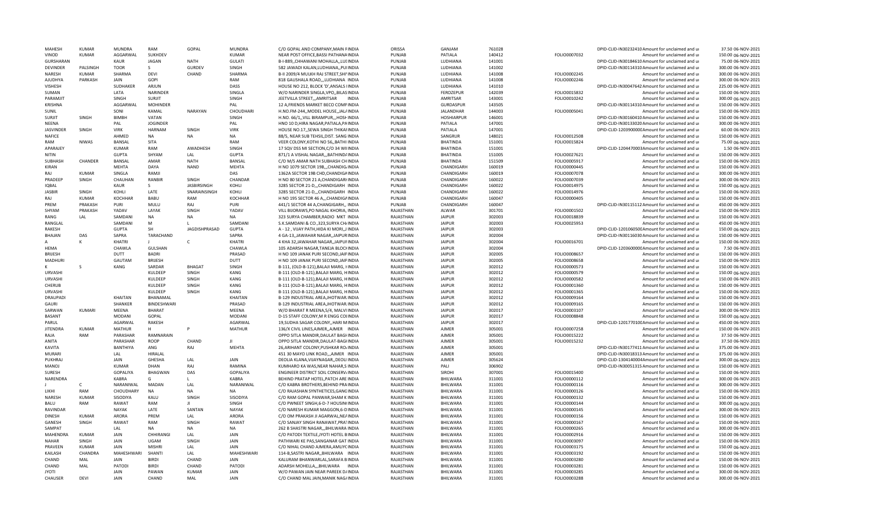| MAHESH                 | KUMAR         | MUNDRA              | RAM             | GOPAL                | <b>MUNDRA</b>   | C/O GOPAL AND COMPANY MAIN FINDIA                                         | ORISSA                 | GANJAM               | 761028           |                              | DPID-CLID-IN30232410 Amount for unclaimed and ur           | 37.50 06-NOV-2021                        |
|------------------------|---------------|---------------------|-----------------|----------------------|-----------------|---------------------------------------------------------------------------|------------------------|----------------------|------------------|------------------------------|------------------------------------------------------------|------------------------------------------|
| VINOD                  | <b>KUMAR</b>  | AGGARWAL            | SUKHDEV         |                      | <b>KUMAR</b>    | NEAR POST OFFICE, BASSI PATHANAINDIA                                      | PUNJAB                 | PATIALA              | 140412           | FOLIO0007032                 | Amount for unclaimed and ur                                | 150.00 06-NOV-2021                       |
| GURSHARAN              |               | KAUR                | <b>JAGAN</b>    | <b>NATH</b>          | <b>GULATI</b>   | B-I-889,, CHHAWANI MOHALLA,, LULINDIA                                     | PUNJAB                 | LUDHIANA             | 141001           |                              | DPID-CLID-IN30184610 Amount for unclaimed and ur           | 75.00 06-NOV-2021                        |
| <b>DEVINDER</b>        | PALSINGH      | <b>TOOR</b>         | $\mathsf{S}$    | GURDEV               | SINGH           | 582 JAWADI KALAN, LUDHIANA, , PUIINDIA                                    | PUNJAB                 | LUDHIANA             | 141002           |                              | DPID-CLID-IN30114310 Amount for unclaimed and ur           | 300.00 06-NOV-2021                       |
| NARESH                 | KUMAR         | SHARMA              | DEVI            | CHAND                | SHARMA          | B-II 2009/4 MULKH RAJ STREET, SHIVINDIA                                   | PUNJAB                 | LUDHIANA             | 141008           | FOLIO0002245                 | Amount for unclaimed and ur                                | 300.00 06-NOV-2021                       |
| AJUDHYA                | PARKASH       | JAIN                | GOPI            |                      | RAM             | 818 GAUSHALA ROAD,,,LUDHIANA INDIA                                        | PUNJAB                 | LUDHIANA             | 141008           | FOLIO0002246                 | Amount for unclaimed and ur                                | 300.00 06-NOV-2021                       |
| VISHESH                |               | SUDHAKER            | ARJUN           |                      | DASS            | HOUSE NO 212, BLOCK 'D', ANSALS IINDIA                                    | PUNJAB                 | LUDHIANA             | 141010           |                              | DPID-CLID-IN30047642 Amount for unclaimed and ur           | 225.00 06-NOV-2021                       |
| SUMAN                  |               | LATA                | <b>NARINDER</b> |                      | SINGLA          | W/O NARINDER SINGLA.VPOBILASINDIA                                         | PUNJAB                 | FEROZEPUR            | 142039           | FOLIO0015832                 | Amount for unclaimed and ur                                | 150.00 06-NOV-2021                       |
| PARAMJIT               |               | SINGH               | <b>SURJIT</b>   |                      | SINGH           | JEETVILLA STREET,,,AMRITSAR<br>INDIA                                      | PUNJAB                 | AMRITSAR             | 143001           | FOLIO0010242                 | Amount for unclaimed and ur                                | 300.00 06-NOV-2021                       |
| KRISHNA                |               | AGGARWAL            | <b>MOHINDER</b> |                      | PAL             | 12 A, FRIENDS MARKET BECO COMPINDIA                                       | PUNJAB                 | GURDASPUR            | 143505           |                              | DPID-CLID-IN30114310 Amount for unclaimed and ur           | 150.00 06-NOV-2021                       |
| SUNIL                  |               | SONI                | KAMAL           | <b>NARAYAN</b>       | CHOUDHARI       | H.NO.FM-244,, MODEL HOUSE,, JAL/INDIA                                     | PUNJAB                 | <b>JALANDHAR</b>     | 144003           | FOLIO0005041                 | Amount for unclaimed and ur                                | 150.00 06-NOV-2021                       |
| <b>SURJIT</b>          |               | <b>BIMBH</b>        | VATAN           |                      | SINGH           |                                                                           |                        | <b>HOSHIARPUR</b>    |                  |                              | DPID-CLID-IN30160410 Amount for unclaimed and ur           | 150.00 06-NOV-2021                       |
|                        | SINGH         |                     |                 |                      |                 | H.NO. 66/1,, VILL BIRAMPUR,,, HOSHINDIA                                   | PUNJAB                 |                      | 146001           |                              |                                                            |                                          |
| <b>NEENA</b>           |               | PAL                 | <b>JOGINDER</b> |                      | PAL             | HNO 10 D, HIRA NAGAR, PATIALA, PAINDIA                                    | PUNJAB                 | PATIALA              | 147001           |                              | DPID-CLID-IN30133020 Amount for unclaimed and ur           | 300.00 06-NOV-2021                       |
| <b>JASVINDER</b>       | SINGH         | <b>VIRK</b>         | <b>HARNAM</b>   | SINGH                | <b>VIRK</b>     | HOUSE NO.17, SEWA SINGH THIKAFINDIA                                       | PUNJAB                 | PATIALA              | 147001           |                              | DPID-CLID-120390000CAmount for unclaimed and ur            | 60.00 06-NOV-2021                        |
| <b>NAFICE</b>          |               | AHMED               | <b>NA</b>       | <b>NA</b>            | <b>NA</b>       | 88/5, NEAR SUB TEHSIL, DIST. SANG INDIA                                   | PUNJAB                 | SANGRUR              | 148021           | FOLIO0012508                 | Amount for unclaimed and ur                                | 150.00 06-NOV-2021                       |
| RAM                    | <b>NIWAS</b>  | <b>BANSAL</b>       | <b>SITA</b>     |                      | RAM             | VEER COLONY, KOTHI NO 56,, BATHIINDIA                                     | PUNJAB                 | <b>BHATINDA</b>      | 151001           | FOLIO0015824                 | Amount for unclaimed and ur                                | 75.00 06-NOV-2021                        |
| APARAJEY               |               | <b>KUMAR</b>        | RAM             | AWADHESH             | SINGH           | 17 SQV DSS MI SECTION, C/O 34 WIIINDIA                                    | PUNJAB                 | <b>BHATINDA</b>      | 151001           |                              | DPID-CLID-1204470003Amount for unclaimed and ur            | 1.50 06-NOV-2021                         |
| NITIN                  |               | <b>GUPTA</b>        | SHYAM           | LAI.                 | <b>GUPTA</b>    | 871/1 A VISHAL NAGAR, ,, BATHIND/INDIA                                    | PUNJAB                 | BHATINDA             | 151005           | FOLIO0027621                 | Amount for unclaimed and ur                                | 150.00 06-NOV-2021                       |
| <b>SUBHASH</b>         | CHANDER       | <b>BANSAL</b>       | AMAR            | <b>NATH</b>          | BANSAL          | C/O M/S AMAR NATH SUBHASH CHINDIA                                         | PUNJAB                 | <b>BHATINDA</b>      | 151509           | FOLIO0005917                 | Amount for unclaimed and ur                                | 150.00 06-NOV-2021                       |
| KIRAN                  |               | <b>MEHTA</b>        | <b>DAYA</b>     | <b>NAND</b>          | <b>MEHTA</b>    | H NO 1079 SECTOR 19B,,,CHANDIG/INDIA                                      | PUNJAB                 | CHANDIGARH           | 160019           | FOLIO0000445                 | Amount for unclaimed and ur                                | 150.00 06-NOV-2021                       |
| RAJ                    | <b>KUMAR</b>  | SINGLA              | RAMII           |                      | DAS             | 1362A SECTOR 19B CHD, CHANDIGAINDIA                                       | PUNJAB                 | CHANDIGARH           | 160019           | FOLIO0007078                 | Amount for unclaimed and ur                                | 300.00 06-NOV-2021                       |
| PRADEEP                | SINGH         | CHAUHAN             | RANBIR          | SINGH                | CHANDAR         | H NO 80 SECTOR 21 A, CHANDIGARHNDIA                                       | PUNJAB                 | CHANDIGARH           | 160022           | FOLIO0007039                 | Amount for unclaimed and ur                                | 300.00 06-NOV-2021                       |
| <b>IQBAL</b>           |               | KALIR               | ς.              | <b>JASBIRSINGH</b>   | KOHLI           | 3285 SECTOR 21-D,,,CHANDIGARH INDIA                                       | PUNJAB                 | CHANDIGARH           | 160022           | FOLIO0014975                 | Amount for unclaimed and ur                                | 150.00 06-NOV-2021                       |
|                        |               | KOHLI               | LATE            | SNARAINSINGH         |                 |                                                                           |                        |                      |                  |                              |                                                            | 150.00 06-NOV-2021                       |
| JASBIR                 | SINGH         |                     |                 |                      | KOHLI           | 3285 SECTOR 21-D,,,CHANDIGARH INDIA                                       | PUNJAB                 | CHANDIGARH           | 160022           | FOLIO0014976                 | Amount for unclaimed and ur                                |                                          |
| RAJ                    | KUMAR         | <b>KOCHHAR</b>      | BABU            | <b>RAM</b>           | <b>KOCHHAR</b>  | H NO 195 SECTOR 46 A,,,CHANDIGAINDIA                                      | PUNJAB                 | CHANDIGARH           | 160047           | FOLIO0000405                 | Amount for unclaimed and ur                                | 150.00 06-NOV-2021                       |
| PREM                   | PRAKASH       | PURI                | MULU            | RAJ                  | PURI            | 441/1 SECTOR 44 A, CHANGIGARH,, INDIA                                     | PUNJAB                 | CHANDIGARH           | 160047           |                              | DPID-CLID-IN30115112 Amount for unclaimed and ur           | 450.00 06-NOV-2021                       |
| SHYAM                  | PRAKASH       | YADAV               | LAYAK           | SINGH                | YADAV           | VILL BIJORAWS, PO NAGAL KHORIA, INDIA                                     | RAJASTHAN              | ALWAR                | 301701           | FOLIO0001502                 | Amount for unclaimed and ur                                | 150.00 06-NOV-2021                       |
| RANG                   | LAL           | SAMDAN              | NA              | NA                   | NA              | 323 SURYA CHAMBER, RADIO MKT INDIA                                        | RAJASTHAN              | <b>JAIPUR</b>        | 302003           | FOLIO0018839                 | Amount for unclaimed and ur                                | 150.00 06-NOV-2021                       |
| RANGLAL                |               | SAMDANI             | M               |                      | SAMDANI         | S.K.SAMDANI & CO., 323, SURYA CH/INDIA                                    | RAJASTHAN              | <b>JAIPUR</b>        | 302003           | FOLIO0025953                 | Amount for unclaimed and ur                                | 450.00 06-NOV-2021                       |
| RAKESH                 |               | <b>GUPTA</b>        | SH              | <b>JAGDISHPRASAD</b> | <b>GUPTA</b>    | A - 12, VIJAY PATH, HIDA KI MORI, JINDIA                                  | RAJASTHAN              | <b>JAIPUR</b>        | 302003           |                              | DPID-CLID-120106050CAmount for unclaimed and ur            | 150.00 06-NOV-2021                       |
| <b>BHAJAN</b>          | DAS           | SAPRA               | TARACHAND       |                      | SAPRA           | 4 GA-13, JAWAHAR NAGAR, JAIPURINDIA                                       | RAJASTHAN              | <b>JAIPUR</b>        | 302004           |                              | DPID-CLID-IN30116030 Amount for unclaimed and ur           | 150.00 06-NOV-2021                       |
|                        | K             | KHATRI              |                 | C                    | KHATRI          | 4 KHA 32, JAWAHAR NAGAR, JAIPUFINDIA                                      | RAJASTHAN              | <b>JAIPUR</b>        | 302004           | FOLIO0016701                 | Amount for unclaimed and ur                                | 150.00 06-NOV-2021                       |
| <b>HEMA</b>            |               | CHAWLA              | GULSHAN         |                      | CHAWLA          | 105 ADARSH NAGAR, TANEJA BLOCHNDIA                                        | RAJASTHAN              | <b>JAIPUR</b>        | 302004           |                              | DPID-CLID-120360000CAmount for unclaimed and ur            | 7.50 06-NOV-2021                         |
| <b>BRUESH</b>          |               | DUTT                | <b>BADRI</b>    |                      | PRASAD          | H NO 109 JANAK PURI SECOND, JAIPINDIA                                     | RAJASTHAN              | <b>JAIPUR</b>        | 302005           | FOLIO0008657                 | Amount for unclaimed and ur                                | 150.00 06-NOV-2021                       |
| MADHURI                |               | GAUTAM              | <b>BRIJESH</b>  |                      | DUTT            | H NO 109 JANAK PURI SECOND, JAIPINDIA                                     | RAJASTHAN              | <b>JAIPUR</b>        | 302005           | FOLIO0008658                 | Amount for unclaimed and ur                                | 150.00 06-NOV-2021                       |
|                        | S             | KANG                | SARDAR          | <b>BHAGAT</b>        | SINGH           | B-111, (OLD-B-121), BALAJI MARG, HNDIA                                    | RAJASTHAN              | <b>JAIPUR</b>        | 302012           | FOLIO0000573                 | Amount for unclaimed and ur                                | 150.00 06-NOV-2021                       |
| <b>URVASHI</b>         |               |                     | KULDEEP         | SINGH                | KANG            | B-111 (OLD-B-121). BALAJI MARG, HINDIA                                    | RAJASTHAN              | <b>JAIPUR</b>        | 302012           | FOLIO0000579                 | Amount for unclaimed and ur                                | 150.00 06-NOV-2021                       |
|                        |               |                     |                 |                      |                 |                                                                           |                        |                      |                  |                              |                                                            |                                          |
| <b>URVASHI</b>         |               |                     | KULDEEP         | SINGH                | KANG            | B-111 (OLD-B-121), BALAJI MARG, HINDIA                                    | RAJASTHAN              | <b>JAIPUR</b>        | 302012           | FOLIO0000582                 | Amount for unclaimed and ur                                | 150.00 06-NOV-2021                       |
| CHERUB                 |               |                     | KULDEEP         | SINGH                | KANG            | B-111 (OLD-B-121), BALAJI MARG, HINDIA                                    | RAJASTHAN              | <b>JAIPUR</b>        | 302012           | FOLIO0001360                 | Amount for unclaimed and ur                                | 150.00 06-NOV-2021                       |
| <b>URVASHI</b>         |               |                     | KULDEEP         | SINGH                | KANG            | B-111 (OLD-B-121), BALAJI MARG, HINDIA                                    | RAJASTHAN              | <b>JAIPUR</b>        | 302012           | FOLIO0001365                 | Amount for unclaimed and ur                                | 150.00 06-NOV-2021                       |
| <b>DRAUPADI</b>        |               | KHAITAN             | BHANAMAL        |                      | <b>KHAITAN</b>  | B-129 INDUSTRIAL AREA, JHOTWAR, INDIA                                     | RAJASTHAN              | <b>JAIPUR</b>        | 302012           | FOLIO0009164                 | Amount for unclaimed and ur                                | 150.00 06-NOV-2021                       |
| GAURI                  |               | SHANKER             | BINDESHWARI     |                      | PRASAD          | B-129 INDUSTRIAL AREA, JHOTWAR, INDIA                                     | RAJASTHAN              | <b>JAIPUR</b>        | 302012           | FOLIO0009165                 | Amount for unclaimed and ur                                | 150.00 06-NOV-2021                       |
| SARWAN                 | <b>KUMARI</b> | MEENA               | <b>BHARAT</b>   |                      | MEENA           | W/O BHARAT R MEENA, 5/4, MALVI INDIA                                      | RAJASTHAN              | <b>JAIPUR</b>        | 302017           | FOLIO0003107                 | Amount for unclaimed and ur                                | 300.00 06-NOV-2021                       |
| <b>BASANT</b>          |               | <b>MODANI</b>       | GOPAL           |                      | <b>MODANI</b>   | D-15 STAFF COLONY, M R ENGG COLINDIA                                      | RAJASTHAN              | <b>JAIPUR</b>        | 302017           | FOLIO0008848                 | Amount for unclaimed and ur                                | 150.00 06-NOV-2021                       |
| PARUL                  |               | AGARWAL             | <b>RAKESH</b>   |                      | AGARWAL         | 19, SUDHA SAGAR COLONY, HARI MINDIA                                       | RAJASTHAN              | <b>JAIPUR</b>        | 302017           |                              | DPID-CLID-120177010CAmount for unclaimed and ur            | 450.00 06-NOV-2021                       |
| JITENDRA               | <b>KUMAR</b>  | <b>MATHUR</b>       | H               |                      | <b>MATHUR</b>   | 136/X CIVIL LINES, AJMER, , AJMER INDIA                                   | RAJASTHAN              | AJMER                | 305001           | FOLIO0007258                 | Amount for unclaimed and ur                                | 150.00 06-NOV-2021                       |
| RAJA                   | RAM           | PARASHAR            | RAMNARAIN       |                      |                 | OPPO SITLA MANDIR, DAULAT BAGHNDIA                                        | RAJASTHAN              | AJMER                | 305001           | FOLIO0015222                 | Amount for unclaimed and ur                                | 37.50 06-NOV-2021                        |
| ANITA                  |               | PARASHAR            | <b>ROOP</b>     | CHAND                | $\mathbf{H}$    | OPPO SITLA MANDIR, DAULAT-BAGHNDIA                                        | RAJASTHAN              | <b>AJMER</b>         | 305001           | FOLIO0015232                 | Amount for unclaimed and ur                                | 37.50 06-NOV-2021                        |
| KAVITA                 |               | BANTHIYA            | ANG             | RAJ                  | MEHTA           | 26, ARIHANT COLONY, PUSHKAR RO/INDIA                                      | RAJASTHAN              | <b>AJMER</b>         | 305001           |                              | DPID-CLID-IN30177411 Amount for unclaimed and ur           | 375.00 06-NOV-2021                       |
| <b>MURAR</b>           |               | LAL                 | HIRALAL         |                      |                 | 451 30 MAYO LINK ROAD,,,AJMER INDIA                                       | RAJASTHAN              | AJMER                | 305001           |                              | DPID-CLID-IN30018313 Amount for unclaimed and ur           | 375.00 06-NOV-2021                       |
| PUKHRAJ                |               | JAIN                | GHESHA          | LAL                  | JAIN            |                                                                           | RAJASTHAN              | AJMER                | 305624           |                              | DPID-CLID-1304140004Amount for unclaimed and ur            |                                          |
|                        |               |                     |                 |                      |                 | DEOLIA KLANA, VIJAYNAGAR, , DEOLI INDIA                                   |                        |                      |                  |                              |                                                            | 300.00 06-NOV-2021                       |
| MANOJ                  |               | <b>KUMAR</b>        | DHAN            | RAJ                  | RAMINA          | KUMHARO KA WAS, NEAR NAHAR, SINDIA                                        | RAJASTHAN              | PALI                 | 306902           |                              | DPID-CLID-IN30051315 Amount for unclaimed and ur           | 150.00 06-NOV-2021                       |
| SURESH                 |               | GOPALIYA            | <b>BHAGWAN</b>  | DAS                  | <b>GOPALIYA</b> | ENGINEER DISTRICT SOIL CONSERV/INDIA                                      | RAJASTHAN              | <b>SIROHI</b>        | 307001           | FOLIO0015400                 | Amount for unclaimed and ur                                | 150.00 06-NOV-2021                       |
| NARENDRA               |               |                     | G               |                      | <b>KABRA</b>    | BEHIND PRATAP HOTEL, PATCH ARE INDIA                                      | RAJASTHAN              | BHILWARA             | 311001           | FOLIO0000112                 | Amount for unclaimed and ur                                |                                          |
|                        |               | <b>KABRA</b>        |                 |                      |                 |                                                                           |                        |                      |                  |                              |                                                            | 300.00 06-NOV-2021                       |
| LIKHI                  | $\mathsf{C}$  | NARANIWAL           | <b>MADAN</b>    | LAL                  | NARANIWAL       | C/O KABRA BROTHERS, BEHIND PRAINDIA                                       | RAJASTHAN              | BHILWARA             | 311001           | FOLIO0000116                 | Amount for unclaimed and ur                                | 300.00 06-NOV-2021                       |
|                        | RAM           | CHOUDHARY           | <b>NA</b>       | <b>NA</b>            | <b>NA</b>       | C/O RAJASHAN SYNTHETICES, GANGINDIA                                       | RAJASTHAN              | <b>BHILWARA</b>      | 311001           | FOLIO0000126                 | Amount for unclaimed and u                                 | 150.00 06-NOV-2021                       |
| NARESH                 | <b>KUMAR</b>  | SISODIYA            | KALU            | SINGH                | SISODIYA        | C/O RAM GOPAL PANWAR, SHAM K INDIA                                        | RAJASTHAN              | BHILWARA             | 311001           | FOLIO0000132                 | Amount for unclaimed and ur                                | 150.00 06-NOV-2021                       |
| BALU                   | RAM           | RAWAT               | <b>RAM</b>      |                      | <b>SINGH</b>    | C/O PWNEET SINGH, 6-D-7 HOUSIN(INDIA                                      | RAIASTHAN              | <b>BHILWARA</b>      | 311001           | FOLIO0000144                 | Amount for unclaimed and ur                                | 300.00 06-NOV-2021                       |
|                        |               |                     |                 |                      |                 |                                                                           |                        |                      |                  |                              |                                                            |                                          |
| RAVINDAR               |               | NAYAK               | LATE            | SANTAN               | <b>NAYAK</b>    | C/O NARESH KUMAR MAGGON, 6-DINDIA                                         | RAJASTHAN              | BHILWARA             | 311001           | FOLIO0000145                 | Amount for unclaimed and ur                                | 300.00 06-NOV-2021                       |
| <b>DINESH</b>          | <b>KUMAR</b>  | <b>ARORA</b>        | PREM            | LAL                  | <b>ARORA</b>    | C/O OM PRAKASH JI AGARWAL, NEAINDIA                                       | RAJASTHAN              | BHILWARA             | 311001           | FOLIO0000156                 | Amount for unclaimed and ur                                | 150.00 06-NOV-2021                       |
| GANESH                 | SINGH         | RAWAT               | RAM             | SINGH                | RAWAT           | C/O SANJAY SINGH RANAWAT, PRATINDIA                                       | RAJASTHAN              | BHILWARA             | 311001           | FOLIO0000167                 | Amount for unclaimed and ur                                | 150.00 06-NOV-2021                       |
| SAMPAT                 |               | LAL                 | <b>NA</b>       | NA                   | NA              | 262 B SHASTRI NAGAR,,,BHILWARA INDIA                                      | RAJASTHAN              | BHILWARA             | 311001           | FOLIO0000265                 | Amount for unclaimed and ur                                | 300.00 06-NOV-2021                       |
| MAHENDRA               | <b>KUMAR</b>  | JAIN                | CHHIRANGI       | LAL                  | JAIN            | C/O PATODI TEXTILE, JYOTI HOTEL BINDIA                                    | RAJASTHAN              | BHILWARA             | 311001           | FOLIO0002916                 | Amount for unclaimed and ur                                | 150.00 06-NOV-2021                       |
| <b>NAHAR</b>           | <b>SINGH</b>  | <b>JAIN</b>         | UGAM            | SINGH                | JAIN            | PATHWARI KE PAS, SANGANAR GAT INDIA                                       | RAJASTHAN              | BHILWARA             | 311001           | FOLIO0003097                 | Amount for unclaimed and ur                                | 150.00 06-NOV-2021                       |
| PRAVEEN                | <b>KUMAR</b>  | <b>JAIN</b>         | <b>MISHRI</b>   | LAL                  | <b>JAIN</b>     | C/O NIHAL CHAND AJMERA, AMLIYCINDIA                                       | RAJASTHAN              | BHILWARA             | 311001           | FOLIO0003175                 | Amount for unclaimed and ur                                | 150.00 06-NOV-2021                       |
| KAILASH                | CHANDRA       | MAHESHWARI          | SHANTI          | LAL                  | MAHESHWARI      | 114-B, SASTRI NAGAR, BHILWARA INDIA                                       | RAJASTHAN              | BHILWARA             | 311001           | FOLIO0003192                 | Amount for unclaimed and ur                                | 150.00 06-NOV-2021                       |
| CHAND                  | MAI           | <b>JAIN</b>         | RIRDI           | CHAND                | <b>JAIN</b>     | KALURAM BHANWARLAL.SARAFA BINDIA                                          | RAJASTHAN              | BHILWARA             | 311001           | FOLIO0003280                 | Amount for unclaimed and ur                                | 150.00 06-NOV-2021                       |
| CHAND                  | MAL           | PATODI              | <b>BIRDI</b>    | CHAND                | PATOD           | ADARSH MOHELLA,,,BHILWARA INDIA                                           | RAJASTHAN              | BHILWARA             | 311001           | FOLIO0003281                 | Amount for unclaimed and ur                                | 150.00 06-NOV-2021                       |
| <b>TOYL</b><br>CHAUSER | DFVI          | JAIN<br><b>JAIN</b> | PAWAN<br>CHAND  | <b>KUMAR</b><br>MAL  | JAIN<br>JAIN    | W/O PAWAN JAIN NEAR PAREEK D/INDIA<br>C/O CHAND MAL JAIN, MANIK NAG/INDIA | RAJASTHAN<br>RAJASTHAN | BHILWARA<br>BHILWARA | 311001<br>311001 | FOLIO0003285<br>FOLIO0003288 | Amount for unclaimed and ur<br>Amount for unclaimed and ur | 300.00 06-NOV-2021<br>300.00 06-NOV-2021 |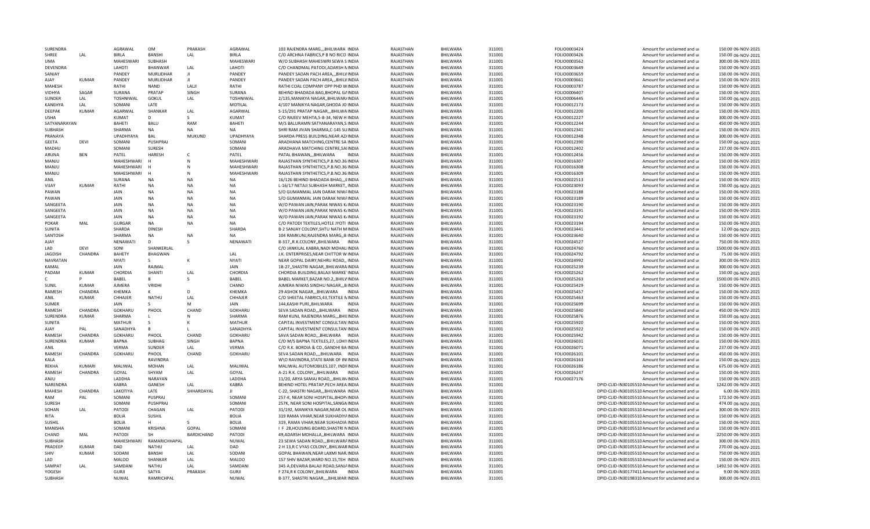| SURENDRA             |               | <b>AGRAWAL</b>               | <b>OM</b>                  | PRAKASH           | AGRAWAL                      | 103 RAJENDRA MARGBHILWARA INDIA                                                | RAJASTHAN              | BHILWARA                           | 311001           | FOLIO0003424 | Amount for unclaimed and ur                                                                          | 150.00 06-NOV-2021                       |
|----------------------|---------------|------------------------------|----------------------------|-------------------|------------------------------|--------------------------------------------------------------------------------|------------------------|------------------------------------|------------------|--------------|------------------------------------------------------------------------------------------------------|------------------------------------------|
| SHREE                | LAL           | <b>BIRLA</b>                 | <b>BANSHI</b>              | LAL               | <b>BIRLA</b>                 | C/O ARCHNA FABRICS, P B NO RICO INDIA                                          | RAIASTHAN              | <b>BHILWARA</b>                    | 311001           | FOLIO0003426 | Amount for unclaimed and ur                                                                          | 150.00 06-NOV-2021                       |
| <b>UMA</b>           |               | MAHESWARI                    | SUBHASH                    |                   | MAHESWARI                    | W/O SUBHASH MAHESWRI SEWA SINDIA                                               | RAJASTHAN              | BHILWARA                           | 311001           | FOLIO0003562 | Amount for unclaimed and ur                                                                          | 300.00 06-NOV-2021                       |
| DEVENDRA             |               | LAHOTI                       | BHANWAR                    | LAL               | LAHOTI                       | C/O CHANDMAL PATODI, ADARSH NINDIA                                             | RAJASTHAN              | BHILWARA                           | 311001           | FOLIO0003649 | Amount for unclaimed and ur                                                                          | 150.00 06-NOV-2021                       |
| SANJAY               |               | PANDEY                       | MURLIDHAR                  | л                 | PANDEY                       | PANDEY SADAN PACH AREA,,, BHILVINDIA                                           | RAJASTHAN              | BHILWARA                           | 311001           | FOLIO0003659 | Amount for unclaimed and ur                                                                          | 150.00 06-NOV-2021                       |
| AJAY                 | <b>KUMAR</b>  | PANDEY                       | MURLIDHAR                  | Л                 | PANDEY                       | PANDEY SADAN PACH AREA,,, BHILVINDIA                                           | RAJASTHAN              | BHILWARA                           | 311001           | FOLIO0003661 | Amount for unclaimed and ur                                                                          | 150.00 06-NOV-2021                       |
| MAHFSH               |               | RATHI                        | <b>NAND</b>                | LALI              | RATHI                        | RATHI COAL COMPANY OPP PHD WINDIA                                              | RAJASTHAN              | BHILWARA                           | 311001           | FOLIO0003787 | Amount for unclaimed and ur                                                                          | 150.00 06-NOV-2021                       |
| <b>VIDHYA</b>        | SAGAR         | SURANA                       | PRATAP                     | SINGH             | SURANA                       | BEHIND BHADADA BAG, BHOPAL GAINDIA                                             | RAJASTHAN              | BHILWARA                           | 311001           | FOLIO0006407 | Amount for unclaimed and ur                                                                          | 150.00 06-NOV-2021                       |
| SUNDER               | LAL           | <b>TOSHNIWAL</b>             | <b>GOKUL</b>               | LAL               | <b>TOSHNIWAL</b>             | 2/135, MANIKYA NAGAR, , BHILWAR/INDIA                                          | RAJASTHAN              | BHILWARA                           | 311001           | FOLIO0006445 | Amount for unclaimed and ur                                                                          | 150.00 06-NOV-2021                       |
| KANEHYA              | LAL           | SOMANI                       | LATE                       |                   | MOTILAL                      | 4/107 MANIKYA NAGAR, GHODA JO INDIA                                            | RAJASTHAN              | BHILWARA                           | 311001           | FOLIO0012173 | Amount for unclaimed and ur                                                                          | 150.00 06-NOV-2021                       |
| DEEPAK               | <b>KUMAR</b>  | AGARWAL                      | SHANKAR                    | LAL               | AGARWAL                      | S-15/291 PRATAP NAGAR,,,BHILWAINDIA                                            | RAJASTHAN              | BHILWARA                           | 311001           | FOLIO0012200 | Amount for unclaimed and u                                                                           | 150.00 06-NOV-2021                       |
| <b>USHA</b>          |               | <b>KUMAT</b>                 | D                          | S                 | KUMAT                        | C/O RAJEEV MEHTA, 5-B-34, NEW HINDIA                                           | RAJASTHAN              | <b>BHILWARA</b>                    | 311001           | FOLIO0012227 | Amount for unclaimed and ur                                                                          | 300.00 06-NOV-2021                       |
| SATYANARAYAN         |               | BAHETI                       | <b>BALU</b>                | RAM               | BAHETI                       | M/S BALURAMN SATYANARAYAN, S. INDIA                                            | RAJASTHAN              | BHILWARA                           | 311001           | FOLIO0012244 | Amount for unclaimed and ur                                                                          | 450.00 06-NOV-2021                       |
| SUBHASH              |               | SHARMA                       | NA                         | <b>NA</b>         | <b>NA</b>                    | SHRI RAM JIVAN SHARMA, C-145 SUINDIA                                           | RAJASTHAN              | BHILWARA                           | 311001           | FOLIO0012341 | Amount for unclaimed and ur                                                                          | 150.00 06-NOV-2021                       |
| PRANAYA              |               | <b>UPADHYAYA</b>             | BAL                        | MUKUND            | UPADHYAYA                    | SHARDA PRESS BUILDING, NEAR AZ/INDIA                                           | RAJASTHAN              | <b>BHILWARA</b>                    | 311001           | FOLIO0012348 | Amount for unclaimed and ur                                                                          | 300.00 06-NOV-2021                       |
| <b>GEETA</b>         | DEVI          | SOMANI                       | PUSHPRAJ                   |                   | SOMANI                       | ARADHANA MATCHING, CENTRE SAIINDIA                                             | RAJASTHAN              | BHILWARA                           | 311001           | FOLIO0012390 | Amount for unclaimed and ur                                                                          | 150.00 06-NOV-2021                       |
| MADHU                |               | SOMANI                       | <b>SURESH</b>              |                   | SOMANI                       | ARADHAVA MATCHING CENTRE, SAIINDIA                                             | RAJASTHAN              | BHILWARA                           | 311001           | FOLIO0012402 | Amount for unclaimed and ur                                                                          | 237.00 06-NOV-2021                       |
| ARUNA                | <b>BEN</b>    | PATEL                        | <b>HARESH</b>              | C                 | PATEL                        | PATAL BHAWANBHILWARA<br><b>INDIA</b>                                           | RAJASTHAN              | <b>BHILWARA</b><br><b>BHILWARA</b> | 311001           | FOLIO0012456 | Amount for unclaimed and u                                                                           | 150.00 06-NOV-2021<br>150.00 06-NOV-2021 |
| MANJU                |               | MAHESHWARI                   |                            | N                 | MAHESHWARI                   | RAJASTHAN SYNTHETICS, P.B.NO.36 INDIA                                          | RAJASTHAN              |                                    | 311001           | FOLIO0016307 | Amount for unclaimed and ur                                                                          |                                          |
| MANJU                |               | MAHESHWARI                   |                            | N                 | MAHESHWARI                   | RAJASTHAN SYNTHETICS, P.B.NO.36 INDIA                                          | RAJASTHAN              | BHILWARA                           | 311001           | FOLIO0016308 | Amount for unclaimed and ur                                                                          | 150.00 06-NOV-2021                       |
| MANJU                |               | MAHESHWARI                   | $\mathsf{H}$               | N                 | MAHESHWARI                   | RAJASTHAN SYNTHETICS, P.B.NO.36 INDIA                                          | RAJASTHAN              | <b>BHILWARA</b>                    | 311001           | FOLIO0016309 | Amount for unclaimed and ur                                                                          | 150.00 06-NOV-2021                       |
| <b>ANIL</b>          |               | <b>SURANA</b>                | <b>NA</b>                  | NA                | <b>NA</b>                    | 16/126 BEHIND BHADADA BHAGEINDIA                                               | RAJASTHAN              | BHILWARA                           | 311001           | FOLIO0022513 | Amount for unclaimed and ur                                                                          | 150.00 06-NOV-2021                       |
| VIJAY                | KUMAR         | RATHI                        | <b>NA</b>                  | <b>NA</b>         | <b>NA</b>                    | L-16/17 NETAJI SUBHASH MARKET, INDIA                                           | RAJASTHAN              | <b>BHILWARA</b>                    | 311001           | FOLIO0023093 | Amount for unclaimed and ur                                                                          | 150.00 06-NOV-2021                       |
| PAWAN                |               | JAIN                         | <b>NA</b>                  | <b>NA</b>         | <b>NA</b>                    | S/O GUMANMAL JAIN DARAK NIW/INDIA                                              | RAJASTHAN              | BHILWARA                           | 311001           | FOLIO0023188 | Amount for unclaimed and ur                                                                          | 150.00 06-NOV-2021                       |
| PAWAN                |               | <b>JAIN</b>                  | <b>NA</b>                  | <b>NA</b>         | <b>NA</b>                    | S/O GUMANMAL JAIN DARAK NIW/INDIA                                              | RAJASTHAN              | BHILWARA                           | 311001           | FOLIO0023189 | Amount for unclaimed and ur                                                                          | 150.00 06-NOV-2021                       |
| SANGEETA             |               | JAIN                         | <b>NA</b>                  | <b>NA</b>         | <b>NA</b>                    | W/O PAWAN JAIN, PARAK NIWAS K/INDIA                                            | RAJASTHAN              | <b>BHILWARA</b>                    | 311001           | FOLIO0023190 | Amount for unclaimed and u                                                                           | 150.00 06-NOV-2021                       |
| SANGEETA             |               | <b>JAIN</b>                  | NA                         | <b>NA</b>         | NA                           | W/O PAWAN JAIN, PARAK NIWAS K/INDIA                                            | RAJASTHAN              | BHILWARA                           | 311001           | FOLIO0023191 | Amount for unclaimed and ur                                                                          | 150.00 06-NOV-2021                       |
| SANGEETA             |               | <b>JAIN</b>                  | <b>NA</b>                  | <b>NA</b>         | <b>NA</b>                    | W/O PAWAN JAIN, PARAK NIWAS K/INDIA                                            | RAJASTHAN              | BHILWARA                           | 311001           | FOLIO0023192 | Amount for unclaimed and ur                                                                          | 150.00 06-NOV-2021                       |
| POKAR                | MAL           | <b>GURGAR</b>                | NA                         | <b>NA</b>         | <b>NA</b>                    | C/O PATODI TEXTILES, HOTLE JYOTI INDIA                                         | RAJASTHAN              | BHILWARA                           | 311001           | FOLIO0023194 | Amount for unclaimed and ur                                                                          | 150.00 06-NOV-2021                       |
| SUNITA               |               | SHARDA                       | <b>DINESH</b>              |                   | SHARDA                       | B-2 SANJAY COLONY, SHTU NATH MINDIA                                            | RAJASTHAN              | BHILWARA                           | 311001           | FOLIO0023441 | Amount for unclaimed and ur                                                                          | 12.00 06-NOV-2021                        |
| SANTOSH              |               | SHARMA                       | NA                         | NA                | <b>NA</b>                    | 104 RAMKUNJ, RAJENDRA MARG, , BINDIA                                           | RAJASTHAN              | BHILWARA                           | 311001           | FOLIO0023640 | Amount for unclaimed and ur                                                                          | 150.00 06-NOV-2021                       |
| AJAY                 |               | NENAWATI                     | D                          | S.                | NENAWATI                     | B-317,,R.K.COLONY,,BHILWARA INDIA                                              | RAJASTHAN              | BHILWARA                           | 311001           | FOLIO0024527 | Amount for unclaimed and ur                                                                          | 750.00 06-NOV-2021                       |
| LAD                  | <b>DEVI</b>   | SONI                         | SHANKERLAL                 |                   |                              | C/O JANKILAL KABRA.NADI MOHALIINDIA                                            | RAJASTHAN              | <b>BHILWARA</b>                    | 311001           | FOLIO0024760 | Amount for unclaimed and ur                                                                          | 1500.00 06-NOV-2021                      |
| <b>JAGDISH</b>       | CHANDRA       | BAHETY                       | BHAGWAN                    |                   | LAL                          | J.K. ENTERPRISES, NEAR CHITTOR WINDIA                                          | RAJASTHAN              | <b>BHILWARA</b>                    | 311001           | FOLIO0024792 | Amount for unclaimed and ur                                                                          | 75.00 06-NOV-2021                        |
| NAVRATAN             |               | NYATI                        | S                          | К                 | NYATI                        | NEAR GOPAL DAIRY, NEHRU ROAD,, INDIA                                           | RAJASTHAN              | BHILWARA                           | 311001           | FOLIO0024992 | Amount for unclaimed and ur                                                                          | 300.00 06-NOV-2021                       |
| KAMAL                |               | <b>JAIN</b>                  | RAIMAI                     |                   | <b>JAIN</b>                  | 1B-27,, SHASTRI NAGAR,, BHILWARA INDIA                                         | RAJASTHAN              | <b>BHILWARA</b>                    | 311001           | FOLIO0025239 | Amount for unclaimed and ur                                                                          | 300.00 06-NOV-2021                       |
| PADAM                | <b>KUMAR</b>  | CHORDIA                      | SHANTI                     | LAL               | CHORDIA                      | CHORDIA BUILDING, BALAJI MARKE INDIA                                           | RAJASTHAN              | BHILWARA                           | 311001           | FOLIO0025262 | Amount for unclaimed and ur                                                                          | 150.00 06-NOV-2021                       |
| C                    |               | BABEL                        | B                          | S                 | BABEL                        | BABEL MARKET, BAZAR NO.2,, BHILVINDIA                                          | RAJASTHAN              | BHILWARA                           | 311001           | FOLIO0025263 | Amount for unclaimed and ur                                                                          | 1500.00 06-NOV-2021                      |
| SUNIL                | <b>KUMAR</b>  | AJMERA                       | VRIDHI                     |                   | CHAND                        | AJMERA NIWAS SINDHU NAGAR,,,BINDIA                                             | RAJASTHAN              | BHILWARA                           | 311001           | FOLIO0025429 | Amount for unclaimed and ur                                                                          | 150.00 06-NOV-2021                       |
| RAMESH               | CHANDRA       | KHEMKA                       | ĸ                          | D                 | KHEMKA                       | 29 ASHOK NAGAR,,,BHILWARA INDIA                                                | RAJASTHAN              | BHILWARA                           | 311001           | FOLIO0025457 | Amount for unclaimed and ur                                                                          | 150.00 06-NOV-2021                       |
| <b>ANIL</b>          | KUMAR         | CHHAJER                      | <b>NATHU</b>               | LAL               | CHHAJER                      | C/O SHEETAL FABRICS, 43, TEXTILE NINDIA                                        | RAJASTHAN              | <b>BHILWARA</b>                    | 311001           | FOLIO0025463 | Amount for unclaimed and ur                                                                          | 150.00 06-NOV-2021                       |
| SUMER                |               | JAIN                         | S                          | M                 | <b>JAIN</b>                  | 144, KASHI PURI, , BHILWARA<br><b>INDIA</b>                                    | RAJASTHAN              | BHILWARA                           | 311001           | FOLIO0025699 | Amount for unclaimed and ur                                                                          | 150.00 06-NOV-2021                       |
| RAMESH               | CHANDRA       | <b>GOKHARU</b>               | PHOOL                      | CHAND             | <b>GOKHARL</b>               | SEVA SADAN ROAD,,,BHILWARA INDIA                                               | RAJASTHAN              | <b>BHILWARA</b>                    | 311001           | FOLIO0025840 | Amount for unclaimed and ur                                                                          | 450.00 06-NOV-2021                       |
| SURENDRA             | <b>KUMAR</b>  | SHARMA                       | L.                         |                   | SHARMA                       | RAM KUNJ, RAJENDRA MARG,,,BHILINDIA                                            | RAJASTHAN              | BHILWARA                           | 311001           | FOLIO0025876 | Amount for unclaimed and ur                                                                          | 150.00 06-NOV-2021                       |
| SUNITA               |               | <b>MATHUR</b>                | S                          |                   | <b>MATHUR</b>                | CAPITAL INVESTMENT CONSULTAN INDIA                                             | RAJASTHAN              | BHILWARA                           | 311001           | FOLIO0025920 | Amount for unclaimed and ur                                                                          | 150.00 06-NOV-2021                       |
| AJAY                 | PAL           | SANADHYA                     | B                          | L.                | SANADHYA                     | CAPITAL INVESTMENT CONSULTAN INDIA                                             | RAJASTHAN              | BHILWARA                           | 311001           | FOLIO0025922 | Amount for unclaimed and ur                                                                          | 150.00 06-NOV-2021                       |
| RAMESH               | CHANDRA       | <b>GOKHARU</b>               | PHOOL                      | CHAND             | <b>GOKHARU</b>               | SAVA SADAN ROAD,,,BHILWARA INDIA                                               | RAJASTHAN              | BHILWARA                           | 311001           | FOLIO0025942 | Amount for unclaimed and ur                                                                          | 150.00 06-NOV-2021                       |
| SURENDRA             | KUMAR         | <b>BAPNA</b><br><b>VFRMA</b> | SUBHAG                     | SINGH             | <b>BAPNA</b><br><b>VFRMA</b> | C/O M/S BAPNA TEXTILES, 27, LOHININDIA                                         | RAJASTHAN              | BHILWARA                           | 311001           | FOLIO0026031 | Amount for unclaimed and ur                                                                          | 150.00 06-NOV-2021                       |
| ANIL                 |               |                              | SUNDER                     | LAL               |                              | C/O R.K. BORDIA & CO., GANDHI BAINDIA                                          | RAJASTHAN              | BHILWARA                           | 311001           | FOLIO0026071 | Amount for unclaimed and ur                                                                          | 237.00 06-NOV-2021                       |
| RAMESH               | CHANDRA       | <b>GOKHARU</b>               | PHOOL                      | CHAND             | <b>GOKHARU</b>               | SEVA SADAN ROAD,,,,BHILWARA INDIA                                              | RAJASTHAN              | BHILWARA                           | 311001           | FOLIO0026101 | Amount for unclaimed and ur                                                                          | 450.00 06-NOV-2021                       |
| KALA                 |               |                              | RAVINDRA                   |                   |                              | W\O RAVINDRA, STATE BANK OF INIINDIA                                           | RAJASTHAN              | BHILWARA                           | 311001           | FOLIO0026163 | Amount for unclaimed and ur                                                                          | 150.00 06-NOV-2021                       |
| <b>REKHA</b>         | <b>KUMARI</b> | MALIWAL                      | <b>MOHAN</b>               | LAL               | MALIWAL                      | MALIWAL AUTOMOBILES, 107, INDFINDIA                                            | RAJASTHAN              | BHILWARA                           | 311001           | FOLIO0026186 | Amount for unclaimed and ur                                                                          | 675.00 06-NOV-2021                       |
| RAMESH               | CHANDRA       | GOYAL                        | SHYAM                      | LAL               | GOYAL                        | A-21 R.K. COLONY,,,BHILWARA INDIA                                              | RAJASTHAN              | BHILWARA                           | 311001           | FOLIO0026247 | Amount for unclaimed and ur                                                                          | 150.00 06-NOV-2021                       |
| ANJU                 |               | LADDHA                       | NARAYAN                    |                   | LADDHA                       | 11/20, ARYA SAMAJ ROAD,,,BHILW/INDIA                                           | RAJASTHAN              | BHILWARA                           | 311001           | FOLIO0027176 | Amount for unclaimed and ur                                                                          | 150.00 06-NOV-2021                       |
| NARENDRA             | CHANDRA       | KABRA<br>LAKOTIYA            | GANESH                     | LAL<br>SHHARDAYAL | <b>KABRA</b><br>$\mathbf{H}$ | BEHIND HOTEL PRATAP, PECH AREA INDIA<br>C-22, SHASTRI NAGAR,,, BHILWARA INDIA  | RAJASTHAN              | BHILWARA                           | 311001           |              | DPID-CLID-IN30105510 Amount for unclaimed and ur<br>DPID-CLID-IN30105510 Amount for unclaimed and ur | 1242.00 06-NOV-2021                      |
| MAHESH               |               |                              | LATE                       |                   | SOMANI                       |                                                                                | RAJASTHAN              | BHILWARA                           | 311001           |              |                                                                                                      | 6.00 06-NOV-2021                         |
| RAM<br><b>SURFSH</b> | PAL           | SOMANI<br>SOMAN              | PUSPRAJ<br><b>PUSHPRAJ</b> |                   | SOMANI                       | 257-K, NEAR SONI HOSPITAL, BHOP/INDIA<br>257K, NEAR SONI HOSPITAL, SANGA INDIA | RAJASTHAN<br>RAJASTHAN | BHILWARA<br><b>BHILWARA</b>        | 311001<br>311001 |              | DPID-CLID-IN30105510 Amount for unclaimed and ur<br>DPID-CLID-IN30105510 Amount for unclaimed and ur | 172.50 06-NOV-2021<br>474.00 06-NOV-2021 |
| SOHAN                | LAL           | PATODI                       | CHAGAN                     | LAL               | PATODI                       | 31/192, MANIKYA NAGAR, NEAR OL INDIA                                           | RAIASTHAN              | <b>BHILWARA</b>                    | 311001           |              | DPID-CLID-IN30105510 Amount for unclaimed and ur                                                     | 300.00 06-NOV-2021                       |
| RITA                 |               |                              |                            |                   |                              |                                                                                |                        |                                    |                  |              |                                                                                                      |                                          |
| <b>SUSHIL</b>        |               | <b>BOLIA</b><br><b>BOLIA</b> | <b>SUSHIL</b><br>н         | S                 | <b>BOLIA</b><br><b>BOLIA</b> | 319 RAMA VIHAR, NEAR SUKHADIY AINDIA<br>319, RAMA VIHAR, NEAR SUKHADIA INDIA   | RAJASTHAN<br>RAJASTHAN | BHILWARA<br>BHILWARA               | 311001<br>311001 |              | DPID-CLID-IN30105510 Amount for unclaimed and ur<br>DPID-CLID-IN30105510 Amount for unclaimed and ur | 150.00 06-NOV-2021<br>150.00 06-NOV-2021 |
| MANISHA              |               | SOMANI                       | KRISHNA                    | GOPAL             | SOMANI                       | I F 28, HOUSING BOARD, SHASTRI NINDIA                                          | RAJASTHAN              | BHILWARA                           | 311001           |              | DPID-CLID-IN30105510 Amount for unclaimed and ur                                                     | 150.00 06-NOV-2021                       |
| CHAND                | MAL           | PATODI                       | <b>SH</b>                  | BARDICHAND        | PATODI                       | 49, ADARSH MOHALLA, BHILWARA INDIA                                             | RAJASTHAN              | BHILWARA                           | 311001           |              | DPID-CLID-IN30105510 Amount for unclaimed and ur                                                     | 2250.00 06-NOV-2021                      |
| <b>SUBHASH</b>       |               | MAHESHWARI                   | RAMARICHHAPAL              |                   |                              |                                                                                | RAJASTHAN              | BHILWARA                           |                  |              |                                                                                                      | 300.00 06-NOV-2021                       |
| PRADEEP              | <b>KUMAR</b>  | DAD                          | NATHU                      | LAL               | NUWAL<br><b>DAD</b>          | 23 SEWA SADAN ROAD,,,BHILWARAINDIA<br>2 H 13, R C VYAS COLONY, BHILWARINDIA    | RAJASTHAN              | BHILWARA                           | 311001<br>311001 |              | DPID-CLID-IN30105510 Amount for unclaimed and ur<br>DPID-CLID-IN30105510 Amount for unclaimed and ur | 270.00 06-NOV-2021                       |
| SHIV                 | <b>KUMAR</b>  | SODANI                       | <b>BANSHI</b>              | LAL               | SODANI                       | GOPAL BHAWAN, NEAR LAXMI NARJINDIA                                             | RAJASTHAN              | BHILWARA                           | 311001           |              | DPID-CLID-IN30105510 Amount for unclaimed and ur                                                     | 750.00 06-NOV-2021                       |
| LAD                  |               | MALOO                        | <b>SHANKAR</b>             | LAL               |                              | 157 SHIV BAZAR, WARD NO.15, TEH INDIA                                          |                        |                                    |                  |              | DPID-CLID-IN30105510 Amount for unclaimed and ur                                                     | 150.00 06-NOV-2021                       |
| <b>SAMPAT</b>        | LAL           | SAMDANI                      | NATHU                      | LAL               | <b>MALOO</b><br>SAMDAN       | 345 A, DEVARIA BALAJI ROAD, SANJAINDIA                                         | RAJASTHAN<br>RAJASTHAN | BHILWARA<br>BHILWARA               | 311001<br>311001 |              | DPID-CLID-IN30105510 Amount for unclaimed and ur                                                     | 1492.50 06-NOV-2021                      |
| YOGESH               |               | <b>GURJI</b>                 | SATYA                      | PRAKASH           | <b>GURJI</b>                 | F 274,R K COLONY,, BHILWARA INDIA                                              | RAJASTHAN              | BHILWARA                           | 311001           |              | DPID-CLID-IN30177411 Amount for unclaimed and ur                                                     | 9.00 06-NOV-2021                         |
| SUBHASH              |               | <b>NUWAL</b>                 | RAMRICHPAL                 |                   | NUWAL                        | B-377, SHASTRI NAGAR,,,,BHILWAR.INDIA                                          | RAJASTHAN              | BHILWARA                           | 311001           |              | DPID-CLID-IN30198310 Amount for unclaimed and ur                                                     | 300.00 06-NOV-2021                       |
|                      |               |                              |                            |                   |                              |                                                                                |                        |                                    |                  |              |                                                                                                      |                                          |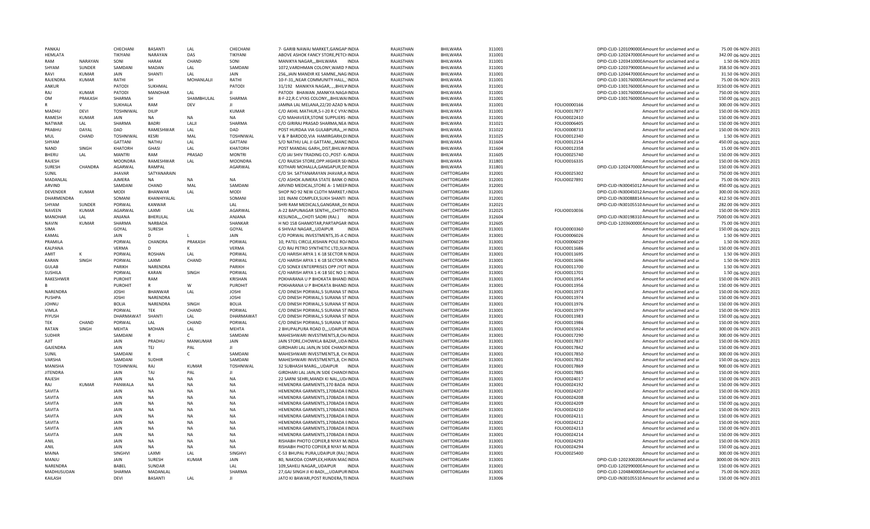| PANKAI               |              | CHECHANI              | <b>BASANTI</b>  | LAL             | <b>CHFCHANI</b>        | 7- GARIB NAWAJ MARKET, GANGAP INDIA                                             | RAIASTHAN              | <b>BHILWARA</b>            | 311001           |                              | DPID-CLID-120109000CAmount for unclaimed and ur            | 75.00 06-NOV-2021                      |
|----------------------|--------------|-----------------------|-----------------|-----------------|------------------------|---------------------------------------------------------------------------------|------------------------|----------------------------|------------------|------------------------------|------------------------------------------------------------|----------------------------------------|
| <b>HEMLATA</b>       |              | TIKIYANI              | NARAYAN         | DAS             | TIKIYANI               | ABOVE ASHOK FANCY STORE, PETCHINDIA                                             | RAJASTHAN              | BHILWARA                   | 311001           |                              | DPID-CLID-120247000CAmount for unclaimed and ur            | 342.00 06-NOV-2021                     |
| RAM                  | NARAYAN      | SONI                  | <b>HARAK</b>    | CHAND           | SONI                   | MANIKYA NAGAR,,,BHILWARA<br><b>INDIA</b>                                        | RAJASTHAN              | BHILWARA                   | 311001           |                              | DPID-CLID-120341000CAmount for unclaimed and ur            | 1.50 06-NOV-2021                       |
| SHYAM                | SUNDER       | SAMDANI               | MADAN           | LAL             | SAMDANI                | 1072, VARDHMAN COLONY, WARD NINDIA                                              | RAJASTHAN              | BHILWARA                   | 311001           |                              | DPID-CLID-120379000CAmount for unclaimed and ur            | 358.50 06-NOV-2021                     |
| RAVI                 | KUMAR        | JAIN                  | SHANTI          | LAL             | JAIN                   | 256, JAIN MANDIR KE SAMNE, NAG INDIA                                            | RAJASTHAN              | BHILWARA                   | 311001           |                              | DPID-CLID-120447000CAmount for unclaimed and ur            | 31.50 06-NOV-2021                      |
| RAJENDRA             | <b>KUMAR</b> | RATHI                 | <b>SH</b>       | MOHANLALJI      | RATHI                  | 10-F-31,, NEAR COMMUNITY HALL,, INDIA                                           | RAJASTHAN              | BHILWARA                   | 311001           |                              | DPID-CLID-130176000CAmount for unclaimed and ur            | 75.00 06-NOV-2021                      |
| ANKUR                |              | PATODI                | SUKHMAL         |                 | PATODI                 | 31/192 MANIKYA NAGAR,,BHILWINDIA                                                | RAJASTHAN              | BHILWARA                   | 311001           |                              | DPID-CLID-130176000CAmount for unclaimed and ur            | 3150.00 06-NOV-2021                    |
| RAI                  | <b>KUMAR</b> | PATODI                | <b>MANOHAR</b>  | LAL             | $\mathbf{H}$           | PATODI BHAWAN , MANKYA NAGAINDIA                                                | RAJASTHAN              | <b>BHILWARA</b>            | 311001           |                              | DPID-CLID-130176000CAmount for unclaimed and ur            | 750.00 06-NOV-2021                     |
| <b>OM</b>            | PRAKASH      | SHARMA                | SH              | SHAMBHULAL      | SHARMA                 | 8-F-22, R.C. VYAS COLONY, ,, BHILWAIINDIA                                       | RAJASTHAN              | BHILWARA                   | 311001           |                              | DPID-CLID-130176000CAmount for unclaimed and ur            | 150.00 06-NOV-2021                     |
|                      | $\mathsf{v}$ | SUKHALA               | RAM             | DFV             | $\mathbf{II}$          | JAMNA LAL MELANA, 22/20 AZAD NINDIA                                             | RAJASTHAN              | BHILWARA                   | 311001           | FOLIO0000166                 | Amount for unclaimed and ur                                | 300.00 06-NOV-2021                     |
| MADHU                | <b>DEVI</b>  | <b>TOSHNIWAL</b>      | DILIP           |                 | <b>KUMAR</b>           | C/O AKHIL MATHUR, 5-I-20 R C VYA! INDIA                                         | RAJASTHAN              | BHILWARA                   | 311001           | FOLIO0017877                 | Amount for unclaimed and ur                                | 150.00 06-NOV-2021                     |
| RAMESH               | KUMAR        | <b>JAIN</b>           | NA              | <b>NA</b>       | <b>NA</b>              | C/O MAHAVEER, STONE SUPPLIERS INDIA                                             | RAJASTHAN              | BHILWARA                   | 311001           | FOLIO0022410                 | Amount for unclaimed and ur                                | 150.00 06-NOV-2021                     |
| NATWAR               | LAL          | SHARMA                | <b>BADRI</b>    | LALJI           | SHARMA                 | C/O GIRIRAJ PRASAD SHARMA, NEA INDIA                                            | RAJASTHAN              | BHILWARA                   | 311021           | FOLIO0006405                 | Amount for unclaimed and ur                                | 150.00 06-NOV-2021                     |
| PRABHU               | DAYAL        | DAD                   | RAMESHWAR       | LAL             | DAD                    | POST HURDAA VIA GULABPURA,,,HIINDIA                                             | RAJASTHAN              | BHILWARA                   | 311022           | FOLIO0008733                 | Amount for unclaimed and ur                                | 150.00 06-NOV-2021                     |
| MUL                  | CHAND        | <b>TOSHNIWAL</b>      | <b>KESRI</b>    | MAL             | <b>TOSHNIWAL</b>       | V & P BARDOD, VIA HAMIRGARH, DIINDIA                                            | RAJASTHAN              | BHILWARA                   | 311025           | FOLIO0012340                 | Amount for unclaimed and ur                                | 1.50 06-NOV-2021                       |
| SHYAM                |              | GATTANI               | <b>NATHU</b>    | LAL             | <b>GATTANI</b>         | S/O NATHU LAL JI GATTANI,,, MANDINDIA                                           | RAJASTHAN              | BHILWARA                   | 311604           | FOLIO0012154                 | Amount for unclaimed and ur                                | 450.00 06-NOV-2021                     |
| NAND                 | SINGH        | <b>KHATORH</b>        | GHASI           | LAL             | <b>KHATORH</b>         | POST MANDAL GARH,, DIST, BHILWAINDIA                                            | RAJASTHAN              | BHILWARA                   | 311604           | FOLIO0012358                 | Amount for unclaimed and ur                                | 15.00 06-NOV-2021                      |
| BHERU                | LAL          | <b>MANTRI</b>         | RAM             | PRASAD          | <b>MONTRI</b>          | C/O JAI SHIV TRADING CO., POST- K/INDIA                                         | RAJASTHAN              | BHILWARA                   | 311605           | FOLIO0025740                 | Amount for unclaimed and ur                                | 150.00 06-NOV-2021                     |
| RAJESH               |              | <b>MOONDRA</b>        | RAMESHWAR       | LAL             | <b>MOONDRA</b>         | C/O RAJESH STORE, OPP. HIGHER SEIINDIA                                          | RAJASTHAN              | BHILWARA                   | 311801           | FOLIO0016335                 | Amount for unclaimed and ur                                | 150.00 06-NOV-2021                     |
| SURESH               | CHANDRA      | AGARWAL               | RAMPAL          |                 | AGARWAL                | KOTHARI MOHALLA, GANGAPUR, DISINDIA                                             | RAJASTHAN              | <b>BHILWARA</b>            | 311801           |                              | DPID-CLID-120247000CAmount for unclaimed and ur            | 150.00 06-NOV-2021                     |
| SUNIL                |              | <b>JHAVAR</b>         | SATYANARAIN     |                 |                        | C/O SH. SATYANARAYAN JHAVAR, A INDIA                                            | RAJASTHAN              | CHITTORGARH                | 312001           | FOLIO0025302                 | Amount for unclaimed and ur                                | 750.00 06-NOV-2021                     |
| MADANLAL             |              | AJMERA                | NA              | <b>NA</b>       | <b>NA</b>              | C/O ASHOK AJMERA STATE BANK O INDIA                                             | RAJASTHAN              | CHITTORGARH                | 312001           | FOLIO0027891                 | Amount for unclaimed and ur                                | 75.00 06-NOV-2021                      |
| <b>ARVIND</b>        |              | SAMDANI               | CHAND           | MAL             | SAMDANI                | ARVIND MEDICAL, STORE A- 1 MEERINDIA                                            | RAJASTHAN              | CHITTORGARH                | 312001           |                              | DPID-CLID-IN30045012 Amount for unclaimed and ur           | 450.00 06-NOV-2021                     |
| DEVENDER             | <b>KUMAR</b> | MODI                  | <b>BHANWAR</b>  | LAL             | <b>MODI</b>            | SHOP NO 92 NEW CLOTH MARKET, (INDIA                                             | RAJASTHAN              | CHITTORGARH                | 312001           |                              | DPID-CLID-IN30045012 Amount for unclaimed and ur           | 300.00 06-NOV-2021                     |
| <b>DHARMENDRA</b>    |              | SOMANI                | KHANHIYALAL     |                 | SOMANI                 | 101 INANI COMPLEX, SUKH SHANTI INDIA                                            | RAJASTHAN              | CHITTORGARH                | 312001           |                              | DPID-CLID-IN30088814 Amount for unclaimed and ur           | 412.50 06-NOV-2021                     |
| SHYAM                | SUNDER       | PORWAL                | <b>KANWAR</b>   |                 | LAL                    | SHRI RAM MEDICALS, GANGRAR, , DI: INDIA                                         | RAJASTHAN              | CHITTORGARH                | 312021           |                              | DPID-CLID-IN30105510 Amount for unclaimed and ur           | 282.00 06-NOV-2021                     |
| NAVEEN               | KUMAR        | AGARWAL               | LAXMI           | LAL             | AGARWAL                | A-22 BAPUNAGAR SENTHI,,,CHITTO INDIA                                            | RAJASTHAN              | CHITTORGARH                | 312025           | FOLIO0010036                 | Amount for unclaimed and ur                                | 150.00 06-NOV-2021                     |
| MANOHAR              | LAL          | ANJANA                | BHERULAL        |                 | ANJANA                 | KESUNDA,,,,CHOTI SADRI (RAJ.) INDIA                                             | RAJASTHAN              | CHITTORGARH                | 312604           |                              | DPID-CLID-IN30198310 Amount for unclaimed and ur           | 7500.00 06-NOV-2021                    |
| NAVIN<br><b>SIMA</b> | <b>KUMAR</b> | SHARMA                | NARBADA         |                 | SHANKAR                | H NO 158 GHAMOTAR, PARTAPGAR INDIA<br><b>INDIA</b>                              | RAJASTHAN              | CHITTORGARH                | 312605           | FOLIO0003360                 | DPID-CLID-120360000CAmount for unclaimed and ur            | 75.00 06-NOV-2021                      |
| KAMAL                |              | GOYAL<br>JAIN         | SURESH<br>D.    |                 | GOYAL<br><b>JAIN</b>   | 6 SHIVAJI NAGAR,,,UDAIPUR<br>C/O PORWAL INVESTMENTS, 35-A CINDIA                | RAJASTHAN<br>RAJASTHAN | CHITTORGARH<br>CHITTORGARH | 313001<br>313001 | FOLIO0006026                 | Amount for unclaimed and ur                                | 150.00 06-NOV-2021                     |
|                      |              |                       |                 |                 |                        |                                                                                 |                        |                            |                  |                              | Amount for unclaimed and ur                                | 1.50 06-NOV-2021                       |
| PRAMILA<br>KALPANA   |              | PORWAL<br>VERMA       | CHANDRA<br>D    | PRAKASH<br>К    | PORWAL<br><b>VERMA</b> | 10, PATEL CIRCLE, KISHAN POLE RO/INDIA<br>C/O RAJ PETRO SYNTHETIC LTD, SUKINDIA | RAJASTHAN<br>RAJASTHAN | CHITTORGARH<br>CHITTORGARH | 313001<br>313001 | FOLIO0006029<br>FOLIO0011686 | Amount for unclaimed and ur<br>Amount for unclaimed and ur | 1.50 06-NOV-2021<br>150.00 06-NOV-2021 |
| AMIT                 |              | PORWAL                | ROSHAN          | LAL             | PORWAL                 | C/O HARISH ARYA 1 K-18 SECTOR N INDIA                                           | RAJASTHAN              | CHITTORGARH                | 313001           | FOLIO0011695                 | Amount for unclaimed and ur                                | 1.50 06-NOV-2021                       |
| KARAN                | SINGH        | PORWAL                | LAXMI           | CHAND           | PORWAL                 | C/O HARISH ARYA 1 K-18 SECTOR N INDIA                                           | RAJASTHAN              | CHITTORGARH                | 313001           | FOLIO0011696                 | Amount for unclaimed and ur                                | 1.50 06-NOV-2021                       |
| <b>GULAB</b>         |              | PARIKH                | NARENDRA        |                 | <b>PARIKH</b>          | C/O SONEX ENTERPRISES OPP JYOT INDIA                                            | RAJASTHAN              | CHITTORGARH                | 313001           | FOLIO0011700                 | Amount for unclaimed and ur                                | 1.50 06-NOV-2021                       |
| SUSHILA              |              | PORWAL                | <b>KARAN</b>    | SINGH           | PORWAL                 | C/O HARISH ARYA 1-K-18 SEC NO 1: INDIA                                          | RAJASTHAN              | CHITTORGARH                | 313001           | FOLIO0011701                 | Amount for unclaimed and ur                                | 1.50 06-NOV-2021                       |
| RAKESHWER            |              | PUROHIT               | RAM             |                 | <b>KRISHAN</b>         | POKHARANA U P BHOKATA BHAND INDIA                                               | RAJASTHAN              | CHITTORGARH                | 313001           | FOLIO0011954                 | Amount for unclaimed and ur                                | 150.00 06-NOV-2021                     |
|                      |              | <b>PUROHIT</b>        |                 | W               | <b>PUROHIT</b>         | POKHARANA U P BHOKATA BHAND INDIA                                               | RAJASTHAN              | CHITTORGARH                | 313001           | FOLIO0011956                 | Amount for unclaimed and ur                                | 150.00 06-NOV-2021                     |
| NARENDRA             |              | <b>JOSHI</b>          | <b>BHANWAR</b>  | LAL             | <b>JOSHI</b>           | C/O DINESH PORWAL,5 SURANA ST INDIA                                             | RAJASTHAN              | CHITTORGARH                | 313001           | FOLIO0011973                 | Amount for unclaimed and ur                                | 150.00 06-NOV-2021                     |
| PUSHPA               |              | <b>JOSHI</b>          | NARENDRA        |                 | <b>JOSHI</b>           | C/O DINESH PORWAL,5 SURANA ST INDIA                                             | RAJASTHAN              | CHITTORGARH                | 313001           | FOLIO0011974                 | Amount for unclaimed and ur                                | 150.00 06-NOV-2021                     |
| <b>JOHNU</b>         |              | <b>BOLIA</b>          | NARENDRA        | SINGH           | <b>BOLIA</b>           | C/O DINESH PORWAL,5 SURANA ST INDIA                                             | RAJASTHAN              | CHITTORGARH                | 313001           | FOLIO0011976                 | Amount for unclaimed and ur                                | 150.00 06-NOV-2021                     |
| VIMLA                |              | PORWAL                | <b>TEK</b>      | CHAND           | PORWAL                 | C/O DINESH PORWAL,5 SURANA ST INDIA                                             | RAJASTHAN              | CHITTORGARH                | 313001           | FOLIO0011979                 | Amount for unclaimed and ur                                | 150.00 06-NOV-2021                     |
| PIYUSH               |              | DHARMAWA <sup>®</sup> | SHANTI          | LAL             | DHARMAWAT              | C/O DINESH PORWAL,5 SURANA ST INDIA                                             | RAJASTHAN              | CHITTORGARH                | 313001           | FOLIO0011983                 | Amount for unclaimed and ur                                | 150.00 06-NOV-2021                     |
| TEK                  | CHAND        | PORWAL                | LAL             | CHAND           | PORWAL                 | C/O DINESH PORWAL,5 SURANA ST INDIA                                             | RAJASTHAN              | CHITTORGARH                | 313001           | FOLIO0011986                 | Amount for unclaimed and ur                                | 150.00 06-NOV-2021                     |
| <b>RATAN</b>         | <b>SINGH</b> | MEHTA                 | <b>MOHAN</b>    | LAL             | <b>MFHTA</b>           | 2 BHUPALPURA ROAD D.,, UDAIPUR INDIA                                            | RAJASTHAN              | CHITTORGARH                | 313001           | FOLIO0015924                 | Amount for unclaimed and ur                                | 300.00 06-NOV-2021                     |
| <b>SUDHIR</b>        |              | SAMDANI               | R               | $\mathsf{C}$    | SAMDANI                | MAHESHWARI INVESTMENTS, 8, CH/INDIA                                             | RAJASTHAN              | CHITTORGARH                | 313001           | FOLIO0017290                 | Amount for unclaimed and ur                                | 300.00 06-NOV-2021                     |
| AJIT                 |              | <b>JAIN</b>           | PRADHU          | <b>MANKUMAR</b> | JAIN                   | JAIN STORE, CHOWKLA BAZAR, , UDA INDIA                                          | RAJASTHAN              | CHITTORGARH                | 313001           | FOLIO0017837                 | Amount for unclaimed and ur                                | 150.00 06-NOV-2021                     |
| GAJENDRA             |              | JAIN                  | TEJ             | PAL             | $\mathbf{H}$           | GIRDHARI LAL JAIN, IN SIDE CHANDFINDIA                                          | RAJASTHAN              | CHITTORGARH                | 313001           | FOLIO0017842                 | Amount for unclaimed and ur                                | 150.00 06-NOV-2021                     |
| SUNIL                |              | SAMDANI               | R               | $\mathsf{C}$    | SAMDANI                | MAHESHWARI INVESTMENTS, 8, CH INDIA                                             | RAJASTHAN              | CHITTORGARH                | 313001           | FOLIO0017850                 | Amount for unclaimed and ur                                | 300.00 06-NOV-2021                     |
| VARSHA               |              | SAMDANI               | <b>SUDHIR</b>   |                 | SAMDANI                | MAHESHWARI INVESTMENTS, 8, CH INDIA                                             | RAJASTHAN              | CHITTORGARH                | 313001           | FOLIO0017852                 | Amount for unclaimed and ur                                | 150.00 06-NOV-2021                     |
| MANISHA              |              | TOSHNIWAL             | RAI             | KUMAR           | <b>TOSHNIWAL</b>       | 32 SUBHASH MARG,,,UDAIPUR<br>INDIA                                              | RAJASTHAN              | CHITTORGARH                | 313001           | FOLIO0017869                 | Amount for unclaimed and ur                                | 900.00 06-NOV-2021                     |
| <b>JITFNDRA</b>      |              | JAIN                  | TAJ             | PAL             | ш                      | GIRDHARI LAL JAIN, IN SIDE CHANDFINDIA                                          | RAJASTHAN              | CHITTORGARH                | 313001           | FOLIO0017885                 | Amount for unclaimed and ur                                | 150.00 06-NOV-2021                     |
| RAJFSH               |              | JAIN                  | NA              | <b>NA</b>       | <b>NA</b>              | 22 SARNI SEHRI, MANDI KI NAL, , UD/INDIA                                        | RAJASTHAN              | CHITTORGARH                | 313001           | FOLIO0024017                 | Amount for unclaimed and ur                                | 150.00 06-NOV-2021                     |
| RAI                  | <b>KUMAR</b> | PANWALA               | <b>NA</b>       | <b>NA</b>       | <b>NA</b>              | HEMENDRA GARMENTS, 170 BADA INDIA                                               | RAJASTHAN              | CHITTORGARH                | 313001           | FOLIO0024192                 | Amount for unclaimed and ur                                | 150.00 06-NOV-2021                     |
| SAVITA               |              | JAIN                  | <b>NA</b>       | <b>NA</b>       | <b>NA</b>              | HEMENDRA GARMENTS, 170BADA EINDIA                                               | RAJASTHAN              | CHITTORGARH                | 313001           | FOLIO0024207                 | Amount for unclaimed and ur                                | 150.00 06-NOV-2021                     |
| SAVITA               |              | JAIN                  | NA              | <b>NA</b>       | <b>NA</b>              | HEMENDRA GARMENTS, 170BADA EINDIA                                               | RAJASTHAN              | CHITTORGARH                | 313001           | FOLIO0024208                 | Amount for unclaimed and ur                                | 150.00 06-NOV-2021                     |
| SAVITA               |              | JAIN                  | NA              | NA              | <b>NA</b>              | HEMENDRA GARMENTS, 170BADA EINDIA                                               | RAJASTHAN              | CHITTORGARH                | 313001           | FOLIO0024209                 | Amount for unclaimed and ur                                | 150.00 06-NOV-2021                     |
| SAVITA               |              | JAIN                  | <b>NA</b>       | <b>NA</b>       | <b>NA</b>              | HEMENDRA GARMENTS, 170BADA EINDIA                                               | RAJASTHAN              | CHITTORGARH                | 313001           | FOLIO0024210                 | Amount for unclaimed and ur                                | 150.00 06-NOV-2021                     |
| SAVITA               |              | JAIN                  | <b>NA</b>       | <b>NA</b>       | <b>NA</b>              | HEMENDRA GARMENTS, 170BADA EINDIA                                               | RAJASTHAN              | CHITTORGARH                | 313001           | FOLIO0024211                 | Amount for unclaimed and ur                                | 150.00 06-NOV-2021                     |
| SAVITA               |              | JAIN                  | <b>NA</b>       | <b>NA</b>       | <b>NA</b>              | HEMENDRA GARMENTS, 170BADA EINDIA                                               | RAJASTHAN              | <b>CHITTORGARH</b>         | 313001           | FOLIO0024212                 | Amount for unclaimed and ur                                | 150.00 06-NOV-2021                     |
| SAVITA               |              | JAIN                  | NA              | <b>NA</b>       | NA                     | HEMENDRA GARMENTS, 170BADA EINDIA                                               | RAJASTHAN              | CHITTORGARH                | 313001           | FOLIO0024213                 | Amount for unclaimed and ur                                | 150.00 06-NOV-2021                     |
| SAVITA               |              | JAIN                  | <b>NA</b>       | <b>NA</b>       | <b>NA</b>              | HEMENDRA GARMENTS, 170BADA EINDIA                                               | RAJASTHAN              | CHITTORGARH                | 313001           | FOLIO0024214                 | Amount for unclaimed and ur                                | 150.00 06-NOV-2021                     |
| ANIL                 |              | JAIN                  | <b>NA</b>       | <b>NA</b>       | <b>NA</b>              | RISHABH PHOTO COPIER,8 NYAY M.INDIA                                             | RAJASTHAN              | CHITTORGARH                | 313001           | FOLIO0024293                 | Amount for unclaimed and ur                                | 150.00 06-NOV-2021                     |
| <b>ANIL</b>          |              | <b>JAIN</b>           | <b>NA</b>       | <b>NA</b>       | <b>NA</b>              | RISHABH PHOTO COPIER,8 NYAY M.INDIA                                             | RAJASTHAN              | CHITTORGARH                | 313001           | FOLIO0024294                 | Amount for unclaimed and ur                                | 150.00 06-NOV-2021                     |
| <b>MAINA</b>         |              | SINGHVI               | LAXMI           | LAL             | <b>SINGHV</b>          | C-53 BHUPAL PURA, UDAIPUR (RAJ.) INDIA                                          | RAJASTHAN              | CHITTORGARH                | 313001           | FOLIO0025400                 | Amount for unclaimed and ur                                | 300.00 06-NOV-2021                     |
| MANJU                |              | JAIN                  | <b>SURFSH</b>   | KUMAR           | <b>JAIN</b>            | 80, NAKODA COMPLEX, HIRAN MAGINDIA                                              | RAJASTHAN              | CHITTORGARH                | 313001           |                              | DPID-CLID-120230020CAmount for unclaimed and ur            | 3000.00 06-NOV-2021                    |
| <b>NARFNDRA</b>      |              | BABEL                 | <b>SUNDAR</b>   |                 | LAL                    | 109.SAHELI NAGAR. UDAIPUR<br>INDIA                                              | RAJASTHAN              | CHITTORGARH                | 313001           |                              | DPID-CLID-120299000CAmount for unclaimed and ur            | 150.00 06-NOV-2021                     |
| MADHUSUDAN           |              | SHARMA                | <b>MADANLAI</b> | LAL             | SHARMA<br>$\mathbf{H}$ | 27, GAJ SINGH JI KI BADI,,,, UDAIPURINDIA                                       | RAJASTHAN              | CHITTORGARH                | 313001<br>313006 |                              | DPID-CLID-120484000CAmount for unclaimed and ur            | 75.00 06-NOV-2021                      |
| KAILASH              |              | DEVI                  | BASANTI         |                 |                        | JATO KI BAWARI, POST RUNDERA, TEINDIA                                           | RAJASTHAN              |                            |                  |                              | DPID-CLID-IN30105510 Amount for unclaimed and ur           | 150.00 06-NOV-2021                     |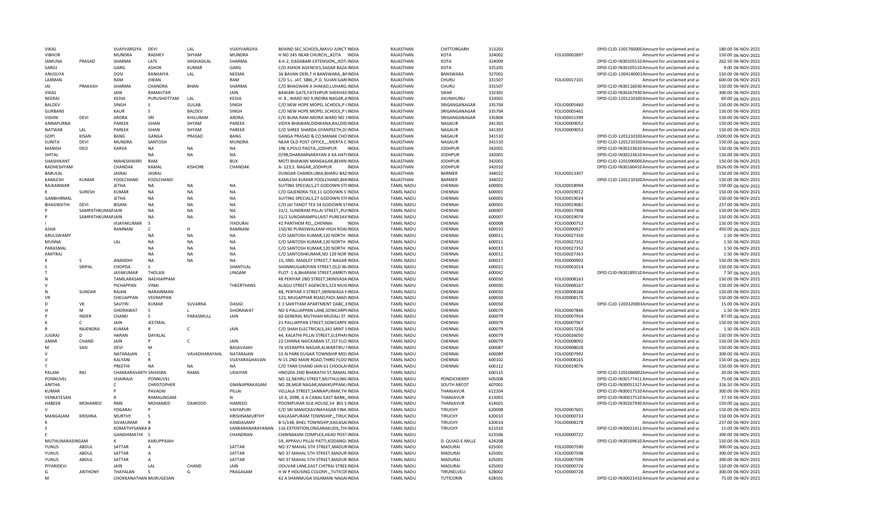| <b>VIKAS</b>    |                  | VIJAYVARGIYA                       | DEVI               | LAI.           | VIJAYVARGIYA     | BEHIND SEC.SCHOOL, MAVLI JUNCTIINDIA                                      | RAJASTHAN                              | CHITTORGARH                     | 313203           |              | DPID-CLID-130176000CAmount for unclaimed and ur                                 | 180.00 06-NOV-2021                      |
|-----------------|------------------|------------------------------------|--------------------|----------------|------------------|---------------------------------------------------------------------------|----------------------------------------|---------------------------------|------------------|--------------|---------------------------------------------------------------------------------|-----------------------------------------|
| <b>VIBHOR</b>   |                  | MUNDRA                             | <b>RADHEY</b>      | SHYAM          | <b>MUNDRA</b>    | H NO 245 NEAR CHURCH,,,KOTA INDIA                                         | RAJASTHAN                              | KOTA                            | 324002           | FOLIO0002897 | Amount for unclaimed and ur                                                     | 150.00 06-NOV-2021                      |
| <b>JAMUNA</b>   | PRASAD           | SHARMA                             | LATE               | SHGHASILAL     | SHARMA           | 4-K-2, DADABARI EXTENSION,,,KOT/INDIA                                     | RAJASTHAN                              | KOTA                            | 324009           |              | DPID-CLID-IN30105510 Amount for unclaimed and ur                                | 262.50 06-NOV-2021                      |
| SAROJ           |                  | GARG                               | <b>ASHOK</b>       | KUMAR          | GARG             | C/O ASHOK AGENCIES, SADAR BAZA INDIA                                      | RAJASTHAN                              | KOTA                            | 325205           |              | DPID-CLID-IN30105510 Amount for unclaimed and ur                                | 9.00 06-NOV-2021                        |
| ANUSUYA         |                  | <b>DOSI</b>                        | KANHAIYA           | LAL            | NEEMA            | 36 BAVAN DERI, TH BANSWARA, BAINDIA                                       | RAJASTHAN                              | <b>BANSWARA</b>                 | 327001           |              | DPID-CLID-1304140001Amount for unclaimed and ur                                 | 150.00 06-NOV-2021                      |
| LAXMAN          |                  | RAM                                | <b>JIWAN</b>       |                | RAM              | C/O S.L. JAT, SBBJ,, P.O. SUJAN GARIINDIA                                 | RAJASTHAN                              | CHURU                           | 331507           | FOLIO0017101 | Amount for unclaimed and ur                                                     | 600.00 06-NOV-2021                      |
| <b>JAI</b>      | PRAKASH          | SHARMA                             | CHANDRA            | <b>BHAN</b>    | SHARMA           | C/O BHAGWAN JI JHAKAD, LUHARG/INDIA                                       | RAJASTHAN                              | CHURU                           | 331507           |              | DPID-CLID-IN30116030 Amount for unclaimed and ur                                | 150.00 06-NOV-2021                      |
| VIKAS           |                  | JAIN                               | RAMAVTAR           |                | <b>JAIN</b>      | BAWARI GATE, FATEHPUR SHEKHAVINDIA                                        | RAJASTHAN                              | SIKAR                           | 332301           |              | DPID-CLID-IN30267930 Amount for unclaimed and ur                                | 300.00 06-NOV-2021                      |
| NEERAJ          |                  | KEDIA                              | PURUSHOTTAM        | LAL            | KEDIA            | H- 8, WARD NO 9, INDIRA NAGAR, JHNDIA                                     | RAJASTHAN                              | <b>JHUNJHUNU</b>                | 333001           |              | DPID-CLID-120121010CAmount for unclaimed and ur                                 | 60.00 06-NOV-2021                       |
| BALDEV          |                  | SINGH                              | S                  | <b>GULAB</b>   | SINGH            | C/O NEW HOPE MOPEL SCHOOL, P (INDIA                                       | RAJASTHAN                              | SRIGANGANAGAR                   | 335704           | FOLIO0005460 | Amount for unclaimed and ur                                                     | 150.00 06-NOV-2021                      |
| <b>GURBANS</b>  |                  | KAUR                               | S                  | <b>BALDEV</b>  | SINGH            | C/O NEW HOPE MOPEL SCHOOL, P (INDIA                                       | RAJASTHAN                              | SRIGANGANAGAR                   | 335704           | FOLIO0005461 | Amount for unclaimed and ur                                                     | 150.00 06-NOV-2021                      |
| <b>VISHNI</b>   | <b>DEVI</b>      | <b>ARORA</b>                       | SRI                | KHILURAM       |                  | C/O BURA RAM ARORA WARD NO 1INDIA                                         | RAJASTHAN                              | SRIGANGANAGAR                   | 335804           |              | Amount for unclaimed and u                                                      | 150.00 06-NOV-2021                      |
|                 |                  |                                    |                    |                | ARORA            |                                                                           |                                        |                                 |                  | FOLIO0015399 |                                                                                 |                                         |
| ANNAPURNA       |                  | PAREEK                             | GHAN               | SHYAM          | PAREEK           | VIDYA BHAWAN, DIDWANA, RAJ, DIDINDIA                                      | RAJASTHAN                              | NAGAUR                          | 341303           | FOLIO0009052 | Amount for unclaimed and ur                                                     | 150.00 06-NOV-2021                      |
| <b>NATWAR</b>   | LAL              | PAREEK                             | GHAN               | SHYAM          | PAREEK           | C/O SHREE SHARDA GYANPEETH, DI INDIA                                      | RAJASTHAN                              | NAGAUR                          | 341303           | FOLIO0009053 | Amount for unclaimed and ur                                                     | 150.00 06-NOV-2021                      |
| <b>GOPI</b>     | <b>KISAN</b>     | <b>BANG</b>                        | GANGA              | PRASAD         | BANG             | GANGA PRASAD & CO, MANAK CHO INDIA                                        | RAIASTHAN                              | <b>NAGAUR</b>                   | 341510           |              | DPID-CLID-120121010CAmount for unclaimed and ur                                 | 1500.00 06-NOV-2021                     |
| SUNITA          | DEVI             | <b>MUNDRA</b>                      | SANTOSH            |                | <b>MUNDRA</b>    | NEAR OLD POST OFFICE,,,, MERTA C INDIA                                    | RAJASTHAN                              | <b>NAGAUR</b>                   | 341510           |              | DPID-CLID-120121010CAmount for unclaimed and ur                                 | 150.00 06-NOV-2021                      |
| <b>MANISH</b>   | DEO              | <b>KARVA</b>                       | NA                 | <b>NA</b>      | NA               | 196 II, POLO PAOTA, JODHPUR<br>INDIA                                      | RAJASTHAN                              | <b>JODHPUR</b>                  | 342001           |              | DPID-CLID-IN30223610 Amount for unclaimed and ur                                | 150.00 06-NOV-2021                      |
| SHITAL          |                  |                                    | NA                 | <b>NA</b>      | NA               | D/98, DHARAMNARAYAN JI KA HATHNDIA                                        | RAJASTHAN                              | <b>JODHPUR</b>                  | 342001           |              | DPID-CLID-IN30223610 Amount for unclaimed and ur                                | 150.00 06-NOV-2021                      |
| SHASHIKANT      |                  | MAHESHWARI                         | RAM                |                | <b>BUX</b>       | MOTI BHAWAN MANSAGAR, BEHINIINDIA                                         | RAJASTHAN                              | <b>JODHPUR</b>                  | 342001           |              | DPID-CLID-120109000C Amount for unclaimed and ur                                | 150.00 06-NOV-2021                      |
| RADHESHYAM      |                  | CHANDAK                            | KAMAL              | <b>KISHORE</b> | CHANDAK          | A-123, S. NAGAR, JODHPUR<br><b>INDIA</b>                                  | RAJASTHAN                              | <b>JODHPUR</b>                  | 342010           |              | DPID-CLID-IN30160410 Amount for unclaimed and ur                                | 5526.00 06-NOV-2021                     |
| BABULAL         |                  | JASRAJ                             | JASRAJ             |                |                  | DUNGAR CHANDLUNIA, BHARU BAZINDIA                                         | RAJASTHAN                              | BARMER                          | 344022           | FOLIO0013307 | Amount for unclaimed and ur                                                     | 150.00 06-NOV-2021                      |
| KAMLESH         | <b>KUMAR</b>     | FOOLCHAND                          | FOOLCHAND          |                |                  | KAMLESH KUMAR FOOLCHAND, BHIINDIA                                         | RAJASTHAN                              | <b>BARMER</b>                   | 344022           |              | DPID-CLID-120121010CAmount for unclaimed and ur                                 | 150.00 06-NOV-2021                      |
| RAJKANWAR       |                  | <b>JETHA</b>                       | <b>NA</b>          | <b>NA</b>      | <b>NA</b>        | SUITING SPECIALS, 27 GODOWN STFINDIA                                      | <b>TAMIL NADU</b>                      | CHENNAI                         | 600001           | FOLIO0018994 | Amount for unclaimed and ur                                                     | 150.00 06-NOV-2021                      |
|                 | SURESH           | KUMAR                              | <b>NA</b>          | <b>NA</b>      | <b>NA</b>        | C/O GAJENDRA TEX, 11 GODOWN S'INDIA                                       | <b>TAMIL NADU</b>                      | CHENNAI                         | 600001           | FOLIO0019012 | Amount for unclaimed and ur                                                     | 150.00 06-NOV-2021                      |
|                 |                  |                                    |                    | <b>NA</b>      |                  |                                                                           |                                        |                                 |                  |              |                                                                                 |                                         |
| GANBHIRMAL      |                  | <b>JETHA</b>                       | <b>NA</b>          |                | NA               | SUITING SPECIALS, 27 GODOWN STFINDIA                                      | <b>TAMIL NADU</b>                      | CHENNAI                         | 600001           | FOLIO0019024 | Amount for unclaimed and ur                                                     | 150.00 06-NOV-2021                      |
| BHAGWATHI       | DFVI             | <b>BISAN</b>                       | <b>NA</b>          | <b>NA</b>      | <b>NA</b>        | C/O JAI TANOT TEX 54 GODOWN STINDIA                                       | <b>TAMIL NADU</b>                      | CHENNAI                         | 600001           | FOLIO0019081 | Amount for unclaimed and ur                                                     | 237.00 06-NOV-2021                      |
|                 | SAMPATHKUMAFJAIN |                                    | <b>NA</b>          | <b>NA</b>      | <b>NA</b>        | 31/2, SUNDRAM PILLAI STREET, PUIINDIA                                     | <b>TAMIL NADU</b>                      | CHENNAI                         | 600007           | FOLIO0017908 | Amount for unclaimed and ur                                                     | 150.00 06-NOV-2021                      |
|                 | SAMPATHKUMAFJAIN |                                    | <b>NA</b>          | <b>NA</b>      | <b>NA</b>        | 31/2 SUNDARAMPILLAIST PURESAVINDIA                                        | <b>TAMIL NADU</b>                      | CHENNA                          | 600007           | FOLIO0019074 | Amount for unclaimed and ur                                                     | 150.00 06-NOV-2021                      |
|                 |                  | VIJAYAKUMAR                        | - S                |                | <b>IYADURAI</b>  | 41 PANTHEM RD,,,CHENNAI                                                   | <b>TAMIL NADU</b>                      | CHENNAI                         | 600008           | FOLIO0000752 | Amount for unclaimed and ur                                                     | 150.00 06-NOV-2021                      |
| ASHA            |                  | RAMNANI                            | C                  |                | RAMNANI          | 150/40 PURASWALKAM HIGH ROALINDIA                                         | <b>TAMIL NADU</b>                      | CHENNAI                         | 600010           | FOLIO0000927 | Amount for unclaimed and ur                                                     | 450.00 06-NOV-2021                      |
| ARULSWAMY       |                  |                                    | <b>NA</b>          | <b>NA</b>      | <b>NA</b>        | C/O SANTOSH KUMAR, 120 NORTH IINDIA                                       | <b>TAMIL NADU</b>                      | CHENNAI                         | 600011           | FOLIO0027350 | Amount for unclaimed and ur                                                     | 1.50 06-NOV-2021                        |
| <b>MUNNA</b>    |                  | LAL                                | <b>NA</b>          | <b>NA</b>      | NA               | C/O SANTOSH KUMAR, 120 NORTH INDIA                                        | <b>TAMIL NADU</b>                      | CHENNAI                         | 600011           | FOLIO0027351 | Amount for unclaimed and ur                                                     | 1.50 06-NOV-2021                        |
| PARASMAL        |                  |                                    | <b>NA</b>          | <b>NA</b>      | NA               | C/O SANTOSH KUMAR, 120 NORTH INDIA                                        | <b>TAMIL NADU</b>                      | CHENNAI                         | 600011           | FOLIO0027352 | Amount for unclaimed and ur                                                     | 1.50 06-NOV-2021                        |
| AMITRAJ         |                  |                                    | <b>NA</b>          | <b>NA</b>      | <b>NA</b>        | C/O SANTOSHKUMAR.NO 129 NOR INDIA                                         | <b>TAMIL NADU</b>                      | CHENNAI                         | 600011           | FOLIO0027363 | Amount for unclaimed and u                                                      | 1.50 06-NOV-2021                        |
|                 |                  | ANANDHI                            | <b>NA</b>          | <b>NA</b>      | <b>NA</b>        | 15, IIND. MADLEY STREET, T.NAGAR INDIA                                    | <b>TAMIL NADU</b>                      | CHENNAI                         | 600017           | FOLIO0000902 | Amount for unclaimed and ur                                                     | 150.00 06-NOV-2021                      |
|                 | SRIPAL           | CHOPDA                             |                    |                | SHANTILAL        | SHANMUGAROYAN STREET, OLD W/INDIA                                         | <b>TAMIL NADU</b>                      | CHENNAI                         | 600021           | FOLIO0001014 | Amount for unclaimed and ur                                                     | 150.00 06-NOV-2021                      |
|                 |                  | <b>JAYAKUMAR</b>                   | <b>THOLASI</b>     |                | LINGAM           | PLOT-1 A, BHARANI STREET, AMRITHNDIA                                      | <b>TAMIL NADU</b>                      | CHENNAI                         | 600042           |              | DPID-CLID-IN30189510 Amount for unclaimed and ur                                | 7.50 06-NOV-2021                        |
| N               |                  | TAMILARASAN                        | NAEHIAPPAM         |                |                  | 48 PERIYAR 2ND STREET, SRINIVASA INDIA                                    | <b>TAMIL NADU</b>                      | CHENNAI                         | 600050           | FOLIO0008163 |                                                                                 | 150.00 06-NOV-2021                      |
|                 |                  |                                    |                    |                |                  |                                                                           |                                        |                                 |                  |              | Amount for unclaimed and ur                                                     |                                         |
| v               |                  | PICHAPPAN                          | VINAI              |                | THEERTHANS       | ALAGU STREET AGENCIES, 123 MUGINDIA                                       | <b>TAMIL NADU</b>                      | CHENNAI                         | 600050           | FOLIO0008167 | Amount for unclaimed and ur                                                     | 150.00 06-NOV-2021                      |
|                 | SUNDAR           | RAJAN                              | NARAINMAN          |                |                  | 48, PERIYAR II STREET, SRINIWASA NINDIA                                   | <b>TAMIL NADU</b>                      | CHENNAI                         | 600050           | FOLIO0008168 | Amount for unclaimed and ur                                                     | 150.00 06-NOV-2021                      |
| VR              |                  | CHEUAPPAN                          | VEERAPPAN          |                |                  | 123, MUGAPPIAR ROAD, PADI, MADIINDIA                                      | <b>TAMIL NADU</b>                      | CHENNAI                         | 600050           | FOLIO0008175 | Amount for unclaimed and ur                                                     | 150.00 06-NOV-2021                      |
| D               | VK               | SAVITRI                            | <b>KUMAR</b>       | SUVARNA        | <b>DASIGI</b>    | E 3 SAHITYAM APARTMENT DABC, 3 INDIA                                      | <b>TAMIL NADU</b>                      | CHENNAI                         | 600050           |              | DPID-CLID-1203320003Amount for unclaimed and ur                                 | 15.00 06-NOV-2021                       |
|                 | M                | GHORAWAT                           | S.                 | $\mathbf{L}$   | <b>GHORAWAT</b>  | NO 6 PALLIAPPAN LANE, SOWCARPEINDIA                                       | <b>TAMIL NADU</b>                      | CHENNAI                         | 600079           | FOLIO0007846 | Amount for unclaimed and ur                                                     | 1.50 06-NOV-2021                        |
|                 | <b>INDFR</b>     | CHAND                              | S.                 | PARASMULI      | JAIN             | 60 GENERAL MUTHIAH MUDALI ST. INDIA                                       | <b>TAMIL NADU</b>                      | CHENNAI                         | 600079           | FOLIO0007954 | Amount for unclaimed and ur                                                     | 87.00 06-NOV-2021                       |
|                 | $\mathsf{C}$     | JAIN                               | <b>JEETMAL</b>     |                |                  | 21 PALLIAPPAN STREET.SOWCARPE INDIA                                       | <b>TAMIL NADU</b>                      | CHENNAI                         | 600079           | FOLIO0007967 | Amount for unclaimed and ur                                                     | 150.00 06-NOV-2021                      |
|                 | RAJENDRA         | <b>KUMAR</b>                       | $\mathsf{R}$       | $\mathsf{C}$   | JAIN             | C/O SHAH ELECTRICALS, 341 MINT SINDIA                                     | <b>TAMIL NADU</b>                      | CHENNAI                         | 600079           | FOLIO0017258 | Amount for unclaimed and ur                                                     | 1.50 06-NOV-2021                        |
| <b>JUGRA</b>    | D                | <b>HARAN</b>                       | DAYALAL            |                |                  | 44, KALATHI PILLAI STREET, ELEPHAIINDIA                                   | <b>TAMIL NADU</b>                      | CHENNAI                         | 600079           | FOLIO0026050 | Amount for unclaimed and ur                                                     | 150.00 06-NOV-2021                      |
| AMAR            | CHAND            | JAIN                               | p                  | $\mathsf{C}$   | JAIN             | 22 CHINNA NAICKARAN ST,1ST FLO INDIA                                      | <b>TAMIL NADU</b>                      | CHENNAI                         | 600079           | FOLIO0008092 | Amount for unclaimed and ur                                                     | 150.00 06-NOV-2021                      |
| м               | SASI             | <b>DEVI</b>                        | M                  |                | <b>BASAVAIAH</b> | 76 VEERAPPA NAGAR, ALWARTIRU IINDIA                                       | <b>TAMIL NADU</b>                      | CHENNAI                         | 600087           | FOLIO0008028 | Amount for unclaimed and ur                                                     | 150.00 06-NOV-2021                      |
|                 |                  | NATARAJAN                          | C                  | VAVADHARAYAHL  | NATARAIAN        | 55-N PARK DUGAR TOWNSHIP MOLINDIA                                         | <b>TAMIL NADU</b>                      | CHENNAI                         | 600089           | FOLIO0007992 | Amount for unclaimed and ur                                                     | 300.00 06-NOV-2021                      |
|                 |                  | KALYANI                            |                    |                | VIJAYARAGHAVAN   | N-15 2ND MAIN ROAD, THIRD FLOO INDIA                                      | <b>TAMIL NADU</b>                      | CHENNAI                         | 600102           | FOLIO0008165 | Amount for unclaimed and ur                                                     | 150.00 06-NOV-2021                      |
|                 |                  | PRFFTHI                            | <b>NA</b>          | <b>NA</b>      | <b>NA</b>        | C/O TARA CHAND JAIN 61 CHOOLAIINDIA                                       | <b>TAMIL NADU</b>                      | CHENNAI                         | 600112           | FOLIO0019076 | Amount for unclaimed and ur                                                     | 150.00 06-NOV-2021                      |
| PALANI          | RAI              | CHAKKARAVARTI SAHASRA              |                    | RAMA           | <b>UDAIYAR</b>   | HNO20A 2ND BHARATHI ST, RAMALINDIA                                        | <b>TAMIL NADU</b>                      |                                 | 600115           |              | DPID-CLID-1201060002Amount for unclaimed and ur                                 | 30.00 06-NOV-2021                       |
|                 |                  |                                    |                    |                |                  |                                                                           |                                        |                                 |                  |              |                                                                                 |                                         |
| PONNUVEL        |                  | VIJAIRAJA                          | PONNUVEL           |                |                  | NO 12, NEHRU STREET, MUTHULING INDIA                                      | <b>TAMIL NADU</b>                      | PONDICHERRY                     | 605008           |              | DPID-CLID-IN30177411 Amount for unclaimed and ur                                | 75.00 06-NOV-2021                       |
| ANITHA          |                  |                                    | <b>CHRISTOPHER</b> |                | GNANAPRAKASAM    | NO 28, MGR NAGAR, ANAIKUPPAM, (INDIA                                      | <b>TAMIL NADU</b>                      | <b>SOUTH ARCOT</b>              | 607001           |              | DPID-CLID-IN30051317 Amount for unclaimed and ur                                | 316.50 06-NOV-2021                      |
| <b>KUMAR</b>    |                  |                                    | PAVADAI            |                | PILLAI           | VELLALA STREET, SANNAPURAM, TH INDIA                                      | <b>TAMIL NADU</b>                      | THANJAVUR                       | 612204           |              | DPID-CLID-IN30017510 Amount for unclaimed and ur                                | 300.00 06-NOV-2021                      |
| VENKATESAN      |                  |                                    |                    |                |                  |                                                                           |                                        |                                 |                  |              |                                                                                 |                                         |
|                 |                  |                                    | RAMALINGAM         |                | N                | 10 A, 2098, G A CANAL EAST BANK,, INDIA                                   | <b>TAMIL NADU</b>                      | THANJAVUR                       | 613001           |              | DPID-CLID-IN30017510 Amount for unclaimed and ur                                | 37.50 06-NOV-2021                       |
| HABEEB          | MOHAMED          | <b>RMK</b>                         | MOHAMED            | <b>DAWOOD</b>  | HAMEED           | POOMPUKAR SILK HOUSE,54 BIG S'INDIA                                       | <b>TAMIL NADL</b>                      | THANJAVUR                       | 614601           |              | DPID-CLID-IN30267930 Amount for unclaimed and ur                                | 150.00 06-NOV-2021                      |
|                 |                  | YOGARAJ                            |                    |                | VAIYAPURI        | C/O SRI MANICKAVINAYAGAR FINA INDIA                                       | <b>TAMIL NADU</b>                      | <b>TIRUCHY</b>                  | 620008           | FOLIO0007601 | Amount for unclaimed and ur                                                     | 150.00 06-NOV-2021                      |
| MANGALAM        | KRISHNA          | <b>MURTHY</b>                      | <sub>S</sub>       |                | KRISHNAMURTHY    | KAILASAPURAM TOWNSHIP,,,TIRUCINDIA                                        | TAMIL NADU                             | <b>TIRUCHY</b>                  | 620010           | FOLIO0000733 | Amount for unclaimed and ur                                                     | 150.00 06-NOV-2021                      |
|                 |                  | SIVAKUMAR                          |                    |                | KANDASAMY        | B-5/148, BHEL TOWNSHIP, KAILASAIINDIA                                     | <b>TAMIL NADU</b>                      | TIRUCHY                         | 620014           | FOLIO0008178 | Amount for unclaimed and ur                                                     | 237.00 06-NOV-2021                      |
|                 |                  | KOMATHYSANKA B                     |                    |                | SANKARANARAYANAN | 116 EXTENTION, ONGARAKUDIL, THUNDIA                                       | <b>TAMIL NADU</b>                      | TIRUCHY                         | 621010           |              | DPID-CLID-IN30021411Amount for unclaimed and ur                                 | 15.00 06-NOV-2021                       |
|                 |                  | GANDHIMATHI S                      |                    |                |                  |                                                                           |                                        |                                 |                  |              |                                                                                 | 300.00 06-NOV-2021                      |
|                 |                  |                                    | KARUPPAIAH         |                | CHANDRAN         | CHINNAKANI COMPLEX, HEAD POST INDIA                                       | <b>TAMIL NADU</b>                      |                                 | 623506           | FOLIO0000722 | Amount for unclaimed and ur                                                     | 150.00 06-NOV-2021                      |
| MUTHUNARASINGAM |                  |                                    |                    |                |                  | 59, APPAVU PILLAI PATTI, KODANGI INDIA                                    | <b>TAMIL NADU</b>                      | D. QUIAD-E-MILLE                | 624208           |              | DPID-CLID-IN30169610 Amount for unclaimed and ur                                |                                         |
| YUNUS           | ABDUL            | SATTAR                             | $\overline{A}$     |                | SATTAR           | NO-37 MAHAL 5TH STREET, MADURINDIA                                        | <b>TAMIL NADU</b>                      | <b>MADURAI</b>                  | 625001           | FOLIO0007590 | Amount for unclaimed and ur                                                     | 300.00 06-NOV-2021                      |
| YUNUS           | ABDUL            | SATTAR                             | $\overline{A}$     |                | SATTAR           | NO 37 MAHAL 5TH STREET, MADUR INDIA                                       | <b>TAMIL NADU</b>                      | <b>MADURAI</b>                  | 625001           | FOLIO0007598 | Amount for unclaimed and ur                                                     | 300.00 06-NOV-2021                      |
| YUNUS           | ABDUL            | SATTAR                             |                    |                | SATTAR           | NO 37 MAHAL 5TH STREET, MADUR INDIA                                       | <b>TAMIL NADI</b>                      | MADURAI                         | 625001           | FOLIO0007599 | Amount for unclaimed and ur                                                     | 300.00 06-NOV-2021                      |
| PIYARIDEVI      |                  | <b>JAIN</b>                        | LAI                | CHAND          | <b>JAIN</b>      | ODUVAR LANE, EAST CHITRAI STREEINDIA                                      | <b>TAMIL NADU</b>                      | MADURAI                         | 625003           | FOLIO0000726 | Amount for unclaimed and ur                                                     | 150.00 06-NOV-2021                      |
| G<br>M          | <b>ANTHONY</b>   | THAYALAN<br>CHOKKANATHAN MURUGESAN | S.                 | G              | PRAGASAM         | H W P HOUSING COLONY,,, TUTICOFINDIA<br>42 A SHANMUGA SIGAMANI NAGAIINDIA | <b>TAMIL NADU</b><br><b>TAMIL NADU</b> | TIRUNELVELI<br><b>TUTICORIN</b> | 628002<br>628501 | FOLIO0000728 | Amount for unclaimed and ur<br>DPID-CLID-IN30021410 Amount for unclaimed and ur | 300.00 06-NOV-2021<br>75.00 06-NOV-2021 |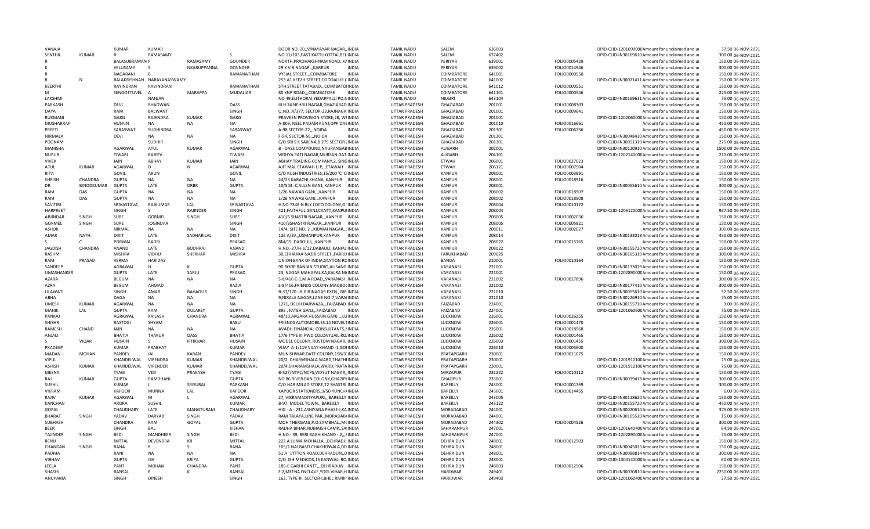| VANAJA            |              | <b>KUMAR</b>          | KUMAR                      |                      |                 | DOOR NO. 20,, VINAYAYAR NAGAR,, INDIA       | <b>TAMIL NADU</b>    | SALEM            | 636003 |              | DPID-CLID-120109000CAmount for unclaimed and ur  | 37.50 06-NOV-2021   |
|-------------------|--------------|-----------------------|----------------------------|----------------------|-----------------|---------------------------------------------|----------------------|------------------|--------|--------------|--------------------------------------------------|---------------------|
| SENTHIL           | KUMAR        |                       | RAMASAMY                   |                      | <sub>S</sub>    | NO 11/103, EAST KATTUKOTTAI, BEL INDIA      | <b>TAMIL NADU</b>    | SALFM            | 637402 |              | DPID-CLID-IN30169610 Amount for unclaimed and ur | 300.00 06-NOV-2021  |
|                   |              | <b>BALASUBRAMAN P</b> |                            | RAMASAMY             | GOUNDER         | NORTH, PRADHAKSHNAM ROAD,, KAINDIA          | <b>TAMIL NADU</b>    | PFRIYAR          | 639001 | FOLIO0005439 | Amount for unclaimed and ur                      | 150.00 06-NOV-2021  |
|                   |              | VELUSAMY              | $\mathcal{S}$              | NKARUPPANNA          | GOVNDER         | 29 K V B NAGAR,,, KARRUR<br><b>INDIA</b>    | <b>TAMIL NADU</b>    | PFRIYAR          | 639002 | FOLIO0014946 | Amount for unclaimed and ur                      | 300.00 06-NOV-2021  |
|                   |              | NAGARANI              | $\mathbf{R}$               |                      | RAMANATHAN      | VYSIAL STREET, , COIMBATORE<br>INDIA        | <b>TAMIL NADU</b>    | COIMBATORE       | 641001 | FOLIO0000550 | Amount for unclaimed and ur                      | 150.00 06-NOV-2021  |
|                   | N            |                       | BALAKRISHNAN NARAYANASWAMY |                      |                 | 253 A1 KEEZH STREET, COODALUR ('INDIA       | <b>TAMIL NADU</b>    | COIMBATORE       | 641002 |              | DPID-CLID-IN30021411Amount for unclaimed and ur  | 150.00 06-NOV-2021  |
|                   |              |                       |                            |                      |                 |                                             |                      |                  |        |              |                                                  |                     |
| KEERTHI           |              | RAYINDRAN             | RAVINDRAN                  |                      | RAMANATHAN      | 5TH STREET TATABAD,,,COIMBATOIINDIA         | <b>TAMIL NADU</b>    | COIMBATORE       | 641012 | FOLIO0000551 | Amount for unclaimed and ur                      | 150.00 06-NOV-2021  |
| M                 |              | SENGOTTUVEL           | $\overline{A}$             | <b>MARAPPA</b>       | <b>MUDALIAR</b> | 80 KNP ROAD,,,COIMBATORE<br><b>INDIA</b>    | <b>TAMIL NADU</b>    | COIMBATORE       | 641101 | FOLIO0000546 | Amount for unclaimed and ur                      | 225.00 06-NOV-2021  |
| LAKSHMI           |              |                       | <b>NANJAN</b>              |                      |                 | NO 49, ELITHORAI, YEDAPPALLI PO, NINDIA     | <b>TAMIL NADU</b>    | NILGIRI          | 643104 |              | DPID-CLID-IN30169611 Amount for unclaimed and ur | 75.00 06-NOV-2021   |
| PARKASH           |              | DEVI                  | <b>BHAGWAN</b>             |                      | DASS            | III H 74 NEHRU NAGAR, GHAZIABAD INDIA       | <b>UTTAR PRADESH</b> | GHAZIABAD        | 201001 | FOLIO0008303 | Amount for unclaimed and ur                      | 150.00 06-NOV-2021  |
| DAYA              |              | RAM                   | BALWANT                    |                      | SINGH           | Q.NO. A/377, SECTOR-23, RAJNAGA INDIA       | UTTAR PRADESH        | GHAZIABAD        | 201001 | FOLIO0009641 | Amount for unclaimed and ur                      | 150.00 06-NOV-2021  |
| RUKMANI           |              | GARG                  | RAJENDRA                   | <b>KUMAR</b>         | GARG            | PRAVEEN PROVISION STORE.28. WFINDIA         | <b>UTTAR PRADESH</b> | <b>GHAZIABAD</b> | 201001 |              | DPID-CLID-120206000CAmount for unclaimed and ur  | 150.00 06-NOV-2021  |
| MUSHARRAF         |              | HUSAIN                | <b>NA</b>                  | <b>NA</b>            | NA              | A-803, NEEL PADAM KUNJ, OPP. DAEINDIA       | <b>UTTAR PRADESH</b> | <b>GHAZIARAD</b> | 201010 | FOLIO0016661 | Amount for unclaimed and u                       | 450.00 06-NOV-2021  |
| PREETI            |              | SARASWAT              | SUDHINDRA                  |                      | SARASWAT        | A-98 SECTOR-22,,,NOIDA<br><b>INDIA</b>      | UTTAR PRADESH        | GHAZIABAD        | 201301 | FOLIO0006736 | Amount for unclaimed and ur                      | 450.00 06-NOV-2021  |
| NIRMALA           |              | <b>DEVI</b>           | <b>NA</b>                  | <b>NA</b>            | <b>NA</b>       | F-94, SECTOR-56,,, NOIDA<br><b>INDIA</b>    | UTTAR PRADESH        | GHAZIABAD        | 201301 |              | DPID-CLID-IN30048410 Amount for unclaimed and ur | 150.00 06-NOV-2021  |
|                   |              |                       |                            |                      |                 |                                             |                      |                  |        |              |                                                  |                     |
| POONAM            |              |                       | <b>SUDHIR</b>              |                      | SINGH           | C/O SRI S K SAXENA, B 279 SECTOR INDIA      | UTTAR PRADESH        | GHAZIABAD        | 201301 |              | DPID-CLID-IN30051310 Amount for unclaimed and ur | 225.00 06-NOV-2021  |
| MANISHA           |              | AGARWAL               | ATUL                       | <b>KUMAR</b>         | AGARWAL         | B - DASS COMPOUND, NAURANGABINDIA           | UTTAR PRADESH        | <b>ALIGARH</b>   | 202001 |              | DPID-CLID-IN30120910 Amount for unclaimed and ur | 1500.00 06-NOV-2021 |
| <b>NUPUR</b>      |              | TIWARI                | RAJEEV                     |                      | TIWARI          | VIDHYA PATI NAGAR, MURSAN GATIINDIA         | <b>UTTAR PRADESH</b> | ALIGARH          | 204101 |              | DPID-CLID-120214000CAmount for unclaimed and ur  | 210.00 06-NOV-2021  |
| <b>VIVEK</b>      |              | JAIN                  | ABHAY                      | <b>KUMAR</b>         | <b>JAIN</b>     | ABHAY TRADING COMPANY, 2, SINDINDIA         | UTTAR PRADESH        | <b>ETWAH</b>     | 206001 | FOLIO0027023 | Amount for unclaimed and ur                      | 150.00 06-NOV-2021  |
| <b>ATUL</b>       | <b>KUMAR</b> | AGARWAL               | D                          | N                    | <b>AGARWAL</b>  | AIIT MAL FTAWAH U PFTAWAH INDIA             | <b>UTTAR PRADESH</b> | <b>ETWAH</b>     | 206121 | FOLIO0007504 | Amount for unclaimed and u                       | 150.00 06-NOV-2021  |
| RITA              |              | GOVIL                 | ARUN                       |                      | GOVIL           | C/O KUSH INDUSTRIES, 15/200 'C' CIINDIA     | <b>UTTAR PRADESH</b> | <b>KANPUR</b>    | 208001 | FOLIO0003891 | Amount for unclaimed and ur                      | 150.00 06-NOV-2021  |
| <b>SHRISH</b>     | CHANDRA      | <b>GUPTA</b>          | <b>NA</b>                  | <b>NA</b>            | <b>NA</b>       | 24/23 KARACHI, KHANA,, KANPUR INDIA         | UTTAR PRADESH        | <b>KANPUR</b>    | 208001 | FOLIO0018916 | Amount for unclaimed and ur                      | 150.00 06-NOV-2021  |
| DR                | BINODKUMAR   | <b>GUPTA</b>          | LATE                       | DRRR                 | <b>GUPTA</b>    | 10/503 - C, ALLEN GANJ, , KANPUR INDIA      | UTTAR PRADESH        | <b>KANPUR</b>    | 208001 |              | DPID-CLID-IN30055610 Amount for unclaimed and ur | 300.00 06-NOV-2021  |
| RAM               | DAS          |                       | NΔ                         | <b>NA</b>            |                 | <b>INDIA</b>                                |                      | <b>KANPLIR</b>   |        |              |                                                  |                     |
|                   |              | <b>GUPTA</b>          |                            |                      | <b>NA</b>       | 1/26 NAWAB GANJ,,,KANPUR                    | UTTAR PRADESH        |                  | 208002 | FOLIO0018907 | Amount for unclaimed and ur                      | 150.00 06-NOV-2021  |
| RAM               | DAS          | <b>GUPTA</b>          | <b>NA</b>                  | <b>NA</b>            | <b>NA</b>       | 1/26 NAWAB GANJ,,,KANPUR<br><b>INDIA</b>    | UTTAR PRADESH        | <b>KANPUR</b>    | 208002 | FOLIO0018908 | Amount for unclaimed and ur                      | 150.00 06-NOV-2021  |
| SAVITIRI          |              | SRIVASTAVA            | RAJKUMAR                   | LAL                  | SRIVASTAVA      | H NO 734B N RLY LOCO COLONY, G'INDIA        | UTTAR PRADESH        | <b>KANPUR</b>    | 208004 | FOLIO0010122 | Amount for unclaimed and ur                      | 150.00 06-NOV-2021  |
| HARPREET          |              | SINGH                 | -S.                        | <b>RAJINDER</b>      | SINGH           | 421.FAITHFUL GANJ.CANTT.KANPUIINDIA         | <b>UTTAR PRADESH</b> | <b>KANPUR</b>    | 208004 |              | DPID-CLID-120612000CAmount for unclaimed and ur  | 937.50 06-NOV-2021  |
| ABJINDAR          | SINGH        | <b>SURE</b>           | GORMEL                     | SINGH                | SURE            | 410/6 SHASTRI NAGAR,,, KANPUR INDIA         | <b>UTTAR PRADESH</b> | <b>KANPUR</b>    | 208005 | FOLIO0002036 | Amount for unclaimed and ur                      | 150.00 06-NOV-2021  |
| GORMEL            | SINGH        | SURE                  | <b>JOGINDAR</b>            |                      | SINGH           | 410/6SHASTRI NAGAR,,,KANPUR<br><b>INDIA</b> | UTTAR PRADESH        | <b>KANPUR</b>    | 208005 | FOLIO0005821 | Amount for unclaimed and ur                      | 150.00 06-NOV-2021  |
| <b>ASHOK</b>      |              | <b>NIRMAL</b>         | <b>NA</b>                  | <b>NA</b>            | <b>NA</b>       | 14/4, SITE NO. 2 "KIDWAI NAGAR,"INDIA       | UTTAR PRADESH        | KANPUR           | 208011 | FOLIO0002027 | Amount for unclaimed and ur                      | 300.00 06-NOV-2021  |
| AMAR              | <b>NATH</b>  | <b>DIXIT</b>          | LATE                       | SADHARILAL           | <b>DIXIT</b>    | 126 A/2A,,USMANPUR,KANPUR<br>INDIA          | <b>UTTAR PRADESH</b> | <b>KANPUR</b>    | 208014 |              | DPID-CLID-IN30133018 Amount for unclaimed and ur | 450.00 06-NOV-2021  |
|                   |              |                       |                            |                      |                 |                                             |                      |                  |        |              |                                                  |                     |
|                   | $\mathsf{C}$ | PORWAL                | <b>BADRI</b>               |                      | PRASAD          | 8M/15 DABOULI,,,KANPUR<br><b>INDIA</b>      | UTTAR PRADESH        | <b>KANPUR</b>    | 208022 | FOLIO0015765 | Amount for unclaimed and ur                      | 150.00 06-NOV-2021  |
| <b>JAGDISH</b>    | CHANDRA      | ANAND                 | LATE                       | <b>BODHRAJ</b>       | ANAND           | H.NO.-27/H-1/12,DABAULI,,KANPUIINDIA        | UTTAR PRADESH        | KANPUR           | 208022 |              | DPID-CLID-IN30155720 Amount for unclaimed and ur | 150.00 06-NOV-2021  |
| RASHMI            |              | <b>MISHRA</b>         | VIDHU                      | SHEKHAR              | <b>MISHRA</b>   | 30, CHHAKKA NAZIR STREET, FARRU INDIA       | UTTAR PRADESH        | FARUKHABAD       | 209625 |              | DPID-CLID-IN30165310 Amount for unclaimed and ur | 300.00 06-NOV-2021  |
| RAM               | PRASAD       | VERMA                 | <b>HARIDAS</b>             |                      |                 | UNION BANK OF INDIA, STATION RCINDIA        | <b>UTTAR PRADESH</b> | <b>BANDA</b>     | 210001 | FOLIO0010164 | Amount for unclaimed and ur                      | 150.00 06-NOV-2021  |
| SANDEEP           |              | AGRAWAL               | H                          | к                    | <b>GUPTA</b>    | 90 ROOP RANJAN STUDIO, AUSANG INDIA         | UTTAR PRADESH        | VARANASI         | 221001 |              | DPID-CLID-IN30133019 Amount for unclaimed and ur | 150.00 06-NOV-2021  |
| <b>UMASHANKER</b> |              | <b>GUPTA</b>          | LATE                       | SARIU                | PRASAD          | 23, NAGAR MAHAPALIKA, KALRA NI(INDIA        | UTTAR PRADESH        | VARANASI         | 221001 |              | DPID-CLID-120289000CAmount for unclaimed and ur  | 150.00 06-NOV-2021  |
| <b>AZARA</b>      |              | <b>BEGUM</b>          | <b>NA</b>                  | <b>NA</b>            | <b>NA</b>       | S-8/416 C-1.M A ROAD., VARANASI INDIA       | <b>UTTAR PRADESH</b> | VARANASI         | 221002 | FOLIO0027896 | Amount for unclaimed and ur                      | 300.00 06-NOV-2021  |
| AZRA              |              | <b>BEGUM</b>          | AHMAD                      |                      | RAZIA           | S-8/416, FRIENDS COLONY, MAQBO(INDIA        | <b>UTTAR PRADESH</b> | VARANASI         | 221002 |              | DPID-CLID-IN30177410 Amount for unclaimed and ur | 300.00 06-NOV-2021  |
| LILAWATI          |              | SINGH                 | AMAR                       | <b>BAHADUR</b>       | SINGH           | B-37/170 - 8, GIRINAGAR EXTN, BIR INDIA     | <b>UTTAR PRADESH</b> | VARANASI         | 221010 |              | DPID-CLID-IN30055610 Amount for unclaimed and ur | 37.50 06-NOV-2021   |
|                   |              |                       |                            |                      |                 |                                             |                      |                  |        |              |                                                  |                     |
| ABHA              |              | <b>DAGA</b>           | NA                         | <b>NA</b>            | <b>NA</b>       | 9, NIRALA NAGAR, LANE NO-7, VARAIINDIA      | UTTAR PRADESH        | VARANASI         | 221010 |              | DPID-CLID-IN30226910 Amount for unclaimed and ur | 75.00 06-NOV-2021   |
| UMESH             | <b>KUMAR</b> | AGARWAL               | <b>NA</b>                  | <b>NA</b>            | NΔ              | 1271, DELHI DARWAZA,,,FAIZABAD INDIA        | <b>UTTAR PRADESH</b> | FAIZABAD         | 224001 |              | DPID-CLID-IN30155710 Amount for unclaimed and ur | 3.00 06-NOV-2021    |
| MANIK             | LAL          | <b>GUPTA</b>          | RAM                        | <b>DULAREY</b>       | <b>GUPTA</b>    | 895, FATEH GANJ,,,FAIZABAD<br><b>INDIA</b>  | <b>UTTAR PRADESH</b> | FAIZABAD         | 224001 |              | DPID-CLID-120106060CAmount for unclaimed and ur  | 75.00 06-NOV-2021   |
| PANKAJ            |              | AGRAWAL               | KAILASH                    | CHANDRA              | AGRAWAL         | 48/10, ARGARA HUSSAIN GANJ.,,,LUINDIA       | UTTAR PRADESH        | LUCKNOW          | 226001 | FOLIO0026255 | Amount for unclaimed and ur                      | 150.00 06-NOV-2021  |
| <b>SHISHR</b>     |              | <b>RASTOGI</b>        | SHYAM                      |                      | <b>BABU</b>     | FRIENDS AUTOMOBILES, 14 NOVELTINDIA         | UTTAR PRADESH        | LUCKNOW          | 226001 | FOLIO0001470 | Amount for unclaimed and ur                      | 150.00 06-NOV-2021  |
| <b>RAMESH</b>     | CHAND        | <b>JAIN</b>           | <b>NA</b>                  | <b>NA</b>            | <b>NA</b>       | AVADH FINANCIAL CONSULTANTS, NINDIA         | <b>UTTAR PRADESH</b> | LUCKNOW          | 226001 | FOLIO0018968 | Amount for unclaimed and ur                      | 150.00 06-NOV-2021  |
| ANJALI            |              | BHATIA                | <b>THAKUR</b>              | <b>DASS</b>          | <b>BHATIA</b>   | 17/6 TYPE III PWD COLONY, JAIL RO/INDIA     | <b>UTTAR PRADESH</b> | LUCKNOW          | 226002 | FOLIO0001465 | Amount for unclaimed and ur                      | 150.00 06-NOV-2021  |
|                   | <b>VIQAR</b> | <b>HUSAIN</b>         | S.                         | <b>IFTIKHAR</b>      | <b>HUSAIN</b>   | MODEL COLONY, RUSTOM NAGAR, INDIA           | UTTAR PRADESH        | LUCKNOW          | 226003 | FOLIO0001455 | Amount for unclaimed and ur                      | 300.00 06-NOV-2021  |
|                   |              |                       |                            |                      |                 |                                             |                      |                  |        |              |                                                  |                     |
| PRADEEP           |              | <b>KUMAR</b>          | PRABHAT                    |                      | <b>KUMAR</b>    | VIJAY A-1/119 VIJAY KHAND -1.GOIINDIA       | <b>UTTAR PRADESH</b> | LUCKNOW          | 226010 | FOLIO0005600 | Amount for unclaimed and ur                      | 150.00 06-NOV-2021  |
| <b>MADAN</b>      | <b>MOHAN</b> | PANDEY                | <b>JAI</b>                 | KARAN                | PANDEY          | MUNISHWAR DATT COLONY, 198/3: INDIA         | UTTAR PRADESH        | PRATAPGARH       | 230001 | FOLIO0011075 | Amount for unclaimed and u                       | 150.00 06-NOV-2021  |
| VIPUL             |              | KHANDFLWAL            | VIRENDRA                   | KUMAR                | KHANDFLWAL      | 20/2, DHARMSHALA WARD, THATHINDIA           | UTTAR PRADESH        | PRATAPGARH       | 230001 |              | DPID-CLID-120191010CAmount for unclaimed and ur  | 75.00 06-NOV-2021   |
| ASHISH            | <b>KUMAR</b> | KHANDELWAL            | <b>VIRENDER</b>            | <b>KUMAR</b>         | KHANDELWAL      | 20/4, DHARAMSHALA, WARD, PRATAINDIA         | UTTAR PRADESH        | PRATAPGARH       | 230001 |              | DPID-CLID-120191010CAmount for unclaimed and ur  | 75.00 06-NOV-2021   |
| MEENA             |              | <b>TYAGI</b>          | VED                        | PRAKASH              | TYAGI           | B-527/NTPC/NCPS, VIDYUT NAGAR, INDIA        | UTTAR PRADESH        | MIRZAPUR         | 231222 | FOLIO0010112 | Amount for unclaimed and ur                      | 150.00 06-NOV-2021  |
| RAJ               | <b>KUMAR</b> | <b>GUPTA</b>          | RAMDHANI                   |                      | <b>GUPTA</b>    | NO 86 RIVER BAN COLONY, GHAZIPLINDIA        | <b>UTTAR PRADESH</b> | <b>GHAZIPUR</b>  | 233001 |              | DPID-CLID-IN30039418 Amount for unclaimed and ur | 300.00 06-NOV-2021  |
| <b>SUSHIL</b>     |              | <b>KUMAR</b>          |                            | SRISURAJ             | PARKASH         | C/O HAR MILAD STORE, 22 SHASTRI INDIA       | UTTAR PRADESH        | BAREILLY         | 243001 | FOLIO0001769 | Amount for unclaimed and ur                      | 300.00 06-NOV-2021  |
| VIKRAM            |              | <b>KAPOOR</b>         | <b>MUNNA</b>               | LAL                  | <b>KAPOOR</b>   | KAPOOR STATIONERS, 3/50 KUNCH/INDIA         | UTTAR PRADESH        | BAREILLY         | 243001 | FOLIO0014455 | Amount for unclaimed and ur                      | 6.00 06-NOV-2021    |
|                   |              |                       |                            |                      |                 |                                             |                      |                  |        |              |                                                  |                     |
| RAJIV             | KUMAR        | AGARWAL               | M                          |                      | <b>AGARWAL</b>  | 27, VIKRAMADITYAPURI,,, BAREILLY INDIA      | <b>UTTAR PRADESH</b> | BAREILLY         | 243005 |              | DPID-CLID-IN30118620 Amount for unclaimed and u  | 150.00 06-NOV-2021  |
| KANCHAN           |              | ARORA                 | SUSHIL                     |                      | <b>KUMAR</b>    | B-97, MODEL TOWN,,,BAREILLY INDIA           | <b>UTTAR PRADESH</b> | <b>BARFILLY</b>  | 243122 |              | DPID-CLID-IN30155720 Amount for unclaimed and ur | 450.00 06-NOV-2021  |
| GOPAL             |              | CHAUDHARY             | LATE                       | <b>MANGTURAM</b>     | CHAUDHARY       | HIG - A - 231, ASHIYANA PHASE-I, KAINDIA    | UTTAR PRADESH        | MORADABAD        | 244001 |              | DPID-CLID-IN30020610 Amount for unclaimed and ur | 375.00 06-NOV-2021  |
| <b>BHARAT</b>     | SINGH        | YADAV                 | DARYAB                     | SINGH                | YADAV           | RAM TALAYA, LINE PAR, , MORADAB/INDIA       | UTTAR PRADESH        | MORADABAD        | 244001 |              | DPID-CLID-IN30105510 Amount for unclaimed and ur | 15.00 06-NOV-2021   |
| <b>SUBHASH</b>    |              | CHANDRA               | RAM                        | GOPAL                | <b>GUPTA</b>    | MOH THERGANJ, P.O.SAMBHAL, , MCINDIA        | UTTAR PRADESH        | MORADABAD        | 244302 | FOLIO0004526 | Amount for unclaimed and ur                      | 300.00 06-NOV-2021  |
| BEER              |              | SINGH                 | BAL                        |                      | <b>KISHAN</b>   | RADHA BIHAR, NUMAISH CAMP,, SAIINDIA        | <b>UTTAR PRADESH</b> | SAHARANPUR       | 247001 |              | DPID-CLID-120164040CAmount for unclaimed and ur  | 64.50 06-NOV-2021   |
| TAJINDER          | SINGH        | <b>BEDI</b>           | MANDHEER                   | SINGH                | <b>BEDI</b>     | H.NO - 39, BERI BAGH KHAND - 2,,,SINDIA     | UTTAR PRADESH        | SAHARANPUR       | 247001 |              | DPID-CLID-120289000CAmount for unclaimed and ur  | 75.00 06-NOV-2021   |
| RFNU              |              | <b>MITTAL</b>         | <b>DEVENDRA</b>            | $\mathsf{KR}\xspace$ | <b>MITTAL</b>   | 222 A LUNIA MOHALLA,,,DEHRADU INDIA         | UTTAR PRADESH        | DEHRA DUN        | 248001 | FOLIO0012503 | Amount for unclaimed and u                       | 150.00 06-NOV-2021  |
|                   |              |                       |                            |                      |                 |                                             |                      |                  |        |              |                                                  |                     |
| CHANDAN           | SINGH        | RANA                  | R                          | -S                   | RANA            | 105/1 NAI BASTI CHAKHOWALA.DEIINDIA         | <b>UTTAR PRADESH</b> | <b>DEHRA DUN</b> | 248001 |              | DPID-CLID-IN30045013 Amount for unclaimed and ur | 150.00 06-NOV-2021  |
| PADMA             |              | RANI                  | <b>NA</b>                  | <b>NA</b>            | NA              | 51 A LYTTON ROAD, DEHRADUN, , DINDIA        | UTTAR PRADESH        | <b>DEHRA DUN</b> | 248001 |              | DPID-CLID-IN30088814 Amount for unclaimed and ur | 300.00 06-NOV-2021  |
| VIBHAV            |              | <b>GUPTA</b>          | <b>ISH</b>                 | <b>KRIPA</b>         | <b>GUPTA</b>    | C/O ISH MEDICOS.15 KANWALI ROJNDIA          | <b>UTTAR PRADESH</b> | <b>DEHRA DUN</b> | 248001 |              | DPID-CLID-130414000CAmount for unclaimed and ur  | 60.00 06-NOV-2021   |
| LEELA             |              | PANT                  | MOHAN                      | CHANDRA              | <b>PANT</b>     | 189-E GARHI CANTT,,,DEHRADUN INDIA          | UTTAR PRADESH        | DEHRA DUN        | 248003 | FOLIO0012506 | Amount for unclaimed and ur                      | 150.00 06-NOV-2021  |
| SHASHI            |              | <b>BANSAL</b>         | R                          | к                    | <b>BANSAI</b>   | F 2, MEENA ENCLAVE, YOGI VIHAR, HINDIA      | UTTAR PRADESH        | <b>HARDWAR</b>   | 249401 |              | DPID-CLID-IN30070810 Amount for unclaimed and ur | 2250.00 06-NOV-2021 |
| ANUPAMA           |              | SINGH                 | <b>DINESH</b>              |                      | SINGH           | 163, TYPE-III, SECTOR-I, BHEL RANIP INDIA   | UTTAR PRADESH        | <b>HARIDWAR</b>  | 249403 |              | DPID-CLID-120106040CAmount for unclaimed and ur  | 37.50 06-NOV-2021   |
|                   |              |                       |                            |                      |                 |                                             |                      |                  |        |              |                                                  |                     |